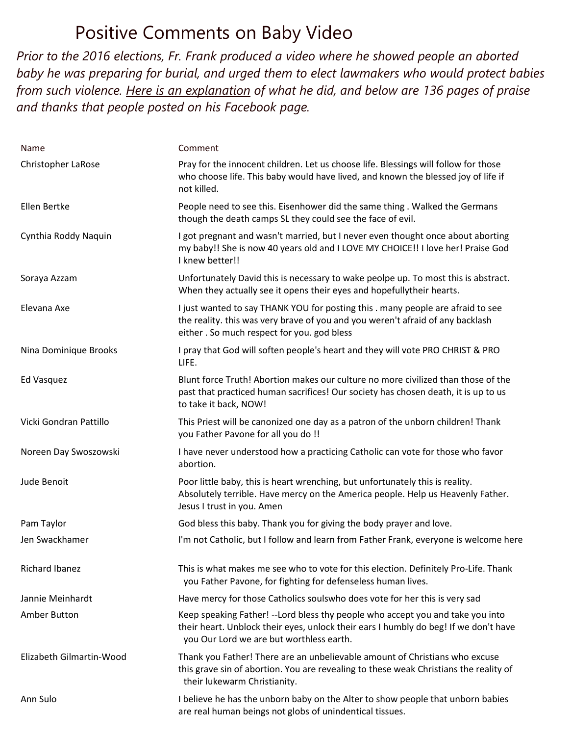## Positive Comments on Baby Video

*Prior to the 2016 elections, Fr. Frank produced a video where he showed people an aborted baby he was preparing for burial, and urged them to elect lawmakers who would protect babies from such violence. [Here is an explanation](https://www.priestsforlife.org/library/8871-interview-with-fr-frank-pavone-about-the-baby-on-the-altar) of what he did, and below are 136 pages of praise and thanks that people posted on his Facebook page.*

| Name                     | Comment                                                                                                                                                                                                            |
|--------------------------|--------------------------------------------------------------------------------------------------------------------------------------------------------------------------------------------------------------------|
| Christopher LaRose       | Pray for the innocent children. Let us choose life. Blessings will follow for those<br>who choose life. This baby would have lived, and known the blessed joy of life if<br>not killed.                            |
| Ellen Bertke             | People need to see this. Eisenhower did the same thing . Walked the Germans<br>though the death camps SL they could see the face of evil.                                                                          |
| Cynthia Roddy Naquin     | I got pregnant and wasn't married, but I never even thought once about aborting<br>my baby!! She is now 40 years old and I LOVE MY CHOICE!! I love her! Praise God<br>I knew better!!                              |
| Soraya Azzam             | Unfortunately David this is necessary to wake peolpe up. To most this is abstract.<br>When they actually see it opens their eyes and hopefullytheir hearts.                                                        |
| Elevana Axe              | I just wanted to say THANK YOU for posting this . many people are afraid to see<br>the reality. this was very brave of you and you weren't afraid of any backlash<br>either. So much respect for you. god bless    |
| Nina Dominique Brooks    | I pray that God will soften people's heart and they will vote PRO CHRIST & PRO<br>LIFE.                                                                                                                            |
| <b>Ed Vasquez</b>        | Blunt force Truth! Abortion makes our culture no more civilized than those of the<br>past that practiced human sacrifices! Our society has chosen death, it is up to us<br>to take it back, NOW!                   |
| Vicki Gondran Pattillo   | This Priest will be canonized one day as a patron of the unborn children! Thank<br>you Father Pavone for all you do !!                                                                                             |
| Noreen Day Swoszowski    | I have never understood how a practicing Catholic can vote for those who favor<br>abortion.                                                                                                                        |
| Jude Benoit              | Poor little baby, this is heart wrenching, but unfortunately this is reality.<br>Absolutely terrible. Have mercy on the America people. Help us Heavenly Father.<br>Jesus I trust in you. Amen                     |
| Pam Taylor               | God bless this baby. Thank you for giving the body prayer and love.                                                                                                                                                |
| Jen Swackhamer           | I'm not Catholic, but I follow and learn from Father Frank, everyone is welcome here                                                                                                                               |
| <b>Richard Ibanez</b>    | This is what makes me see who to vote for this election. Definitely Pro-Life. Thank<br>you Father Pavone, for fighting for defenseless human lives.                                                                |
| Jannie Meinhardt         | Have mercy for those Catholics soulswho does vote for her this is very sad                                                                                                                                         |
| Amber Button             | Keep speaking Father! --Lord bless thy people who accept you and take you into<br>their heart. Unblock their eyes, unlock their ears I humbly do beg! If we don't have<br>you Our Lord we are but worthless earth. |
| Elizabeth Gilmartin-Wood | Thank you Father! There are an unbelievable amount of Christians who excuse<br>this grave sin of abortion. You are revealing to these weak Christians the reality of<br>their lukewarm Christianity.               |
| Ann Sulo                 | I believe he has the unborn baby on the Alter to show people that unborn babies<br>are real human beings not globs of unindentical tissues.                                                                        |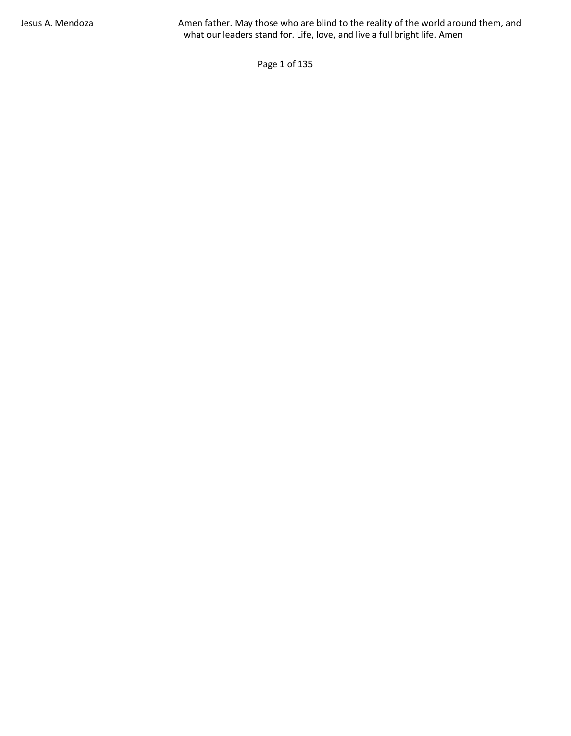Page 1 of 135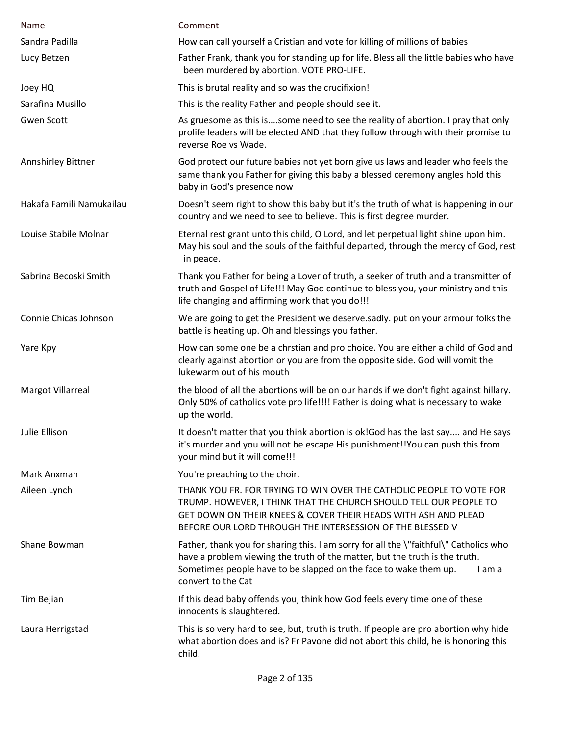| Name                     | Comment                                                                                                                                                                                                                                                                  |
|--------------------------|--------------------------------------------------------------------------------------------------------------------------------------------------------------------------------------------------------------------------------------------------------------------------|
| Sandra Padilla           | How can call yourself a Cristian and vote for killing of millions of babies                                                                                                                                                                                              |
| Lucy Betzen              | Father Frank, thank you for standing up for life. Bless all the little babies who have<br>been murdered by abortion. VOTE PRO-LIFE.                                                                                                                                      |
| Joey HQ                  | This is brutal reality and so was the crucifixion!                                                                                                                                                                                                                       |
| Sarafina Musillo         | This is the reality Father and people should see it.                                                                                                                                                                                                                     |
| <b>Gwen Scott</b>        | As gruesome as this issome need to see the reality of abortion. I pray that only<br>prolife leaders will be elected AND that they follow through with their promise to<br>reverse Roe vs Wade.                                                                           |
| Annshirley Bittner       | God protect our future babies not yet born give us laws and leader who feels the<br>same thank you Father for giving this baby a blessed ceremony angles hold this<br>baby in God's presence now                                                                         |
| Hakafa Famili Namukailau | Doesn't seem right to show this baby but it's the truth of what is happening in our<br>country and we need to see to believe. This is first degree murder.                                                                                                               |
| Louise Stabile Molnar    | Eternal rest grant unto this child, O Lord, and let perpetual light shine upon him.<br>May his soul and the souls of the faithful departed, through the mercy of God, rest<br>in peace.                                                                                  |
| Sabrina Becoski Smith    | Thank you Father for being a Lover of truth, a seeker of truth and a transmitter of<br>truth and Gospel of Life!!! May God continue to bless you, your ministry and this<br>life changing and affirming work that you do!!!                                              |
| Connie Chicas Johnson    | We are going to get the President we deserve.sadly. put on your armour folks the<br>battle is heating up. Oh and blessings you father.                                                                                                                                   |
| Yare Kpy                 | How can some one be a chrstian and pro choice. You are either a child of God and<br>clearly against abortion or you are from the opposite side. God will vomit the<br>lukewarm out of his mouth                                                                          |
| <b>Margot Villarreal</b> | the blood of all the abortions will be on our hands if we don't fight against hillary.<br>Only 50% of catholics vote pro life!!!! Father is doing what is necessary to wake<br>up the world.                                                                             |
| Julie Ellison            | It doesn't matter that you think abortion is ok! God has the last say and He says<br>it's murder and you will not be escape His punishment!!You can push this from<br>your mind but it will come!!!                                                                      |
| Mark Anxman              | You're preaching to the choir.                                                                                                                                                                                                                                           |
| Aileen Lynch             | THANK YOU FR. FOR TRYING TO WIN OVER THE CATHOLIC PEOPLE TO VOTE FOR<br>TRUMP. HOWEVER, I THINK THAT THE CHURCH SHOULD TELL OUR PEOPLE TO<br>GET DOWN ON THEIR KNEES & COVER THEIR HEADS WITH ASH AND PLEAD<br>BEFORE OUR LORD THROUGH THE INTERSESSION OF THE BLESSED V |
| Shane Bowman             | Father, thank you for sharing this. I am sorry for all the \"faithful\" Catholics who<br>have a problem viewing the truth of the matter, but the truth is the truth.<br>Sometimes people have to be slapped on the face to wake them up.<br>I am a<br>convert to the Cat |
| Tim Bejian               | If this dead baby offends you, think how God feels every time one of these<br>innocents is slaughtered.                                                                                                                                                                  |
| Laura Herrigstad         | This is so very hard to see, but, truth is truth. If people are pro abortion why hide<br>what abortion does and is? Fr Pavone did not abort this child, he is honoring this<br>child.                                                                                    |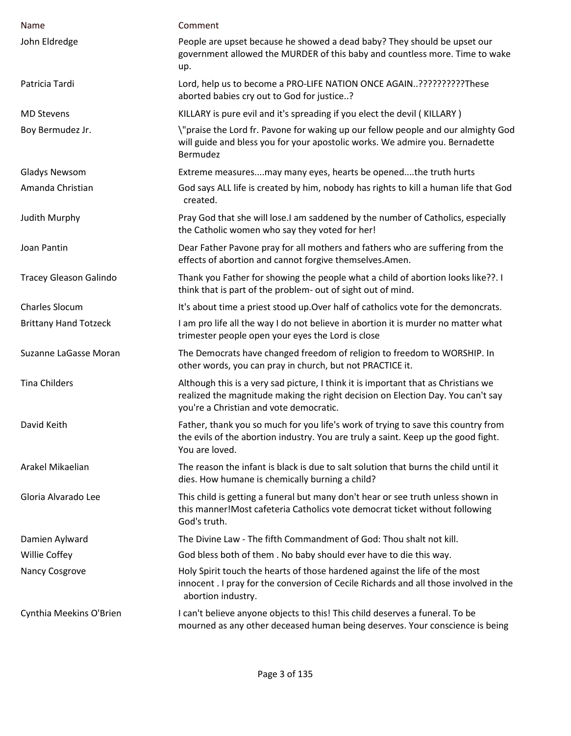| Name                          | Comment                                                                                                                                                                                                          |
|-------------------------------|------------------------------------------------------------------------------------------------------------------------------------------------------------------------------------------------------------------|
|                               |                                                                                                                                                                                                                  |
| John Eldredge                 | People are upset because he showed a dead baby? They should be upset our<br>government allowed the MURDER of this baby and countless more. Time to wake<br>up.                                                   |
| Patricia Tardi                | Lord, help us to become a PRO-LIFE NATION ONCE AGAIN???????????These<br>aborted babies cry out to God for justice?                                                                                               |
| <b>MD Stevens</b>             | KILLARY is pure evil and it's spreading if you elect the devil (KILLARY)                                                                                                                                         |
| Boy Bermudez Jr.              | \"praise the Lord fr. Pavone for waking up our fellow people and our almighty God<br>will guide and bless you for your apostolic works. We admire you. Bernadette<br>Bermudez                                    |
| <b>Gladys Newsom</b>          | Extreme measuresmay many eyes, hearts be openedthe truth hurts                                                                                                                                                   |
| Amanda Christian              | God says ALL life is created by him, nobody has rights to kill a human life that God<br>created.                                                                                                                 |
| Judith Murphy                 | Pray God that she will lose.I am saddened by the number of Catholics, especially<br>the Catholic women who say they voted for her!                                                                               |
| Joan Pantin                   | Dear Father Pavone pray for all mothers and fathers who are suffering from the<br>effects of abortion and cannot forgive themselves.Amen.                                                                        |
| <b>Tracey Gleason Galindo</b> | Thank you Father for showing the people what a child of abortion looks like??. I<br>think that is part of the problem- out of sight out of mind.                                                                 |
| <b>Charles Slocum</b>         | It's about time a priest stood up. Over half of catholics vote for the demoncrats.                                                                                                                               |
| <b>Brittany Hand Totzeck</b>  | I am pro life all the way I do not believe in abortion it is murder no matter what<br>trimester people open your eyes the Lord is close                                                                          |
| Suzanne LaGasse Moran         | The Democrats have changed freedom of religion to freedom to WORSHIP. In<br>other words, you can pray in church, but not PRACTICE it.                                                                            |
| <b>Tina Childers</b>          | Although this is a very sad picture, I think it is important that as Christians we<br>realized the magnitude making the right decision on Election Day. You can't say<br>you're a Christian and vote democratic. |
| David Keith                   | Father, thank you so much for you life's work of trying to save this country from<br>the evils of the abortion industry. You are truly a saint. Keep up the good fight.<br>You are loved.                        |
| Arakel Mikaelian              | The reason the infant is black is due to salt solution that burns the child until it<br>dies. How humane is chemically burning a child?                                                                          |
| Gloria Alvarado Lee           | This child is getting a funeral but many don't hear or see truth unless shown in<br>this manner!Most cafeteria Catholics vote democrat ticket without following<br>God's truth.                                  |
| Damien Aylward                | The Divine Law - The fifth Commandment of God: Thou shalt not kill.                                                                                                                                              |
| Willie Coffey                 | God bless both of them. No baby should ever have to die this way.                                                                                                                                                |
| Nancy Cosgrove                | Holy Spirit touch the hearts of those hardened against the life of the most<br>innocent. I pray for the conversion of Cecile Richards and all those involved in the<br>abortion industry.                        |
| Cynthia Meekins O'Brien       | I can't believe anyone objects to this! This child deserves a funeral. To be<br>mourned as any other deceased human being deserves. Your conscience is being                                                     |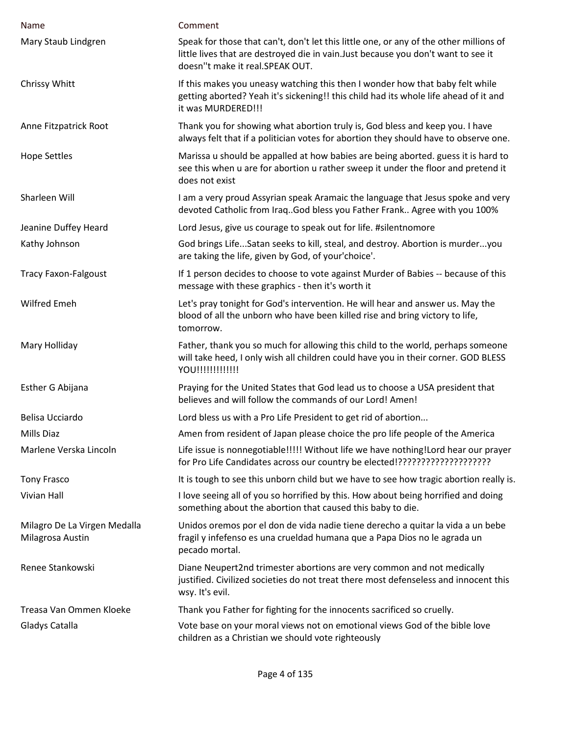| Name                                             | Comment                                                                                                                                                                                                         |
|--------------------------------------------------|-----------------------------------------------------------------------------------------------------------------------------------------------------------------------------------------------------------------|
| Mary Staub Lindgren                              | Speak for those that can't, don't let this little one, or any of the other millions of<br>little lives that are destroyed die in vain. Just because you don't want to see it<br>doesn"t make it real.SPEAK OUT. |
| Chrissy Whitt                                    | If this makes you uneasy watching this then I wonder how that baby felt while<br>getting aborted? Yeah it's sickening!! this child had its whole life ahead of it and<br>it was MURDERED!!!                     |
| Anne Fitzpatrick Root                            | Thank you for showing what abortion truly is, God bless and keep you. I have<br>always felt that if a politician votes for abortion they should have to observe one.                                            |
| <b>Hope Settles</b>                              | Marissa u should be appalled at how babies are being aborted. guess it is hard to<br>see this when u are for abortion u rather sweep it under the floor and pretend it<br>does not exist                        |
| Sharleen Will                                    | I am a very proud Assyrian speak Aramaic the language that Jesus spoke and very<br>devoted Catholic from Iraq. God bless you Father Frank Agree with you 100%                                                   |
| Jeanine Duffey Heard                             | Lord Jesus, give us courage to speak out for life. #silentnomore                                                                                                                                                |
| Kathy Johnson                                    | God brings LifeSatan seeks to kill, steal, and destroy. Abortion is murderyou<br>are taking the life, given by God, of your'choice'.                                                                            |
| <b>Tracy Faxon-Falgoust</b>                      | If 1 person decides to choose to vote against Murder of Babies -- because of this<br>message with these graphics - then it's worth it                                                                           |
| <b>Wilfred Emeh</b>                              | Let's pray tonight for God's intervention. He will hear and answer us. May the<br>blood of all the unborn who have been killed rise and bring victory to life,<br>tomorrow.                                     |
| Mary Holliday                                    | Father, thank you so much for allowing this child to the world, perhaps someone<br>will take heed, I only wish all children could have you in their corner. GOD BLESS<br>YOU!!!!!!!!!!!!!                       |
| Esther G Abijana                                 | Praying for the United States that God lead us to choose a USA president that<br>believes and will follow the commands of our Lord! Amen!                                                                       |
| Belisa Ucciardo                                  | Lord bless us with a Pro Life President to get rid of abortion                                                                                                                                                  |
| Mills Diaz                                       | Amen from resident of Japan please choice the pro life people of the America                                                                                                                                    |
| Marlene Verska Lincoln                           | Life issue is nonnegotiable!!!!! Without life we have nothing!Lord hear our prayer<br>for Pro Life Candidates across our country be elected!?????????????????????                                               |
| <b>Tony Frasco</b>                               | It is tough to see this unborn child but we have to see how tragic abortion really is.                                                                                                                          |
| <b>Vivian Hall</b>                               | I love seeing all of you so horrified by this. How about being horrified and doing<br>something about the abortion that caused this baby to die.                                                                |
| Milagro De La Virgen Medalla<br>Milagrosa Austin | Unidos oremos por el don de vida nadie tiene derecho a quitar la vida a un bebe<br>fragil y infefenso es una crueldad humana que a Papa Dios no le agrada un<br>pecado mortal.                                  |
| Renee Stankowski                                 | Diane Neupert2nd trimester abortions are very common and not medically<br>justified. Civilized societies do not treat there most defenseless and innocent this<br>wsy. It's evil.                               |
| Treasa Van Ommen Kloeke                          | Thank you Father for fighting for the innocents sacrificed so cruelly.                                                                                                                                          |
| Gladys Catalla                                   | Vote base on your moral views not on emotional views God of the bible love<br>children as a Christian we should vote righteously                                                                                |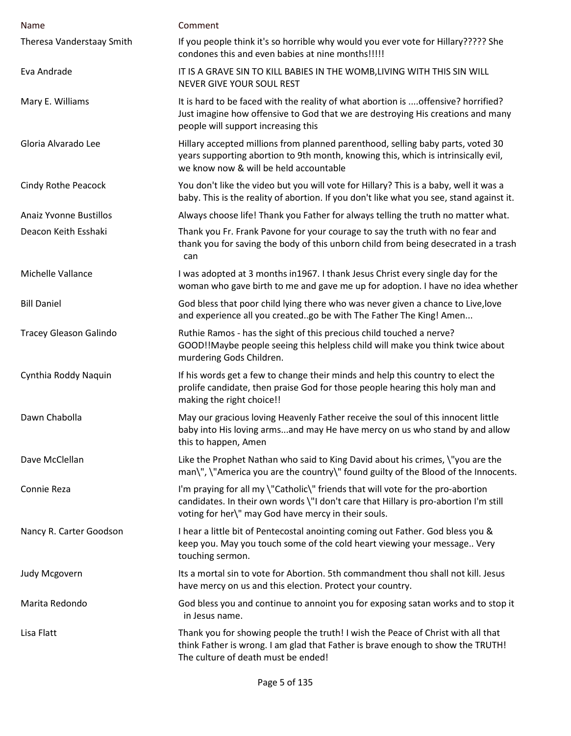| Name                          | Comment                                                                                                                                                                                                                        |
|-------------------------------|--------------------------------------------------------------------------------------------------------------------------------------------------------------------------------------------------------------------------------|
| Theresa Vanderstaay Smith     | If you people think it's so horrible why would you ever vote for Hillary????? She<br>condones this and even babies at nine months!!!!!                                                                                         |
| Eva Andrade                   | IT IS A GRAVE SIN TO KILL BABIES IN THE WOMB, LIVING WITH THIS SIN WILL<br>NEVER GIVE YOUR SOUL REST                                                                                                                           |
| Mary E. Williams              | It is hard to be faced with the reality of what abortion is  offensive? horrified?<br>Just imagine how offensive to God that we are destroying His creations and many<br>people will support increasing this                   |
| Gloria Alvarado Lee           | Hillary accepted millions from planned parenthood, selling baby parts, voted 30<br>years supporting abortion to 9th month, knowing this, which is intrinsically evil,<br>we know now & will be held accountable                |
| <b>Cindy Rothe Peacock</b>    | You don't like the video but you will vote for Hillary? This is a baby, well it was a<br>baby. This is the reality of abortion. If you don't like what you see, stand against it.                                              |
| <b>Anaiz Yvonne Bustillos</b> | Always choose life! Thank you Father for always telling the truth no matter what.                                                                                                                                              |
| Deacon Keith Esshaki          | Thank you Fr. Frank Pavone for your courage to say the truth with no fear and<br>thank you for saving the body of this unborn child from being desecrated in a trash<br>can                                                    |
| Michelle Vallance             | I was adopted at 3 months in 1967. I thank Jesus Christ every single day for the<br>woman who gave birth to me and gave me up for adoption. I have no idea whether                                                             |
| <b>Bill Daniel</b>            | God bless that poor child lying there who was never given a chance to Live, love<br>and experience all you createdgo be with The Father The King! Amen                                                                         |
| <b>Tracey Gleason Galindo</b> | Ruthie Ramos - has the sight of this precious child touched a nerve?<br>GOOD!!Maybe people seeing this helpless child will make you think twice about<br>murdering Gods Children.                                              |
| Cynthia Roddy Naquin          | If his words get a few to change their minds and help this country to elect the<br>prolife candidate, then praise God for those people hearing this holy man and<br>making the right choice!!                                  |
| Dawn Chabolla                 | May our gracious loving Heavenly Father receive the soul of this innocent little<br>baby into His loving armsand may He have mercy on us who stand by and allow<br>this to happen, Amen                                        |
| Dave McClellan                | Like the Prophet Nathan who said to King David about his crimes, \"you are the<br>man\", \"America you are the country\" found guilty of the Blood of the Innocents.                                                           |
| Connie Reza                   | I'm praying for all my \"Catholic\" friends that will vote for the pro-abortion<br>candidates. In their own words \"I don't care that Hillary is pro-abortion I'm still<br>voting for her\" may God have mercy in their souls. |
| Nancy R. Carter Goodson       | I hear a little bit of Pentecostal anointing coming out Father. God bless you &<br>keep you. May you touch some of the cold heart viewing your message Very<br>touching sermon.                                                |
| <b>Judy Mcgovern</b>          | Its a mortal sin to vote for Abortion. 5th commandment thou shall not kill. Jesus<br>have mercy on us and this election. Protect your country.                                                                                 |
| Marita Redondo                | God bless you and continue to annoint you for exposing satan works and to stop it<br>in Jesus name.                                                                                                                            |
| Lisa Flatt                    | Thank you for showing people the truth! I wish the Peace of Christ with all that<br>think Father is wrong. I am glad that Father is brave enough to show the TRUTH!<br>The culture of death must be ended!                     |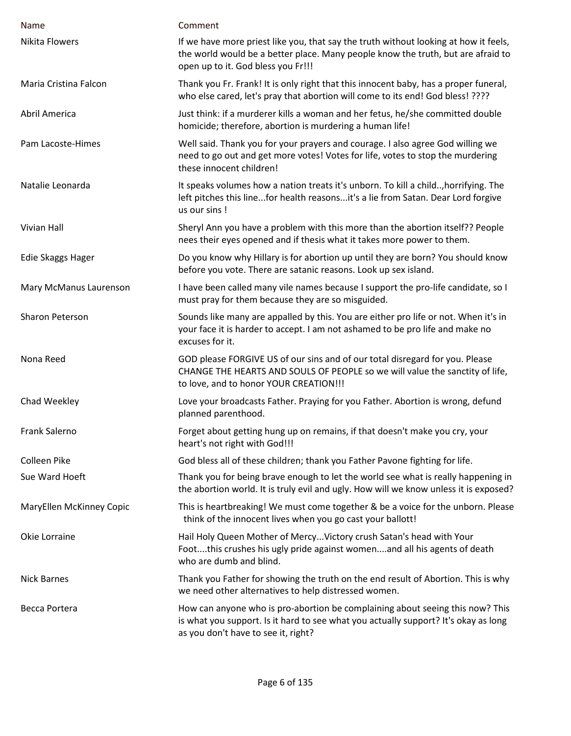| Name                     | Comment                                                                                                                                                                                                        |
|--------------------------|----------------------------------------------------------------------------------------------------------------------------------------------------------------------------------------------------------------|
| <b>Nikita Flowers</b>    | If we have more priest like you, that say the truth without looking at how it feels,<br>the world would be a better place. Many people know the truth, but are afraid to<br>open up to it. God bless you Fr!!! |
| Maria Cristina Falcon    | Thank you Fr. Frank! It is only right that this innocent baby, has a proper funeral,<br>who else cared, let's pray that abortion will come to its end! God bless! ????                                         |
| Abril America            | Just think: if a murderer kills a woman and her fetus, he/she committed double<br>homicide; therefore, abortion is murdering a human life!                                                                     |
| Pam Lacoste-Himes        | Well said. Thank you for your prayers and courage. I also agree God willing we<br>need to go out and get more votes! Votes for life, votes to stop the murdering<br>these innocent children!                   |
| Natalie Leonarda         | It speaks volumes how a nation treats it's unborn. To kill a child, horrifying. The<br>left pitches this linefor health reasonsit's a lie from Satan. Dear Lord forgive<br>us our sins!                        |
| Vivian Hall              | Sheryl Ann you have a problem with this more than the abortion itself?? People<br>nees their eyes opened and if thesis what it takes more power to them.                                                       |
| Edie Skaggs Hager        | Do you know why Hillary is for abortion up until they are born? You should know<br>before you vote. There are satanic reasons. Look up sex island.                                                             |
| Mary McManus Laurenson   | I have been called many vile names because I support the pro-life candidate, so I<br>must pray for them because they are so misguided.                                                                         |
| Sharon Peterson          | Sounds like many are appalled by this. You are either pro life or not. When it's in<br>your face it is harder to accept. I am not ashamed to be pro life and make no<br>excuses for it.                        |
| Nona Reed                | GOD please FORGIVE US of our sins and of our total disregard for you. Please<br>CHANGE THE HEARTS AND SOULS OF PEOPLE so we will value the sanctity of life,<br>to love, and to honor YOUR CREATION!!!         |
| Chad Weekley             | Love your broadcasts Father. Praying for you Father. Abortion is wrong, defund<br>planned parenthood.                                                                                                          |
| Frank Salerno            | Forget about getting hung up on remains, if that doesn't make you cry, your<br>heart's not right with God!!!                                                                                                   |
| Colleen Pike             | God bless all of these children; thank you Father Pavone fighting for life.                                                                                                                                    |
| Sue Ward Hoeft           | Thank you for being brave enough to let the world see what is really happening in<br>the abortion world. It is truly evil and ugly. How will we know unless it is exposed?                                     |
| MaryEllen McKinney Copic | This is heartbreaking! We must come together & be a voice for the unborn. Please<br>think of the innocent lives when you go cast your ballott!                                                                 |
| Okie Lorraine            | Hail Holy Queen Mother of Mercy Victory crush Satan's head with Your<br>Footthis crushes his ugly pride against womenand all his agents of death<br>who are dumb and blind.                                    |
| <b>Nick Barnes</b>       | Thank you Father for showing the truth on the end result of Abortion. This is why<br>we need other alternatives to help distressed women.                                                                      |
| Becca Portera            | How can anyone who is pro-abortion be complaining about seeing this now? This<br>is what you support. Is it hard to see what you actually support? It's okay as long<br>as you don't have to see it, right?    |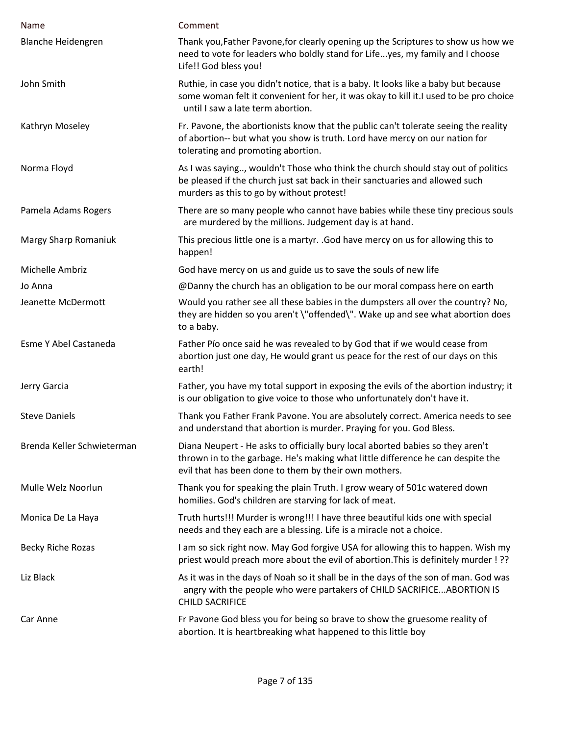| Name                       | Comment                                                                                                                                                                                                                    |
|----------------------------|----------------------------------------------------------------------------------------------------------------------------------------------------------------------------------------------------------------------------|
| <b>Blanche Heidengren</b>  | Thank you, Father Pavone, for clearly opening up the Scriptures to show us how we<br>need to vote for leaders who boldly stand for Lifeyes, my family and I choose<br>Life!! God bless you!                                |
| John Smith                 | Ruthie, in case you didn't notice, that is a baby. It looks like a baby but because<br>some woman felt it convenient for her, it was okay to kill it. I used to be pro choice<br>until I saw a late term abortion.         |
| Kathryn Moseley            | Fr. Pavone, the abortionists know that the public can't tolerate seeing the reality<br>of abortion-- but what you show is truth. Lord have mercy on our nation for<br>tolerating and promoting abortion.                   |
| Norma Floyd                | As I was saying, wouldn't Those who think the church should stay out of politics<br>be pleased if the church just sat back in their sanctuaries and allowed such<br>murders as this to go by without protest!              |
| Pamela Adams Rogers        | There are so many people who cannot have babies while these tiny precious souls<br>are murdered by the millions. Judgement day is at hand.                                                                                 |
| Margy Sharp Romaniuk       | This precious little one is a martyr. . God have mercy on us for allowing this to<br>happen!                                                                                                                               |
| Michelle Ambriz            | God have mercy on us and guide us to save the souls of new life                                                                                                                                                            |
| Jo Anna                    | @Danny the church has an obligation to be our moral compass here on earth                                                                                                                                                  |
| Jeanette McDermott         | Would you rather see all these babies in the dumpsters all over the country? No,<br>they are hidden so you aren't \"offended\". Wake up and see what abortion does<br>to a baby.                                           |
| Esme Y Abel Castaneda      | Father Pío once said he was revealed to by God that if we would cease from<br>abortion just one day, He would grant us peace for the rest of our days on this<br>earth!                                                    |
| Jerry Garcia               | Father, you have my total support in exposing the evils of the abortion industry; it<br>is our obligation to give voice to those who unfortunately don't have it.                                                          |
| <b>Steve Daniels</b>       | Thank you Father Frank Pavone. You are absolutely correct. America needs to see<br>and understand that abortion is murder. Praying for you. God Bless.                                                                     |
| Brenda Keller Schwieterman | Diana Neupert - He asks to officially bury local aborted babies so they aren't<br>thrown in to the garbage. He's making what little difference he can despite the<br>evil that has been done to them by their own mothers. |
| Mulle Welz Noorlun         | Thank you for speaking the plain Truth. I grow weary of 501c watered down<br>homilies. God's children are starving for lack of meat.                                                                                       |
| Monica De La Haya          | Truth hurts!!! Murder is wrong!!! I have three beautiful kids one with special<br>needs and they each are a blessing. Life is a miracle not a choice.                                                                      |
| <b>Becky Riche Rozas</b>   | I am so sick right now. May God forgive USA for allowing this to happen. Wish my<br>priest would preach more about the evil of abortion. This is definitely murder ! ??                                                    |
| Liz Black                  | As it was in the days of Noah so it shall be in the days of the son of man. God was<br>angry with the people who were partakers of CHILD SACRIFICE ABORTION IS<br><b>CHILD SACRIFICE</b>                                   |
| Car Anne                   | Fr Pavone God bless you for being so brave to show the gruesome reality of<br>abortion. It is heartbreaking what happened to this little boy                                                                               |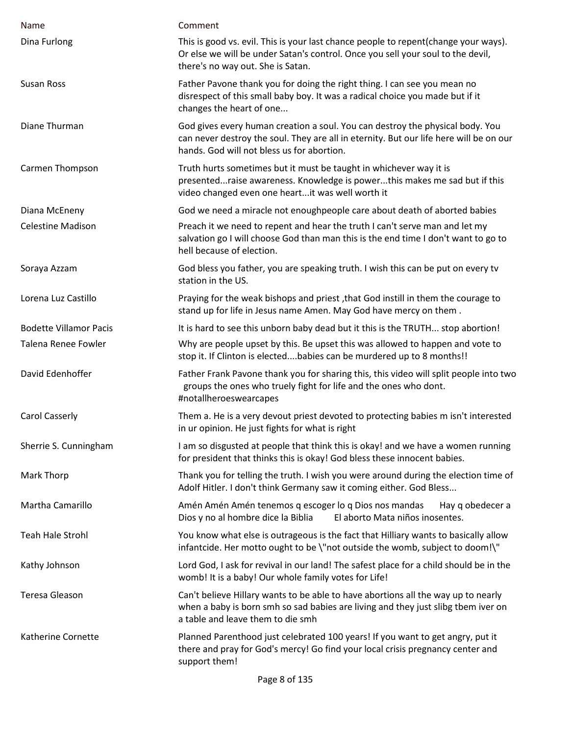| Name                          | Comment                                                                                                                                                                                                               |
|-------------------------------|-----------------------------------------------------------------------------------------------------------------------------------------------------------------------------------------------------------------------|
| Dina Furlong                  | This is good vs. evil. This is your last chance people to repent(change your ways).<br>Or else we will be under Satan's control. Once you sell your soul to the devil,<br>there's no way out. She is Satan.           |
| <b>Susan Ross</b>             | Father Pavone thank you for doing the right thing. I can see you mean no<br>disrespect of this small baby boy. It was a radical choice you made but if it<br>changes the heart of one                                 |
| Diane Thurman                 | God gives every human creation a soul. You can destroy the physical body. You<br>can never destroy the soul. They are all in eternity. But our life here will be on our<br>hands. God will not bless us for abortion. |
| Carmen Thompson               | Truth hurts sometimes but it must be taught in whichever way it is<br>presentedraise awareness. Knowledge is powerthis makes me sad but if this<br>video changed even one heartit was well worth it                   |
| Diana McEneny                 | God we need a miracle not enoughpeople care about death of aborted babies                                                                                                                                             |
| <b>Celestine Madison</b>      | Preach it we need to repent and hear the truth I can't serve man and let my<br>salvation go I will choose God than man this is the end time I don't want to go to<br>hell because of election.                        |
| Soraya Azzam                  | God bless you father, you are speaking truth. I wish this can be put on every tv<br>station in the US.                                                                                                                |
| Lorena Luz Castillo           | Praying for the weak bishops and priest, that God instill in them the courage to<br>stand up for life in Jesus name Amen. May God have mercy on them.                                                                 |
| <b>Bodette Villamor Pacis</b> | It is hard to see this unborn baby dead but it this is the TRUTH stop abortion!                                                                                                                                       |
| <b>Talena Renee Fowler</b>    | Why are people upset by this. Be upset this was allowed to happen and vote to<br>stop it. If Clinton is electedbabies can be murdered up to 8 months!!                                                                |
| David Edenhoffer              | Father Frank Pavone thank you for sharing this, this video will split people into two<br>groups the ones who truely fight for life and the ones who dont.<br>#notallheroeswearcapes                                   |
| <b>Carol Casserly</b>         | Them a. He is a very devout priest devoted to protecting babies m isn't interested<br>in ur opinion. He just fights for what is right                                                                                 |
| Sherrie S. Cunningham         | I am so disgusted at people that think this is okay! and we have a women running<br>for president that thinks this is okay! God bless these innocent babies.                                                          |
| Mark Thorp                    | Thank you for telling the truth. I wish you were around during the election time of<br>Adolf Hitler. I don't think Germany saw it coming either. God Bless                                                            |
| Martha Camarillo              | Amén Amén Amén tenemos q escoger lo q Dios nos mandas<br>Hay q obedecer a<br>Dios y no al hombre dice la Biblia<br>El aborto Mata niños inosentes.                                                                    |
| <b>Teah Hale Strohl</b>       | You know what else is outrageous is the fact that Hilliary wants to basically allow<br>infantcide. Her motto ought to be \"not outside the womb, subject to doom!\"                                                   |
| Kathy Johnson                 | Lord God, I ask for revival in our land! The safest place for a child should be in the<br>womb! It is a baby! Our whole family votes for Life!                                                                        |
| Teresa Gleason                | Can't believe Hillary wants to be able to have abortions all the way up to nearly<br>when a baby is born smh so sad babies are living and they just slibg tbem iver on<br>a table and leave them to die smh           |
| Katherine Cornette            | Planned Parenthood just celebrated 100 years! If you want to get angry, put it<br>there and pray for God's mercy! Go find your local crisis pregnancy center and<br>support them!                                     |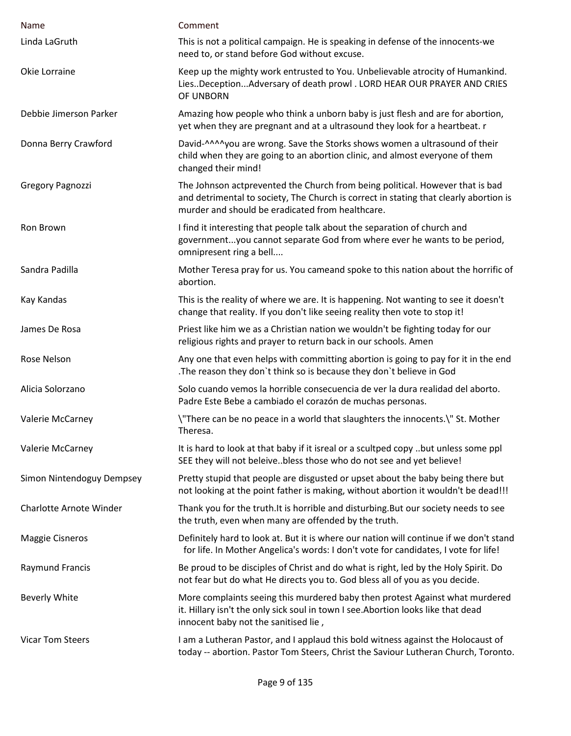| Name                           | Comment                                                                                                                                                                                                                    |
|--------------------------------|----------------------------------------------------------------------------------------------------------------------------------------------------------------------------------------------------------------------------|
| Linda LaGruth                  | This is not a political campaign. He is speaking in defense of the innocents-we<br>need to, or stand before God without excuse.                                                                                            |
| Okie Lorraine                  | Keep up the mighty work entrusted to You. Unbelievable atrocity of Humankind.<br>LiesDeceptionAdversary of death prowl . LORD HEAR OUR PRAYER AND CRIES<br>OF UNBORN                                                       |
| Debbie Jimerson Parker         | Amazing how people who think a unborn baby is just flesh and are for abortion,<br>yet when they are pregnant and at a ultrasound they look for a heartbeat. r                                                              |
| Donna Berry Crawford           | David-^^^^you are wrong. Save the Storks shows women a ultrasound of their<br>child when they are going to an abortion clinic, and almost everyone of them<br>changed their mind!                                          |
| Gregory Pagnozzi               | The Johnson actprevented the Church from being political. However that is bad<br>and detrimental to society, The Church is correct in stating that clearly abortion is<br>murder and should be eradicated from healthcare. |
| Ron Brown                      | I find it interesting that people talk about the separation of church and<br>governmentyou cannot separate God from where ever he wants to be period,<br>omnipresent ring a bell                                           |
| Sandra Padilla                 | Mother Teresa pray for us. You cameand spoke to this nation about the horrific of<br>abortion.                                                                                                                             |
| Kay Kandas                     | This is the reality of where we are. It is happening. Not wanting to see it doesn't<br>change that reality. If you don't like seeing reality then vote to stop it!                                                         |
| James De Rosa                  | Priest like him we as a Christian nation we wouldn't be fighting today for our<br>religious rights and prayer to return back in our schools. Amen                                                                          |
| Rose Nelson                    | Any one that even helps with committing abortion is going to pay for it in the end<br>The reason they don't think so is because they don't believe in God.                                                                 |
| Alicia Solorzano               | Solo cuando vemos la horrible consecuencia de ver la dura realidad del aborto.<br>Padre Este Bebe a cambiado el corazón de muchas personas.                                                                                |
| Valerie McCarney               | \"There can be no peace in a world that slaughters the innocents.\" St. Mother<br>Theresa.                                                                                                                                 |
| Valerie McCarney               | It is hard to look at that baby if it isreal or a scultped copy but unless some ppl<br>SEE they will not beleivebless those who do not see and yet believe!                                                                |
| Simon Nintendoguy Dempsey      | Pretty stupid that people are disgusted or upset about the baby being there but<br>not looking at the point father is making, without abortion it wouldn't be dead!!!                                                      |
| <b>Charlotte Arnote Winder</b> | Thank you for the truth. It is horrible and disturbing. But our society needs to see<br>the truth, even when many are offended by the truth.                                                                               |
| <b>Maggie Cisneros</b>         | Definitely hard to look at. But it is where our nation will continue if we don't stand<br>for life. In Mother Angelica's words: I don't vote for candidates, I vote for life!                                              |
| <b>Raymund Francis</b>         | Be proud to be disciples of Christ and do what is right, led by the Holy Spirit. Do<br>not fear but do what He directs you to. God bless all of you as you decide.                                                         |
| <b>Beverly White</b>           | More complaints seeing this murdered baby then protest Against what murdered<br>it. Hillary isn't the only sick soul in town I see. Abortion looks like that dead<br>innocent baby not the sanitised lie,                  |
| <b>Vicar Tom Steers</b>        | I am a Lutheran Pastor, and I applaud this bold witness against the Holocaust of<br>today -- abortion. Pastor Tom Steers, Christ the Saviour Lutheran Church, Toronto.                                                     |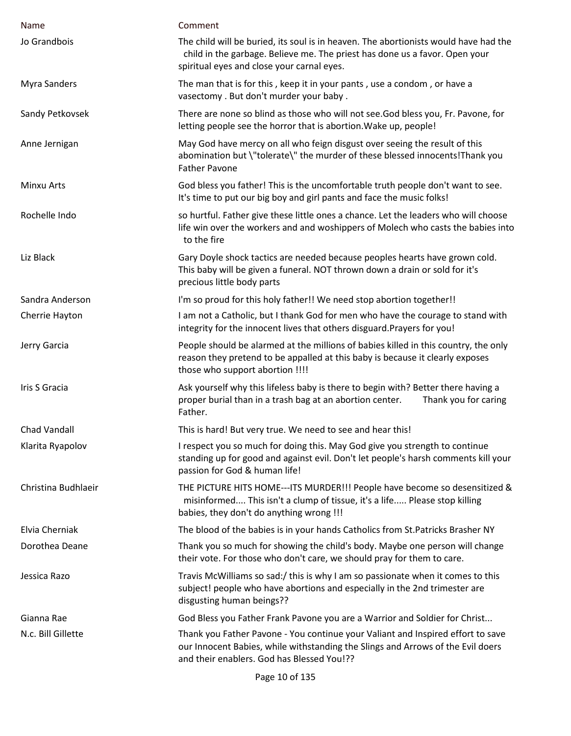| Name                | Comment                                                                                                                                                                                                           |
|---------------------|-------------------------------------------------------------------------------------------------------------------------------------------------------------------------------------------------------------------|
| Jo Grandbois        | The child will be buried, its soul is in heaven. The abortionists would have had the<br>child in the garbage. Believe me. The priest has done us a favor. Open your<br>spiritual eyes and close your carnal eyes. |
| <b>Myra Sanders</b> | The man that is for this, keep it in your pants, use a condom, or have a<br>vasectomy . But don't murder your baby .                                                                                              |
| Sandy Petkovsek     | There are none so blind as those who will not see. God bless you, Fr. Pavone, for<br>letting people see the horror that is abortion. Wake up, people!                                                             |
| Anne Jernigan       | May God have mercy on all who feign disgust over seeing the result of this<br>abomination but \"tolerate\" the murder of these blessed innocents! Thank you<br><b>Father Pavone</b>                               |
| Minxu Arts          | God bless you father! This is the uncomfortable truth people don't want to see.<br>It's time to put our big boy and girl pants and face the music folks!                                                          |
| Rochelle Indo       | so hurtful. Father give these little ones a chance. Let the leaders who will choose<br>life win over the workers and and woshippers of Molech who casts the babies into<br>to the fire                            |
| Liz Black           | Gary Doyle shock tactics are needed because peoples hearts have grown cold.<br>This baby will be given a funeral. NOT thrown down a drain or sold for it's<br>precious little body parts                          |
| Sandra Anderson     | I'm so proud for this holy father!! We need stop abortion together!!                                                                                                                                              |
| Cherrie Hayton      | I am not a Catholic, but I thank God for men who have the courage to stand with<br>integrity for the innocent lives that others disguard. Prayers for you!                                                        |
| Jerry Garcia        | People should be alarmed at the millions of babies killed in this country, the only<br>reason they pretend to be appalled at this baby is because it clearly exposes<br>those who support abortion !!!!           |
| Iris S Gracia       | Ask yourself why this lifeless baby is there to begin with? Better there having a<br>proper burial than in a trash bag at an abortion center.<br>Thank you for caring<br>Father.                                  |
| Chad Vandall        | This is hard! But very true. We need to see and hear this!                                                                                                                                                        |
| Klarita Ryapolov    | I respect you so much for doing this. May God give you strength to continue<br>standing up for good and against evil. Don't let people's harsh comments kill your<br>passion for God & human life!                |
| Christina Budhlaeir | THE PICTURE HITS HOME---ITS MURDER!!! People have become so desensitized &<br>misinformed This isn't a clump of tissue, it's a life Please stop killing<br>babies, they don't do anything wrong !!!               |
| Elvia Cherniak      | The blood of the babies is in your hands Catholics from St. Patricks Brasher NY                                                                                                                                   |
| Dorothea Deane      | Thank you so much for showing the child's body. Maybe one person will change<br>their vote. For those who don't care, we should pray for them to care.                                                            |
| Jessica Razo        | Travis McWilliams so sad:/ this is why I am so passionate when it comes to this<br>subject! people who have abortions and especially in the 2nd trimester are<br>disgusting human beings??                        |
| Gianna Rae          | God Bless you Father Frank Pavone you are a Warrior and Soldier for Christ                                                                                                                                        |
| N.c. Bill Gillette  | Thank you Father Pavone - You continue your Valiant and Inspired effort to save<br>our Innocent Babies, while withstanding the Slings and Arrows of the Evil doers<br>and their enablers. God has Blessed You!??  |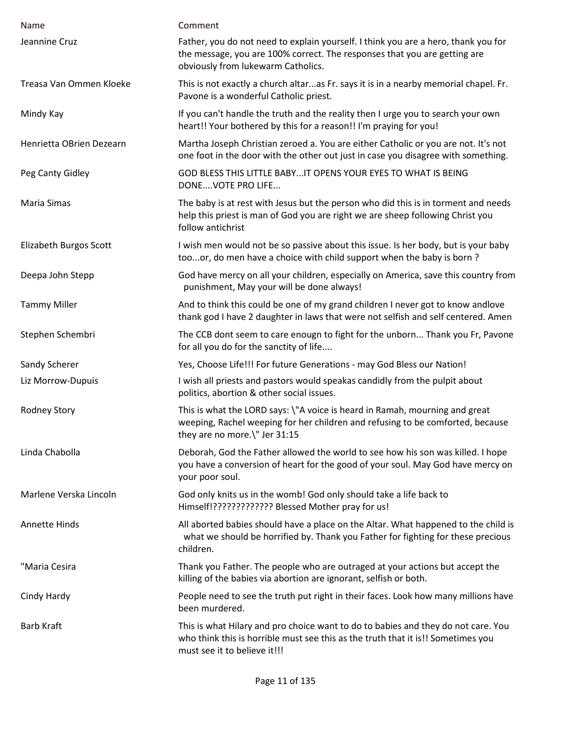| Name                     | Comment                                                                                                                                                                                               |
|--------------------------|-------------------------------------------------------------------------------------------------------------------------------------------------------------------------------------------------------|
| Jeannine Cruz            | Father, you do not need to explain yourself. I think you are a hero, thank you for<br>the message, you are 100% correct. The responses that you are getting are<br>obviously from lukewarm Catholics. |
| Treasa Van Ommen Kloeke  | This is not exactly a church altaras Fr. says it is in a nearby memorial chapel. Fr.<br>Pavone is a wonderful Catholic priest.                                                                        |
| Mindy Kay                | If you can't handle the truth and the reality then I urge you to search your own<br>heart!! Your bothered by this for a reason!! I'm praying for you!                                                 |
| Henrietta OBrien Dezearn | Martha Joseph Christian zeroed a. You are either Catholic or you are not. It's not<br>one foot in the door with the other out just in case you disagree with something.                               |
| Peg Canty Gidley         | GOD BLESS THIS LITTLE BABYIT OPENS YOUR EYES TO WHAT IS BEING<br>DONEVOTE PRO LIFE                                                                                                                    |
| Maria Simas              | The baby is at rest with Jesus but the person who did this is in torment and needs<br>help this priest is man of God you are right we are sheep following Christ you<br>follow antichrist             |
| Elizabeth Burgos Scott   | I wish men would not be so passive about this issue. Is her body, but is your baby<br>tooor, do men have a choice with child support when the baby is born?                                           |
| Deepa John Stepp         | God have mercy on all your children, especially on America, save this country from<br>punishment, May your will be done always!                                                                       |
| <b>Tammy Miller</b>      | And to think this could be one of my grand children I never got to know andlove<br>thank god I have 2 daughter in laws that were not selfish and self centered. Amen                                  |
| Stephen Schembri         | The CCB dont seem to care enougn to fight for the unborn Thank you Fr, Pavone<br>for all you do for the sanctity of life                                                                              |
| Sandy Scherer            | Yes, Choose Life!!! For future Generations - may God Bless our Nation!                                                                                                                                |
| Liz Morrow-Dupuis        | I wish all priests and pastors would speakas candidly from the pulpit about<br>politics, abortion & other social issues.                                                                              |
| <b>Rodney Story</b>      | This is what the LORD says: \"A voice is heard in Ramah, mourning and great<br>weeping, Rachel weeping for her children and refusing to be comforted, because<br>they are no more.\" Jer 31:15        |
| Linda Chabolla           | Deborah, God the Father allowed the world to see how his son was killed. I hope<br>you have a conversion of heart for the good of your soul. May God have mercy on<br>your poor soul.                 |
| Marlene Verska Lincoln   | God only knits us in the womb! God only should take a life back to<br>Himself!????????????? Blessed Mother pray for us!                                                                               |
| <b>Annette Hinds</b>     | All aborted babies should have a place on the Altar. What happened to the child is<br>what we should be horrified by. Thank you Father for fighting for these precious<br>children.                   |
| "Maria Cesira            | Thank you Father. The people who are outraged at your actions but accept the<br>killing of the babies via abortion are ignorant, selfish or both.                                                     |
| Cindy Hardy              | People need to see the truth put right in their faces. Look how many millions have<br>been murdered.                                                                                                  |
| <b>Barb Kraft</b>        | This is what Hilary and pro choice want to do to babies and they do not care. You<br>who think this is horrible must see this as the truth that it is!! Sometimes you<br>must see it to believe it!!! |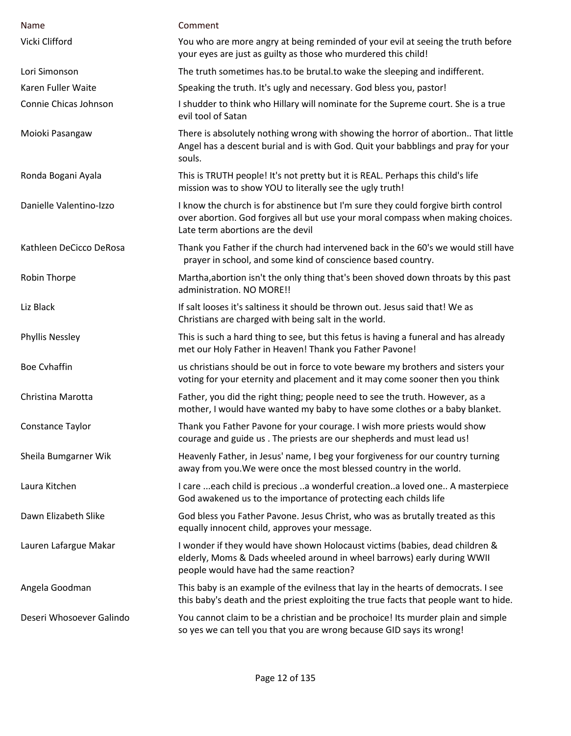| Name                     | Comment                                                                                                                                                                                                   |
|--------------------------|-----------------------------------------------------------------------------------------------------------------------------------------------------------------------------------------------------------|
| Vicki Clifford           | You who are more angry at being reminded of your evil at seeing the truth before<br>your eyes are just as guilty as those who murdered this child!                                                        |
| Lori Simonson            | The truth sometimes has to be brutal to wake the sleeping and indifferent.                                                                                                                                |
| Karen Fuller Waite       | Speaking the truth. It's ugly and necessary. God bless you, pastor!                                                                                                                                       |
| Connie Chicas Johnson    | I shudder to think who Hillary will nominate for the Supreme court. She is a true<br>evil tool of Satan                                                                                                   |
| Moioki Pasangaw          | There is absolutely nothing wrong with showing the horror of abortion That little<br>Angel has a descent burial and is with God. Quit your babblings and pray for your<br>souls.                          |
| Ronda Bogani Ayala       | This is TRUTH people! It's not pretty but it is REAL. Perhaps this child's life<br>mission was to show YOU to literally see the ugly truth!                                                               |
| Danielle Valentino-Izzo  | I know the church is for abstinence but I'm sure they could forgive birth control<br>over abortion. God forgives all but use your moral compass when making choices.<br>Late term abortions are the devil |
| Kathleen DeCicco DeRosa  | Thank you Father if the church had intervened back in the 60's we would still have<br>prayer in school, and some kind of conscience based country.                                                        |
| Robin Thorpe             | Martha, abortion isn't the only thing that's been shoved down throats by this past<br>administration. NO MORE!!                                                                                           |
| Liz Black                | If salt looses it's saltiness it should be thrown out. Jesus said that! We as<br>Christians are charged with being salt in the world.                                                                     |
| <b>Phyllis Nessley</b>   | This is such a hard thing to see, but this fetus is having a funeral and has already<br>met our Holy Father in Heaven! Thank you Father Pavone!                                                           |
| <b>Boe Cyhaffin</b>      | us christians should be out in force to vote beware my brothers and sisters your<br>voting for your eternity and placement and it may come sooner then you think                                          |
| Christina Marotta        | Father, you did the right thing; people need to see the truth. However, as a<br>mother, I would have wanted my baby to have some clothes or a baby blanket.                                               |
| Constance Taylor         | Thank you Father Pavone for your courage. I wish more priests would show<br>courage and guide us. The priests are our shepherds and must lead us!                                                         |
| Sheila Bumgarner Wik     | Heavenly Father, in Jesus' name, I beg your forgiveness for our country turning<br>away from you. We were once the most blessed country in the world.                                                     |
| Laura Kitchen            | I care  each child is precious a wonderful creationa loved one A masterpiece<br>God awakened us to the importance of protecting each childs life                                                          |
| Dawn Elizabeth Slike     | God bless you Father Pavone. Jesus Christ, who was as brutally treated as this<br>equally innocent child, approves your message.                                                                          |
| Lauren Lafargue Makar    | I wonder if they would have shown Holocaust victims (babies, dead children &<br>elderly, Moms & Dads wheeled around in wheel barrows) early during WWII<br>people would have had the same reaction?       |
| Angela Goodman           | This baby is an example of the evilness that lay in the hearts of democrats. I see<br>this baby's death and the priest exploiting the true facts that people want to hide.                                |
| Deseri Whosoever Galindo | You cannot claim to be a christian and be prochoice! Its murder plain and simple<br>so yes we can tell you that you are wrong because GID says its wrong!                                                 |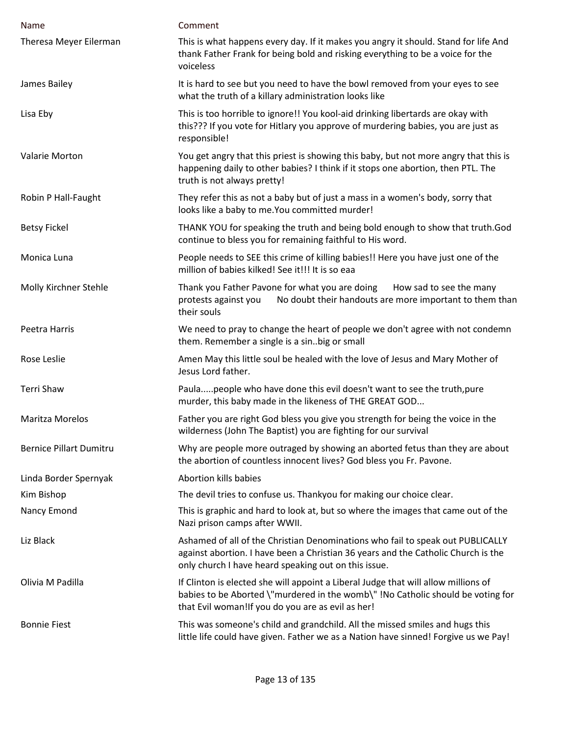| Name                           | Comment                                                                                                                                                                                                                     |
|--------------------------------|-----------------------------------------------------------------------------------------------------------------------------------------------------------------------------------------------------------------------------|
| Theresa Meyer Eilerman         | This is what happens every day. If it makes you angry it should. Stand for life And<br>thank Father Frank for being bold and risking everything to be a voice for the<br>voiceless                                          |
| James Bailey                   | It is hard to see but you need to have the bowl removed from your eyes to see<br>what the truth of a killary administration looks like                                                                                      |
| Lisa Eby                       | This is too horrible to ignore!! You kool-aid drinking libertards are okay with<br>this??? If you vote for Hitlary you approve of murdering babies, you are just as<br>responsible!                                         |
| Valarie Morton                 | You get angry that this priest is showing this baby, but not more angry that this is<br>happening daily to other babies? I think if it stops one abortion, then PTL. The<br>truth is not always pretty!                     |
| Robin P Hall-Faught            | They refer this as not a baby but of just a mass in a women's body, sorry that<br>looks like a baby to me. You committed murder!                                                                                            |
| <b>Betsy Fickel</b>            | THANK YOU for speaking the truth and being bold enough to show that truth.God<br>continue to bless you for remaining faithful to His word.                                                                                  |
| Monica Luna                    | People needs to SEE this crime of killing babies!! Here you have just one of the<br>million of babies kilked! See it!!! It is so eaa                                                                                        |
| Molly Kirchner Stehle          | Thank you Father Pavone for what you are doing<br>How sad to see the many<br>No doubt their handouts are more important to them than<br>protests against you<br>their souls                                                 |
| Peetra Harris                  | We need to pray to change the heart of people we don't agree with not condemn<br>them. Remember a single is a sin. big or small                                                                                             |
| Rose Leslie                    | Amen May this little soul be healed with the love of Jesus and Mary Mother of<br>Jesus Lord father.                                                                                                                         |
| Terri Shaw                     | Paulapeople who have done this evil doesn't want to see the truth, pure<br>murder, this baby made in the likeness of THE GREAT GOD                                                                                          |
| Maritza Morelos                | Father you are right God bless you give you strength for being the voice in the<br>wilderness (John The Baptist) you are fighting for our survival                                                                          |
| <b>Bernice Pillart Dumitru</b> | Why are people more outraged by showing an aborted fetus than they are about<br>the abortion of countless innocent lives? God bless you Fr. Pavone.                                                                         |
| Linda Border Spernyak          | Abortion kills babies                                                                                                                                                                                                       |
| Kim Bishop                     | The devil tries to confuse us. Thankyou for making our choice clear.                                                                                                                                                        |
| Nancy Emond                    | This is graphic and hard to look at, but so where the images that came out of the<br>Nazi prison camps after WWII.                                                                                                          |
| Liz Black                      | Ashamed of all of the Christian Denominations who fail to speak out PUBLICALLY<br>against abortion. I have been a Christian 36 years and the Catholic Church is the<br>only church I have heard speaking out on this issue. |
| Olivia M Padilla               | If Clinton is elected she will appoint a Liberal Judge that will allow millions of<br>babies to be Aborted \"murdered in the womb\" !No Catholic should be voting for<br>that Evil woman! If you do you are as evil as her! |
| <b>Bonnie Fiest</b>            | This was someone's child and grandchild. All the missed smiles and hugs this<br>little life could have given. Father we as a Nation have sinned! Forgive us we Pay!                                                         |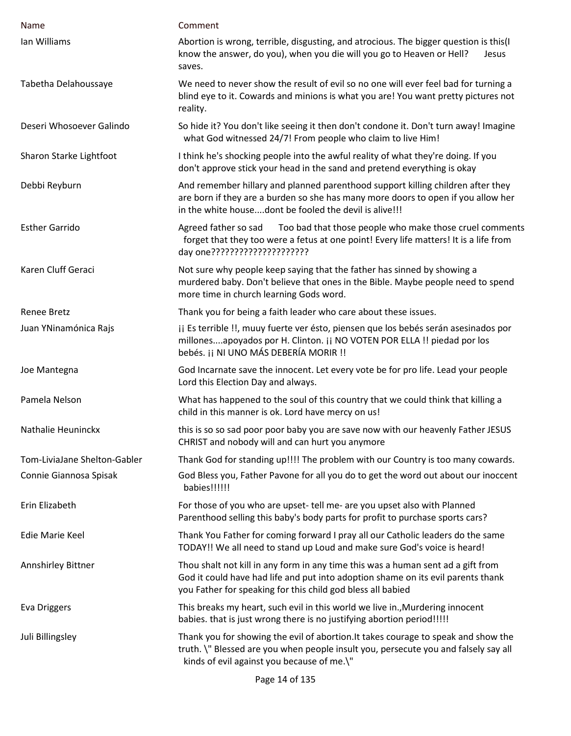| Name                         | Comment                                                                                                                                                                                                                             |
|------------------------------|-------------------------------------------------------------------------------------------------------------------------------------------------------------------------------------------------------------------------------------|
| Ian Williams                 | Abortion is wrong, terrible, disgusting, and atrocious. The bigger question is this(I<br>know the answer, do you), when you die will you go to Heaven or Hell?<br>Jesus<br>saves.                                                   |
| Tabetha Delahoussaye         | We need to never show the result of evil so no one will ever feel bad for turning a<br>blind eye to it. Cowards and minions is what you are! You want pretty pictures not<br>reality.                                               |
| Deseri Whosoever Galindo     | So hide it? You don't like seeing it then don't condone it. Don't turn away! Imagine<br>what God witnessed 24/7! From people who claim to live Him!                                                                                 |
| Sharon Starke Lightfoot      | I think he's shocking people into the awful reality of what they're doing. If you<br>don't approve stick your head in the sand and pretend everything is okay                                                                       |
| Debbi Reyburn                | And remember hillary and planned parenthood support killing children after they<br>are born if they are a burden so she has many more doors to open if you allow her<br>in the white housedont be fooled the devil is alive!!!      |
| <b>Esther Garrido</b>        | Too bad that those people who make those cruel comments<br>Agreed father so sad<br>forget that they too were a fetus at one point! Every life matters! It is a life from<br>day one??????????????????????                           |
| Karen Cluff Geraci           | Not sure why people keep saying that the father has sinned by showing a<br>murdered baby. Don't believe that ones in the Bible. Maybe people need to spend<br>more time in church learning Gods word.                               |
| Renee Bretz                  | Thank you for being a faith leader who care about these issues.                                                                                                                                                                     |
| Juan YNinamónica Rajs        | ji Es terrible !!, muuy fuerte ver ésto, piensen que los bebés serán asesinados por<br>millonesapoyados por H. Clinton. ¡¡ NO VOTEN POR ELLA !! piedad por los<br>bebés. ¡¡ NI UNO MÁS DEBERÍA MORIR !!                             |
| Joe Mantegna                 | God Incarnate save the innocent. Let every vote be for pro life. Lead your people<br>Lord this Election Day and always.                                                                                                             |
| Pamela Nelson                | What has happened to the soul of this country that we could think that killing a<br>child in this manner is ok. Lord have mercy on us!                                                                                              |
| Nathalie Heuninckx           | this is so so sad poor poor baby you are save now with our heavenly Father JESUS<br>CHRIST and nobody will and can hurt you anymore                                                                                                 |
| Tom-LiviaJane Shelton-Gabler | Thank God for standing up!!!! The problem with our Country is too many cowards.                                                                                                                                                     |
| Connie Giannosa Spisak       | God Bless you, Father Pavone for all you do to get the word out about our inoccent<br>babies!!!!!!                                                                                                                                  |
| Erin Elizabeth               | For those of you who are upset- tell me- are you upset also with Planned<br>Parenthood selling this baby's body parts for profit to purchase sports cars?                                                                           |
| Edie Marie Keel              | Thank You Father for coming forward I pray all our Catholic leaders do the same<br>TODAY!! We all need to stand up Loud and make sure God's voice is heard!                                                                         |
| Annshirley Bittner           | Thou shalt not kill in any form in any time this was a human sent ad a gift from<br>God it could have had life and put into adoption shame on its evil parents thank<br>you Father for speaking for this child god bless all babied |
| Eva Driggers                 | This breaks my heart, such evil in this world we live in., Murdering innocent<br>babies. that is just wrong there is no justifying abortion period!!!!!                                                                             |
| Juli Billingsley             | Thank you for showing the evil of abortion. It takes courage to speak and show the<br>truth. \" Blessed are you when people insult you, persecute you and falsely say all<br>kinds of evil against you because of me.\"             |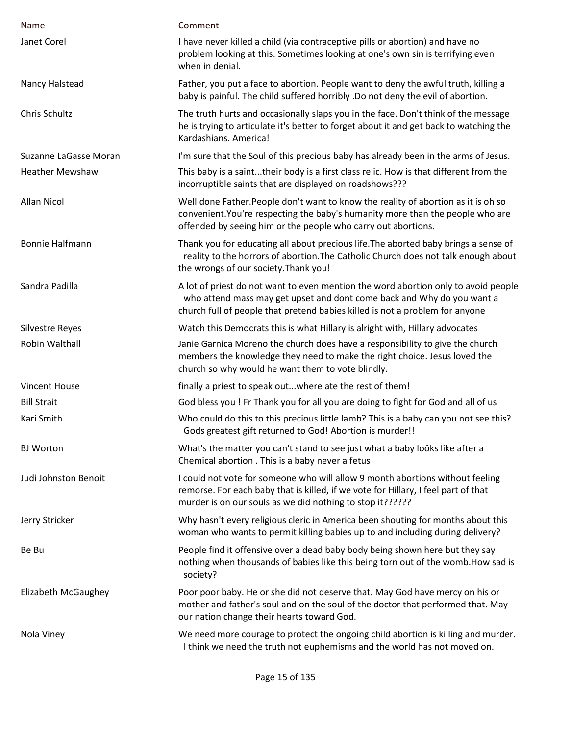| Name                   | Comment                                                                                                                                                                                                                                      |
|------------------------|----------------------------------------------------------------------------------------------------------------------------------------------------------------------------------------------------------------------------------------------|
| Janet Corel            | I have never killed a child (via contraceptive pills or abortion) and have no<br>problem looking at this. Sometimes looking at one's own sin is terrifying even<br>when in denial.                                                           |
| Nancy Halstead         | Father, you put a face to abortion. People want to deny the awful truth, killing a<br>baby is painful. The child suffered horribly .Do not deny the evil of abortion.                                                                        |
| Chris Schultz          | The truth hurts and occasionally slaps you in the face. Don't think of the message<br>he is trying to articulate it's better to forget about it and get back to watching the<br>Kardashians. America!                                        |
| Suzanne LaGasse Moran  | I'm sure that the Soul of this precious baby has already been in the arms of Jesus.                                                                                                                                                          |
| <b>Heather Mewshaw</b> | This baby is a sainttheir body is a first class relic. How is that different from the<br>incorruptible saints that are displayed on roadshows???                                                                                             |
| <b>Allan Nicol</b>     | Well done Father. People don't want to know the reality of abortion as it is oh so<br>convenient. You're respecting the baby's humanity more than the people who are<br>offended by seeing him or the people who carry out abortions.        |
| <b>Bonnie Halfmann</b> | Thank you for educating all about precious life. The aborted baby brings a sense of<br>reality to the horrors of abortion. The Catholic Church does not talk enough about<br>the wrongs of our society. Thank you!                           |
| Sandra Padilla         | A lot of priest do not want to even mention the word abortion only to avoid people<br>who attend mass may get upset and dont come back and Why do you want a<br>church full of people that pretend babies killed is not a problem for anyone |
| <b>Silvestre Reyes</b> | Watch this Democrats this is what Hillary is alright with, Hillary advocates                                                                                                                                                                 |
| Robin Walthall         | Janie Garnica Moreno the church does have a responsibility to give the church<br>members the knowledge they need to make the right choice. Jesus loved the<br>church so why would he want them to vote blindly.                              |
| <b>Vincent House</b>   | finally a priest to speak outwhere ate the rest of them!                                                                                                                                                                                     |
| <b>Bill Strait</b>     | God bless you ! Fr Thank you for all you are doing to fight for God and all of us                                                                                                                                                            |
| Kari Smith             | Who could do this to this precious little lamb? This is a baby can you not see this?<br>Gods greatest gift returned to God! Abortion is murder!!                                                                                             |
| <b>BJ</b> Worton       | What's the matter you can't stand to see just what a baby looks like after a<br>Chemical abortion . This is a baby never a fetus                                                                                                             |
| Judi Johnston Benoit   | I could not vote for someone who will allow 9 month abortions without feeling<br>remorse. For each baby that is killed, if we vote for Hillary, I feel part of that<br>murder is on our souls as we did nothing to stop it??????             |
| Jerry Stricker         | Why hasn't every religious cleric in America been shouting for months about this<br>woman who wants to permit killing babies up to and including during delivery?                                                                            |
| Be Bu                  | People find it offensive over a dead baby body being shown here but they say<br>nothing when thousands of babies like this being torn out of the womb. How sad is<br>society?                                                                |
| Elizabeth McGaughey    | Poor poor baby. He or she did not deserve that. May God have mercy on his or<br>mother and father's soul and on the soul of the doctor that performed that. May<br>our nation change their hearts toward God.                                |
| Nola Viney             | We need more courage to protect the ongoing child abortion is killing and murder.<br>I think we need the truth not euphemisms and the world has not moved on.                                                                                |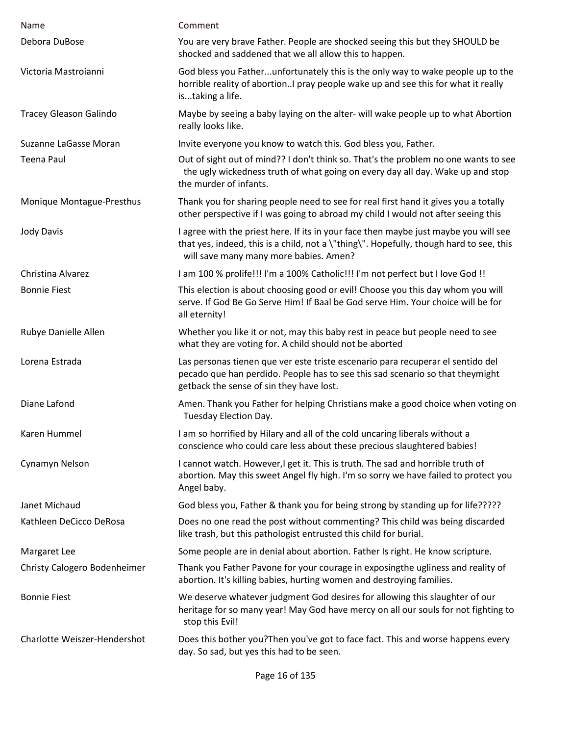| Name                          | Comment                                                                                                                                                                                                                   |
|-------------------------------|---------------------------------------------------------------------------------------------------------------------------------------------------------------------------------------------------------------------------|
| Debora DuBose                 | You are very brave Father. People are shocked seeing this but they SHOULD be<br>shocked and saddened that we all allow this to happen.                                                                                    |
| Victoria Mastroianni          | God bless you Fatherunfortunately this is the only way to wake people up to the<br>horrible reality of abortionI pray people wake up and see this for what it really<br>istaking a life.                                  |
| <b>Tracey Gleason Galindo</b> | Maybe by seeing a baby laying on the alter- will wake people up to what Abortion<br>really looks like.                                                                                                                    |
| Suzanne LaGasse Moran         | Invite everyone you know to watch this. God bless you, Father.                                                                                                                                                            |
| <b>Teena Paul</b>             | Out of sight out of mind?? I don't think so. That's the problem no one wants to see<br>the ugly wickedness truth of what going on every day all day. Wake up and stop<br>the murder of infants.                           |
| Monique Montague-Presthus     | Thank you for sharing people need to see for real first hand it gives you a totally<br>other perspective if I was going to abroad my child I would not after seeing this                                                  |
| <b>Jody Davis</b>             | I agree with the priest here. If its in your face then maybe just maybe you will see<br>that yes, indeed, this is a child, not a \"thing\". Hopefully, though hard to see, this<br>will save many many more babies. Amen? |
| Christina Alvarez             | I am 100 % prolife!!! I'm a 100% Catholic!!! I'm not perfect but I love God !!                                                                                                                                            |
| <b>Bonnie Fiest</b>           | This election is about choosing good or evil! Choose you this day whom you will<br>serve. If God Be Go Serve Him! If Baal be God serve Him. Your choice will be for<br>all eternity!                                      |
| Rubye Danielle Allen          | Whether you like it or not, may this baby rest in peace but people need to see<br>what they are voting for. A child should not be aborted                                                                                 |
| Lorena Estrada                | Las personas tienen que ver este triste escenario para recuperar el sentido del<br>pecado que han perdido. People has to see this sad scenario so that theymight<br>getback the sense of sin they have lost.              |
| Diane Lafond                  | Amen. Thank you Father for helping Christians make a good choice when voting on<br>Tuesday Election Day.                                                                                                                  |
| Karen Hummel                  | I am so horrified by Hilary and all of the cold uncaring liberals without a<br>conscience who could care less about these precious slaughtered babies!                                                                    |
| Cynamyn Nelson                | I cannot watch. However, I get it. This is truth. The sad and horrible truth of<br>abortion. May this sweet Angel fly high. I'm so sorry we have failed to protect you<br>Angel baby.                                     |
| Janet Michaud                 | God bless you, Father & thank you for being strong by standing up for life?????                                                                                                                                           |
| Kathleen DeCicco DeRosa       | Does no one read the post without commenting? This child was being discarded<br>like trash, but this pathologist entrusted this child for burial.                                                                         |
| Margaret Lee                  | Some people are in denial about abortion. Father Is right. He know scripture.                                                                                                                                             |
| Christy Calogero Bodenheimer  | Thank you Father Pavone for your courage in exposingthe ugliness and reality of<br>abortion. It's killing babies, hurting women and destroying families.                                                                  |
| <b>Bonnie Fiest</b>           | We deserve whatever judgment God desires for allowing this slaughter of our<br>heritage for so many year! May God have mercy on all our souls for not fighting to<br>stop this Evil!                                      |
| Charlotte Weiszer-Hendershot  | Does this bother you? Then you've got to face fact. This and worse happens every<br>day. So sad, but yes this had to be seen.                                                                                             |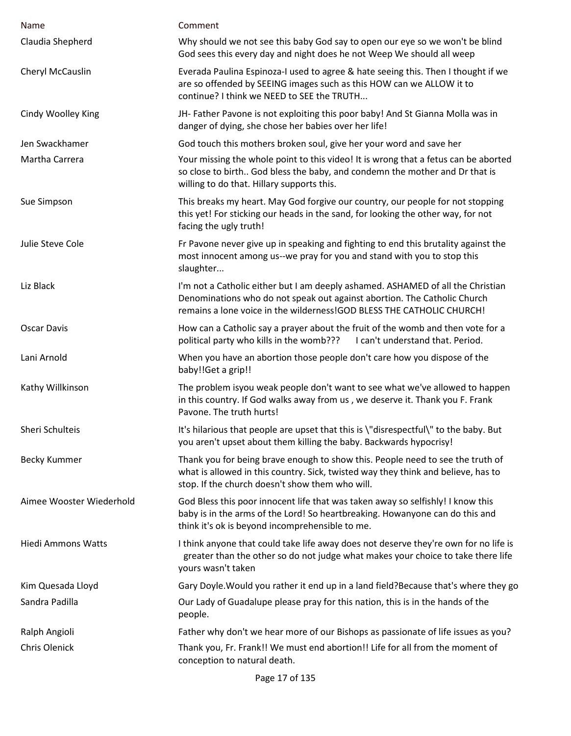| Name                      | Comment                                                                                                                                                                                                                              |
|---------------------------|--------------------------------------------------------------------------------------------------------------------------------------------------------------------------------------------------------------------------------------|
| Claudia Shepherd          | Why should we not see this baby God say to open our eye so we won't be blind<br>God sees this every day and night does he not Weep We should all weep                                                                                |
| Cheryl McCauslin          | Everada Paulina Espinoza-I used to agree & hate seeing this. Then I thought if we<br>are so offended by SEEING images such as this HOW can we ALLOW it to<br>continue? I think we NEED to SEE the TRUTH                              |
| Cindy Woolley King        | JH- Father Pavone is not exploiting this poor baby! And St Gianna Molla was in<br>danger of dying, she chose her babies over her life!                                                                                               |
| Jen Swackhamer            | God touch this mothers broken soul, give her your word and save her                                                                                                                                                                  |
| Martha Carrera            | Your missing the whole point to this video! It is wrong that a fetus can be aborted<br>so close to birth God bless the baby, and condemn the mother and Dr that is<br>willing to do that. Hillary supports this.                     |
| Sue Simpson               | This breaks my heart. May God forgive our country, our people for not stopping<br>this yet! For sticking our heads in the sand, for looking the other way, for not<br>facing the ugly truth!                                         |
| Julie Steve Cole          | Fr Pavone never give up in speaking and fighting to end this brutality against the<br>most innocent among us--we pray for you and stand with you to stop this<br>slaughter                                                           |
| Liz Black                 | I'm not a Catholic either but I am deeply ashamed. ASHAMED of all the Christian<br>Denominations who do not speak out against abortion. The Catholic Church<br>remains a lone voice in the wilderness!GOD BLESS THE CATHOLIC CHURCH! |
| <b>Oscar Davis</b>        | How can a Catholic say a prayer about the fruit of the womb and then vote for a<br>political party who kills in the womb??? I can't understand that. Period.                                                                         |
| Lani Arnold               | When you have an abortion those people don't care how you dispose of the<br>baby!!Get a grip!!                                                                                                                                       |
| Kathy Willkinson          | The problem isyou weak people don't want to see what we've allowed to happen<br>in this country. If God walks away from us, we deserve it. Thank you F. Frank<br>Pavone. The truth hurts!                                            |
| Sheri Schulteis           | It's hilarious that people are upset that this is \"disrespectful\" to the baby. But<br>you aren't upset about them killing the baby. Backwards hypocrisy!                                                                           |
| Becky Kummer              | Thank you for being brave enough to show this. People need to see the truth of<br>what is allowed in this country. Sick, twisted way they think and believe, has to<br>stop. If the church doesn't show them who will.               |
| Aimee Wooster Wiederhold  | God Bless this poor innocent life that was taken away so selfishly! I know this<br>baby is in the arms of the Lord! So heartbreaking. Howanyone can do this and<br>think it's ok is beyond incomprehensible to me.                   |
| <b>Hiedi Ammons Watts</b> | I think anyone that could take life away does not deserve they're own for no life is<br>greater than the other so do not judge what makes your choice to take there life<br>yours wasn't taken                                       |
| Kim Quesada Lloyd         | Gary Doyle. Would you rather it end up in a land field? Because that's where they go                                                                                                                                                 |
| Sandra Padilla            | Our Lady of Guadalupe please pray for this nation, this is in the hands of the<br>people.                                                                                                                                            |
| Ralph Angioli             | Father why don't we hear more of our Bishops as passionate of life issues as you?                                                                                                                                                    |
| <b>Chris Olenick</b>      | Thank you, Fr. Frank!! We must end abortion!! Life for all from the moment of<br>conception to natural death.                                                                                                                        |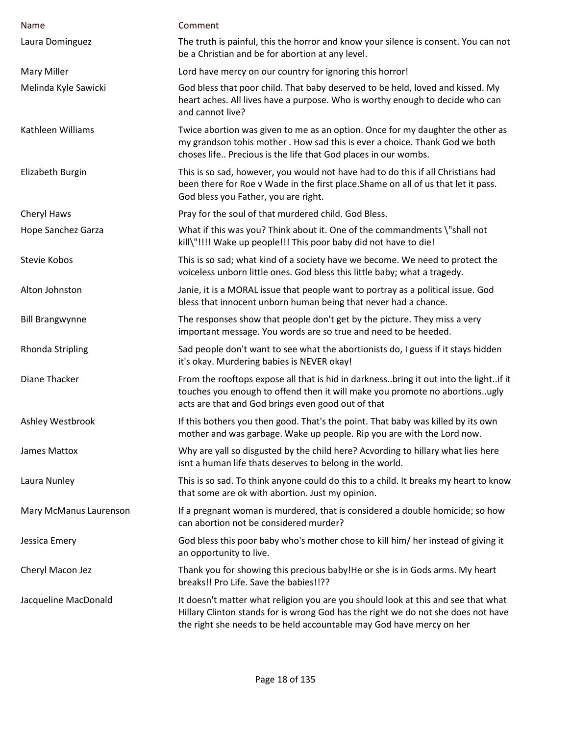| <b>Name</b>             | Comment                                                                                                                                                                                                                                        |
|-------------------------|------------------------------------------------------------------------------------------------------------------------------------------------------------------------------------------------------------------------------------------------|
| Laura Dominguez         | The truth is painful, this the horror and know your silence is consent. You can not<br>be a Christian and be for abortion at any level.                                                                                                        |
| <b>Mary Miller</b>      | Lord have mercy on our country for ignoring this horror!                                                                                                                                                                                       |
| Melinda Kyle Sawicki    | God bless that poor child. That baby deserved to be held, loved and kissed. My<br>heart aches. All lives have a purpose. Who is worthy enough to decide who can<br>and cannot live?                                                            |
| Kathleen Williams       | Twice abortion was given to me as an option. Once for my daughter the other as<br>my grandson tohis mother. How sad this is ever a choice. Thank God we both<br>choses life Precious is the life that God places in our wombs.                 |
| Elizabeth Burgin        | This is so sad, however, you would not have had to do this if all Christians had<br>been there for Roe v Wade in the first place. Shame on all of us that let it pass.<br>God bless you Father, you are right.                                 |
| Cheryl Haws             | Pray for the soul of that murdered child. God Bless.                                                                                                                                                                                           |
| Hope Sanchez Garza      | What if this was you? Think about it. One of the commandments \"shall not<br>kill\"!!!! Wake up people!!! This poor baby did not have to die!                                                                                                  |
| Stevie Kobos            | This is so sad; what kind of a society have we become. We need to protect the<br>voiceless unborn little ones. God bless this little baby; what a tragedy.                                                                                     |
| Alton Johnston          | Janie, it is a MORAL issue that people want to portray as a political issue. God<br>bless that innocent unborn human being that never had a chance.                                                                                            |
| <b>Bill Brangwynne</b>  | The responses show that people don't get by the picture. They miss a very<br>important message. You words are so true and need to be heeded.                                                                                                   |
| <b>Rhonda Stripling</b> | Sad people don't want to see what the abortionists do, I guess if it stays hidden<br>it's okay. Murdering babies is NEVER okay!                                                                                                                |
| Diane Thacker           | From the rooftops expose all that is hid in darknessbring it out into the lightif it<br>touches you enough to offend then it will make you promote no abortionsugly<br>acts are that and God brings even good out of that                      |
| Ashley Westbrook        | If this bothers you then good. That's the point. That baby was killed by its own<br>mother and was garbage. Wake up people. Rip you are with the Lord now.                                                                                     |
| James Mattox            | Why are yall so disgusted by the child here? Acvording to hillary what lies here<br>isnt a human life thats deserves to belong in the world.                                                                                                   |
| Laura Nunley            | This is so sad. To think anyone could do this to a child. It breaks my heart to know<br>that some are ok with abortion. Just my opinion.                                                                                                       |
| Mary McManus Laurenson  | If a pregnant woman is murdered, that is considered a double homicide; so how<br>can abortion not be considered murder?                                                                                                                        |
| Jessica Emery           | God bless this poor baby who's mother chose to kill him/ her instead of giving it<br>an opportunity to live.                                                                                                                                   |
| Cheryl Macon Jez        | Thank you for showing this precious baby!He or she is in Gods arms. My heart<br>breaks!! Pro Life. Save the babies!!??                                                                                                                         |
| Jacqueline MacDonald    | It doesn't matter what religion you are you should look at this and see that what<br>Hillary Clinton stands for is wrong God has the right we do not she does not have<br>the right she needs to be held accountable may God have mercy on her |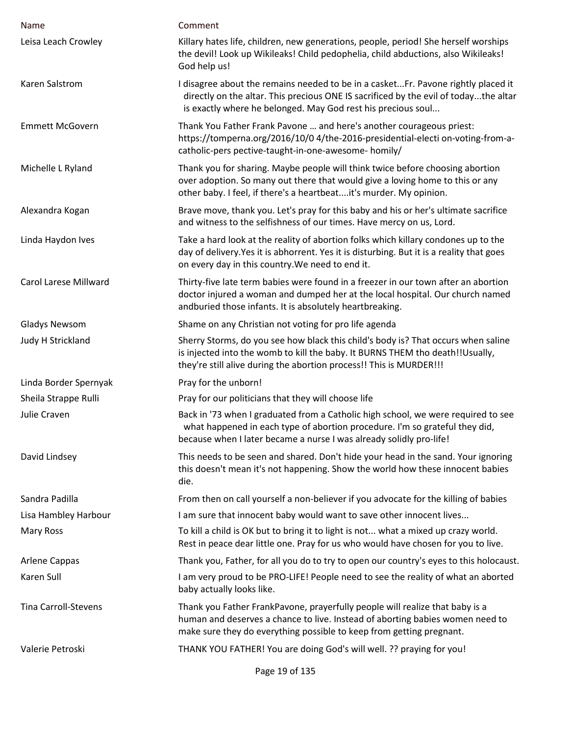| Name                         | Comment                                                                                                                                                                                                                                   |
|------------------------------|-------------------------------------------------------------------------------------------------------------------------------------------------------------------------------------------------------------------------------------------|
| Leisa Leach Crowley          | Killary hates life, children, new generations, people, period! She herself worships<br>the devil! Look up Wikileaks! Child pedophelia, child abductions, also Wikileaks!<br>God help us!                                                  |
| Karen Salstrom               | I disagree about the remains needed to be in a casketFr. Pavone rightly placed it<br>directly on the altar. This precious ONE IS sacrificed by the evil of todaythe altar<br>is exactly where he belonged. May God rest his precious soul |
| <b>Emmett McGovern</b>       | Thank You Father Frank Pavone  and here's another courageous priest:<br>https://tomperna.org/2016/10/0 4/the-2016-presidential-electi on-voting-from-a-<br>catholic-pers pective-taught-in-one-awesome- homily/                           |
| Michelle L Ryland            | Thank you for sharing. Maybe people will think twice before choosing abortion<br>over adoption. So many out there that would give a loving home to this or any<br>other baby. I feel, if there's a heartbeatit's murder. My opinion.      |
| Alexandra Kogan              | Brave move, thank you. Let's pray for this baby and his or her's ultimate sacrifice<br>and witness to the selfishness of our times. Have mercy on us, Lord.                                                                               |
| Linda Haydon Ives            | Take a hard look at the reality of abortion folks which killary condones up to the<br>day of delivery. Yes it is abhorrent. Yes it is disturbing. But it is a reality that goes<br>on every day in this country. We need to end it.       |
| <b>Carol Larese Millward</b> | Thirty-five late term babies were found in a freezer in our town after an abortion<br>doctor injured a woman and dumped her at the local hospital. Our church named<br>andburied those infants. It is absolutely heartbreaking.           |
| <b>Gladys Newsom</b>         | Shame on any Christian not voting for pro life agenda                                                                                                                                                                                     |
| Judy H Strickland            | Sherry Storms, do you see how black this child's body is? That occurs when saline<br>is injected into the womb to kill the baby. It BURNS THEM tho death!!Usually,<br>they're still alive during the abortion process!! This is MURDER!!! |
| Linda Border Spernyak        | Pray for the unborn!                                                                                                                                                                                                                      |
| Sheila Strappe Rulli         | Pray for our politicians that they will choose life                                                                                                                                                                                       |
| Julie Craven                 | Back in '73 when I graduated from a Catholic high school, we were required to see<br>what happened in each type of abortion procedure. I'm so grateful they did,<br>because when I later became a nurse I was already solidly pro-life!   |
| David Lindsey                | This needs to be seen and shared. Don't hide your head in the sand. Your ignoring<br>this doesn't mean it's not happening. Show the world how these innocent babies<br>die.                                                               |
| Sandra Padilla               | From then on call yourself a non-believer if you advocate for the killing of babies                                                                                                                                                       |
| Lisa Hambley Harbour         | I am sure that innocent baby would want to save other innocent lives                                                                                                                                                                      |
| Mary Ross                    | To kill a child is OK but to bring it to light is not what a mixed up crazy world.<br>Rest in peace dear little one. Pray for us who would have chosen for you to live.                                                                   |
| <b>Arlene Cappas</b>         | Thank you, Father, for all you do to try to open our country's eyes to this holocaust.                                                                                                                                                    |
| Karen Sull                   | I am very proud to be PRO-LIFE! People need to see the reality of what an aborted<br>baby actually looks like.                                                                                                                            |
| <b>Tina Carroll-Stevens</b>  | Thank you Father FrankPavone, prayerfully people will realize that baby is a<br>human and deserves a chance to live. Instead of aborting babies women need to<br>make sure they do everything possible to keep from getting pregnant.     |
| Valerie Petroski             | THANK YOU FATHER! You are doing God's will well. ?? praying for you!                                                                                                                                                                      |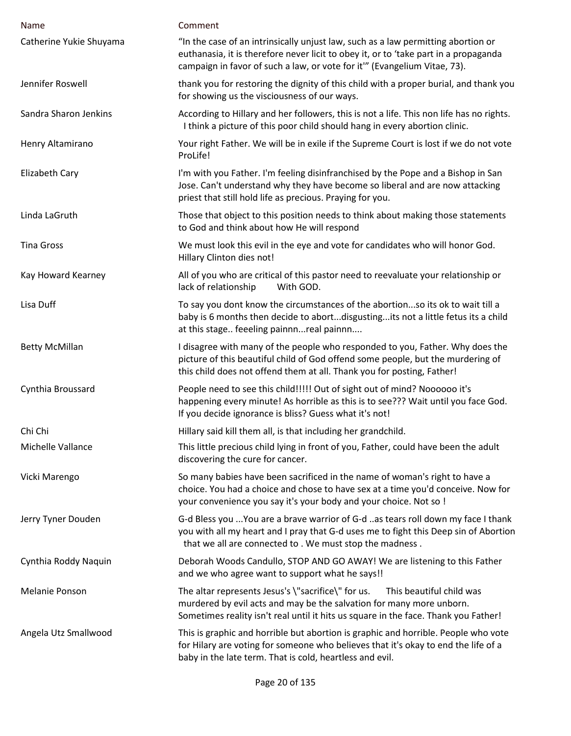| Name                    | Comment                                                                                                                                                                                                                                                |
|-------------------------|--------------------------------------------------------------------------------------------------------------------------------------------------------------------------------------------------------------------------------------------------------|
| Catherine Yukie Shuyama | "In the case of an intrinsically unjust law, such as a law permitting abortion or<br>euthanasia, it is therefore never licit to obey it, or to 'take part in a propaganda<br>campaign in favor of such a law, or vote for it"' (Evangelium Vitae, 73). |
| Jennifer Roswell        | thank you for restoring the dignity of this child with a proper burial, and thank you<br>for showing us the visciousness of our ways.                                                                                                                  |
| Sandra Sharon Jenkins   | According to Hillary and her followers, this is not a life. This non life has no rights.<br>I think a picture of this poor child should hang in every abortion clinic.                                                                                 |
| Henry Altamirano        | Your right Father. We will be in exile if the Supreme Court is lost if we do not vote<br>ProLife!                                                                                                                                                      |
| Elizabeth Cary          | I'm with you Father. I'm feeling disinfranchised by the Pope and a Bishop in San<br>Jose. Can't understand why they have become so liberal and are now attacking<br>priest that still hold life as precious. Praying for you.                          |
| Linda LaGruth           | Those that object to this position needs to think about making those statements<br>to God and think about how He will respond                                                                                                                          |
| <b>Tina Gross</b>       | We must look this evil in the eye and vote for candidates who will honor God.<br>Hillary Clinton dies not!                                                                                                                                             |
| Kay Howard Kearney      | All of you who are critical of this pastor need to reevaluate your relationship or<br>lack of relationship<br>With GOD.                                                                                                                                |
| Lisa Duff               | To say you dont know the circumstances of the abortionso its ok to wait till a<br>baby is 6 months then decide to abortdisgustingits not a little fetus its a child<br>at this stage feeeling painnnreal painnn                                        |
| <b>Betty McMillan</b>   | I disagree with many of the people who responded to you, Father. Why does the<br>picture of this beautiful child of God offend some people, but the murdering of<br>this child does not offend them at all. Thank you for posting, Father!             |
| Cynthia Broussard       | People need to see this child!!!!! Out of sight out of mind? Noooooo it's<br>happening every minute! As horrible as this is to see??? Wait until you face God.<br>If you decide ignorance is bliss? Guess what it's not!                               |
| Chi Chi                 | Hillary said kill them all, is that including her grandchild.                                                                                                                                                                                          |
| Michelle Vallance       | This little precious child lying in front of you, Father, could have been the adult<br>discovering the cure for cancer.                                                                                                                                |
| Vicki Marengo           | So many babies have been sacrificed in the name of woman's right to have a<br>choice. You had a choice and chose to have sex at a time you'd conceive. Now for<br>your convenience you say it's your body and your choice. Not so !                    |
| Jerry Tyner Douden      | G-d Bless you  You are a brave warrior of G-d as tears roll down my face I thank<br>you with all my heart and I pray that G-d uses me to fight this Deep sin of Abortion<br>that we all are connected to . We must stop the madness.                   |
| Cynthia Roddy Naquin    | Deborah Woods Candullo, STOP AND GO AWAY! We are listening to this Father<br>and we who agree want to support what he says!!                                                                                                                           |
| <b>Melanie Ponson</b>   | The altar represents Jesus's \"sacrifice\" for us.<br>This beautiful child was<br>murdered by evil acts and may be the salvation for many more unborn.<br>Sometimes reality isn't real until it hits us square in the face. Thank you Father!          |
| Angela Utz Smallwood    | This is graphic and horrible but abortion is graphic and horrible. People who vote<br>for Hilary are voting for someone who believes that it's okay to end the life of a<br>baby in the late term. That is cold, heartless and evil.                   |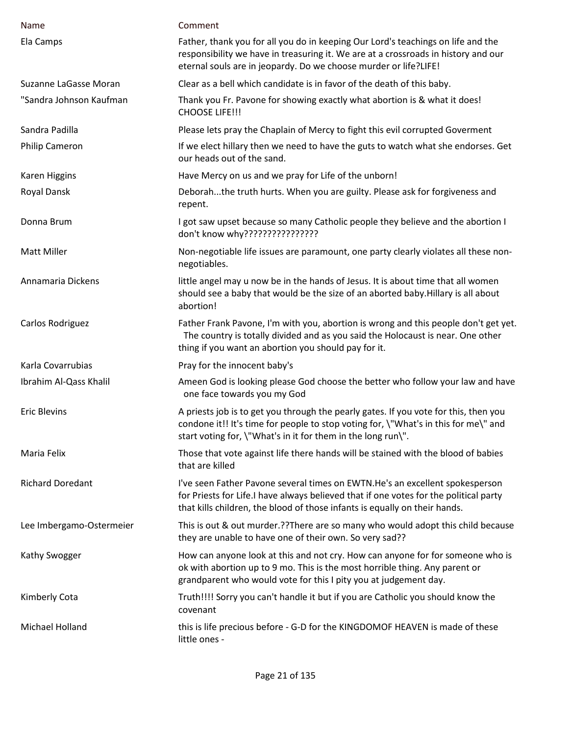| Name                     | Comment                                                                                                                                                                                                                                             |
|--------------------------|-----------------------------------------------------------------------------------------------------------------------------------------------------------------------------------------------------------------------------------------------------|
| Ela Camps                | Father, thank you for all you do in keeping Our Lord's teachings on life and the<br>responsibility we have in treasuring it. We are at a crossroads in history and our<br>eternal souls are in jeopardy. Do we choose murder or life?LIFE!          |
| Suzanne LaGasse Moran    | Clear as a bell which candidate is in favor of the death of this baby.                                                                                                                                                                              |
| "Sandra Johnson Kaufman  | Thank you Fr. Pavone for showing exactly what abortion is & what it does!<br><b>CHOOSE LIFE!!!</b>                                                                                                                                                  |
| Sandra Padilla           | Please lets pray the Chaplain of Mercy to fight this evil corrupted Goverment                                                                                                                                                                       |
| <b>Philip Cameron</b>    | If we elect hillary then we need to have the guts to watch what she endorses. Get<br>our heads out of the sand.                                                                                                                                     |
| <b>Karen Higgins</b>     | Have Mercy on us and we pray for Life of the unborn!                                                                                                                                                                                                |
| Royal Dansk              | Deborahthe truth hurts. When you are guilty. Please ask for forgiveness and<br>repent.                                                                                                                                                              |
| Donna Brum               | I got saw upset because so many Catholic people they believe and the abortion I<br>don't know why????????????????                                                                                                                                   |
| Matt Miller              | Non-negotiable life issues are paramount, one party clearly violates all these non-<br>negotiables.                                                                                                                                                 |
| Annamaria Dickens        | little angel may u now be in the hands of Jesus. It is about time that all women<br>should see a baby that would be the size of an aborted baby. Hillary is all about<br>abortion!                                                                  |
| Carlos Rodriguez         | Father Frank Pavone, I'm with you, abortion is wrong and this people don't get yet.<br>The country is totally divided and as you said the Holocaust is near. One other<br>thing if you want an abortion you should pay for it.                      |
| Karla Covarrubias        | Pray for the innocent baby's                                                                                                                                                                                                                        |
| Ibrahim Al-Qass Khalil   | Ameen God is looking please God choose the better who follow your law and have<br>one face towards you my God                                                                                                                                       |
| <b>Eric Blevins</b>      | A priests job is to get you through the pearly gates. If you vote for this, then you<br>condone it!! It's time for people to stop voting for, \"What's in this for me\" and<br>start voting for, \"What's in it for them in the long run\".         |
| Maria Felix              | Those that vote against life there hands will be stained with the blood of babies<br>that are killed                                                                                                                                                |
| <b>Richard Doredant</b>  | I've seen Father Pavone several times on EWTN.He's an excellent spokesperson<br>for Priests for Life.I have always believed that if one votes for the political party<br>that kills children, the blood of those infants is equally on their hands. |
| Lee Imbergamo-Ostermeier | This is out & out murder.??There are so many who would adopt this child because<br>they are unable to have one of their own. So very sad??                                                                                                          |
| Kathy Swogger            | How can anyone look at this and not cry. How can anyone for for someone who is<br>ok with abortion up to 9 mo. This is the most horrible thing. Any parent or<br>grandparent who would vote for this I pity you at judgement day.                   |
| Kimberly Cota            | Truth!!!! Sorry you can't handle it but if you are Catholic you should know the<br>covenant                                                                                                                                                         |
| Michael Holland          | this is life precious before - G-D for the KINGDOMOF HEAVEN is made of these<br>little ones -                                                                                                                                                       |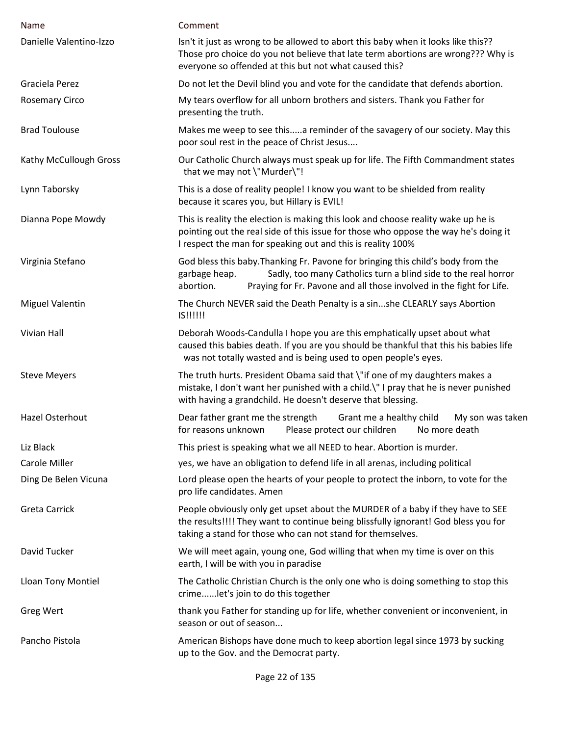| Name                    | Comment                                                                                                                                                                                                                                                  |
|-------------------------|----------------------------------------------------------------------------------------------------------------------------------------------------------------------------------------------------------------------------------------------------------|
| Danielle Valentino-Izzo | Isn't it just as wrong to be allowed to abort this baby when it looks like this??<br>Those pro choice do you not believe that late term abortions are wrong??? Why is<br>everyone so offended at this but not what caused this?                          |
| Graciela Perez          | Do not let the Devil blind you and vote for the candidate that defends abortion.                                                                                                                                                                         |
| <b>Rosemary Circo</b>   | My tears overflow for all unborn brothers and sisters. Thank you Father for<br>presenting the truth.                                                                                                                                                     |
| <b>Brad Toulouse</b>    | Makes me weep to see thisa reminder of the savagery of our society. May this<br>poor soul rest in the peace of Christ Jesus                                                                                                                              |
| Kathy McCullough Gross  | Our Catholic Church always must speak up for life. The Fifth Commandment states<br>that we may not \"Murder\"!                                                                                                                                           |
| Lynn Taborsky           | This is a dose of reality people! I know you want to be shielded from reality<br>because it scares you, but Hillary is EVIL!                                                                                                                             |
| Dianna Pope Mowdy       | This is reality the election is making this look and choose reality wake up he is<br>pointing out the real side of this issue for those who oppose the way he's doing it<br>I respect the man for speaking out and this is reality 100%                  |
| Virginia Stefano        | God bless this baby. Thanking Fr. Pavone for bringing this child's body from the<br>Sadly, too many Catholics turn a blind side to the real horror<br>garbage heap.<br>abortion.<br>Praying for Fr. Pavone and all those involved in the fight for Life. |
| <b>Miguel Valentin</b>  | The Church NEVER said the Death Penalty is a sinshe CLEARLY says Abortion<br>IS!!!!!!                                                                                                                                                                    |
| Vivian Hall             | Deborah Woods-Candulla I hope you are this emphatically upset about what<br>caused this babies death. If you are you should be thankful that this his babies life<br>was not totally wasted and is being used to open people's eyes.                     |
| <b>Steve Meyers</b>     | The truth hurts. President Obama said that \"if one of my daughters makes a<br>mistake, I don't want her punished with a child.\" I pray that he is never punished<br>with having a grandchild. He doesn't deserve that blessing.                        |
| Hazel Osterhout         | Dear father grant me the strength<br>Grant me a healthy child<br>My son was taken<br>for reasons unknown<br>Please protect our children<br>No more death                                                                                                 |
| Liz Black               | This priest is speaking what we all NEED to hear. Abortion is murder.                                                                                                                                                                                    |
| Carole Miller           | yes, we have an obligation to defend life in all arenas, including political                                                                                                                                                                             |
| Ding De Belen Vicuna    | Lord please open the hearts of your people to protect the inborn, to vote for the<br>pro life candidates. Amen                                                                                                                                           |
| <b>Greta Carrick</b>    | People obviously only get upset about the MURDER of a baby if they have to SEE<br>the results!!!! They want to continue being blissfully ignorant! God bless you for<br>taking a stand for those who can not stand for themselves.                       |
| David Tucker            | We will meet again, young one, God willing that when my time is over on this<br>earth, I will be with you in paradise                                                                                                                                    |
| Lloan Tony Montiel      | The Catholic Christian Church is the only one who is doing something to stop this<br>crimelet's join to do this together                                                                                                                                 |
| Greg Wert               | thank you Father for standing up for life, whether convenient or inconvenient, in<br>season or out of season                                                                                                                                             |
| Pancho Pistola          | American Bishops have done much to keep abortion legal since 1973 by sucking<br>up to the Gov. and the Democrat party.                                                                                                                                   |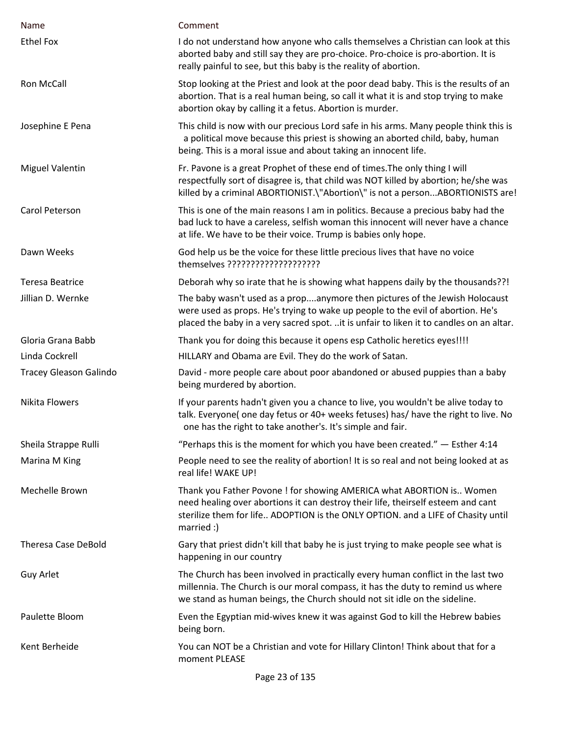| Name                          | Comment                                                                                                                                                                                                                                                    |
|-------------------------------|------------------------------------------------------------------------------------------------------------------------------------------------------------------------------------------------------------------------------------------------------------|
| <b>Ethel Fox</b>              | I do not understand how anyone who calls themselves a Christian can look at this<br>aborted baby and still say they are pro-choice. Pro-choice is pro-abortion. It is<br>really painful to see, but this baby is the reality of abortion.                  |
| Ron McCall                    | Stop looking at the Priest and look at the poor dead baby. This is the results of an<br>abortion. That is a real human being, so call it what it is and stop trying to make<br>abortion okay by calling it a fetus. Abortion is murder.                    |
| Josephine E Pena              | This child is now with our precious Lord safe in his arms. Many people think this is<br>a political move because this priest is showing an aborted child, baby, human<br>being. This is a moral issue and about taking an innocent life.                   |
| <b>Miguel Valentin</b>        | Fr. Pavone is a great Prophet of these end of times. The only thing I will<br>respectfully sort of disagree is, that child was NOT killed by abortion; he/she was<br>killed by a criminal ABORTIONIST.\"Abortion\" is not a personABORTIONISTS are!        |
| Carol Peterson                | This is one of the main reasons I am in politics. Because a precious baby had the<br>bad luck to have a careless, selfish woman this innocent will never have a chance<br>at life. We have to be their voice. Trump is babies only hope.                   |
| Dawn Weeks                    | God help us be the voice for these little precious lives that have no voice<br>themselves ?????????????????????                                                                                                                                            |
| <b>Teresa Beatrice</b>        | Deborah why so irate that he is showing what happens daily by the thousands??!                                                                                                                                                                             |
| Jillian D. Wernke             | The baby wasn't used as a propanymore then pictures of the Jewish Holocaust<br>were used as props. He's trying to wake up people to the evil of abortion. He's<br>placed the baby in a very sacred spot. it is unfair to liken it to candles on an altar.  |
| Gloria Grana Babb             | Thank you for doing this because it opens esp Catholic heretics eyes!!!!                                                                                                                                                                                   |
| Linda Cockrell                | HILLARY and Obama are Evil. They do the work of Satan.                                                                                                                                                                                                     |
| <b>Tracey Gleason Galindo</b> | David - more people care about poor abandoned or abused puppies than a baby<br>being murdered by abortion.                                                                                                                                                 |
| <b>Nikita Flowers</b>         | If your parents hadn't given you a chance to live, you wouldn't be alive today to<br>talk. Everyone( one day fetus or 40+ weeks fetuses) has/ have the right to live. No<br>one has the right to take another's. It's simple and fair.                     |
| Sheila Strappe Rulli          | "Perhaps this is the moment for which you have been created." $-$ Esther 4:14                                                                                                                                                                              |
| Marina M King                 | People need to see the reality of abortion! It is so real and not being looked at as<br>real life! WAKE UP!                                                                                                                                                |
| Mechelle Brown                | Thank you Father Povone ! for showing AMERICA what ABORTION is Women<br>need healing over abortions it can destroy their life, theirself esteem and cant<br>sterilize them for life ADOPTION is the ONLY OPTION. and a LIFE of Chasity until<br>married :) |
| <b>Theresa Case DeBold</b>    | Gary that priest didn't kill that baby he is just trying to make people see what is<br>happening in our country                                                                                                                                            |
| Guy Arlet                     | The Church has been involved in practically every human conflict in the last two<br>millennia. The Church is our moral compass, it has the duty to remind us where<br>we stand as human beings, the Church should not sit idle on the sideline.            |
| Paulette Bloom                | Even the Egyptian mid-wives knew it was against God to kill the Hebrew babies<br>being born.                                                                                                                                                               |
| Kent Berheide                 | You can NOT be a Christian and vote for Hillary Clinton! Think about that for a<br>moment PLEASE                                                                                                                                                           |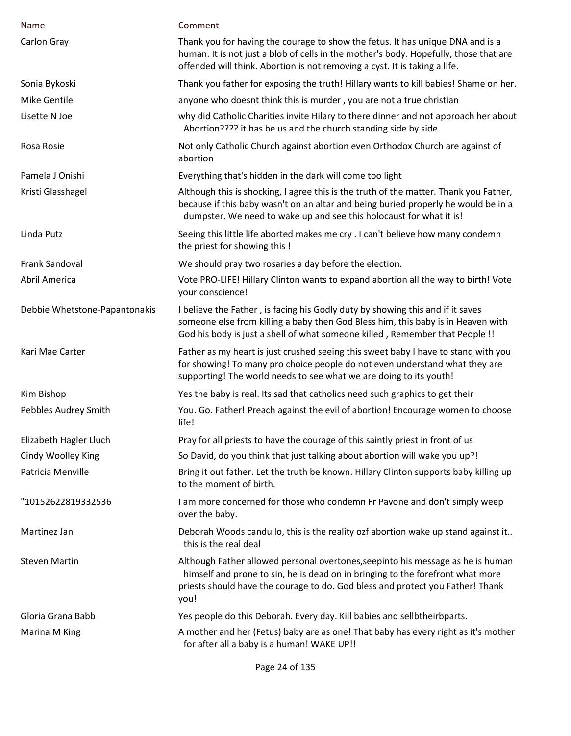| Name                          | Comment                                                                                                                                                                                                                                                     |
|-------------------------------|-------------------------------------------------------------------------------------------------------------------------------------------------------------------------------------------------------------------------------------------------------------|
| Carlon Gray                   | Thank you for having the courage to show the fetus. It has unique DNA and is a<br>human. It is not just a blob of cells in the mother's body. Hopefully, those that are<br>offended will think. Abortion is not removing a cyst. It is taking a life.       |
| Sonia Bykoski                 | Thank you father for exposing the truth! Hillary wants to kill babies! Shame on her.                                                                                                                                                                        |
| Mike Gentile                  | anyone who doesnt think this is murder, you are not a true christian                                                                                                                                                                                        |
| Lisette N Joe                 | why did Catholic Charities invite Hilary to there dinner and not approach her about<br>Abortion???? it has be us and the church standing side by side                                                                                                       |
| Rosa Rosie                    | Not only Catholic Church against abortion even Orthodox Church are against of<br>abortion                                                                                                                                                                   |
| Pamela J Onishi               | Everything that's hidden in the dark will come too light                                                                                                                                                                                                    |
| Kristi Glasshagel             | Although this is shocking, I agree this is the truth of the matter. Thank you Father,<br>because if this baby wasn't on an altar and being buried properly he would be in a<br>dumpster. We need to wake up and see this holocaust for what it is!          |
| Linda Putz                    | Seeing this little life aborted makes me cry . I can't believe how many condemn<br>the priest for showing this !                                                                                                                                            |
| Frank Sandoval                | We should pray two rosaries a day before the election.                                                                                                                                                                                                      |
| Abril America                 | Vote PRO-LIFE! Hillary Clinton wants to expand abortion all the way to birth! Vote<br>your conscience!                                                                                                                                                      |
| Debbie Whetstone-Papantonakis | I believe the Father, is facing his Godly duty by showing this and if it saves<br>someone else from killing a baby then God Bless him, this baby is in Heaven with<br>God his body is just a shell of what someone killed, Remember that People !!          |
| Kari Mae Carter               | Father as my heart is just crushed seeing this sweet baby I have to stand with you<br>for showing! To many pro choice people do not even understand what they are<br>supporting! The world needs to see what we are doing to its youth!                     |
| Kim Bishop                    | Yes the baby is real. Its sad that catholics need such graphics to get their                                                                                                                                                                                |
| Pebbles Audrey Smith          | You. Go. Father! Preach against the evil of abortion! Encourage women to choose<br>life!                                                                                                                                                                    |
| Elizabeth Hagler Lluch        | Pray for all priests to have the courage of this saintly priest in front of us                                                                                                                                                                              |
| Cindy Woolley King            | So David, do you think that just talking about abortion will wake you up?!                                                                                                                                                                                  |
| Patricia Menville             | Bring it out father. Let the truth be known. Hillary Clinton supports baby killing up<br>to the moment of birth.                                                                                                                                            |
| "10152622819332536            | I am more concerned for those who condemn Fr Pavone and don't simply weep<br>over the baby.                                                                                                                                                                 |
| Martinez Jan                  | Deborah Woods candullo, this is the reality ozf abortion wake up stand against it<br>this is the real deal                                                                                                                                                  |
| <b>Steven Martin</b>          | Although Father allowed personal overtones, seepinto his message as he is human<br>himself and prone to sin, he is dead on in bringing to the forefront what more<br>priests should have the courage to do. God bless and protect you Father! Thank<br>you! |
| Gloria Grana Babb             | Yes people do this Deborah. Every day. Kill babies and sellbtheirbparts.                                                                                                                                                                                    |
| Marina M King                 | A mother and her (Fetus) baby are as one! That baby has every right as it's mother<br>for after all a baby is a human! WAKE UP!!                                                                                                                            |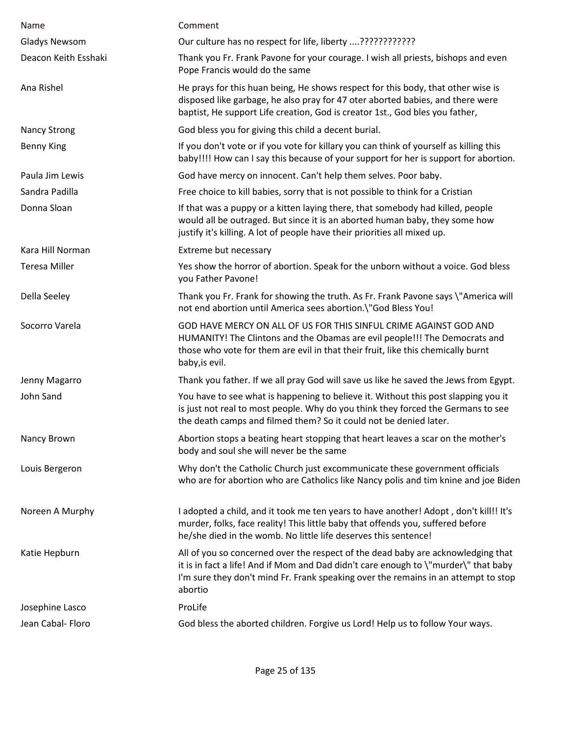| Name                 | Comment                                                                                                                                                                                                                                                                  |
|----------------------|--------------------------------------------------------------------------------------------------------------------------------------------------------------------------------------------------------------------------------------------------------------------------|
| <b>Gladys Newsom</b> |                                                                                                                                                                                                                                                                          |
| Deacon Keith Esshaki | Thank you Fr. Frank Pavone for your courage. I wish all priests, bishops and even<br>Pope Francis would do the same                                                                                                                                                      |
| Ana Rishel           | He prays for this huan being, He shows respect for this body, that other wise is<br>disposed like garbage, he also pray for 47 oter aborted babies, and there were<br>baptist, He support Life creation, God is creator 1st., God bles you father,                       |
| <b>Nancy Strong</b>  | God bless you for giving this child a decent burial.                                                                                                                                                                                                                     |
| <b>Benny King</b>    | If you don't vote or if you vote for killary you can think of yourself as killing this<br>baby!!!! How can I say this because of your support for her is support for abortion.                                                                                           |
| Paula Jim Lewis      | God have mercy on innocent. Can't help them selves. Poor baby.                                                                                                                                                                                                           |
| Sandra Padilla       | Free choice to kill babies, sorry that is not possible to think for a Cristian                                                                                                                                                                                           |
| Donna Sloan          | If that was a puppy or a kitten laying there, that somebody had killed, people<br>would all be outraged. But since it is an aborted human baby, they some how<br>justify it's killing. A lot of people have their priorities all mixed up.                               |
| Kara Hill Norman     | Extreme but necessary                                                                                                                                                                                                                                                    |
| <b>Teresa Miller</b> | Yes show the horror of abortion. Speak for the unborn without a voice. God bless<br>you Father Pavone!                                                                                                                                                                   |
| Della Seeley         | Thank you Fr. Frank for showing the truth. As Fr. Frank Pavone says \"America will<br>not end abortion until America sees abortion.\"God Bless You!                                                                                                                      |
| Socorro Varela       | GOD HAVE MERCY ON ALL OF US FOR THIS SINFUL CRIME AGAINST GOD AND<br>HUMANITY! The Clintons and the Obamas are evil people!!! The Democrats and<br>those who vote for them are evil in that their fruit, like this chemically burnt<br>baby, is evil.                    |
| Jenny Magarro        | Thank you father. If we all pray God will save us like he saved the Jews from Egypt.                                                                                                                                                                                     |
| John Sand            | You have to see what is happening to believe it. Without this post slapping you it<br>is just not real to most people. Why do you think they forced the Germans to see<br>the death camps and filmed them? So it could not be denied later.                              |
| Nancy Brown          | Abortion stops a beating heart stopping that heart leaves a scar on the mother's<br>body and soul she will never be the same                                                                                                                                             |
| Louis Bergeron       | Why don't the Catholic Church just excommunicate these government officials<br>who are for abortion who are Catholics like Nancy polis and tim knine and joe Biden                                                                                                       |
| Noreen A Murphy      | I adopted a child, and it took me ten years to have another! Adopt, don't kill!! It's<br>murder, folks, face reality! This little baby that offends you, suffered before<br>he/she died in the womb. No little life deserves this sentence!                              |
| Katie Hepburn        | All of you so concerned over the respect of the dead baby are acknowledging that<br>it is in fact a life! And if Mom and Dad didn't care enough to \"murder\" that baby<br>I'm sure they don't mind Fr. Frank speaking over the remains in an attempt to stop<br>abortio |
| Josephine Lasco      | ProLife                                                                                                                                                                                                                                                                  |
| Jean Cabal- Floro    | God bless the aborted children. Forgive us Lord! Help us to follow Your ways.                                                                                                                                                                                            |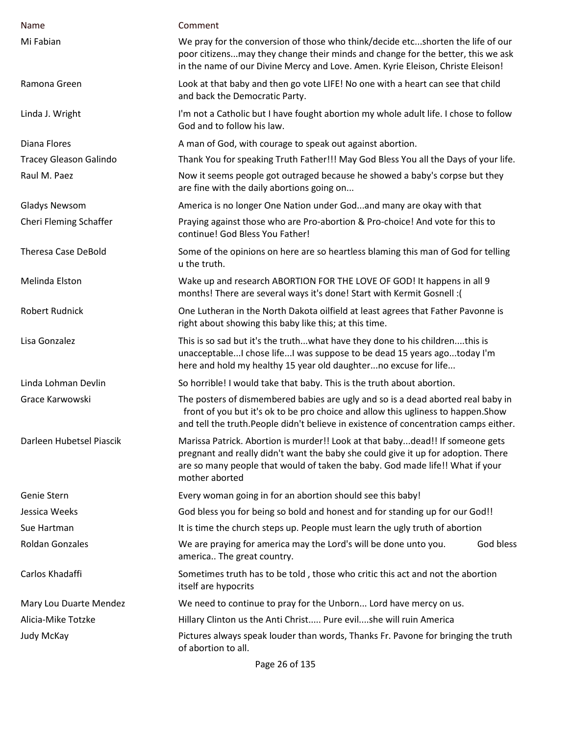| Name                          | Comment                                                                                                                                                                                                                                                               |
|-------------------------------|-----------------------------------------------------------------------------------------------------------------------------------------------------------------------------------------------------------------------------------------------------------------------|
| Mi Fabian                     | We pray for the conversion of those who think/decide etcshorten the life of our<br>poor citizensmay they change their minds and change for the better, this we ask<br>in the name of our Divine Mercy and Love. Amen. Kyrie Eleison, Christe Eleison!                 |
| Ramona Green                  | Look at that baby and then go vote LIFE! No one with a heart can see that child<br>and back the Democratic Party.                                                                                                                                                     |
| Linda J. Wright               | I'm not a Catholic but I have fought abortion my whole adult life. I chose to follow<br>God and to follow his law.                                                                                                                                                    |
| Diana Flores                  | A man of God, with courage to speak out against abortion.                                                                                                                                                                                                             |
| <b>Tracey Gleason Galindo</b> | Thank You for speaking Truth Father!!! May God Bless You all the Days of your life.                                                                                                                                                                                   |
| Raul M. Paez                  | Now it seems people got outraged because he showed a baby's corpse but they<br>are fine with the daily abortions going on                                                                                                                                             |
| Gladys Newsom                 | America is no longer One Nation under Godand many are okay with that                                                                                                                                                                                                  |
| Cheri Fleming Schaffer        | Praying against those who are Pro-abortion & Pro-choice! And vote for this to<br>continue! God Bless You Father!                                                                                                                                                      |
| <b>Theresa Case DeBold</b>    | Some of the opinions on here are so heartless blaming this man of God for telling<br>u the truth.                                                                                                                                                                     |
| Melinda Elston                | Wake up and research ABORTION FOR THE LOVE OF GOD! It happens in all 9<br>months! There are several ways it's done! Start with Kermit Gosnell :(                                                                                                                      |
| <b>Robert Rudnick</b>         | One Lutheran in the North Dakota oilfield at least agrees that Father Pavonne is<br>right about showing this baby like this; at this time.                                                                                                                            |
| Lisa Gonzalez                 | This is so sad but it's the truthwhat have they done to his childrenthis is<br>unacceptable I chose life I was suppose to be dead 15 years agotoday I'm<br>here and hold my healthy 15 year old daughterno excuse for life                                            |
| Linda Lohman Devlin           | So horrible! I would take that baby. This is the truth about abortion.                                                                                                                                                                                                |
| Grace Karwowski               | The posters of dismembered babies are ugly and so is a dead aborted real baby in<br>front of you but it's ok to be pro choice and allow this ugliness to happen. Show<br>and tell the truth. People didn't believe in existence of concentration camps either.        |
| Darleen Hubetsel Piascik      | Marissa Patrick. Abortion is murder!! Look at that babydead!! If someone gets<br>pregnant and really didn't want the baby she could give it up for adoption. There<br>are so many people that would of taken the baby. God made life!! What if your<br>mother aborted |
| Genie Stern                   | Every woman going in for an abortion should see this baby!                                                                                                                                                                                                            |
| Jessica Weeks                 | God bless you for being so bold and honest and for standing up for our God!!                                                                                                                                                                                          |
| Sue Hartman                   | It is time the church steps up. People must learn the ugly truth of abortion                                                                                                                                                                                          |
| <b>Roldan Gonzales</b>        | We are praying for america may the Lord's will be done unto you.<br>God bless<br>america The great country.                                                                                                                                                           |
| Carlos Khadaffi               | Sometimes truth has to be told, those who critic this act and not the abortion<br>itself are hypocrits                                                                                                                                                                |
| Mary Lou Duarte Mendez        | We need to continue to pray for the Unborn Lord have mercy on us.                                                                                                                                                                                                     |
| Alicia-Mike Totzke            | Hillary Clinton us the Anti Christ Pure evilshe will ruin America                                                                                                                                                                                                     |
| Judy McKay                    | Pictures always speak louder than words, Thanks Fr. Pavone for bringing the truth<br>of abortion to all.                                                                                                                                                              |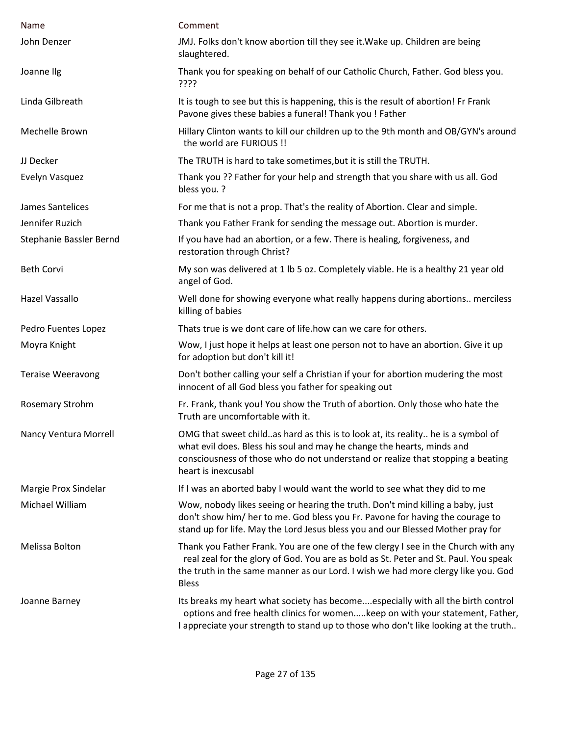| Name                     | Comment                                                                                                                                                                                                                                                                         |
|--------------------------|---------------------------------------------------------------------------------------------------------------------------------------------------------------------------------------------------------------------------------------------------------------------------------|
| John Denzer              | JMJ. Folks don't know abortion till they see it. Wake up. Children are being<br>slaughtered.                                                                                                                                                                                    |
| Joanne Ilg               | Thank you for speaking on behalf of our Catholic Church, Father. God bless you.<br>????                                                                                                                                                                                         |
| Linda Gilbreath          | It is tough to see but this is happening, this is the result of abortion! Fr Frank<br>Pavone gives these babies a funeral! Thank you ! Father                                                                                                                                   |
| Mechelle Brown           | Hillary Clinton wants to kill our children up to the 9th month and OB/GYN's around<br>the world are FURIOUS !!                                                                                                                                                                  |
| JJ Decker                | The TRUTH is hard to take sometimes, but it is still the TRUTH.                                                                                                                                                                                                                 |
| Evelyn Vasquez           | Thank you ?? Father for your help and strength that you share with us all. God<br>bless you. ?                                                                                                                                                                                  |
| James Santelices         | For me that is not a prop. That's the reality of Abortion. Clear and simple.                                                                                                                                                                                                    |
| Jennifer Ruzich          | Thank you Father Frank for sending the message out. Abortion is murder.                                                                                                                                                                                                         |
| Stephanie Bassler Bernd  | If you have had an abortion, or a few. There is healing, forgiveness, and<br>restoration through Christ?                                                                                                                                                                        |
| <b>Beth Corvi</b>        | My son was delivered at 1 lb 5 oz. Completely viable. He is a healthy 21 year old<br>angel of God.                                                                                                                                                                              |
| Hazel Vassallo           | Well done for showing everyone what really happens during abortions merciless<br>killing of babies                                                                                                                                                                              |
| Pedro Fuentes Lopez      | Thats true is we dont care of life.how can we care for others.                                                                                                                                                                                                                  |
| Moyra Knight             | Wow, I just hope it helps at least one person not to have an abortion. Give it up<br>for adoption but don't kill it!                                                                                                                                                            |
| <b>Teraise Weeravong</b> | Don't bother calling your self a Christian if your for abortion mudering the most<br>innocent of all God bless you father for speaking out                                                                                                                                      |
| Rosemary Strohm          | Fr. Frank, thank you! You show the Truth of abortion. Only those who hate the<br>Truth are uncomfortable with it.                                                                                                                                                               |
| Nancy Ventura Morrell    | OMG that sweet childas hard as this is to look at, its reality he is a symbol of<br>what evil does. Bless his soul and may he change the hearts, minds and<br>consciousness of those who do not understand or realize that stopping a beating<br>heart is inexcusabl            |
| Margie Prox Sindelar     | If I was an aborted baby I would want the world to see what they did to me                                                                                                                                                                                                      |
| Michael William          | Wow, nobody likes seeing or hearing the truth. Don't mind killing a baby, just<br>don't show him/ her to me. God bless you Fr. Pavone for having the courage to<br>stand up for life. May the Lord Jesus bless you and our Blessed Mother pray for                              |
| Melissa Bolton           | Thank you Father Frank. You are one of the few clergy I see in the Church with any<br>real zeal for the glory of God. You are as bold as St. Peter and St. Paul. You speak<br>the truth in the same manner as our Lord. I wish we had more clergy like you. God<br><b>Bless</b> |
| Joanne Barney            | Its breaks my heart what society has becomeespecially with all the birth control<br>options and free health clinics for womenkeep on with your statement, Father,<br>I appreciate your strength to stand up to those who don't like looking at the truth                        |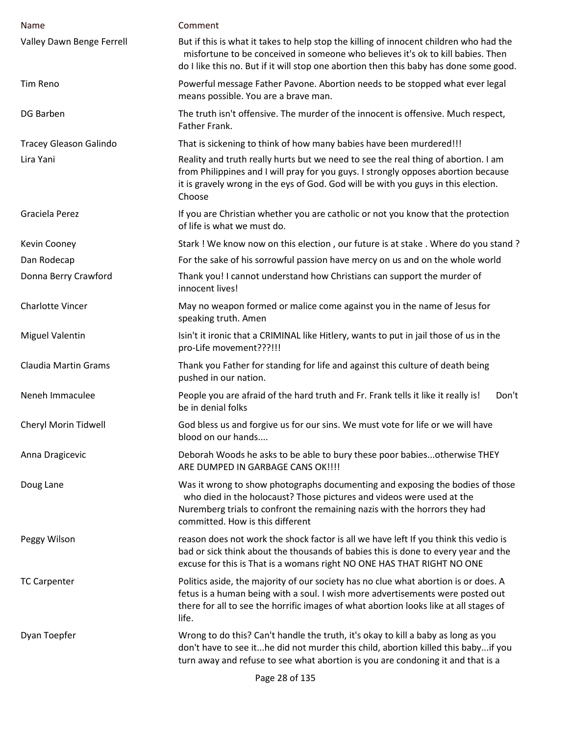| Name                          | Comment                                                                                                                                                                                                                                                                  |
|-------------------------------|--------------------------------------------------------------------------------------------------------------------------------------------------------------------------------------------------------------------------------------------------------------------------|
| Valley Dawn Benge Ferrell     | But if this is what it takes to help stop the killing of innocent children who had the<br>misfortune to be conceived in someone who believes it's ok to kill babies. Then<br>do I like this no. But if it will stop one abortion then this baby has done some good.      |
| Tim Reno                      | Powerful message Father Pavone. Abortion needs to be stopped what ever legal<br>means possible. You are a brave man.                                                                                                                                                     |
| <b>DG Barben</b>              | The truth isn't offensive. The murder of the innocent is offensive. Much respect,<br>Father Frank.                                                                                                                                                                       |
| <b>Tracey Gleason Galindo</b> | That is sickening to think of how many babies have been murdered!!!                                                                                                                                                                                                      |
| Lira Yani                     | Reality and truth really hurts but we need to see the real thing of abortion. I am<br>from Philippines and I will pray for you guys. I strongly opposes abortion because<br>it is gravely wrong in the eys of God. God will be with you guys in this election.<br>Choose |
| Graciela Perez                | If you are Christian whether you are catholic or not you know that the protection<br>of life is what we must do.                                                                                                                                                         |
| Kevin Cooney                  | Stark ! We know now on this election, our future is at stake. Where do you stand?                                                                                                                                                                                        |
| Dan Rodecap                   | For the sake of his sorrowful passion have mercy on us and on the whole world                                                                                                                                                                                            |
| Donna Berry Crawford          | Thank you! I cannot understand how Christians can support the murder of<br>innocent lives!                                                                                                                                                                               |
| <b>Charlotte Vincer</b>       | May no weapon formed or malice come against you in the name of Jesus for<br>speaking truth. Amen                                                                                                                                                                         |
| <b>Miguel Valentin</b>        | Isin't it ironic that a CRIMINAL like Hitlery, wants to put in jail those of us in the<br>pro-Life movement???!!!                                                                                                                                                        |
| <b>Claudia Martin Grams</b>   | Thank you Father for standing for life and against this culture of death being<br>pushed in our nation.                                                                                                                                                                  |
| Neneh Immaculee               | People you are afraid of the hard truth and Fr. Frank tells it like it really is!<br>Don't<br>be in denial folks                                                                                                                                                         |
| Cheryl Morin Tidwell          | God bless us and forgive us for our sins. We must vote for life or we will have<br>blood on our hands                                                                                                                                                                    |
| Anna Dragicevic               | Deborah Woods he asks to be able to bury these poor babiesotherwise THEY<br>ARE DUMPED IN GARBAGE CANS OK !!!!                                                                                                                                                           |
| Doug Lane                     | Was it wrong to show photographs documenting and exposing the bodies of those<br>who died in the holocaust? Those pictures and videos were used at the<br>Nuremberg trials to confront the remaining nazis with the horrors they had<br>committed. How is this different |
| Peggy Wilson                  | reason does not work the shock factor is all we have left If you think this vedio is<br>bad or sick think about the thousands of babies this is done to every year and the<br>excuse for this is That is a womans right NO ONE HAS THAT RIGHT NO ONE                     |
| <b>TC Carpenter</b>           | Politics aside, the majority of our society has no clue what abortion is or does. A<br>fetus is a human being with a soul. I wish more advertisements were posted out<br>there for all to see the horrific images of what abortion looks like at all stages of<br>life.  |
| Dyan Toepfer                  | Wrong to do this? Can't handle the truth, it's okay to kill a baby as long as you<br>don't have to see ithe did not murder this child, abortion killed this babyif you<br>turn away and refuse to see what abortion is you are condoning it and that is a                |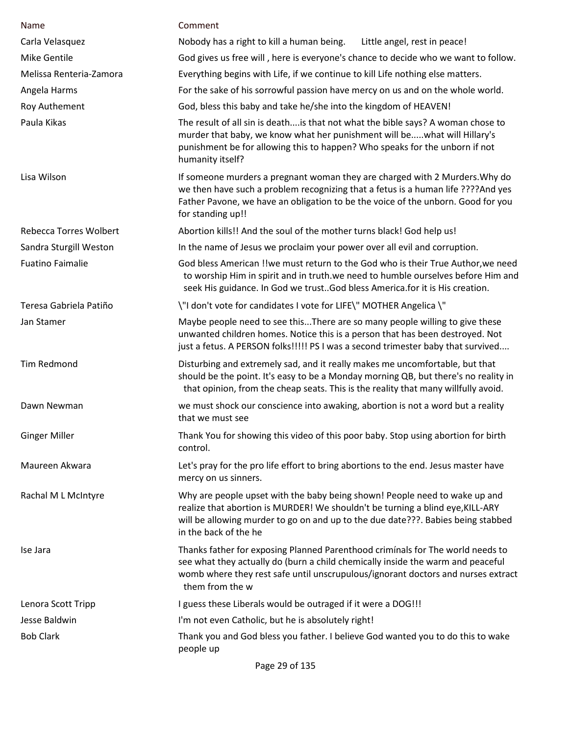| Name                          | Comment                                                                                                                                                                                                                                                                   |
|-------------------------------|---------------------------------------------------------------------------------------------------------------------------------------------------------------------------------------------------------------------------------------------------------------------------|
| Carla Velasquez               | Nobody has a right to kill a human being.<br>Little angel, rest in peace!                                                                                                                                                                                                 |
| <b>Mike Gentile</b>           | God gives us free will, here is everyone's chance to decide who we want to follow.                                                                                                                                                                                        |
| Melissa Renteria-Zamora       | Everything begins with Life, if we continue to kill Life nothing else matters.                                                                                                                                                                                            |
| Angela Harms                  | For the sake of his sorrowful passion have mercy on us and on the whole world.                                                                                                                                                                                            |
| Roy Authement                 | God, bless this baby and take he/she into the kingdom of HEAVEN!                                                                                                                                                                                                          |
| Paula Kikas                   | The result of all sin is deathis that not what the bible says? A woman chose to<br>murder that baby, we know what her punishment will bewhat will Hillary's<br>punishment be for allowing this to happen? Who speaks for the unborn if not<br>humanity itself?            |
| Lisa Wilson                   | If someone murders a pregnant woman they are charged with 2 Murders. Why do<br>we then have such a problem recognizing that a fetus is a human life ????And yes<br>Father Pavone, we have an obligation to be the voice of the unborn. Good for you<br>for standing up!!  |
| <b>Rebecca Torres Wolbert</b> | Abortion kills!! And the soul of the mother turns black! God help us!                                                                                                                                                                                                     |
| Sandra Sturgill Weston        | In the name of Jesus we proclaim your power over all evil and corruption.                                                                                                                                                                                                 |
| <b>Fuatino Faimalie</b>       | God bless American !!we must return to the God who is their True Author, we need<br>to worship Him in spirit and in truth.we need to humble ourselves before Him and<br>seek His guidance. In God we trust. God bless America for it is His creation.                     |
| Teresa Gabriela Patiño        | \"I don't vote for candidates I vote for LIFE\" MOTHER Angelica \"                                                                                                                                                                                                        |
| Jan Stamer                    | Maybe people need to see thisThere are so many people willing to give these<br>unwanted children homes. Notice this is a person that has been destroyed. Not<br>just a fetus. A PERSON folks!!!!! PS I was a second trimester baby that survived                          |
| <b>Tim Redmond</b>            | Disturbing and extremely sad, and it really makes me uncomfortable, but that<br>should be the point. It's easy to be a Monday morning QB, but there's no reality in<br>that opinion, from the cheap seats. This is the reality that many willfully avoid.                 |
| Dawn Newman                   | we must shock our conscience into awaking, abortion is not a word but a reality<br>that we must see                                                                                                                                                                       |
| <b>Ginger Miller</b>          | Thank You for showing this video of this poor baby. Stop using abortion for birth<br>control.                                                                                                                                                                             |
| Maureen Akwara                | Let's pray for the pro life effort to bring abortions to the end. Jesus master have<br>mercy on us sinners.                                                                                                                                                               |
| Rachal M L McIntyre           | Why are people upset with the baby being shown! People need to wake up and<br>realize that abortion is MURDER! We shouldn't be turning a blind eye, KILL-ARY<br>will be allowing murder to go on and up to the due date???. Babies being stabbed<br>in the back of the he |
| Ise Jara                      | Thanks father for exposing Planned Parenthood criminals for The world needs to<br>see what they actually do (burn a child chemically inside the warm and peaceful<br>womb where they rest safe until unscrupulous/ignorant doctors and nurses extract<br>them from the w  |
| Lenora Scott Tripp            | I guess these Liberals would be outraged if it were a DOG!!!                                                                                                                                                                                                              |
| Jesse Baldwin                 | I'm not even Catholic, but he is absolutely right!                                                                                                                                                                                                                        |
| <b>Bob Clark</b>              | Thank you and God bless you father. I believe God wanted you to do this to wake<br>people up                                                                                                                                                                              |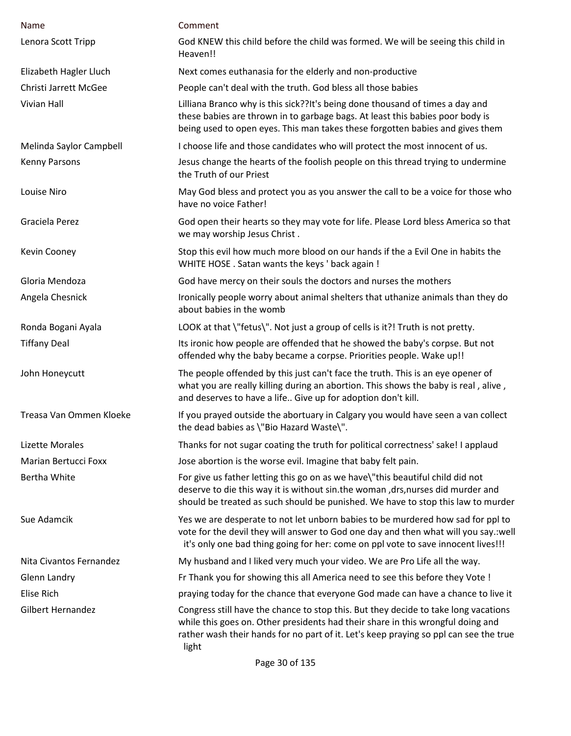| Name                        | Comment                                                                                                                                                                                                                                                                  |
|-----------------------------|--------------------------------------------------------------------------------------------------------------------------------------------------------------------------------------------------------------------------------------------------------------------------|
| Lenora Scott Tripp          | God KNEW this child before the child was formed. We will be seeing this child in<br>Heaven!!                                                                                                                                                                             |
| Elizabeth Hagler Lluch      | Next comes euthanasia for the elderly and non-productive                                                                                                                                                                                                                 |
| Christi Jarrett McGee       | People can't deal with the truth. God bless all those babies                                                                                                                                                                                                             |
| <b>Vivian Hall</b>          | Lilliana Branco why is this sick??It's being done thousand of times a day and<br>these babies are thrown in to garbage bags. At least this babies poor body is<br>being used to open eyes. This man takes these forgotten babies and gives them                          |
| Melinda Saylor Campbell     | I choose life and those candidates who will protect the most innocent of us.                                                                                                                                                                                             |
| Kenny Parsons               | Jesus change the hearts of the foolish people on this thread trying to undermine<br>the Truth of our Priest                                                                                                                                                              |
| Louise Niro                 | May God bless and protect you as you answer the call to be a voice for those who<br>have no voice Father!                                                                                                                                                                |
| Graciela Perez              | God open their hearts so they may vote for life. Please Lord bless America so that<br>we may worship Jesus Christ.                                                                                                                                                       |
| Kevin Cooney                | Stop this evil how much more blood on our hands if the a Evil One in habits the<br>WHITE HOSE . Satan wants the keys ' back again !                                                                                                                                      |
| Gloria Mendoza              | God have mercy on their souls the doctors and nurses the mothers                                                                                                                                                                                                         |
| Angela Chesnick             | Ironically people worry about animal shelters that uthanize animals than they do<br>about babies in the womb                                                                                                                                                             |
| Ronda Bogani Ayala          | LOOK at that \"fetus\". Not just a group of cells is it?! Truth is not pretty.                                                                                                                                                                                           |
| <b>Tiffany Deal</b>         | Its ironic how people are offended that he showed the baby's corpse. But not<br>offended why the baby became a corpse. Priorities people. Wake up!!                                                                                                                      |
| John Honeycutt              | The people offended by this just can't face the truth. This is an eye opener of<br>what you are really killing during an abortion. This shows the baby is real, alive,<br>and deserves to have a life Give up for adoption don't kill.                                   |
| Treasa Van Ommen Kloeke     | If you prayed outside the abortuary in Calgary you would have seen a van collect<br>the dead babies as \"Bio Hazard Waste\".                                                                                                                                             |
| Lizette Morales             | Thanks for not sugar coating the truth for political correctness' sake! I applaud                                                                                                                                                                                        |
| <b>Marian Bertucci Foxx</b> | Jose abortion is the worse evil. Imagine that baby felt pain.                                                                                                                                                                                                            |
| Bertha White                | For give us father letting this go on as we have\"this beautiful child did not<br>deserve to die this way it is without sin.the woman, drs, nurses did murder and<br>should be treated as such should be punished. We have to stop this law to murder                    |
| Sue Adamcik                 | Yes we are desperate to not let unborn babies to be murdered how sad for ppl to<br>vote for the devil they will answer to God one day and then what will you say.:well<br>it's only one bad thing going for her: come on ppl vote to save innocent lives!!!              |
| Nita Civantos Fernandez     | My husband and I liked very much your video. We are Pro Life all the way.                                                                                                                                                                                                |
| <b>Glenn Landry</b>         | Fr Thank you for showing this all America need to see this before they Vote !                                                                                                                                                                                            |
| Elise Rich                  | praying today for the chance that everyone God made can have a chance to live it                                                                                                                                                                                         |
| Gilbert Hernandez           | Congress still have the chance to stop this. But they decide to take long vacations<br>while this goes on. Other presidents had their share in this wrongful doing and<br>rather wash their hands for no part of it. Let's keep praying so ppl can see the true<br>light |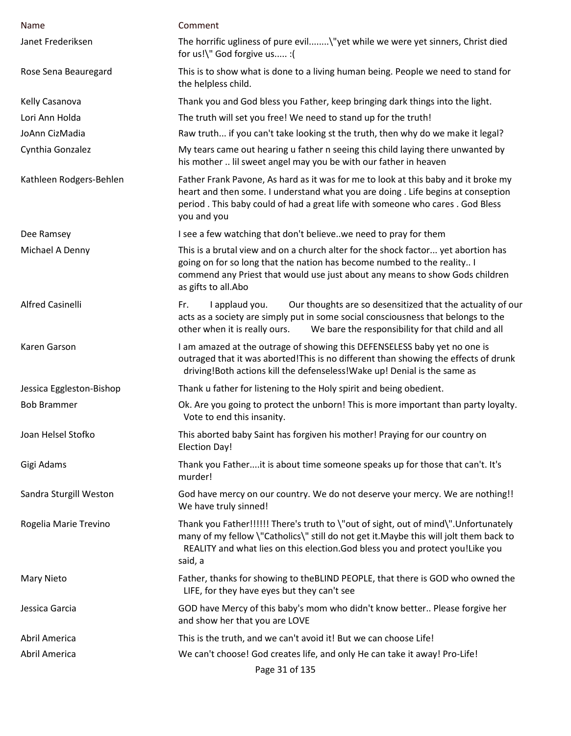| Name                     | Comment                                                                                                                                                                                                                                                                     |
|--------------------------|-----------------------------------------------------------------------------------------------------------------------------------------------------------------------------------------------------------------------------------------------------------------------------|
| Janet Frederiksen        | The horrific ugliness of pure evil\"yet while we were yet sinners, Christ died<br>for us!\" God forgive us :(                                                                                                                                                               |
| Rose Sena Beauregard     | This is to show what is done to a living human being. People we need to stand for<br>the helpless child.                                                                                                                                                                    |
| Kelly Casanova           | Thank you and God bless you Father, keep bringing dark things into the light.                                                                                                                                                                                               |
| Lori Ann Holda           | The truth will set you free! We need to stand up for the truth!                                                                                                                                                                                                             |
| JoAnn CizMadia           | Raw truth if you can't take looking st the truth, then why do we make it legal?                                                                                                                                                                                             |
| Cynthia Gonzalez         | My tears came out hearing u father n seeing this child laying there unwanted by<br>his mother  Iil sweet angel may you be with our father in heaven                                                                                                                         |
| Kathleen Rodgers-Behlen  | Father Frank Pavone, As hard as it was for me to look at this baby and it broke my<br>heart and then some. I understand what you are doing . Life begins at conseption<br>period. This baby could of had a great life with someone who cares. God Bless<br>you and you      |
| Dee Ramsey               | I see a few watching that don't believe. we need to pray for them                                                                                                                                                                                                           |
| Michael A Denny          | This is a brutal view and on a church alter for the shock factor yet abortion has<br>going on for so long that the nation has become numbed to the reality I<br>commend any Priest that would use just about any means to show Gods children<br>as gifts to all.Abo         |
| <b>Alfred Casinelli</b>  | I applaud you.<br>Our thoughts are so desensitized that the actuality of our<br>Fr.<br>acts as a society are simply put in some social consciousness that belongs to the<br>We bare the responsibility for that child and all<br>other when it is really ours.              |
| Karen Garson             | I am amazed at the outrage of showing this DEFENSELESS baby yet no one is<br>outraged that it was aborted! This is no different than showing the effects of drunk<br>driving! Both actions kill the defenseless! Wake up! Denial is the same as                             |
| Jessica Eggleston-Bishop | Thank u father for listening to the Holy spirit and being obedient.                                                                                                                                                                                                         |
| <b>Bob Brammer</b>       | Ok. Are you going to protect the unborn! This is more important than party loyalty.<br>Vote to end this insanity.                                                                                                                                                           |
| Joan Helsel Stofko       | This aborted baby Saint has forgiven his mother! Praying for our country on<br><b>Election Day!</b>                                                                                                                                                                         |
| Gigi Adams               | Thank you Fatherit is about time someone speaks up for those that can't. It's<br>murder!                                                                                                                                                                                    |
| Sandra Sturgill Weston   | God have mercy on our country. We do not deserve your mercy. We are nothing!!<br>We have truly sinned!                                                                                                                                                                      |
| Rogelia Marie Trevino    | Thank you Father!!!!!! There's truth to \"out of sight, out of mind\". Unfortunately<br>many of my fellow \"Catholics\" still do not get it. Maybe this will jolt them back to<br>REALITY and what lies on this election. God bless you and protect you!Like you<br>said, a |
| <b>Mary Nieto</b>        | Father, thanks for showing to the BLIND PEOPLE, that there is GOD who owned the<br>LIFE, for they have eyes but they can't see                                                                                                                                              |
| Jessica Garcia           | GOD have Mercy of this baby's mom who didn't know better Please forgive her<br>and show her that you are LOVE                                                                                                                                                               |
| Abril America            | This is the truth, and we can't avoid it! But we can choose Life!                                                                                                                                                                                                           |
| Abril America            | We can't choose! God creates life, and only He can take it away! Pro-Life!                                                                                                                                                                                                  |
|                          | Page 31 of 135                                                                                                                                                                                                                                                              |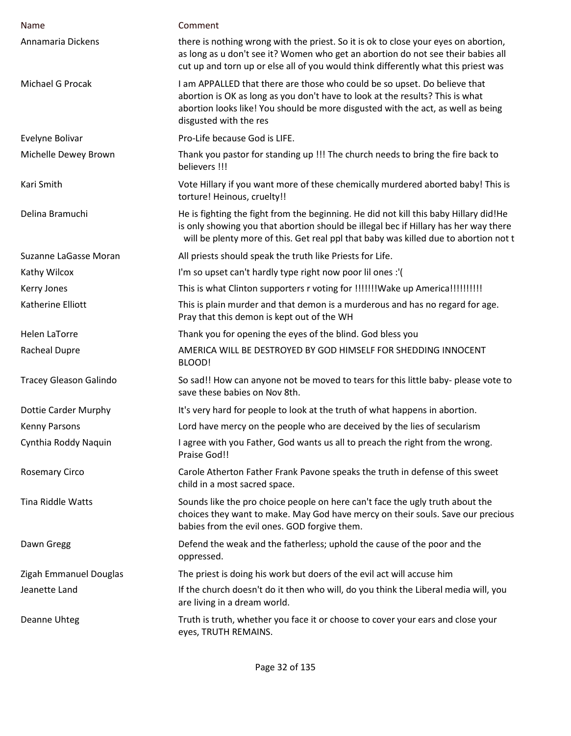| Name                          | Comment                                                                                                                                                                                                                                                                  |
|-------------------------------|--------------------------------------------------------------------------------------------------------------------------------------------------------------------------------------------------------------------------------------------------------------------------|
| Annamaria Dickens             | there is nothing wrong with the priest. So it is ok to close your eyes on abortion,<br>as long as u don't see it? Women who get an abortion do not see their babies all<br>cut up and torn up or else all of you would think differently what this priest was            |
| Michael G Procak              | I am APPALLED that there are those who could be so upset. Do believe that<br>abortion is OK as long as you don't have to look at the results? This is what<br>abortion looks like! You should be more disgusted with the act, as well as being<br>disgusted with the res |
| Evelyne Bolivar               | Pro-Life because God is LIFE.                                                                                                                                                                                                                                            |
| Michelle Dewey Brown          | Thank you pastor for standing up !!! The church needs to bring the fire back to<br>believers !!!                                                                                                                                                                         |
| Kari Smith                    | Vote Hillary if you want more of these chemically murdered aborted baby! This is<br>torture! Heinous, cruelty!!                                                                                                                                                          |
| Delina Bramuchi               | He is fighting the fight from the beginning. He did not kill this baby Hillary did!He<br>is only showing you that abortion should be illegal bec if Hillary has her way there<br>will be plenty more of this. Get real ppl that baby was killed due to abortion not t    |
| Suzanne LaGasse Moran         | All priests should speak the truth like Priests for Life.                                                                                                                                                                                                                |
| Kathy Wilcox                  | I'm so upset can't hardly type right now poor lil ones :'(                                                                                                                                                                                                               |
| Kerry Jones                   |                                                                                                                                                                                                                                                                          |
| Katherine Elliott             | This is plain murder and that demon is a murderous and has no regard for age.<br>Pray that this demon is kept out of the WH                                                                                                                                              |
| <b>Helen LaTorre</b>          | Thank you for opening the eyes of the blind. God bless you                                                                                                                                                                                                               |
| <b>Racheal Dupre</b>          | AMERICA WILL BE DESTROYED BY GOD HIMSELF FOR SHEDDING INNOCENT<br>BLOOD!                                                                                                                                                                                                 |
| <b>Tracey Gleason Galindo</b> | So sad!! How can anyone not be moved to tears for this little baby- please vote to<br>save these babies on Nov 8th.                                                                                                                                                      |
| Dottie Carder Murphy          | It's very hard for people to look at the truth of what happens in abortion.                                                                                                                                                                                              |
| Kenny Parsons                 | Lord have mercy on the people who are deceived by the lies of secularism                                                                                                                                                                                                 |
| Cynthia Roddy Naquin          | I agree with you Father, God wants us all to preach the right from the wrong.<br>Praise God!!                                                                                                                                                                            |
| <b>Rosemary Circo</b>         | Carole Atherton Father Frank Pavone speaks the truth in defense of this sweet<br>child in a most sacred space.                                                                                                                                                           |
| Tina Riddle Watts             | Sounds like the pro choice people on here can't face the ugly truth about the<br>choices they want to make. May God have mercy on their souls. Save our precious<br>babies from the evil ones. GOD forgive them.                                                         |
| Dawn Gregg                    | Defend the weak and the fatherless; uphold the cause of the poor and the<br>oppressed.                                                                                                                                                                                   |
| Zigah Emmanuel Douglas        | The priest is doing his work but doers of the evil act will accuse him                                                                                                                                                                                                   |
| Jeanette Land                 | If the church doesn't do it then who will, do you think the Liberal media will, you<br>are living in a dream world.                                                                                                                                                      |
| Deanne Uhteg                  | Truth is truth, whether you face it or choose to cover your ears and close your<br>eyes, TRUTH REMAINS.                                                                                                                                                                  |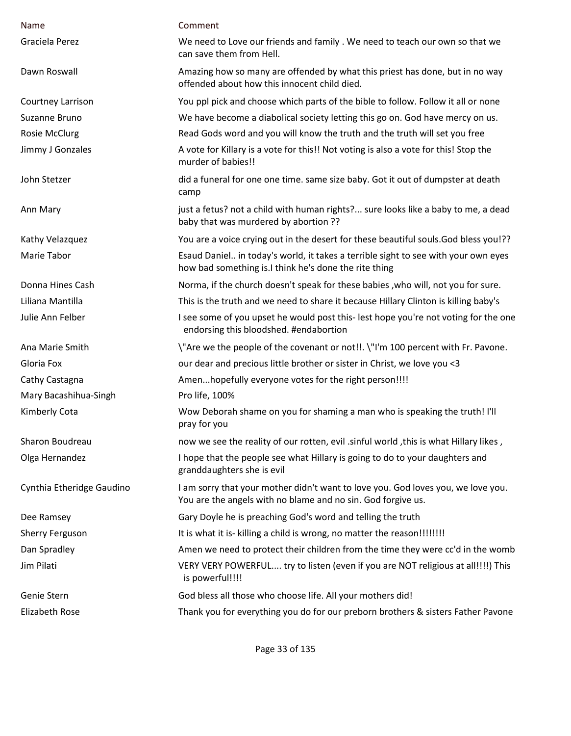| Name                      | Comment                                                                                                                                          |
|---------------------------|--------------------------------------------------------------------------------------------------------------------------------------------------|
| Graciela Perez            | We need to Love our friends and family . We need to teach our own so that we<br>can save them from Hell.                                         |
| Dawn Roswall              | Amazing how so many are offended by what this priest has done, but in no way<br>offended about how this innocent child died.                     |
| Courtney Larrison         | You ppl pick and choose which parts of the bible to follow. Follow it all or none                                                                |
| Suzanne Bruno             | We have become a diabolical society letting this go on. God have mercy on us.                                                                    |
| <b>Rosie McClurg</b>      | Read Gods word and you will know the truth and the truth will set you free                                                                       |
| Jimmy J Gonzales          | A vote for Killary is a vote for this!! Not voting is also a vote for this! Stop the<br>murder of babies!!                                       |
| John Stetzer              | did a funeral for one one time. same size baby. Got it out of dumpster at death<br>camp                                                          |
| Ann Mary                  | just a fetus? not a child with human rights? sure looks like a baby to me, a dead<br>baby that was murdered by abortion ??                       |
| Kathy Velazquez           | You are a voice crying out in the desert for these beautiful souls. God bless you!??                                                             |
| Marie Tabor               | Esaud Daniel in today's world, it takes a terrible sight to see with your own eyes<br>how bad something is.I think he's done the rite thing      |
| Donna Hines Cash          | Norma, if the church doesn't speak for these babies, who will, not you for sure.                                                                 |
| Liliana Mantilla          | This is the truth and we need to share it because Hillary Clinton is killing baby's                                                              |
| Julie Ann Felber          | I see some of you upset he would post this-lest hope you're not voting for the one<br>endorsing this bloodshed. #endabortion                     |
| Ana Marie Smith           | \"Are we the people of the covenant or not!!. \"I'm 100 percent with Fr. Pavone.                                                                 |
| Gloria Fox                | our dear and precious little brother or sister in Christ, we love you <3                                                                         |
| Cathy Castagna            | Amenhopefully everyone votes for the right person!!!!                                                                                            |
| Mary Bacashihua-Singh     | Pro life, 100%                                                                                                                                   |
| Kimberly Cota             | Wow Deborah shame on you for shaming a man who is speaking the truth! I'll<br>pray for you                                                       |
| Sharon Boudreau           | now we see the reality of our rotten, evil .sinful world, this is what Hillary likes,                                                            |
| Olga Hernandez            | I hope that the people see what Hillary is going to do to your daughters and<br>granddaughters she is evil                                       |
| Cynthia Etheridge Gaudino | I am sorry that your mother didn't want to love you. God loves you, we love you.<br>You are the angels with no blame and no sin. God forgive us. |
| Dee Ramsey                | Gary Doyle he is preaching God's word and telling the truth                                                                                      |
| Sherry Ferguson           | It is what it is- killing a child is wrong, no matter the reason!!!!!!!!                                                                         |
| Dan Spradley              | Amen we need to protect their children from the time they were cc'd in the womb                                                                  |
| Jim Pilati                | VERY VERY POWERFUL try to listen (even if you are NOT religious at all!!!!) This<br>is powerful!!!!                                              |
| Genie Stern               | God bless all those who choose life. All your mothers did!                                                                                       |
| <b>Elizabeth Rose</b>     | Thank you for everything you do for our preborn brothers & sisters Father Pavone                                                                 |
|                           |                                                                                                                                                  |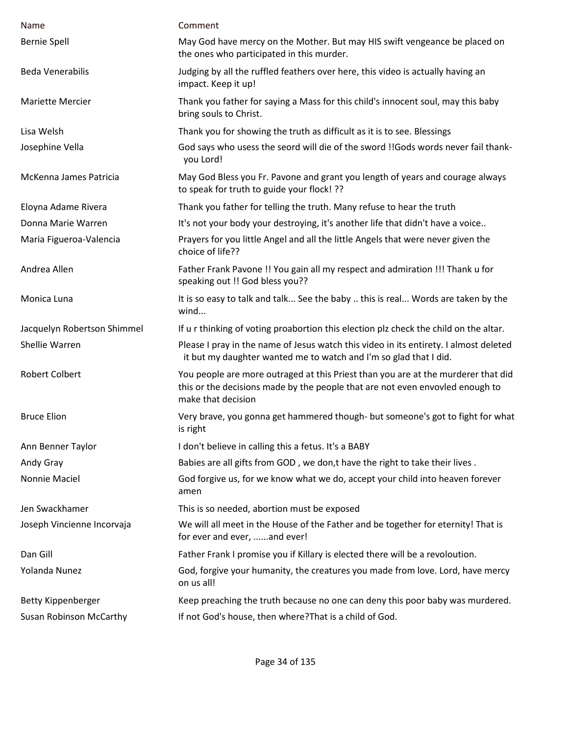| Name                           | Comment                                                                                                                                                                                  |
|--------------------------------|------------------------------------------------------------------------------------------------------------------------------------------------------------------------------------------|
| <b>Bernie Spell</b>            | May God have mercy on the Mother. But may HIS swift vengeance be placed on<br>the ones who participated in this murder.                                                                  |
| <b>Beda Venerabilis</b>        | Judging by all the ruffled feathers over here, this video is actually having an<br>impact. Keep it up!                                                                                   |
| <b>Mariette Mercier</b>        | Thank you father for saying a Mass for this child's innocent soul, may this baby<br>bring souls to Christ.                                                                               |
| Lisa Welsh                     | Thank you for showing the truth as difficult as it is to see. Blessings                                                                                                                  |
| Josephine Vella                | God says who usess the seord will die of the sword !! Gods words never fail thank-<br>you Lord!                                                                                          |
| McKenna James Patricia         | May God Bless you Fr. Pavone and grant you length of years and courage always<br>to speak for truth to guide your flock! ??                                                              |
| Eloyna Adame Rivera            | Thank you father for telling the truth. Many refuse to hear the truth                                                                                                                    |
| Donna Marie Warren             | It's not your body your destroying, it's another life that didn't have a voice                                                                                                           |
| Maria Figueroa-Valencia        | Prayers for you little Angel and all the little Angels that were never given the<br>choice of life??                                                                                     |
| Andrea Allen                   | Father Frank Pavone !! You gain all my respect and admiration !!! Thank u for<br>speaking out !! God bless you??                                                                         |
| Monica Luna                    | It is so easy to talk and talk See the baby  this is real Words are taken by the<br>wind                                                                                                 |
| Jacquelyn Robertson Shimmel    | If u r thinking of voting proabortion this election plz check the child on the altar.                                                                                                    |
| Shellie Warren                 | Please I pray in the name of Jesus watch this video in its entirety. I almost deleted<br>it but my daughter wanted me to watch and I'm so glad that I did.                               |
| <b>Robert Colbert</b>          | You people are more outraged at this Priest than you are at the murderer that did<br>this or the decisions made by the people that are not even envovled enough to<br>make that decision |
| <b>Bruce Elion</b>             | Very brave, you gonna get hammered though- but someone's got to fight for what<br>is right                                                                                               |
| Ann Benner Taylor              | I don't believe in calling this a fetus. It's a BABY                                                                                                                                     |
| Andy Gray                      | Babies are all gifts from GOD, we don,t have the right to take their lives.                                                                                                              |
| Nonnie Maciel                  | God forgive us, for we know what we do, accept your child into heaven forever<br>amen                                                                                                    |
| Jen Swackhamer                 | This is so needed, abortion must be exposed                                                                                                                                              |
| Joseph Vincienne Incorvaja     | We will all meet in the House of the Father and be together for eternity! That is<br>for ever and ever, and ever!                                                                        |
| Dan Gill                       | Father Frank I promise you if Killary is elected there will be a revoloution.                                                                                                            |
| Yolanda Nunez                  | God, forgive your humanity, the creatures you made from love. Lord, have mercy<br>on us all!                                                                                             |
| <b>Betty Kippenberger</b>      | Keep preaching the truth because no one can deny this poor baby was murdered.                                                                                                            |
| <b>Susan Robinson McCarthy</b> | If not God's house, then where? That is a child of God.                                                                                                                                  |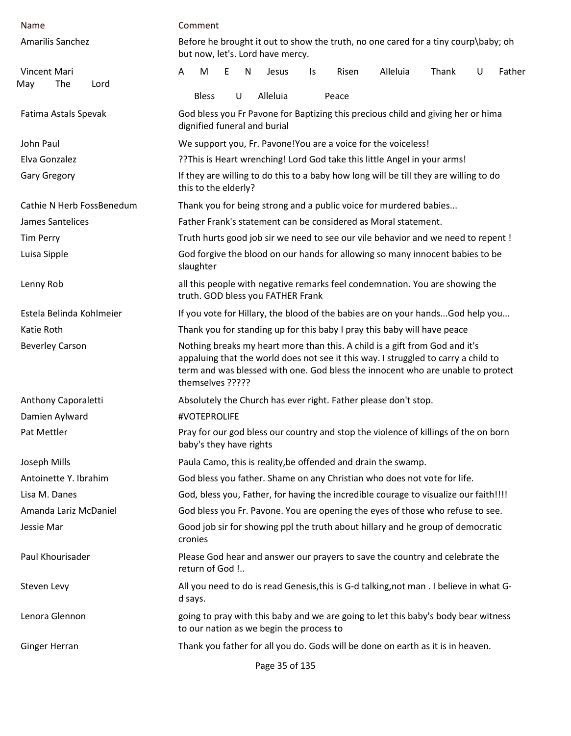| Name                               | Comment                                                                                                                                                                                                                                                                  |
|------------------------------------|--------------------------------------------------------------------------------------------------------------------------------------------------------------------------------------------------------------------------------------------------------------------------|
| Amarilis Sanchez                   | Before he brought it out to show the truth, no one cared for a tiny courp\baby; oh<br>but now, let's. Lord have mercy.                                                                                                                                                   |
| Vincent Mari<br>The<br>May<br>Lord | M<br>E<br>Alleluia<br>Thank<br>N<br>Risen<br>U<br>Father<br>A<br>Jesus<br>ls.<br>U<br>Alleluia<br><b>Bless</b><br>Peace                                                                                                                                                  |
| Fatima Astals Spevak               | God bless you Fr Pavone for Baptizing this precious child and giving her or hima<br>dignified funeral and burial                                                                                                                                                         |
| John Paul                          | We support you, Fr. Pavone! You are a voice for the voiceless!                                                                                                                                                                                                           |
| Elva Gonzalez                      | ??This is Heart wrenching! Lord God take this little Angel in your arms!                                                                                                                                                                                                 |
| <b>Gary Gregory</b>                | If they are willing to do this to a baby how long will be till they are willing to do<br>this to the elderly?                                                                                                                                                            |
| Cathie N Herb FossBenedum          | Thank you for being strong and a public voice for murdered babies                                                                                                                                                                                                        |
| James Santelices                   | Father Frank's statement can be considered as Moral statement.                                                                                                                                                                                                           |
| <b>Tim Perry</b>                   | Truth hurts good job sir we need to see our vile behavior and we need to repent !                                                                                                                                                                                        |
| Luisa Sipple                       | God forgive the blood on our hands for allowing so many innocent babies to be<br>slaughter                                                                                                                                                                               |
| Lenny Rob                          | all this people with negative remarks feel condemnation. You are showing the<br>truth. GOD bless you FATHER Frank                                                                                                                                                        |
| Estela Belinda Kohlmeier           | If you vote for Hillary, the blood of the babies are on your handsGod help you                                                                                                                                                                                           |
| Katie Roth                         | Thank you for standing up for this baby I pray this baby will have peace                                                                                                                                                                                                 |
| <b>Beverley Carson</b>             | Nothing breaks my heart more than this. A child is a gift from God and it's<br>appaluing that the world does not see it this way. I struggled to carry a child to<br>term and was blessed with one. God bless the innocent who are unable to protect<br>themselves ????? |
| Anthony Caporaletti                | Absolutely the Church has ever right. Father please don't stop.                                                                                                                                                                                                          |
| Damien Aylward                     | #VOTEPROLIFE                                                                                                                                                                                                                                                             |
| Pat Mettler                        | Pray for our god bless our country and stop the violence of killings of the on born<br>baby's they have rights                                                                                                                                                           |
| Joseph Mills                       | Paula Camo, this is reality, be offended and drain the swamp.                                                                                                                                                                                                            |
| Antoinette Y. Ibrahim              | God bless you father. Shame on any Christian who does not vote for life.                                                                                                                                                                                                 |
| Lisa M. Danes                      | God, bless you, Father, for having the incredible courage to visualize our faith!!!!                                                                                                                                                                                     |
| Amanda Lariz McDaniel              | God bless you Fr. Pavone. You are opening the eyes of those who refuse to see.                                                                                                                                                                                           |
| Jessie Mar                         | Good job sir for showing ppl the truth about hillary and he group of democratic<br>cronies                                                                                                                                                                               |
| Paul Khourisader                   | Please God hear and answer our prayers to save the country and celebrate the<br>return of God !                                                                                                                                                                          |
| Steven Levy                        | All you need to do is read Genesis, this is G-d talking, not man . I believe in what G-<br>d says.                                                                                                                                                                       |
| Lenora Glennon                     | going to pray with this baby and we are going to let this baby's body bear witness<br>to our nation as we begin the process to                                                                                                                                           |
| Ginger Herran                      | Thank you father for all you do. Gods will be done on earth as it is in heaven.                                                                                                                                                                                          |

Page 35 of 135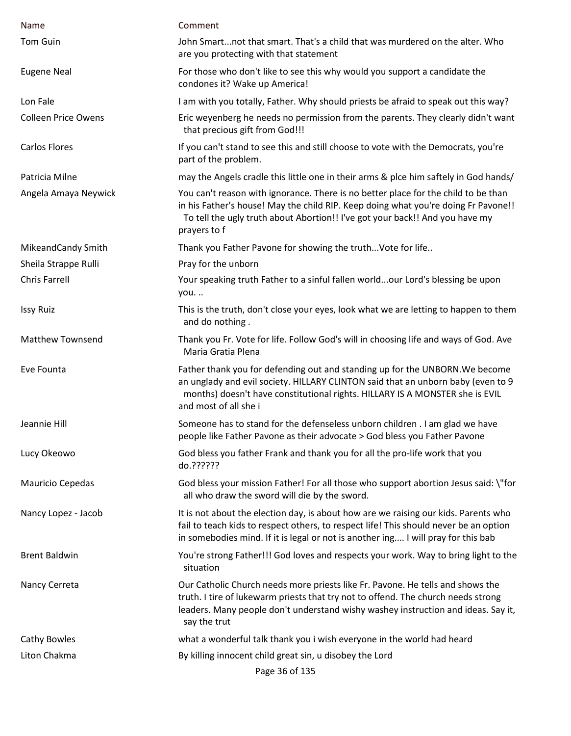| Name                       | Comment                                                                                                                                                                                                                                                                   |
|----------------------------|---------------------------------------------------------------------------------------------------------------------------------------------------------------------------------------------------------------------------------------------------------------------------|
| <b>Tom Guin</b>            | John Smartnot that smart. That's a child that was murdered on the alter. Who<br>are you protecting with that statement                                                                                                                                                    |
| <b>Eugene Neal</b>         | For those who don't like to see this why would you support a candidate the<br>condones it? Wake up America!                                                                                                                                                               |
| Lon Fale                   | I am with you totally, Father. Why should priests be afraid to speak out this way?                                                                                                                                                                                        |
| <b>Colleen Price Owens</b> | Eric weyenberg he needs no permission from the parents. They clearly didn't want<br>that precious gift from God!!!                                                                                                                                                        |
| <b>Carlos Flores</b>       | If you can't stand to see this and still choose to vote with the Democrats, you're<br>part of the problem.                                                                                                                                                                |
| Patricia Milne             | may the Angels cradle this little one in their arms & plce him saftely in God hands/                                                                                                                                                                                      |
| Angela Amaya Neywick       | You can't reason with ignorance. There is no better place for the child to be than<br>in his Father's house! May the child RIP. Keep doing what you're doing Fr Pavone!!<br>To tell the ugly truth about Abortion!! I've got your back!! And you have my<br>prayers to f  |
| MikeandCandy Smith         | Thank you Father Pavone for showing the truth Vote for life                                                                                                                                                                                                               |
| Sheila Strappe Rulli       | Pray for the unborn                                                                                                                                                                                                                                                       |
| <b>Chris Farrell</b>       | Your speaking truth Father to a sinful fallen worldour Lord's blessing be upon<br>you.                                                                                                                                                                                    |
| <b>Issy Ruiz</b>           | This is the truth, don't close your eyes, look what we are letting to happen to them<br>and do nothing.                                                                                                                                                                   |
| <b>Matthew Townsend</b>    | Thank you Fr. Vote for life. Follow God's will in choosing life and ways of God. Ave<br>Maria Gratia Plena                                                                                                                                                                |
| Eve Founta                 | Father thank you for defending out and standing up for the UNBORN. We become<br>an unglady and evil society. HILLARY CLINTON said that an unborn baby (even to 9<br>months) doesn't have constitutional rights. HILLARY IS A MONSTER she is EVIL<br>and most of all she i |
| Jeannie Hill               | Someone has to stand for the defenseless unborn children . I am glad we have<br>people like Father Pavone as their advocate > God bless you Father Pavone                                                                                                                 |
| Lucy Okeowo                | God bless you father Frank and thank you for all the pro-life work that you<br>do.??????                                                                                                                                                                                  |
| Mauricio Cepedas           | God bless your mission Father! For all those who support abortion Jesus said: \"for<br>all who draw the sword will die by the sword.                                                                                                                                      |
| Nancy Lopez - Jacob        | It is not about the election day, is about how are we raising our kids. Parents who<br>fail to teach kids to respect others, to respect life! This should never be an option<br>in somebodies mind. If it is legal or not is another ing I will pray for this bab         |
| <b>Brent Baldwin</b>       | You're strong Father!!! God loves and respects your work. Way to bring light to the<br>situation                                                                                                                                                                          |
| Nancy Cerreta              | Our Catholic Church needs more priests like Fr. Pavone. He tells and shows the<br>truth. I tire of lukewarm priests that try not to offend. The church needs strong<br>leaders. Many people don't understand wishy washey instruction and ideas. Say it,<br>say the trut  |
| Cathy Bowles               | what a wonderful talk thank you i wish everyone in the world had heard                                                                                                                                                                                                    |
| Liton Chakma               | By killing innocent child great sin, u disobey the Lord                                                                                                                                                                                                                   |
|                            | Page 36 of 135                                                                                                                                                                                                                                                            |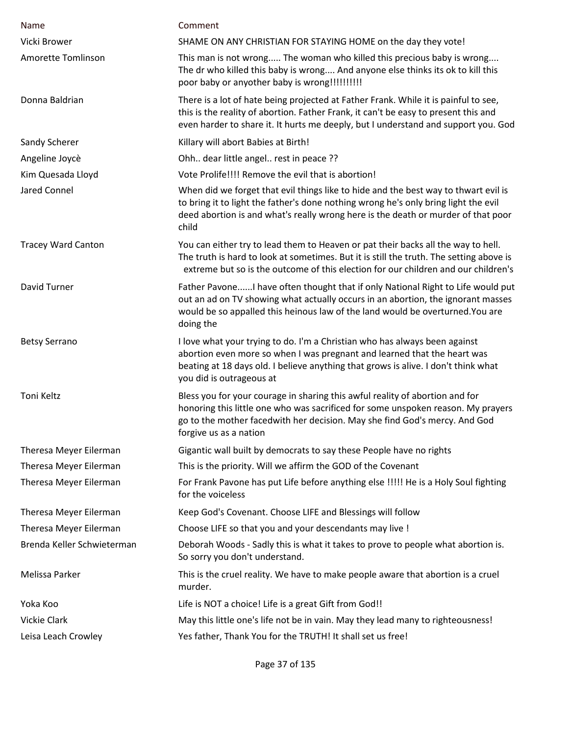| Name                       | Comment                                                                                                                                                                                                                                                                  |
|----------------------------|--------------------------------------------------------------------------------------------------------------------------------------------------------------------------------------------------------------------------------------------------------------------------|
| Vicki Brower               | SHAME ON ANY CHRISTIAN FOR STAYING HOME on the day they vote!                                                                                                                                                                                                            |
| Amorette Tomlinson         | This man is not wrong The woman who killed this precious baby is wrong<br>The dr who killed this baby is wrong And anyone else thinks its ok to kill this<br>poor baby or anyother baby is wrong!!!!!!!!!!!                                                              |
| Donna Baldrian             | There is a lot of hate being projected at Father Frank. While it is painful to see,<br>this is the reality of abortion. Father Frank, it can't be easy to present this and<br>even harder to share it. It hurts me deeply, but I understand and support you. God         |
| Sandy Scherer              | Killary will abort Babies at Birth!                                                                                                                                                                                                                                      |
| Angeline Joycè             | Ohh dear little angel rest in peace ??                                                                                                                                                                                                                                   |
| Kim Quesada Lloyd          | Vote Prolife!!!! Remove the evil that is abortion!                                                                                                                                                                                                                       |
| <b>Jared Connel</b>        | When did we forget that evil things like to hide and the best way to thwart evil is<br>to bring it to light the father's done nothing wrong he's only bring light the evil<br>deed abortion is and what's really wrong here is the death or murder of that poor<br>child |
| <b>Tracey Ward Canton</b>  | You can either try to lead them to Heaven or pat their backs all the way to hell.<br>The truth is hard to look at sometimes. But it is still the truth. The setting above is<br>extreme but so is the outcome of this election for our children and our children's       |
| David Turner               | Father PavoneI have often thought that if only National Right to Life would put<br>out an ad on TV showing what actually occurs in an abortion, the ignorant masses<br>would be so appalled this heinous law of the land would be overturned. You are<br>doing the       |
| <b>Betsy Serrano</b>       | I love what your trying to do. I'm a Christian who has always been against<br>abortion even more so when I was pregnant and learned that the heart was<br>beating at 18 days old. I believe anything that grows is alive. I don't think what<br>you did is outrageous at |
| Toni Keltz                 | Bless you for your courage in sharing this awful reality of abortion and for<br>honoring this little one who was sacrificed for some unspoken reason. My prayers<br>go to the mother facedwith her decision. May she find God's mercy. And God<br>forgive us as a nation |
| Theresa Meyer Eilerman     | Gigantic wall built by democrats to say these People have no rights                                                                                                                                                                                                      |
| Theresa Meyer Eilerman     | This is the priority. Will we affirm the GOD of the Covenant                                                                                                                                                                                                             |
| Theresa Meyer Eilerman     | For Frank Pavone has put Life before anything else !!!!! He is a Holy Soul fighting<br>for the voiceless                                                                                                                                                                 |
| Theresa Meyer Eilerman     | Keep God's Covenant. Choose LIFE and Blessings will follow                                                                                                                                                                                                               |
| Theresa Meyer Eilerman     | Choose LIFE so that you and your descendants may live !                                                                                                                                                                                                                  |
| Brenda Keller Schwieterman | Deborah Woods - Sadly this is what it takes to prove to people what abortion is.<br>So sorry you don't understand.                                                                                                                                                       |
| Melissa Parker             | This is the cruel reality. We have to make people aware that abortion is a cruel<br>murder.                                                                                                                                                                              |
| Yoka Koo                   | Life is NOT a choice! Life is a great Gift from God!!                                                                                                                                                                                                                    |
| <b>Vickie Clark</b>        | May this little one's life not be in vain. May they lead many to righteousness!                                                                                                                                                                                          |
| Leisa Leach Crowley        | Yes father, Thank You for the TRUTH! It shall set us free!                                                                                                                                                                                                               |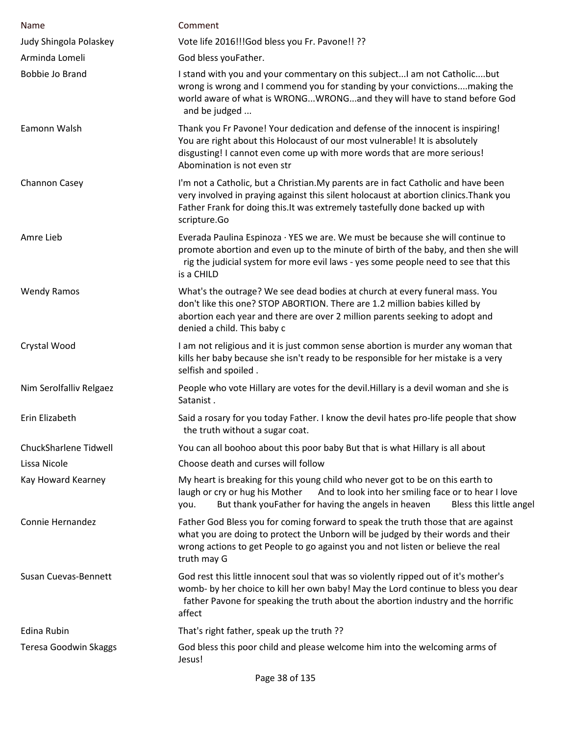| Name                    | Comment                                                                                                                                                                                                                                                                     |
|-------------------------|-----------------------------------------------------------------------------------------------------------------------------------------------------------------------------------------------------------------------------------------------------------------------------|
| Judy Shingola Polaskey  | Vote life 2016!!!God bless you Fr. Pavone!! ??                                                                                                                                                                                                                              |
| Arminda Lomeli          | God bless youFather.                                                                                                                                                                                                                                                        |
| Bobbie Jo Brand         | I stand with you and your commentary on this subject I am not Catholicbut<br>wrong is wrong and I commend you for standing by your convictionsmaking the<br>world aware of what is WRONGWRONGand they will have to stand before God<br>and be judged                        |
| Eamonn Walsh            | Thank you Fr Pavone! Your dedication and defense of the innocent is inspiring!<br>You are right about this Holocaust of our most vulnerable! It is absolutely<br>disgusting! I cannot even come up with more words that are more serious!<br>Abomination is not even str    |
| Channon Casey           | I'm not a Catholic, but a Christian. My parents are in fact Catholic and have been<br>very involved in praying against this silent holocaust at abortion clinics. Thank you<br>Father Frank for doing this. It was extremely tastefully done backed up with<br>scripture.Go |
| Amre Lieb               | Everada Paulina Espinoza · YES we are. We must be because she will continue to<br>promote abortion and even up to the minute of birth of the baby, and then she will<br>rig the judicial system for more evil laws - yes some people need to see that this<br>is a CHILD    |
| <b>Wendy Ramos</b>      | What's the outrage? We see dead bodies at church at every funeral mass. You<br>don't like this one? STOP ABORTION. There are 1.2 million babies killed by<br>abortion each year and there are over 2 million parents seeking to adopt and<br>denied a child. This baby c    |
| Crystal Wood            | I am not religious and it is just common sense abortion is murder any woman that<br>kills her baby because she isn't ready to be responsible for her mistake is a very<br>selfish and spoiled.                                                                              |
| Nim Serolfalliv Relgaez | People who vote Hillary are votes for the devil. Hillary is a devil woman and she is<br>Satanist.                                                                                                                                                                           |
| Erin Elizabeth          | Said a rosary for you today Father. I know the devil hates pro-life people that show<br>the truth without a sugar coat.                                                                                                                                                     |
| ChuckSharlene Tidwell   | You can all boohoo about this poor baby But that is what Hillary is all about                                                                                                                                                                                               |
| Lissa Nicole            | Choose death and curses will follow                                                                                                                                                                                                                                         |
| Kay Howard Kearney      | My heart is breaking for this young child who never got to be on this earth to<br>And to look into her smiling face or to hear I love<br>laugh or cry or hug his Mother<br>But thank youFather for having the angels in heaven<br>Bless this little angel<br>you.           |
| Connie Hernandez        | Father God Bless you for coming forward to speak the truth those that are against<br>what you are doing to protect the Unborn will be judged by their words and their<br>wrong actions to get People to go against you and not listen or believe the real<br>truth may G    |
| Susan Cuevas-Bennett    | God rest this little innocent soul that was so violently ripped out of it's mother's<br>womb- by her choice to kill her own baby! May the Lord continue to bless you dear<br>father Pavone for speaking the truth about the abortion industry and the horrific<br>affect    |
| Edina Rubin             | That's right father, speak up the truth ??                                                                                                                                                                                                                                  |
| Teresa Goodwin Skaggs   | God bless this poor child and please welcome him into the welcoming arms of<br>Jesus!                                                                                                                                                                                       |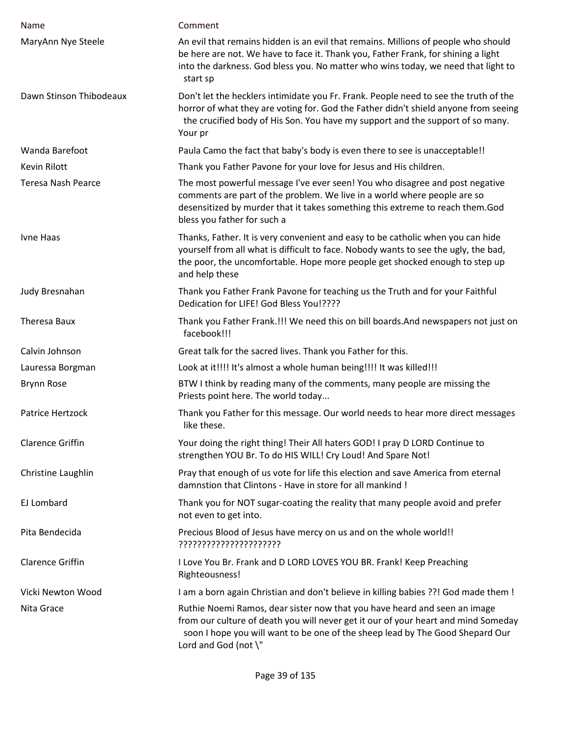| Name                      | Comment                                                                                                                                                                                                                                                                  |
|---------------------------|--------------------------------------------------------------------------------------------------------------------------------------------------------------------------------------------------------------------------------------------------------------------------|
| MaryAnn Nye Steele        | An evil that remains hidden is an evil that remains. Millions of people who should<br>be here are not. We have to face it. Thank you, Father Frank, for shining a light<br>into the darkness. God bless you. No matter who wins today, we need that light to<br>start sp |
| Dawn Stinson Thibodeaux   | Don't let the hecklers intimidate you Fr. Frank. People need to see the truth of the<br>horror of what they are voting for. God the Father didn't shield anyone from seeing<br>the crucified body of His Son. You have my support and the support of so many.<br>Your pr |
| Wanda Barefoot            | Paula Camo the fact that baby's body is even there to see is unacceptable!!                                                                                                                                                                                              |
| Kevin Rilott              | Thank you Father Pavone for your love for Jesus and His children.                                                                                                                                                                                                        |
| <b>Teresa Nash Pearce</b> | The most powerful message I've ever seen! You who disagree and post negative<br>comments are part of the problem. We live in a world where people are so<br>desensitized by murder that it takes something this extreme to reach them.God<br>bless you father for such a |
| Ivne Haas                 | Thanks, Father. It is very convenient and easy to be catholic when you can hide<br>yourself from all what is difficult to face. Nobody wants to see the ugly, the bad,<br>the poor, the uncomfortable. Hope more people get shocked enough to step up<br>and help these  |
| Judy Bresnahan            | Thank you Father Frank Pavone for teaching us the Truth and for your Faithful<br>Dedication for LIFE! God Bless You!????                                                                                                                                                 |
| Theresa Baux              | Thank you Father Frank.!!! We need this on bill boards. And newspapers not just on<br>facebook!!!                                                                                                                                                                        |
| Calvin Johnson            | Great talk for the sacred lives. Thank you Father for this.                                                                                                                                                                                                              |
| Lauressa Borgman          | Look at it!!!! It's almost a whole human being!!!! It was killed!!!                                                                                                                                                                                                      |
| Brynn Rose                | BTW I think by reading many of the comments, many people are missing the<br>Priests point here. The world today                                                                                                                                                          |
| Patrice Hertzock          | Thank you Father for this message. Our world needs to hear more direct messages<br>like these.                                                                                                                                                                           |
| <b>Clarence Griffin</b>   | Your doing the right thing! Their All haters GOD! I pray D LORD Continue to<br>strengthen YOU Br. To do HIS WILL! Cry Loud! And Spare Not!                                                                                                                               |
| Christine Laughlin        | Pray that enough of us vote for life this election and save America from eternal<br>damnstion that Clintons - Have in store for all mankind !                                                                                                                            |
| EJ Lombard                | Thank you for NOT sugar-coating the reality that many people avoid and prefer<br>not even to get into.                                                                                                                                                                   |
| Pita Bendecida            | Precious Blood of Jesus have mercy on us and on the whole world!!<br>??????????????????????                                                                                                                                                                              |
| <b>Clarence Griffin</b>   | I Love You Br. Frank and D LORD LOVES YOU BR. Frank! Keep Preaching<br>Righteousness!                                                                                                                                                                                    |
| Vicki Newton Wood         | I am a born again Christian and don't believe in killing babies ??! God made them !                                                                                                                                                                                      |
| Nita Grace                | Ruthie Noemi Ramos, dear sister now that you have heard and seen an image<br>from our culture of death you will never get it our of your heart and mind Someday<br>soon I hope you will want to be one of the sheep lead by The Good Shepard Our<br>Lord and God (not \" |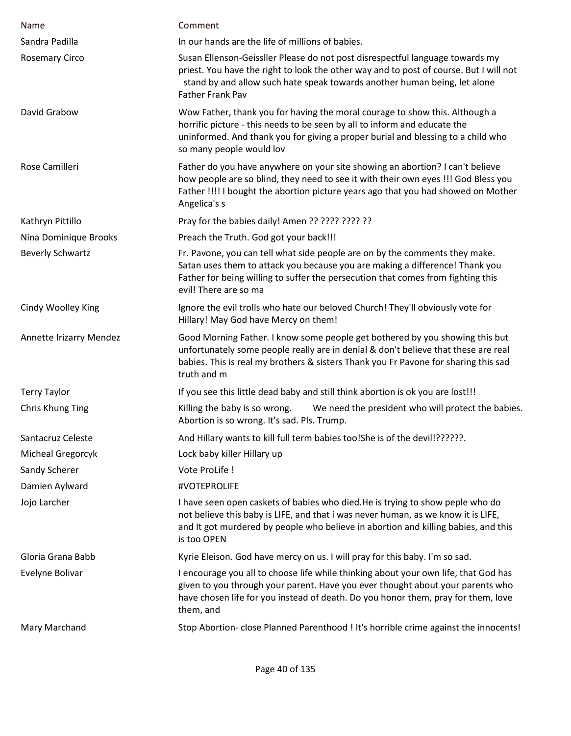| Name                    | Comment                                                                                                                                                                                                                                                                  |
|-------------------------|--------------------------------------------------------------------------------------------------------------------------------------------------------------------------------------------------------------------------------------------------------------------------|
| Sandra Padilla          | In our hands are the life of millions of babies.                                                                                                                                                                                                                         |
| <b>Rosemary Circo</b>   | Susan Ellenson-Geissller Please do not post disrespectful language towards my<br>priest. You have the right to look the other way and to post of course. But I will not<br>stand by and allow such hate speak towards another human being, let alone<br>Father Frank Pav |
| David Grabow            | Wow Father, thank you for having the moral courage to show this. Although a<br>horrific picture - this needs to be seen by all to inform and educate the<br>uninformed. And thank you for giving a proper burial and blessing to a child who<br>so many people would lov |
| Rose Camilleri          | Father do you have anywhere on your site showing an abortion? I can't believe<br>how people are so blind, they need to see it with their own eyes !!! God Bless you<br>Father !!!! I bought the abortion picture years ago that you had showed on Mother<br>Angelica's s |
| Kathryn Pittillo        | Pray for the babies daily! Amen ?? ???? ???? ??                                                                                                                                                                                                                          |
| Nina Dominique Brooks   | Preach the Truth. God got your back!!!                                                                                                                                                                                                                                   |
| <b>Beverly Schwartz</b> | Fr. Pavone, you can tell what side people are on by the comments they make.<br>Satan uses them to attack you because you are making a difference! Thank you<br>Father for being willing to suffer the persecution that comes from fighting this<br>evil! There are so ma |
| Cindy Woolley King      | Ignore the evil trolls who hate our beloved Church! They'll obviously vote for<br>Hillary! May God have Mercy on them!                                                                                                                                                   |
| Annette Irizarry Mendez | Good Morning Father. I know some people get bothered by you showing this but<br>unfortunately some people really are in denial & don't believe that these are real<br>babies. This is real my brothers & sisters Thank you Fr Pavone for sharing this sad<br>truth and m |
| <b>Terry Taylor</b>     | If you see this little dead baby and still think abortion is ok you are lost!!!                                                                                                                                                                                          |
| Chris Khung Ting        | Killing the baby is so wrong. We need the president who will protect the babies.<br>Abortion is so wrong. It's sad. Pls. Trump.                                                                                                                                          |
| Santacruz Celeste       | And Hillary wants to kill full term babies too!She is of the devil!??????.                                                                                                                                                                                               |
| Micheal Gregorcyk       | Lock baby killer Hillary up                                                                                                                                                                                                                                              |
| Sandy Scherer           | Vote ProLife !                                                                                                                                                                                                                                                           |
| Damien Aylward          | #VOTEPROLIFE                                                                                                                                                                                                                                                             |
| Jojo Larcher            | I have seen open caskets of babies who died. He is trying to show peple who do<br>not believe this baby is LIFE, and that i was never human, as we know it is LIFE,<br>and It got murdered by people who believe in abortion and killing babies, and this<br>is too OPEN |
| Gloria Grana Babb       | Kyrie Eleison. God have mercy on us. I will pray for this baby. I'm so sad.                                                                                                                                                                                              |
| Evelyne Bolivar         | I encourage you all to choose life while thinking about your own life, that God has<br>given to you through your parent. Have you ever thought about your parents who<br>have chosen life for you instead of death. Do you honor them, pray for them, love<br>them, and  |
| Mary Marchand           | Stop Abortion- close Planned Parenthood ! It's horrible crime against the innocents!                                                                                                                                                                                     |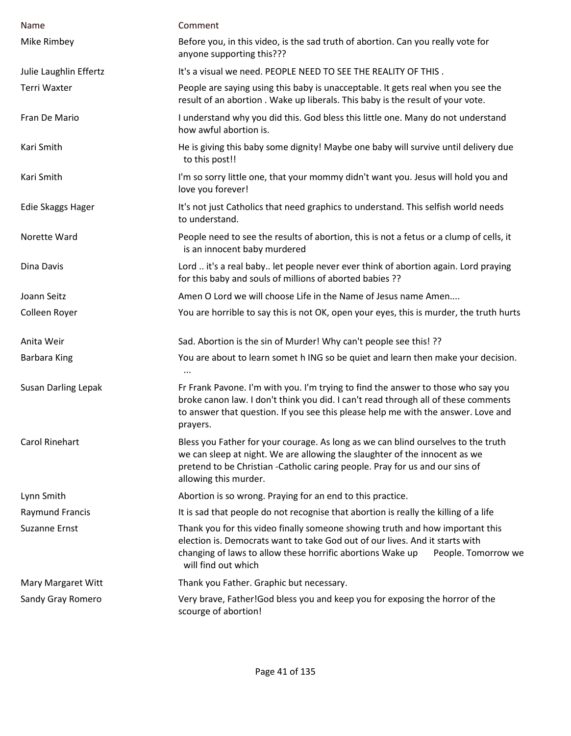| Name                       | Comment                                                                                                                                                                                                                                                                   |
|----------------------------|---------------------------------------------------------------------------------------------------------------------------------------------------------------------------------------------------------------------------------------------------------------------------|
| Mike Rimbey                | Before you, in this video, is the sad truth of abortion. Can you really vote for<br>anyone supporting this???                                                                                                                                                             |
| Julie Laughlin Effertz     | It's a visual we need. PEOPLE NEED TO SEE THE REALITY OF THIS.                                                                                                                                                                                                            |
| Terri Waxter               | People are saying using this baby is unacceptable. It gets real when you see the<br>result of an abortion. Wake up liberals. This baby is the result of your vote.                                                                                                        |
| Fran De Mario              | I understand why you did this. God bless this little one. Many do not understand<br>how awful abortion is.                                                                                                                                                                |
| Kari Smith                 | He is giving this baby some dignity! Maybe one baby will survive until delivery due<br>to this post!!                                                                                                                                                                     |
| Kari Smith                 | I'm so sorry little one, that your mommy didn't want you. Jesus will hold you and<br>love you forever!                                                                                                                                                                    |
| Edie Skaggs Hager          | It's not just Catholics that need graphics to understand. This selfish world needs<br>to understand.                                                                                                                                                                      |
| Norette Ward               | People need to see the results of abortion, this is not a fetus or a clump of cells, it<br>is an innocent baby murdered                                                                                                                                                   |
| Dina Davis                 | Lord  it's a real baby let people never ever think of abortion again. Lord praying<br>for this baby and souls of millions of aborted babies ??                                                                                                                            |
| Joann Seitz                | Amen O Lord we will choose Life in the Name of Jesus name Amen                                                                                                                                                                                                            |
| Colleen Royer              | You are horrible to say this is not OK, open your eyes, this is murder, the truth hurts                                                                                                                                                                                   |
| Anita Weir                 | Sad. Abortion is the sin of Murder! Why can't people see this! ??                                                                                                                                                                                                         |
| Barbara King               | You are about to learn somet h ING so be quiet and learn then make your decision.                                                                                                                                                                                         |
| <b>Susan Darling Lepak</b> | Fr Frank Pavone. I'm with you. I'm trying to find the answer to those who say you<br>broke canon law. I don't think you did. I can't read through all of these comments<br>to answer that question. If you see this please help me with the answer. Love and<br>prayers.  |
| <b>Carol Rinehart</b>      | Bless you Father for your courage. As long as we can blind ourselves to the truth<br>we can sleep at night. We are allowing the slaughter of the innocent as we<br>pretend to be Christian -Catholic caring people. Pray for us and our sins of<br>allowing this murder.  |
| Lynn Smith                 | Abortion is so wrong. Praying for an end to this practice.                                                                                                                                                                                                                |
| <b>Raymund Francis</b>     | It is sad that people do not recognise that abortion is really the killing of a life                                                                                                                                                                                      |
| <b>Suzanne Ernst</b>       | Thank you for this video finally someone showing truth and how important this<br>election is. Democrats want to take God out of our lives. And it starts with<br>changing of laws to allow these horrific abortions Wake up<br>People. Tomorrow we<br>will find out which |
| Mary Margaret Witt         | Thank you Father. Graphic but necessary.                                                                                                                                                                                                                                  |
| Sandy Gray Romero          | Very brave, Father! God bless you and keep you for exposing the horror of the<br>scourge of abortion!                                                                                                                                                                     |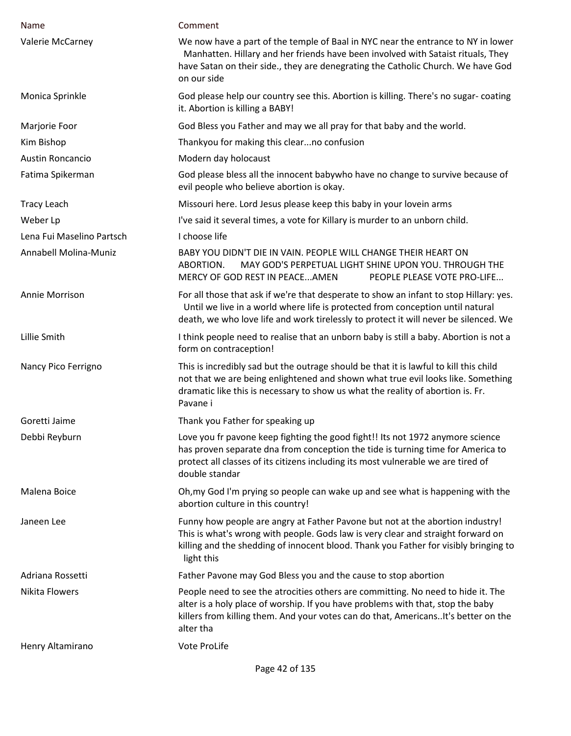| Name                      | Comment                                                                                                                                                                                                                                                                  |
|---------------------------|--------------------------------------------------------------------------------------------------------------------------------------------------------------------------------------------------------------------------------------------------------------------------|
| Valerie McCarney          | We now have a part of the temple of Baal in NYC near the entrance to NY in lower<br>Manhatten. Hillary and her friends have been involved with Sataist rituals, They<br>have Satan on their side., they are denegrating the Catholic Church. We have God<br>on our side  |
| Monica Sprinkle           | God please help our country see this. Abortion is killing. There's no sugar- coating<br>it. Abortion is killing a BABY!                                                                                                                                                  |
| Marjorie Foor             | God Bless you Father and may we all pray for that baby and the world.                                                                                                                                                                                                    |
| Kim Bishop                | Thankyou for making this clearno confusion                                                                                                                                                                                                                               |
| <b>Austin Roncancio</b>   | Modern day holocaust                                                                                                                                                                                                                                                     |
| Fatima Spikerman          | God please bless all the innocent babywho have no change to survive because of<br>evil people who believe abortion is okay.                                                                                                                                              |
| <b>Tracy Leach</b>        | Missouri here. Lord Jesus please keep this baby in your lovein arms                                                                                                                                                                                                      |
| Weber Lp                  | I've said it several times, a vote for Killary is murder to an unborn child.                                                                                                                                                                                             |
| Lena Fui Maselino Partsch | I choose life                                                                                                                                                                                                                                                            |
| Annabell Molina-Muniz     | BABY YOU DIDN'T DIE IN VAIN. PEOPLE WILL CHANGE THEIR HEART ON<br>MAY GOD'S PERPETUAL LIGHT SHINE UPON YOU. THROUGH THE<br>ABORTION.<br>MERCY OF GOD REST IN PEACEAMEN<br>PEOPLE PLEASE VOTE PRO-LIFE                                                                    |
| Annie Morrison            | For all those that ask if we're that desperate to show an infant to stop Hillary: yes.<br>Until we live in a world where life is protected from conception until natural<br>death, we who love life and work tirelessly to protect it will never be silenced. We         |
| Lillie Smith              | I think people need to realise that an unborn baby is still a baby. Abortion is not a<br>form on contraception!                                                                                                                                                          |
| Nancy Pico Ferrigno       | This is incredibly sad but the outrage should be that it is lawful to kill this child<br>not that we are being enlightened and shown what true evil looks like. Something<br>dramatic like this is necessary to show us what the reality of abortion is. Fr.<br>Pavane i |
| Goretti Jaime             | Thank you Father for speaking up                                                                                                                                                                                                                                         |
| Debbi Reyburn             | Love you fr pavone keep fighting the good fight!! Its not 1972 anymore science<br>has proven separate dna from conception the tide is turning time for America to<br>protect all classes of its citizens including its most vulnerable we are tired of<br>double standar |
| Malena Boice              | Oh, my God I'm prying so people can wake up and see what is happening with the<br>abortion culture in this country!                                                                                                                                                      |
| Janeen Lee                | Funny how people are angry at Father Pavone but not at the abortion industry!<br>This is what's wrong with people. Gods law is very clear and straight forward on<br>killing and the shedding of innocent blood. Thank you Father for visibly bringing to<br>light this  |
| Adriana Rossetti          | Father Pavone may God Bless you and the cause to stop abortion                                                                                                                                                                                                           |
| <b>Nikita Flowers</b>     | People need to see the atrocities others are committing. No need to hide it. The<br>alter is a holy place of worship. If you have problems with that, stop the baby<br>killers from killing them. And your votes can do that, AmericansIt's better on the<br>alter tha   |
| Henry Altamirano          | Vote ProLife                                                                                                                                                                                                                                                             |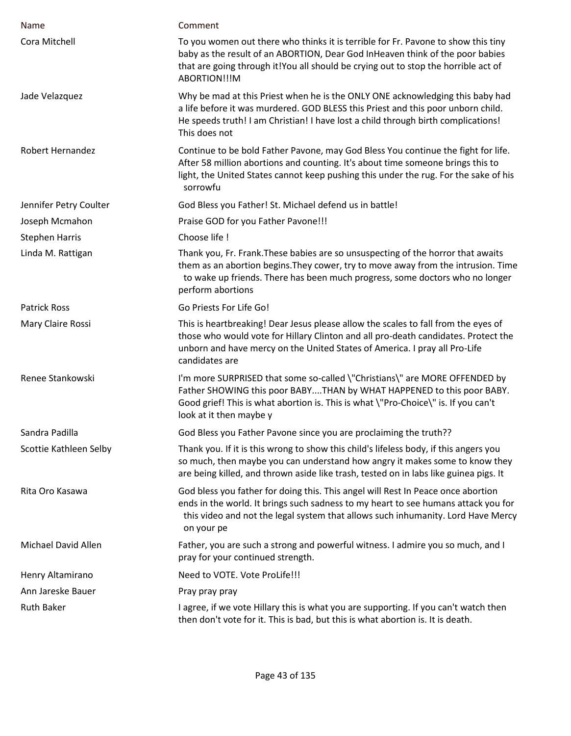| Name                    | Comment                                                                                                                                                                                                                                                                    |
|-------------------------|----------------------------------------------------------------------------------------------------------------------------------------------------------------------------------------------------------------------------------------------------------------------------|
| Cora Mitchell           | To you women out there who thinks it is terrible for Fr. Pavone to show this tiny<br>baby as the result of an ABORTION, Dear God InHeaven think of the poor babies<br>that are going through it!You all should be crying out to stop the horrible act of<br>ABORTION!!!M   |
| Jade Velazquez          | Why be mad at this Priest when he is the ONLY ONE acknowledging this baby had<br>a life before it was murdered. GOD BLESS this Priest and this poor unborn child.<br>He speeds truth! I am Christian! I have lost a child through birth complications!<br>This does not    |
| <b>Robert Hernandez</b> | Continue to be bold Father Pavone, may God Bless You continue the fight for life.<br>After 58 million abortions and counting. It's about time someone brings this to<br>light, the United States cannot keep pushing this under the rug. For the sake of his<br>sorrowfu   |
| Jennifer Petry Coulter  | God Bless you Father! St. Michael defend us in battle!                                                                                                                                                                                                                     |
| Joseph Mcmahon          | Praise GOD for you Father Pavone!!!                                                                                                                                                                                                                                        |
| <b>Stephen Harris</b>   | Choose life !                                                                                                                                                                                                                                                              |
| Linda M. Rattigan       | Thank you, Fr. Frank. These babies are so unsuspecting of the horror that awaits<br>them as an abortion begins. They cower, try to move away from the intrusion. Time<br>to wake up friends. There has been much progress, some doctors who no longer<br>perform abortions |
| <b>Patrick Ross</b>     | Go Priests For Life Go!                                                                                                                                                                                                                                                    |
| Mary Claire Rossi       | This is heartbreaking! Dear Jesus please allow the scales to fall from the eyes of<br>those who would vote for Hillary Clinton and all pro-death candidates. Protect the<br>unborn and have mercy on the United States of America. I pray all Pro-Life<br>candidates are   |
| Renee Stankowski        | I'm more SURPRISED that some so-called \"Christians\" are MORE OFFENDED by<br>Father SHOWING this poor BABYTHAN by WHAT HAPPENED to this poor BABY.<br>Good grief! This is what abortion is. This is what \"Pro-Choice\" is. If you can't<br>look at it then maybe y       |
| Sandra Padilla          | God Bless you Father Pavone since you are proclaiming the truth??                                                                                                                                                                                                          |
| Scottie Kathleen Selby  | Thank you. If it is this wrong to show this child's lifeless body, if this angers you<br>so much, then maybe you can understand how angry it makes some to know they<br>are being killed, and thrown aside like trash, tested on in labs like guinea pigs. It              |
| Rita Oro Kasawa         | God bless you father for doing this. This angel will Rest In Peace once abortion<br>ends in the world. It brings such sadness to my heart to see humans attack you for<br>this video and not the legal system that allows such inhumanity. Lord Have Mercy<br>on your pe   |
| Michael David Allen     | Father, you are such a strong and powerful witness. I admire you so much, and I<br>pray for your continued strength.                                                                                                                                                       |
| Henry Altamirano        | Need to VOTE. Vote ProLife!!!                                                                                                                                                                                                                                              |
| Ann Jareske Bauer       | Pray pray pray                                                                                                                                                                                                                                                             |
| <b>Ruth Baker</b>       | I agree, if we vote Hillary this is what you are supporting. If you can't watch then<br>then don't vote for it. This is bad, but this is what abortion is. It is death.                                                                                                    |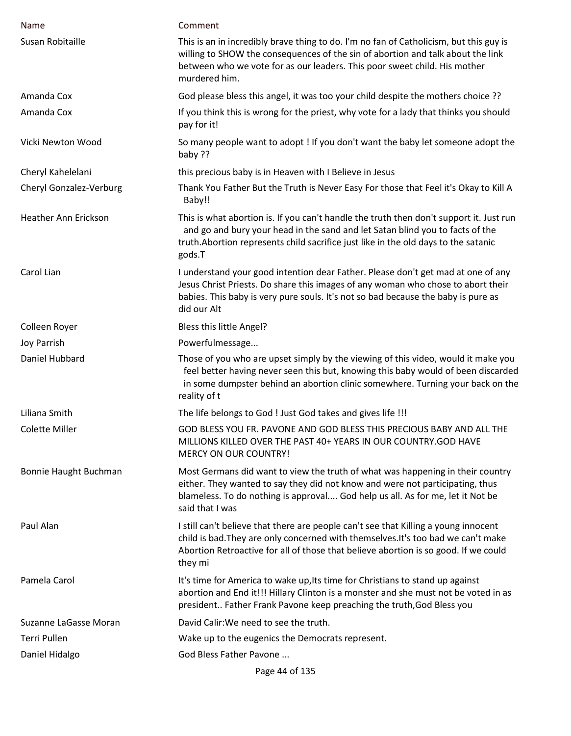| <b>Name</b>             | Comment                                                                                                                                                                                                                                                                    |
|-------------------------|----------------------------------------------------------------------------------------------------------------------------------------------------------------------------------------------------------------------------------------------------------------------------|
| Susan Robitaille        | This is an in incredibly brave thing to do. I'm no fan of Catholicism, but this guy is<br>willing to SHOW the consequences of the sin of abortion and talk about the link<br>between who we vote for as our leaders. This poor sweet child. His mother<br>murdered him.    |
| Amanda Cox              | God please bless this angel, it was too your child despite the mothers choice ??                                                                                                                                                                                           |
| Amanda Cox              | If you think this is wrong for the priest, why vote for a lady that thinks you should<br>pay for it!                                                                                                                                                                       |
| Vicki Newton Wood       | So many people want to adopt ! If you don't want the baby let someone adopt the<br>baby ??                                                                                                                                                                                 |
| Cheryl Kahelelani       | this precious baby is in Heaven with I Believe in Jesus                                                                                                                                                                                                                    |
| Cheryl Gonzalez-Verburg | Thank You Father But the Truth is Never Easy For those that Feel it's Okay to Kill A<br>Baby!!                                                                                                                                                                             |
| Heather Ann Erickson    | This is what abortion is. If you can't handle the truth then don't support it. Just run<br>and go and bury your head in the sand and let Satan blind you to facts of the<br>truth. Abortion represents child sacrifice just like in the old days to the satanic<br>gods.T  |
| Carol Lian              | I understand your good intention dear Father. Please don't get mad at one of any<br>Jesus Christ Priests. Do share this images of any woman who chose to abort their<br>babies. This baby is very pure souls. It's not so bad because the baby is pure as<br>did our Alt   |
| Colleen Royer           | Bless this little Angel?                                                                                                                                                                                                                                                   |
| Joy Parrish             | Powerfulmessage                                                                                                                                                                                                                                                            |
| Daniel Hubbard          | Those of you who are upset simply by the viewing of this video, would it make you<br>feel better having never seen this but, knowing this baby would of been discarded<br>in some dumpster behind an abortion clinic somewhere. Turning your back on the<br>reality of t   |
| Liliana Smith           | The life belongs to God ! Just God takes and gives life !!!                                                                                                                                                                                                                |
| <b>Colette Miller</b>   | GOD BLESS YOU FR. PAVONE AND GOD BLESS THIS PRECIOUS BABY AND ALL THE<br>MILLIONS KILLED OVER THE PAST 40+ YEARS IN OUR COUNTRY.GOD HAVE<br><b>MERCY ON OUR COUNTRY!</b>                                                                                                   |
| Bonnie Haught Buchman   | Most Germans did want to view the truth of what was happening in their country<br>either. They wanted to say they did not know and were not participating, thus<br>blameless. To do nothing is approval God help us all. As for me, let it Not be<br>said that I was       |
| Paul Alan               | I still can't believe that there are people can't see that Killing a young innocent<br>child is bad. They are only concerned with themselves. It's too bad we can't make<br>Abortion Retroactive for all of those that believe abortion is so good. If we could<br>they mi |
| Pamela Carol            | It's time for America to wake up, Its time for Christians to stand up against<br>abortion and End it!!! Hillary Clinton is a monster and she must not be voted in as<br>president Father Frank Pavone keep preaching the truth, God Bless you                              |
| Suzanne LaGasse Moran   | David Calir: We need to see the truth.                                                                                                                                                                                                                                     |
| Terri Pullen            | Wake up to the eugenics the Democrats represent.                                                                                                                                                                                                                           |
| Daniel Hidalgo          | God Bless Father Pavone                                                                                                                                                                                                                                                    |
|                         | Page 44 of 135                                                                                                                                                                                                                                                             |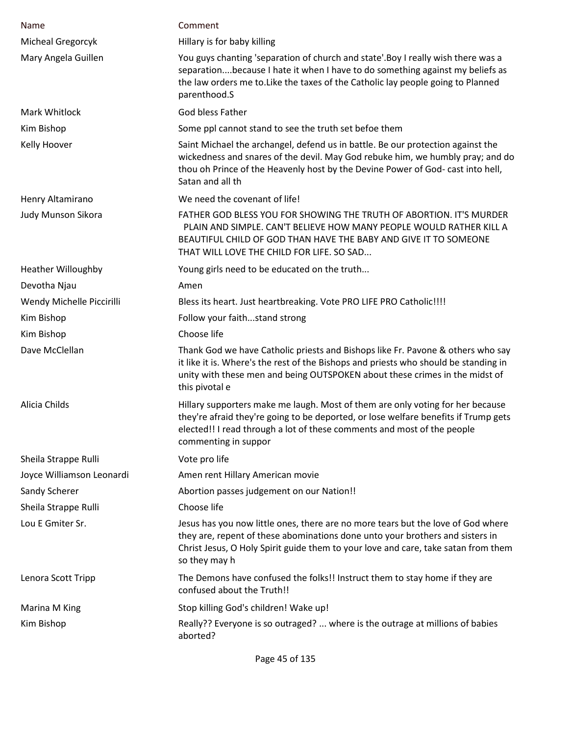| Name                      | Comment                                                                                                                                                                                                                                                                  |
|---------------------------|--------------------------------------------------------------------------------------------------------------------------------------------------------------------------------------------------------------------------------------------------------------------------|
| Micheal Gregorcyk         | Hillary is for baby killing                                                                                                                                                                                                                                              |
| Mary Angela Guillen       | You guys chanting 'separation of church and state'. Boy I really wish there was a<br>separationbecause I hate it when I have to do something against my beliefs as<br>the law orders me to. Like the taxes of the Catholic lay people going to Planned<br>parenthood.S   |
| <b>Mark Whitlock</b>      | God bless Father                                                                                                                                                                                                                                                         |
| Kim Bishop                | Some ppl cannot stand to see the truth set befoe them                                                                                                                                                                                                                    |
| Kelly Hoover              | Saint Michael the archangel, defend us in battle. Be our protection against the<br>wickedness and snares of the devil. May God rebuke him, we humbly pray; and do<br>thou oh Prince of the Heavenly host by the Devine Power of God- cast into hell,<br>Satan and all th |
| Henry Altamirano          | We need the covenant of life!                                                                                                                                                                                                                                            |
| Judy Munson Sikora        | FATHER GOD BLESS YOU FOR SHOWING THE TRUTH OF ABORTION. IT'S MURDER<br>PLAIN AND SIMPLE. CAN'T BELIEVE HOW MANY PEOPLE WOULD RATHER KILL A<br>BEAUTIFUL CHILD OF GOD THAN HAVE THE BABY AND GIVE IT TO SOMEONE<br>THAT WILL LOVE THE CHILD FOR LIFE. SO SAD              |
| <b>Heather Willoughby</b> | Young girls need to be educated on the truth                                                                                                                                                                                                                             |
| Devotha Njau              | Amen                                                                                                                                                                                                                                                                     |
| Wendy Michelle Piccirilli | Bless its heart. Just heartbreaking. Vote PRO LIFE PRO Catholic !!!!                                                                                                                                                                                                     |
| Kim Bishop                | Follow your faithstand strong                                                                                                                                                                                                                                            |
| Kim Bishop                | Choose life                                                                                                                                                                                                                                                              |
| Dave McClellan            | Thank God we have Catholic priests and Bishops like Fr. Pavone & others who say<br>it like it is. Where's the rest of the Bishops and priests who should be standing in<br>unity with these men and being OUTSPOKEN about these crimes in the midst of<br>this pivotal e |
| Alicia Childs             | Hillary supporters make me laugh. Most of them are only voting for her because<br>they're afraid they're going to be deported, or lose welfare benefits if Trump gets<br>elected!! I read through a lot of these comments and most of the people<br>commenting in suppor |
| Sheila Strappe Rulli      | Vote pro life                                                                                                                                                                                                                                                            |
| Joyce Williamson Leonardi | Amen rent Hillary American movie                                                                                                                                                                                                                                         |
| Sandy Scherer             | Abortion passes judgement on our Nation!!                                                                                                                                                                                                                                |
| Sheila Strappe Rulli      | Choose life                                                                                                                                                                                                                                                              |
| Lou E Gmiter Sr.          | Jesus has you now little ones, there are no more tears but the love of God where<br>they are, repent of these abominations done unto your brothers and sisters in<br>Christ Jesus, O Holy Spirit guide them to your love and care, take satan from them<br>so they may h |
| Lenora Scott Tripp        | The Demons have confused the folks!! Instruct them to stay home if they are<br>confused about the Truth!!                                                                                                                                                                |
| Marina M King             | Stop killing God's children! Wake up!                                                                                                                                                                                                                                    |
| Kim Bishop                | Really?? Everyone is so outraged?  where is the outrage at millions of babies<br>aborted?                                                                                                                                                                                |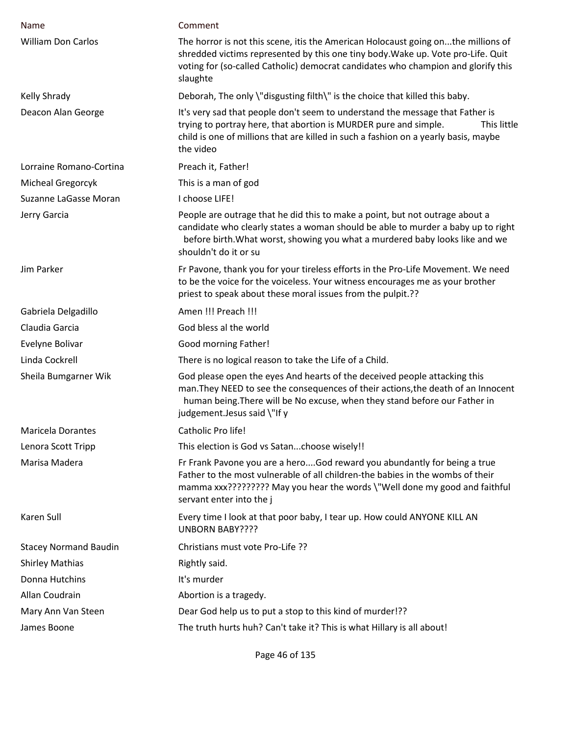| Name                         | Comment                                                                                                                                                                                                                                                                      |
|------------------------------|------------------------------------------------------------------------------------------------------------------------------------------------------------------------------------------------------------------------------------------------------------------------------|
| <b>William Don Carlos</b>    | The horror is not this scene, itis the American Holocaust going onthe millions of<br>shredded victims represented by this one tiny body. Wake up. Vote pro-Life. Quit<br>voting for (so-called Catholic) democrat candidates who champion and glorify this<br>slaughte       |
| Kelly Shrady                 | Deborah, The only \"disgusting filth\" is the choice that killed this baby.                                                                                                                                                                                                  |
| Deacon Alan George           | It's very sad that people don't seem to understand the message that Father is<br>trying to portray here, that abortion is MURDER pure and simple.<br>This little<br>child is one of millions that are killed in such a fashion on a yearly basis, maybe<br>the video         |
| Lorraine Romano-Cortina      | Preach it, Father!                                                                                                                                                                                                                                                           |
| Micheal Gregorcyk            | This is a man of god                                                                                                                                                                                                                                                         |
| Suzanne LaGasse Moran        | I choose LIFE!                                                                                                                                                                                                                                                               |
| Jerry Garcia                 | People are outrage that he did this to make a point, but not outrage about a<br>candidate who clearly states a woman should be able to murder a baby up to right<br>before birth. What worst, showing you what a murdered baby looks like and we<br>shouldn't do it or su    |
| Jim Parker                   | Fr Pavone, thank you for your tireless efforts in the Pro-Life Movement. We need<br>to be the voice for the voiceless. Your witness encourages me as your brother<br>priest to speak about these moral issues from the pulpit.??                                             |
| Gabriela Delgadillo          | Amen !!! Preach !!!                                                                                                                                                                                                                                                          |
| Claudia Garcia               | God bless al the world                                                                                                                                                                                                                                                       |
| Evelyne Bolivar              | Good morning Father!                                                                                                                                                                                                                                                         |
| Linda Cockrell               | There is no logical reason to take the Life of a Child.                                                                                                                                                                                                                      |
| Sheila Bumgarner Wik         | God please open the eyes And hearts of the deceived people attacking this<br>man. They NEED to see the consequences of their actions, the death of an Innocent<br>human being. There will be No excuse, when they stand before our Father in<br>judgement. Jesus said \"If y |
| <b>Maricela Dorantes</b>     | Catholic Pro life!                                                                                                                                                                                                                                                           |
| Lenora Scott Tripp           | This election is God vs Satanchoose wisely!!                                                                                                                                                                                                                                 |
| Marisa Madera                | Fr Frank Pavone you are a heroGod reward you abundantly for being a true<br>Father to the most vulnerable of all children-the babies in the wombs of their<br>mamma xxx????????? May you hear the words \"Well done my good and faithful<br>servant enter into the j         |
| Karen Sull                   | Every time I look at that poor baby, I tear up. How could ANYONE KILL AN<br><b>UNBORN BABY????</b>                                                                                                                                                                           |
| <b>Stacey Normand Baudin</b> | Christians must vote Pro-Life ??                                                                                                                                                                                                                                             |
| <b>Shirley Mathias</b>       | Rightly said.                                                                                                                                                                                                                                                                |
| Donna Hutchins               | It's murder                                                                                                                                                                                                                                                                  |
| Allan Coudrain               | Abortion is a tragedy.                                                                                                                                                                                                                                                       |
| Mary Ann Van Steen           | Dear God help us to put a stop to this kind of murder!??                                                                                                                                                                                                                     |
| James Boone                  | The truth hurts huh? Can't take it? This is what Hillary is all about!                                                                                                                                                                                                       |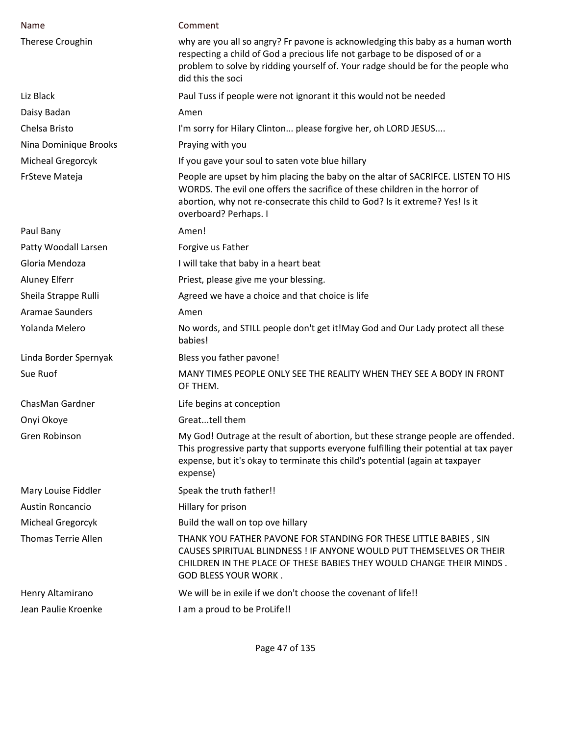| Name                       | Comment                                                                                                                                                                                                                                                                  |
|----------------------------|--------------------------------------------------------------------------------------------------------------------------------------------------------------------------------------------------------------------------------------------------------------------------|
| Therese Croughin           | why are you all so angry? Fr pavone is acknowledging this baby as a human worth<br>respecting a child of God a precious life not garbage to be disposed of or a<br>problem to solve by ridding yourself of. Your radge should be for the people who<br>did this the soci |
| Liz Black                  | Paul Tuss if people were not ignorant it this would not be needed                                                                                                                                                                                                        |
| Daisy Badan                | Amen                                                                                                                                                                                                                                                                     |
| Chelsa Bristo              | I'm sorry for Hilary Clinton please forgive her, oh LORD JESUS                                                                                                                                                                                                           |
| Nina Dominique Brooks      | Praying with you                                                                                                                                                                                                                                                         |
| Micheal Gregorcyk          | If you gave your soul to saten vote blue hillary                                                                                                                                                                                                                         |
| FrSteve Mateja             | People are upset by him placing the baby on the altar of SACRIFCE. LISTEN TO HIS<br>WORDS. The evil one offers the sacrifice of these children in the horror of<br>abortion, why not re-consecrate this child to God? Is it extreme? Yes! Is it<br>overboard? Perhaps. I |
| Paul Bany                  | Amen!                                                                                                                                                                                                                                                                    |
| Patty Woodall Larsen       | Forgive us Father                                                                                                                                                                                                                                                        |
| Gloria Mendoza             | I will take that baby in a heart beat                                                                                                                                                                                                                                    |
| <b>Aluney Elferr</b>       | Priest, please give me your blessing.                                                                                                                                                                                                                                    |
| Sheila Strappe Rulli       | Agreed we have a choice and that choice is life                                                                                                                                                                                                                          |
| <b>Aramae Saunders</b>     | Amen                                                                                                                                                                                                                                                                     |
| Yolanda Melero             | No words, and STILL people don't get it!May God and Our Lady protect all these<br>babies!                                                                                                                                                                                |
| Linda Border Spernyak      | Bless you father pavone!                                                                                                                                                                                                                                                 |
| Sue Ruof                   | MANY TIMES PEOPLE ONLY SEE THE REALITY WHEN THEY SEE A BODY IN FRONT<br>OF THEM.                                                                                                                                                                                         |
| ChasMan Gardner            | Life begins at conception                                                                                                                                                                                                                                                |
| Onyi Okoye                 | Greattell them                                                                                                                                                                                                                                                           |
| Gren Robinson              | My God! Outrage at the result of abortion, but these strange people are offended.<br>This progressive party that supports everyone fulfilling their potential at tax payer<br>expense, but it's okay to terminate this child's potential (again at taxpayer<br>expense)  |
| Mary Louise Fiddler        | Speak the truth father!!                                                                                                                                                                                                                                                 |
| Austin Roncancio           | Hillary for prison                                                                                                                                                                                                                                                       |
| Micheal Gregorcyk          | Build the wall on top ove hillary                                                                                                                                                                                                                                        |
| <b>Thomas Terrie Allen</b> | THANK YOU FATHER PAVONE FOR STANDING FOR THESE LITTLE BABIES, SIN<br>CAUSES SPIRITUAL BLINDNESS ! IF ANYONE WOULD PUT THEMSELVES OR THEIR<br>CHILDREN IN THE PLACE OF THESE BABIES THEY WOULD CHANGE THEIR MINDS.<br><b>GOD BLESS YOUR WORK.</b>                         |
| Henry Altamirano           | We will be in exile if we don't choose the covenant of life!!                                                                                                                                                                                                            |
| Jean Paulie Kroenke        | I am a proud to be ProLife!!                                                                                                                                                                                                                                             |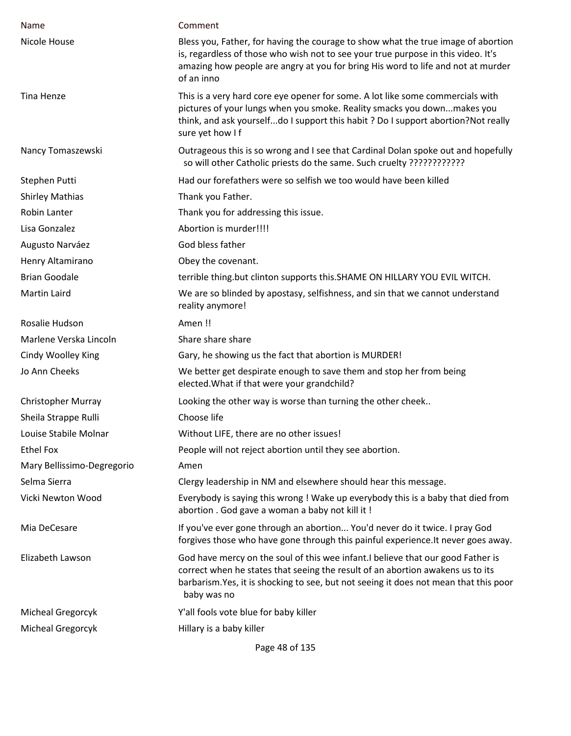| Name                       | Comment                                                                                                                                                                                                                                                                    |
|----------------------------|----------------------------------------------------------------------------------------------------------------------------------------------------------------------------------------------------------------------------------------------------------------------------|
| Nicole House               | Bless you, Father, for having the courage to show what the true image of abortion<br>is, regardless of those who wish not to see your true purpose in this video. It's<br>amazing how people are angry at you for bring His word to life and not at murder<br>of an inno   |
| Tina Henze                 | This is a very hard core eye opener for some. A lot like some commercials with<br>pictures of your lungs when you smoke. Reality smacks you downmakes you<br>think, and ask yourselfdo I support this habit ? Do I support abortion? Not really<br>sure yet how If         |
| Nancy Tomaszewski          | Outrageous this is so wrong and I see that Cardinal Dolan spoke out and hopefully                                                                                                                                                                                          |
| Stephen Putti              | Had our forefathers were so selfish we too would have been killed                                                                                                                                                                                                          |
| <b>Shirley Mathias</b>     | Thank you Father.                                                                                                                                                                                                                                                          |
| Robin Lanter               | Thank you for addressing this issue.                                                                                                                                                                                                                                       |
| Lisa Gonzalez              | Abortion is murder!!!!                                                                                                                                                                                                                                                     |
| Augusto Narváez            | God bless father                                                                                                                                                                                                                                                           |
| Henry Altamirano           | Obey the covenant.                                                                                                                                                                                                                                                         |
| <b>Brian Goodale</b>       | terrible thing.but clinton supports this. SHAME ON HILLARY YOU EVIL WITCH.                                                                                                                                                                                                 |
| <b>Martin Laird</b>        | We are so blinded by apostasy, selfishness, and sin that we cannot understand<br>reality anymore!                                                                                                                                                                          |
| Rosalie Hudson             | Amen!!                                                                                                                                                                                                                                                                     |
| Marlene Verska Lincoln     | Share share share                                                                                                                                                                                                                                                          |
| Cindy Woolley King         | Gary, he showing us the fact that abortion is MURDER!                                                                                                                                                                                                                      |
| Jo Ann Cheeks              | We better get despirate enough to save them and stop her from being<br>elected. What if that were your grandchild?                                                                                                                                                         |
| <b>Christopher Murray</b>  | Looking the other way is worse than turning the other cheek                                                                                                                                                                                                                |
| Sheila Strappe Rulli       | Choose life                                                                                                                                                                                                                                                                |
| Louise Stabile Molnar      | Without LIFE, there are no other issues!                                                                                                                                                                                                                                   |
| Ethel Fox                  | People will not reject abortion until they see abortion.                                                                                                                                                                                                                   |
| Mary Bellissimo-Degregorio | Amen                                                                                                                                                                                                                                                                       |
| Selma Sierra               | Clergy leadership in NM and elsewhere should hear this message.                                                                                                                                                                                                            |
| Vicki Newton Wood          | Everybody is saying this wrong ! Wake up everybody this is a baby that died from<br>abortion . God gave a woman a baby not kill it !                                                                                                                                       |
| Mia DeCesare               | If you've ever gone through an abortion You'd never do it twice. I pray God<br>forgives those who have gone through this painful experience. It never goes away.                                                                                                           |
| Elizabeth Lawson           | God have mercy on the soul of this wee infant. I believe that our good Father is<br>correct when he states that seeing the result of an abortion awakens us to its<br>barbarism. Yes, it is shocking to see, but not seeing it does not mean that this poor<br>baby was no |
| Micheal Gregorcyk          | Y'all fools vote blue for baby killer                                                                                                                                                                                                                                      |
| Micheal Gregorcyk          | Hillary is a baby killer                                                                                                                                                                                                                                                   |

Page 48 of 135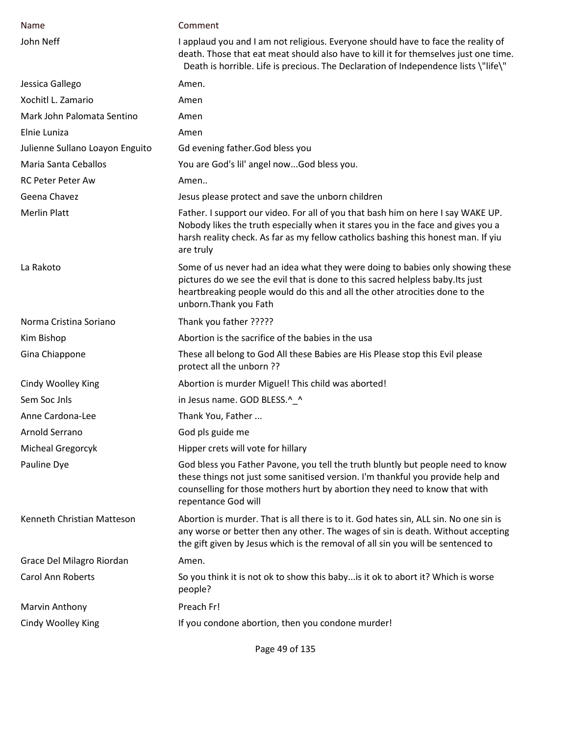| Name                            | Comment                                                                                                                                                                                                                                                                    |
|---------------------------------|----------------------------------------------------------------------------------------------------------------------------------------------------------------------------------------------------------------------------------------------------------------------------|
| John Neff                       | I applaud you and I am not religious. Everyone should have to face the reality of<br>death. Those that eat meat should also have to kill it for themselves just one time.<br>Death is horrible. Life is precious. The Declaration of Independence lists \"life\"           |
| Jessica Gallego                 | Amen.                                                                                                                                                                                                                                                                      |
| Xochitl L. Zamario              | Amen                                                                                                                                                                                                                                                                       |
| Mark John Palomata Sentino      | Amen                                                                                                                                                                                                                                                                       |
| Elnie Luniza                    | Amen                                                                                                                                                                                                                                                                       |
| Julienne Sullano Loayon Enguito | Gd evening father. God bless you                                                                                                                                                                                                                                           |
| Maria Santa Ceballos            | You are God's lil' angel nowGod bless you.                                                                                                                                                                                                                                 |
| RC Peter Peter Aw               | Amen                                                                                                                                                                                                                                                                       |
| Geena Chavez                    | Jesus please protect and save the unborn children                                                                                                                                                                                                                          |
| <b>Merlin Platt</b>             | Father. I support our video. For all of you that bash him on here I say WAKE UP.<br>Nobody likes the truth especially when it stares you in the face and gives you a<br>harsh reality check. As far as my fellow catholics bashing this honest man. If yiu<br>are truly    |
| La Rakoto                       | Some of us never had an idea what they were doing to babies only showing these<br>pictures do we see the evil that is done to this sacred helpless baby. Its just<br>heartbreaking people would do this and all the other atrocities done to the<br>unborn. Thank you Fath |
| Norma Cristina Soriano          | Thank you father ?????                                                                                                                                                                                                                                                     |
| Kim Bishop                      | Abortion is the sacrifice of the babies in the usa                                                                                                                                                                                                                         |
| Gina Chiappone                  | These all belong to God All these Babies are His Please stop this Evil please<br>protect all the unborn ??                                                                                                                                                                 |
| Cindy Woolley King              | Abortion is murder Miguel! This child was aborted!                                                                                                                                                                                                                         |
| Sem Soc Jnls                    | in Jesus name. GOD BLESS.^_^                                                                                                                                                                                                                                               |
| Anne Cardona-Lee                | Thank You, Father                                                                                                                                                                                                                                                          |
| Arnold Serrano                  | God pls guide me                                                                                                                                                                                                                                                           |
| Micheal Gregorcyk               | Hipper crets will vote for hillary                                                                                                                                                                                                                                         |
| Pauline Dye                     | God bless you Father Pavone, you tell the truth bluntly but people need to know<br>these things not just some sanitised version. I'm thankful you provide help and<br>counselling for those mothers hurt by abortion they need to know that with<br>repentance God will    |
| Kenneth Christian Matteson      | Abortion is murder. That is all there is to it. God hates sin, ALL sin. No one sin is<br>any worse or better then any other. The wages of sin is death. Without accepting<br>the gift given by Jesus which is the removal of all sin you will be sentenced to              |
| Grace Del Milagro Riordan       | Amen.                                                                                                                                                                                                                                                                      |
| <b>Carol Ann Roberts</b>        | So you think it is not ok to show this baby is it ok to abort it? Which is worse<br>people?                                                                                                                                                                                |
| Marvin Anthony                  | Preach Fr!                                                                                                                                                                                                                                                                 |
| Cindy Woolley King              | If you condone abortion, then you condone murder!                                                                                                                                                                                                                          |

Page 49 of 135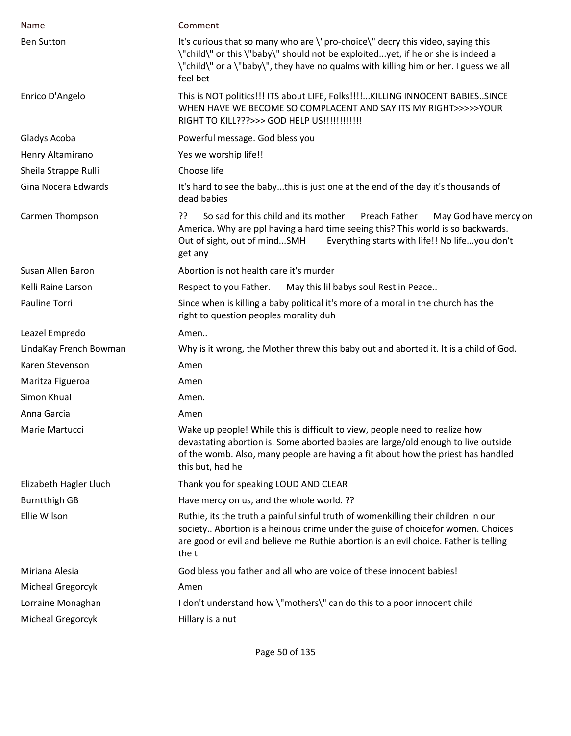| Name                   | Comment                                                                                                                                                                                                                                                                  |
|------------------------|--------------------------------------------------------------------------------------------------------------------------------------------------------------------------------------------------------------------------------------------------------------------------|
| <b>Ben Sutton</b>      | It's curious that so many who are \"pro-choice\" decry this video, saying this<br>\"child\" or this \"baby\" should not be exploitedyet, if he or she is indeed a<br>\"child\" or a \"baby\", they have no qualms with killing him or her. I guess we all<br>feel bet    |
| Enrico D'Angelo        | This is NOT politics!!! ITS about LIFE, Folks!!!!KILLING INNOCENT BABIESSINCE<br>WHEN HAVE WE BECOME SO COMPLACENT AND SAY ITS MY RIGHT>>>>>YOUR<br>RIGHT TO KILL???>>> GOD HELP US!!!!!!!!!!!!!                                                                         |
| Gladys Acoba           | Powerful message. God bless you                                                                                                                                                                                                                                          |
| Henry Altamirano       | Yes we worship life!!                                                                                                                                                                                                                                                    |
| Sheila Strappe Rulli   | Choose life                                                                                                                                                                                                                                                              |
| Gina Nocera Edwards    | It's hard to see the babythis is just one at the end of the day it's thousands of<br>dead babies                                                                                                                                                                         |
| Carmen Thompson        | ַיִּ<br>So sad for this child and its mother<br>Preach Father<br>May God have mercy on<br>America. Why are ppl having a hard time seeing this? This world is so backwards.<br>Everything starts with life!! No lifeyou don't<br>Out of sight, out of mindSMH<br>get any  |
| Susan Allen Baron      | Abortion is not health care it's murder                                                                                                                                                                                                                                  |
| Kelli Raine Larson     | May this lil babys soul Rest in Peace<br>Respect to you Father.                                                                                                                                                                                                          |
| Pauline Torri          | Since when is killing a baby political it's more of a moral in the church has the<br>right to question peoples morality duh                                                                                                                                              |
|                        |                                                                                                                                                                                                                                                                          |
| Leazel Empredo         | Amen                                                                                                                                                                                                                                                                     |
| LindaKay French Bowman | Why is it wrong, the Mother threw this baby out and aborted it. It is a child of God.                                                                                                                                                                                    |
| Karen Stevenson        | Amen                                                                                                                                                                                                                                                                     |
| Maritza Figueroa       | Amen                                                                                                                                                                                                                                                                     |
| Simon Khual            | Amen.                                                                                                                                                                                                                                                                    |
| Anna Garcia            | Amen                                                                                                                                                                                                                                                                     |
| Marie Martucci         | Wake up people! While this is difficult to view, people need to realize how<br>devastating abortion is. Some aborted babies are large/old enough to live outside<br>of the womb. Also, many people are having a fit about how the priest has handled<br>this but, had he |
| Elizabeth Hagler Lluch | Thank you for speaking LOUD AND CLEAR                                                                                                                                                                                                                                    |
| <b>Burntthigh GB</b>   | Have mercy on us, and the whole world. ??                                                                                                                                                                                                                                |
| Ellie Wilson           | Ruthie, its the truth a painful sinful truth of womenkilling their children in our<br>society Abortion is a heinous crime under the guise of choicefor women. Choices<br>are good or evil and believe me Ruthie abortion is an evil choice. Father is telling<br>the t   |
| Miriana Alesia         | God bless you father and all who are voice of these innocent babies!                                                                                                                                                                                                     |
| Micheal Gregorcyk      | Amen                                                                                                                                                                                                                                                                     |
| Lorraine Monaghan      | I don't understand how \"mothers\" can do this to a poor innocent child                                                                                                                                                                                                  |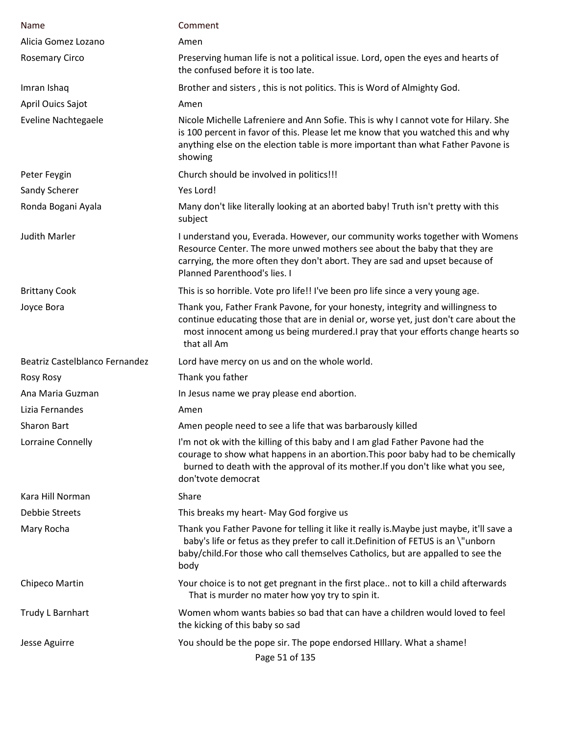| Name                           | Comment                                                                                                                                                                                                                                                                         |
|--------------------------------|---------------------------------------------------------------------------------------------------------------------------------------------------------------------------------------------------------------------------------------------------------------------------------|
| Alicia Gomez Lozano            | Amen                                                                                                                                                                                                                                                                            |
| <b>Rosemary Circo</b>          | Preserving human life is not a political issue. Lord, open the eyes and hearts of<br>the confused before it is too late.                                                                                                                                                        |
| Imran Ishaq                    | Brother and sisters, this is not politics. This is Word of Almighty God.                                                                                                                                                                                                        |
| April Ouics Sajot              | Amen                                                                                                                                                                                                                                                                            |
| <b>Eveline Nachtegaele</b>     | Nicole Michelle Lafreniere and Ann Sofie. This is why I cannot vote for Hilary. She<br>is 100 percent in favor of this. Please let me know that you watched this and why<br>anything else on the election table is more important than what Father Pavone is<br>showing         |
| Peter Feygin                   | Church should be involved in politics!!!                                                                                                                                                                                                                                        |
| Sandy Scherer                  | Yes Lord!                                                                                                                                                                                                                                                                       |
| Ronda Bogani Ayala             | Many don't like literally looking at an aborted baby! Truth isn't pretty with this<br>subject                                                                                                                                                                                   |
| Judith Marler                  | I understand you, Everada. However, our community works together with Womens<br>Resource Center. The more unwed mothers see about the baby that they are<br>carrying, the more often they don't abort. They are sad and upset because of<br><b>Planned Parenthood's lies. I</b> |
| <b>Brittany Cook</b>           | This is so horrible. Vote pro life!! I've been pro life since a very young age.                                                                                                                                                                                                 |
| Joyce Bora                     | Thank you, Father Frank Pavone, for your honesty, integrity and willingness to<br>continue educating those that are in denial or, worse yet, just don't care about the<br>most innocent among us being murdered. I pray that your efforts change hearts so<br>that all Am       |
| Beatriz Castelblanco Fernandez | Lord have mercy on us and on the whole world.                                                                                                                                                                                                                                   |
| <b>Rosy Rosy</b>               | Thank you father                                                                                                                                                                                                                                                                |
| Ana Maria Guzman               | In Jesus name we pray please end abortion.                                                                                                                                                                                                                                      |
| Lizia Fernandes                | Amen                                                                                                                                                                                                                                                                            |
| Sharon Bart                    | Amen people need to see a life that was barbarously killed                                                                                                                                                                                                                      |
| Lorraine Connelly              | I'm not ok with the killing of this baby and I am glad Father Pavone had the<br>courage to show what happens in an abortion. This poor baby had to be chemically<br>burned to death with the approval of its mother. If you don't like what you see,<br>don'tvote democrat      |
| Kara Hill Norman               | Share                                                                                                                                                                                                                                                                           |
| Debbie Streets                 | This breaks my heart- May God forgive us                                                                                                                                                                                                                                        |
| Mary Rocha                     | Thank you Father Pavone for telling it like it really is. Maybe just maybe, it'll save a<br>baby's life or fetus as they prefer to call it. Definition of FETUS is an \"unborn<br>baby/child.For those who call themselves Catholics, but are appalled to see the<br>body       |
| Chipeco Martin                 | Your choice is to not get pregnant in the first place not to kill a child afterwards<br>That is murder no mater how yoy try to spin it.                                                                                                                                         |
| Trudy L Barnhart               | Women whom wants babies so bad that can have a children would loved to feel<br>the kicking of this baby so sad                                                                                                                                                                  |
| Jesse Aguirre                  | You should be the pope sir. The pope endorsed Hillary. What a shame!<br>Page 51 of 135                                                                                                                                                                                          |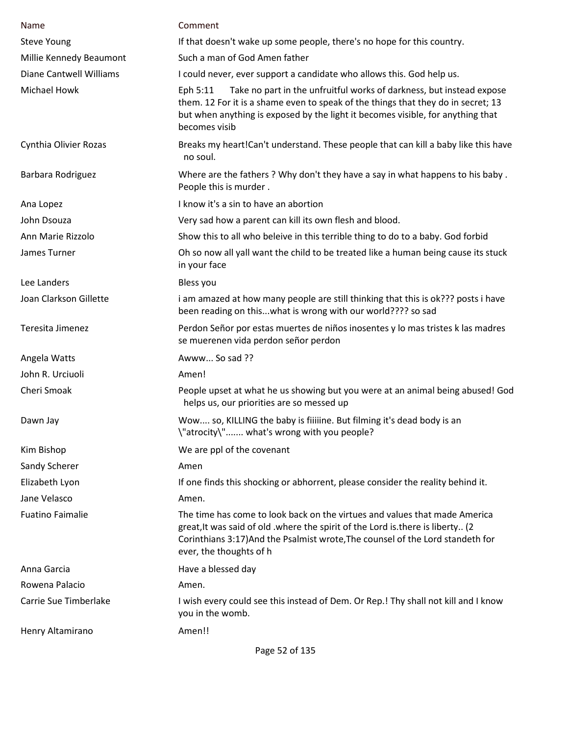| Name                           | Comment                                                                                                                                                                                                                                                                     |
|--------------------------------|-----------------------------------------------------------------------------------------------------------------------------------------------------------------------------------------------------------------------------------------------------------------------------|
| <b>Steve Young</b>             | If that doesn't wake up some people, there's no hope for this country.                                                                                                                                                                                                      |
| Millie Kennedy Beaumont        | Such a man of God Amen father                                                                                                                                                                                                                                               |
| <b>Diane Cantwell Williams</b> | I could never, ever support a candidate who allows this. God help us.                                                                                                                                                                                                       |
| Michael Howk                   | Take no part in the unfruitful works of darkness, but instead expose<br>Eph 5:11<br>them. 12 For it is a shame even to speak of the things that they do in secret; 13<br>but when anything is exposed by the light it becomes visible, for anything that<br>becomes visib   |
| Cynthia Olivier Rozas          | Breaks my heart!Can't understand. These people that can kill a baby like this have<br>no soul.                                                                                                                                                                              |
| Barbara Rodriguez              | Where are the fathers? Why don't they have a say in what happens to his baby.<br>People this is murder.                                                                                                                                                                     |
| Ana Lopez                      | I know it's a sin to have an abortion                                                                                                                                                                                                                                       |
| John Dsouza                    | Very sad how a parent can kill its own flesh and blood.                                                                                                                                                                                                                     |
| Ann Marie Rizzolo              | Show this to all who beleive in this terrible thing to do to a baby. God forbid                                                                                                                                                                                             |
| James Turner                   | Oh so now all yall want the child to be treated like a human being cause its stuck<br>in your face                                                                                                                                                                          |
| Lee Landers                    | Bless you                                                                                                                                                                                                                                                                   |
| Joan Clarkson Gillette         | i am amazed at how many people are still thinking that this is ok??? posts i have<br>been reading on thiswhat is wrong with our world???? so sad                                                                                                                            |
| Teresita Jimenez               | Perdon Señor por estas muertes de niños inosentes y lo mas tristes k las madres<br>se muerenen vida perdon señor perdon                                                                                                                                                     |
| Angela Watts                   | Awww So sad ??                                                                                                                                                                                                                                                              |
| John R. Urciuoli               | Amen!                                                                                                                                                                                                                                                                       |
| Cheri Smoak                    | People upset at what he us showing but you were at an animal being abused! God<br>helps us, our priorities are so messed up                                                                                                                                                 |
| Dawn Jay                       | Wow so, KILLING the baby is fiiiiine. But filming it's dead body is an<br>\"atrocity\" what's wrong with you people?                                                                                                                                                        |
| Kim Bishop                     | We are ppl of the covenant                                                                                                                                                                                                                                                  |
| Sandy Scherer                  | Amen                                                                                                                                                                                                                                                                        |
| Elizabeth Lyon                 | If one finds this shocking or abhorrent, please consider the reality behind it.                                                                                                                                                                                             |
| Jane Velasco                   | Amen.                                                                                                                                                                                                                                                                       |
| <b>Fuatino Faimalie</b>        | The time has come to look back on the virtues and values that made America<br>great, It was said of old . where the spirit of the Lord is. there is liberty (2<br>Corinthians 3:17) And the Psalmist wrote, The counsel of the Lord standeth for<br>ever, the thoughts of h |
| Anna Garcia                    | Have a blessed day                                                                                                                                                                                                                                                          |
| Rowena Palacio                 | Amen.                                                                                                                                                                                                                                                                       |
| Carrie Sue Timberlake          | I wish every could see this instead of Dem. Or Rep.! Thy shall not kill and I know<br>you in the womb.                                                                                                                                                                      |
| Henry Altamirano               | Amen!!                                                                                                                                                                                                                                                                      |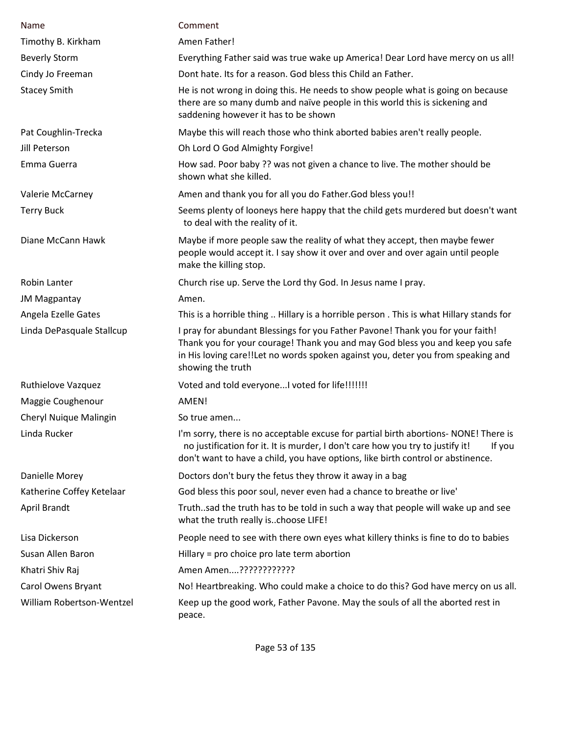| Name                      | Comment                                                                                                                                                                                                                                                                  |
|---------------------------|--------------------------------------------------------------------------------------------------------------------------------------------------------------------------------------------------------------------------------------------------------------------------|
| Timothy B. Kirkham        | Amen Father!                                                                                                                                                                                                                                                             |
| <b>Beverly Storm</b>      | Everything Father said was true wake up America! Dear Lord have mercy on us all!                                                                                                                                                                                         |
| Cindy Jo Freeman          | Dont hate. Its for a reason. God bless this Child an Father.                                                                                                                                                                                                             |
| <b>Stacey Smith</b>       | He is not wrong in doing this. He needs to show people what is going on because<br>there are so many dumb and naïve people in this world this is sickening and<br>saddening however it has to be shown                                                                   |
| Pat Coughlin-Trecka       | Maybe this will reach those who think aborted babies aren't really people.                                                                                                                                                                                               |
| Jill Peterson             | Oh Lord O God Almighty Forgive!                                                                                                                                                                                                                                          |
| Emma Guerra               | How sad. Poor baby ?? was not given a chance to live. The mother should be<br>shown what she killed.                                                                                                                                                                     |
| Valerie McCarney          | Amen and thank you for all you do Father. God bless you!!                                                                                                                                                                                                                |
| <b>Terry Buck</b>         | Seems plenty of looneys here happy that the child gets murdered but doesn't want<br>to deal with the reality of it.                                                                                                                                                      |
| Diane McCann Hawk         | Maybe if more people saw the reality of what they accept, then maybe fewer<br>people would accept it. I say show it over and over and over again until people<br>make the killing stop.                                                                                  |
| Robin Lanter              | Church rise up. Serve the Lord thy God. In Jesus name I pray.                                                                                                                                                                                                            |
| <b>JM Magpantay</b>       | Amen.                                                                                                                                                                                                                                                                    |
| Angela Ezelle Gates       | This is a horrible thing  Hillary is a horrible person . This is what Hillary stands for                                                                                                                                                                                 |
| Linda DePasquale Stallcup | I pray for abundant Blessings for you Father Pavone! Thank you for your faith!<br>Thank you for your courage! Thank you and may God bless you and keep you safe<br>in His loving care!!Let no words spoken against you, deter you from speaking and<br>showing the truth |
| <b>Ruthielove Vazquez</b> | Voted and told everyone I voted for life!!!!!!!                                                                                                                                                                                                                          |
| Maggie Coughenour         | AMEN!                                                                                                                                                                                                                                                                    |
| Cheryl Nuique Malingin    | So true amen                                                                                                                                                                                                                                                             |
| Linda Rucker              | I'm sorry, there is no acceptable excuse for partial birth abortions- NONE! There is<br>no justification for it. It is murder, I don't care how you try to justify it!<br>If you<br>don't want to have a child, you have options, like birth control or abstinence.      |
| Danielle Morey            | Doctors don't bury the fetus they throw it away in a bag                                                                                                                                                                                                                 |
| Katherine Coffey Ketelaar | God bless this poor soul, never even had a chance to breathe or live'                                                                                                                                                                                                    |
| April Brandt              | Truthsad the truth has to be told in such a way that people will wake up and see<br>what the truth really ischoose LIFE!                                                                                                                                                 |
| Lisa Dickerson            | People need to see with there own eyes what killery thinks is fine to do to babies                                                                                                                                                                                       |
| Susan Allen Baron         | Hillary = pro choice pro late term abortion                                                                                                                                                                                                                              |
| Khatri Shiv Raj           | Amen Amen????????????                                                                                                                                                                                                                                                    |
| Carol Owens Bryant        | No! Heartbreaking. Who could make a choice to do this? God have mercy on us all.                                                                                                                                                                                         |
| William Robertson-Wentzel | Keep up the good work, Father Pavone. May the souls of all the aborted rest in<br>peace.                                                                                                                                                                                 |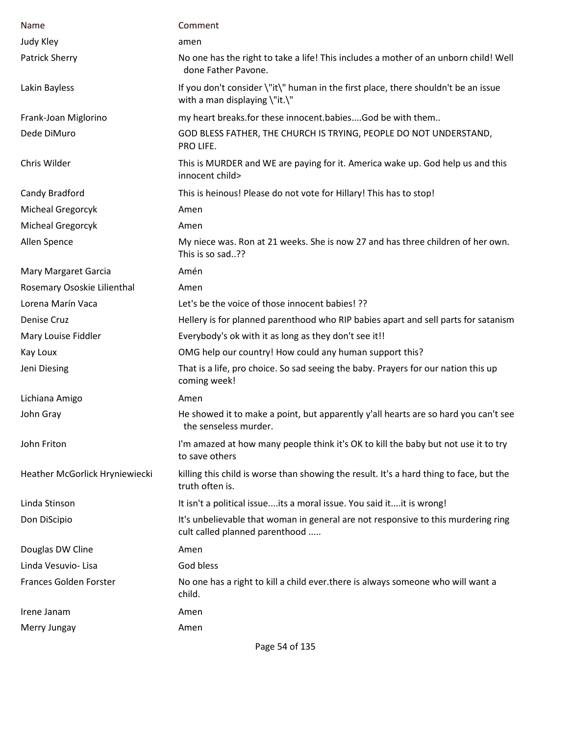| Name                           | Comment                                                                                                             |
|--------------------------------|---------------------------------------------------------------------------------------------------------------------|
| Judy Kley                      | amen                                                                                                                |
| Patrick Sherry                 | No one has the right to take a life! This includes a mother of an unborn child! Well<br>done Father Pavone.         |
| Lakin Bayless                  | If you don't consider \"it\" human in the first place, there shouldn't be an issue<br>with a man displaying \"it.\" |
| Frank-Joan Miglorino           | my heart breaks.for these innocent.babiesGod be with them                                                           |
| Dede DiMuro                    | GOD BLESS FATHER, THE CHURCH IS TRYING, PEOPLE DO NOT UNDERSTAND,<br>PRO LIFE.                                      |
| Chris Wilder                   | This is MURDER and WE are paying for it. America wake up. God help us and this<br>innocent child>                   |
| Candy Bradford                 | This is heinous! Please do not vote for Hillary! This has to stop!                                                  |
| Micheal Gregorcyk              | Amen                                                                                                                |
| Micheal Gregorcyk              | Amen                                                                                                                |
| Allen Spence                   | My niece was. Ron at 21 weeks. She is now 27 and has three children of her own.<br>This is so sad??                 |
| Mary Margaret Garcia           | Amén                                                                                                                |
| Rosemary Ososkie Lilienthal    | Amen                                                                                                                |
| Lorena Marín Vaca              | Let's be the voice of those innocent babies! ??                                                                     |
| Denise Cruz                    | Hellery is for planned parenthood who RIP babies apart and sell parts for satanism                                  |
| Mary Louise Fiddler            | Everybody's ok with it as long as they don't see it!!                                                               |
| Kay Loux                       | OMG help our country! How could any human support this?                                                             |
| Jeni Diesing                   | That is a life, pro choice. So sad seeing the baby. Prayers for our nation this up<br>coming week!                  |
| Lichiana Amigo                 | Amen                                                                                                                |
| John Gray                      | He showed it to make a point, but apparently y'all hearts are so hard you can't see<br>the senseless murder.        |
| John Friton                    | I'm amazed at how many people think it's OK to kill the baby but not use it to try<br>to save others                |
| Heather McGorlick Hryniewiecki | killing this child is worse than showing the result. It's a hard thing to face, but the<br>truth often is.          |
| Linda Stinson                  | It isn't a political issueits a moral issue. You said itit is wrong!                                                |
| Don DiScipio                   | It's unbelievable that woman in general are not responsive to this murdering ring<br>cult called planned parenthood |
| Douglas DW Cline               | Amen                                                                                                                |
| Linda Vesuvio- Lisa            | God bless                                                                                                           |
| <b>Frances Golden Forster</b>  | No one has a right to kill a child ever there is always someone who will want a<br>child.                           |
| Irene Janam                    | Amen                                                                                                                |
| Merry Jungay                   | Amen                                                                                                                |

Page 54 of 135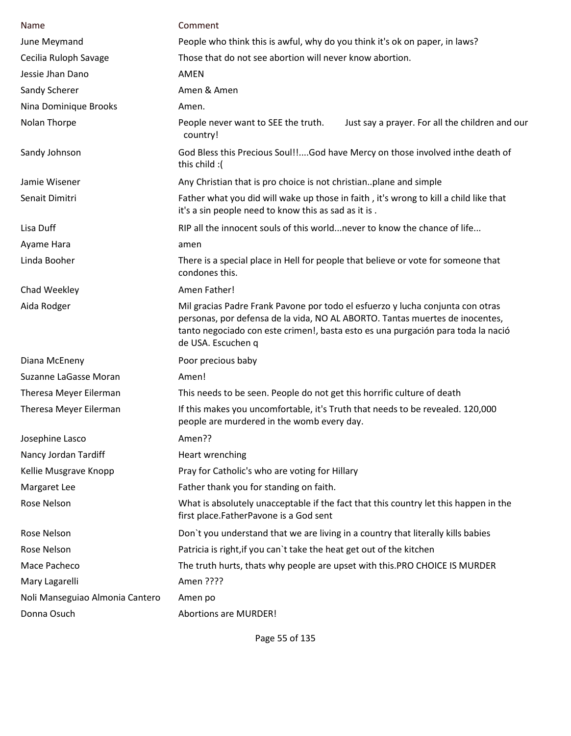| Name                            | Comment                                                                                                                                                                                                                                                                  |
|---------------------------------|--------------------------------------------------------------------------------------------------------------------------------------------------------------------------------------------------------------------------------------------------------------------------|
| June Meymand                    | People who think this is awful, why do you think it's ok on paper, in laws?                                                                                                                                                                                              |
| Cecilia Ruloph Savage           | Those that do not see abortion will never know abortion.                                                                                                                                                                                                                 |
| Jessie Jhan Dano                | AMEN                                                                                                                                                                                                                                                                     |
| Sandy Scherer                   | Amen & Amen                                                                                                                                                                                                                                                              |
| Nina Dominique Brooks           | Amen.                                                                                                                                                                                                                                                                    |
| Nolan Thorpe                    | People never want to SEE the truth.<br>Just say a prayer. For all the children and our<br>country!                                                                                                                                                                       |
| Sandy Johnson                   | God Bless this Precious Soul!!God have Mercy on those involved inthe death of<br>this child :(                                                                                                                                                                           |
| Jamie Wisener                   | Any Christian that is pro choice is not christianplane and simple                                                                                                                                                                                                        |
| Senait Dimitri                  | Father what you did will wake up those in faith, it's wrong to kill a child like that<br>it's a sin people need to know this as sad as it is.                                                                                                                            |
| Lisa Duff                       | RIP all the innocent souls of this world never to know the chance of life                                                                                                                                                                                                |
| Ayame Hara                      | amen                                                                                                                                                                                                                                                                     |
| Linda Booher                    | There is a special place in Hell for people that believe or vote for someone that<br>condones this.                                                                                                                                                                      |
| Chad Weekley                    | Amen Father!                                                                                                                                                                                                                                                             |
| Aida Rodger                     | Mil gracias Padre Frank Pavone por todo el esfuerzo y lucha conjunta con otras<br>personas, por defensa de la vida, NO AL ABORTO. Tantas muertes de inocentes,<br>tanto negociado con este crimen!, basta esto es una purgación para toda la nació<br>de USA. Escuchen q |
| Diana McEneny                   | Poor precious baby                                                                                                                                                                                                                                                       |
| Suzanne LaGasse Moran           | Amen!                                                                                                                                                                                                                                                                    |
| Theresa Meyer Eilerman          | This needs to be seen. People do not get this horrific culture of death                                                                                                                                                                                                  |
| Theresa Meyer Eilerman          | If this makes you uncomfortable, it's Truth that needs to be revealed. 120,000<br>people are murdered in the womb every day.                                                                                                                                             |
| Josephine Lasco                 | Amen??                                                                                                                                                                                                                                                                   |
| Nancy Jordan Tardiff            | Heart wrenching                                                                                                                                                                                                                                                          |
| Kellie Musgrave Knopp           | Pray for Catholic's who are voting for Hillary                                                                                                                                                                                                                           |
| Margaret Lee                    | Father thank you for standing on faith.                                                                                                                                                                                                                                  |
| Rose Nelson                     | What is absolutely unacceptable if the fact that this country let this happen in the<br>first place.FatherPavone is a God sent                                                                                                                                           |
| Rose Nelson                     | Don't you understand that we are living in a country that literally kills babies                                                                                                                                                                                         |
| Rose Nelson                     | Patricia is right, if you can't take the heat get out of the kitchen                                                                                                                                                                                                     |
| Mace Pacheco                    | The truth hurts, thats why people are upset with this.PRO CHOICE IS MURDER                                                                                                                                                                                               |
| Mary Lagarelli                  | Amen ????                                                                                                                                                                                                                                                                |
| Noli Manseguiao Almonia Cantero | Amen po                                                                                                                                                                                                                                                                  |
| Donna Osuch                     | <b>Abortions are MURDER!</b>                                                                                                                                                                                                                                             |

Page 55 of 135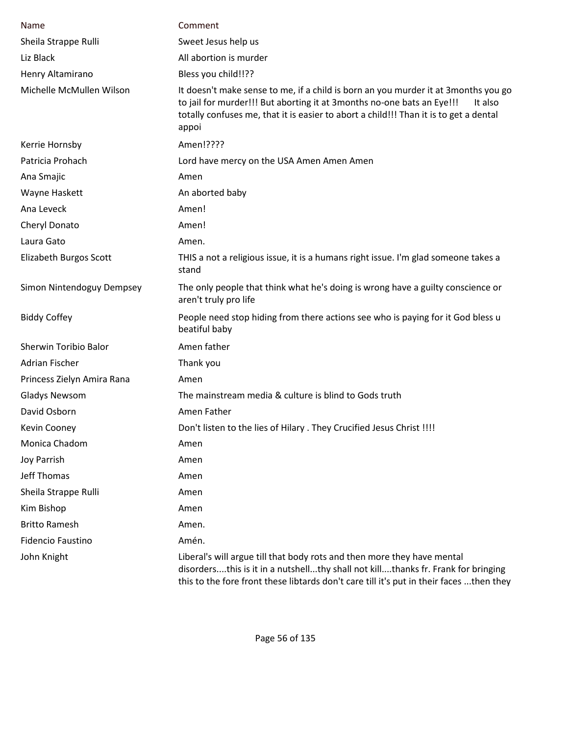| Name                       | Comment                                                                                                                                                                                                                                                                    |
|----------------------------|----------------------------------------------------------------------------------------------------------------------------------------------------------------------------------------------------------------------------------------------------------------------------|
| Sheila Strappe Rulli       | Sweet Jesus help us                                                                                                                                                                                                                                                        |
| Liz Black                  | All abortion is murder                                                                                                                                                                                                                                                     |
| Henry Altamirano           | Bless you child!!??                                                                                                                                                                                                                                                        |
| Michelle McMullen Wilson   | It doesn't make sense to me, if a child is born an you murder it at 3 months you go<br>to jail for murder!!! But aborting it at 3months no-one bats an Eye!!!<br>It also<br>totally confuses me, that it is easier to abort a child!!! Than it is to get a dental<br>appoi |
| Kerrie Hornsby             | Amen!????                                                                                                                                                                                                                                                                  |
| Patricia Prohach           | Lord have mercy on the USA Amen Amen Amen                                                                                                                                                                                                                                  |
| Ana Smajic                 | Amen                                                                                                                                                                                                                                                                       |
| Wayne Haskett              | An aborted baby                                                                                                                                                                                                                                                            |
| Ana Leveck                 | Amen!                                                                                                                                                                                                                                                                      |
| Cheryl Donato              | Amen!                                                                                                                                                                                                                                                                      |
| Laura Gato                 | Amen.                                                                                                                                                                                                                                                                      |
| Elizabeth Burgos Scott     | THIS a not a religious issue, it is a humans right issue. I'm glad someone takes a<br>stand                                                                                                                                                                                |
| Simon Nintendoguy Dempsey  | The only people that think what he's doing is wrong have a guilty conscience or<br>aren't truly pro life                                                                                                                                                                   |
| <b>Biddy Coffey</b>        | People need stop hiding from there actions see who is paying for it God bless u<br>beatiful baby                                                                                                                                                                           |
| Sherwin Toribio Balor      | Amen father                                                                                                                                                                                                                                                                |
| <b>Adrian Fischer</b>      | Thank you                                                                                                                                                                                                                                                                  |
| Princess Zielyn Amira Rana | Amen                                                                                                                                                                                                                                                                       |
| <b>Gladys Newsom</b>       | The mainstream media & culture is blind to Gods truth                                                                                                                                                                                                                      |
| David Osborn               | Amen Father                                                                                                                                                                                                                                                                |
| Kevin Cooney               | Don't listen to the lies of Hilary . They Crucified Jesus Christ !!!!                                                                                                                                                                                                      |
| Monica Chadom              | Amen                                                                                                                                                                                                                                                                       |
| Joy Parrish                | Amen                                                                                                                                                                                                                                                                       |
| Jeff Thomas                | Amen                                                                                                                                                                                                                                                                       |
| Sheila Strappe Rulli       | Amen                                                                                                                                                                                                                                                                       |
| Kim Bishop                 | Amen                                                                                                                                                                                                                                                                       |
| <b>Britto Ramesh</b>       | Amen.                                                                                                                                                                                                                                                                      |
| <b>Fidencio Faustino</b>   | Amén.                                                                                                                                                                                                                                                                      |
| John Knight                | Liberal's will argue till that body rots and then more they have mental<br>disordersthis is it in a nutshellthy shall not killthanks fr. Frank for bringing<br>this to the fore front these libtards don't care till it's put in their faces then they                     |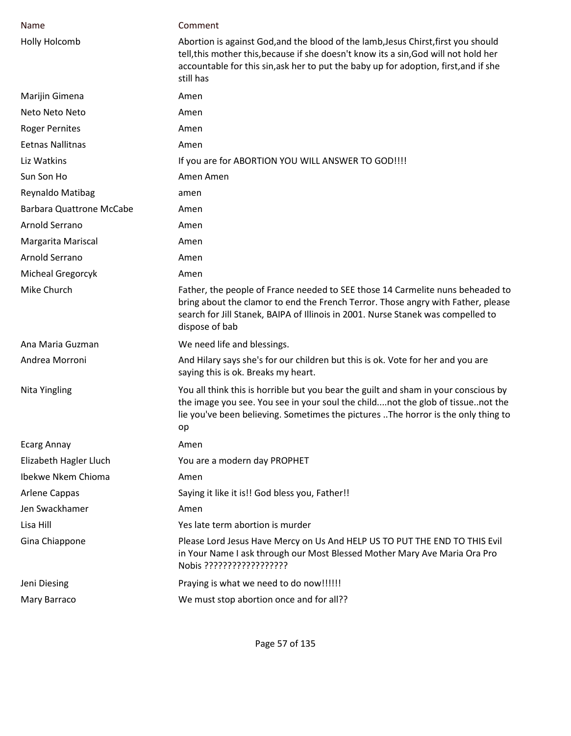| <b>Name</b>                     | Comment                                                                                                                                                                                                                                                                         |
|---------------------------------|---------------------------------------------------------------------------------------------------------------------------------------------------------------------------------------------------------------------------------------------------------------------------------|
| <b>Holly Holcomb</b>            | Abortion is against God, and the blood of the lamb, Jesus Chirst, first you should<br>tell, this mother this, because if she doesn't know its a sin, God will not hold her<br>accountable for this sin, ask her to put the baby up for adoption, first, and if she<br>still has |
| Marijin Gimena                  | Amen                                                                                                                                                                                                                                                                            |
| Neto Neto Neto                  | Amen                                                                                                                                                                                                                                                                            |
| <b>Roger Pernites</b>           | Amen                                                                                                                                                                                                                                                                            |
| <b>Eetnas Nallitnas</b>         | Amen                                                                                                                                                                                                                                                                            |
| Liz Watkins                     | If you are for ABORTION YOU WILL ANSWER TO GOD!!!!                                                                                                                                                                                                                              |
| Sun Son Ho                      | Amen Amen                                                                                                                                                                                                                                                                       |
| Reynaldo Matibag                | amen                                                                                                                                                                                                                                                                            |
| <b>Barbara Quattrone McCabe</b> | Amen                                                                                                                                                                                                                                                                            |
| Arnold Serrano                  | Amen                                                                                                                                                                                                                                                                            |
| Margarita Mariscal              | Amen                                                                                                                                                                                                                                                                            |
| Arnold Serrano                  | Amen                                                                                                                                                                                                                                                                            |
| <b>Micheal Gregorcyk</b>        | Amen                                                                                                                                                                                                                                                                            |
| Mike Church                     | Father, the people of France needed to SEE those 14 Carmelite nuns beheaded to<br>bring about the clamor to end the French Terror. Those angry with Father, please<br>search for Jill Stanek, BAIPA of Illinois in 2001. Nurse Stanek was compelled to<br>dispose of bab        |
| Ana Maria Guzman                | We need life and blessings.                                                                                                                                                                                                                                                     |
| Andrea Morroni                  | And Hilary says she's for our children but this is ok. Vote for her and you are<br>saying this is ok. Breaks my heart.                                                                                                                                                          |
| Nita Yingling                   | You all think this is horrible but you bear the guilt and sham in your conscious by<br>the image you see. You see in your soul the childnot the glob of tissuenot the<br>lie you've been believing. Sometimes the pictures The horror is the only thing to<br>op                |
| <b>Ecarg Annay</b>              | Amen                                                                                                                                                                                                                                                                            |
| Elizabeth Hagler Lluch          | You are a modern day PROPHET                                                                                                                                                                                                                                                    |
| Ibekwe Nkem Chioma              | Amen                                                                                                                                                                                                                                                                            |
| Arlene Cappas                   | Saying it like it is!! God bless you, Father!!                                                                                                                                                                                                                                  |
| Jen Swackhamer                  | Amen                                                                                                                                                                                                                                                                            |
| Lisa Hill                       | Yes late term abortion is murder                                                                                                                                                                                                                                                |
| Gina Chiappone                  | Please Lord Jesus Have Mercy on Us And HELP US TO PUT THE END TO THIS Evil<br>in Your Name I ask through our Most Blessed Mother Mary Ave Maria Ora Pro<br>Nobis ??????????????????                                                                                             |
| Jeni Diesing                    | Praying is what we need to do now!!!!!!                                                                                                                                                                                                                                         |
| Mary Barraco                    | We must stop abortion once and for all??                                                                                                                                                                                                                                        |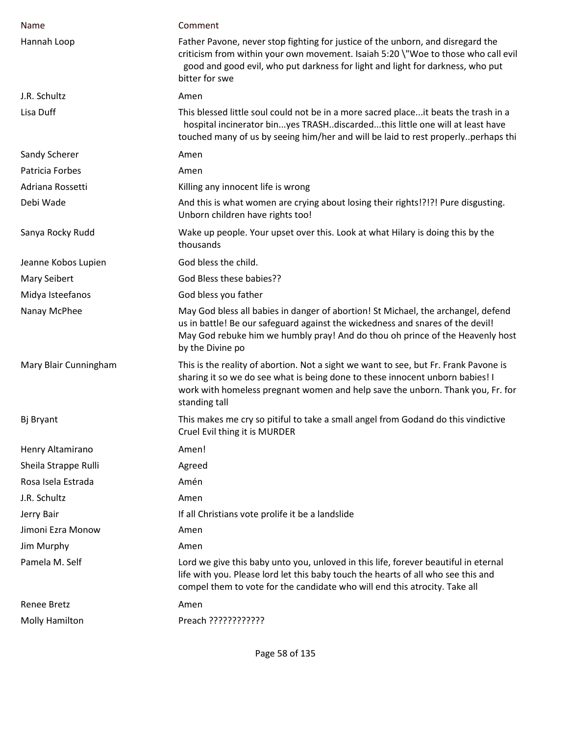| Name                  | Comment                                                                                                                                                                                                                                                                  |
|-----------------------|--------------------------------------------------------------------------------------------------------------------------------------------------------------------------------------------------------------------------------------------------------------------------|
| Hannah Loop           | Father Pavone, never stop fighting for justice of the unborn, and disregard the<br>criticism from within your own movement. Isaiah 5:20 \"Woe to those who call evil<br>good and good evil, who put darkness for light and light for darkness, who put<br>bitter for swe |
| J.R. Schultz          | Amen                                                                                                                                                                                                                                                                     |
| Lisa Duff             | This blessed little soul could not be in a more sacred placeit beats the trash in a<br>hospital incinerator binyes TRASHdiscardedthis little one will at least have<br>touched many of us by seeing him/her and will be laid to rest properlyperhaps thi                 |
| Sandy Scherer         | Amen                                                                                                                                                                                                                                                                     |
| Patricia Forbes       | Amen                                                                                                                                                                                                                                                                     |
| Adriana Rossetti      | Killing any innocent life is wrong                                                                                                                                                                                                                                       |
| Debi Wade             | And this is what women are crying about losing their rights!?!?! Pure disgusting.<br>Unborn children have rights too!                                                                                                                                                    |
| Sanya Rocky Rudd      | Wake up people. Your upset over this. Look at what Hilary is doing this by the<br>thousands                                                                                                                                                                              |
| Jeanne Kobos Lupien   | God bless the child.                                                                                                                                                                                                                                                     |
| <b>Mary Seibert</b>   | God Bless these babies??                                                                                                                                                                                                                                                 |
| Midya Isteefanos      | God bless you father                                                                                                                                                                                                                                                     |
| Nanay McPhee          | May God bless all babies in danger of abortion! St Michael, the archangel, defend<br>us in battle! Be our safeguard against the wickedness and snares of the devil!<br>May God rebuke him we humbly pray! And do thou oh prince of the Heavenly host<br>by the Divine po |
| Mary Blair Cunningham | This is the reality of abortion. Not a sight we want to see, but Fr. Frank Pavone is<br>sharing it so we do see what is being done to these innocent unborn babies! I<br>work with homeless pregnant women and help save the unborn. Thank you, Fr. for<br>standing tall |
| Bj Bryant             | This makes me cry so pitiful to take a small angel from Godand do this vindictive<br>Cruel Evil thing it is MURDER                                                                                                                                                       |
| Henry Altamirano      | Amen!                                                                                                                                                                                                                                                                    |
| Sheila Strappe Rulli  | Agreed                                                                                                                                                                                                                                                                   |
| Rosa Isela Estrada    | Amén                                                                                                                                                                                                                                                                     |
| J.R. Schultz          | Amen                                                                                                                                                                                                                                                                     |
| Jerry Bair            | If all Christians vote prolife it be a landslide                                                                                                                                                                                                                         |
| Jimoni Ezra Monow     | Amen                                                                                                                                                                                                                                                                     |
| Jim Murphy            | Amen                                                                                                                                                                                                                                                                     |
| Pamela M. Self        | Lord we give this baby unto you, unloved in this life, forever beautiful in eternal<br>life with you. Please lord let this baby touch the hearts of all who see this and<br>compel them to vote for the candidate who will end this atrocity. Take all                   |
| <b>Renee Bretz</b>    | Amen                                                                                                                                                                                                                                                                     |
| Molly Hamilton        | Preach ????????????                                                                                                                                                                                                                                                      |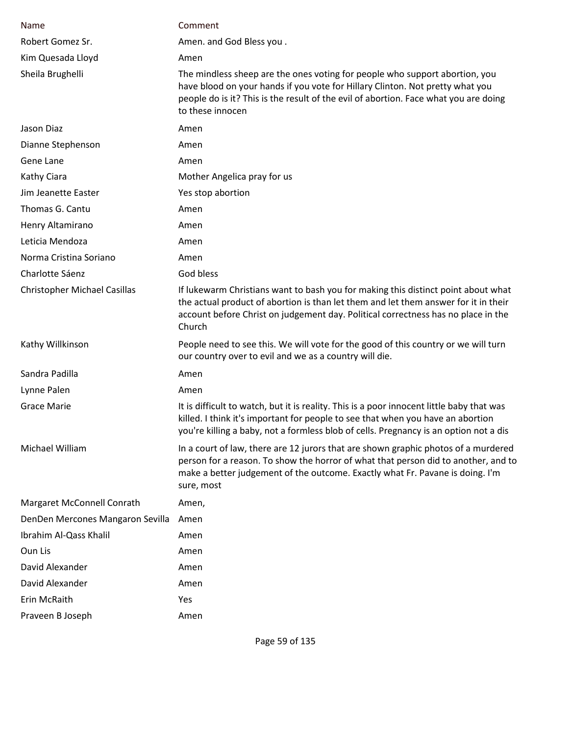| Name                                | Comment                                                                                                                                                                                                                                                                  |
|-------------------------------------|--------------------------------------------------------------------------------------------------------------------------------------------------------------------------------------------------------------------------------------------------------------------------|
| Robert Gomez Sr.                    | Amen. and God Bless you.                                                                                                                                                                                                                                                 |
| Kim Quesada Lloyd                   | Amen                                                                                                                                                                                                                                                                     |
| Sheila Brughelli                    | The mindless sheep are the ones voting for people who support abortion, you<br>have blood on your hands if you vote for Hillary Clinton. Not pretty what you<br>people do is it? This is the result of the evil of abortion. Face what you are doing<br>to these innocen |
| Jason Diaz                          | Amen                                                                                                                                                                                                                                                                     |
| Dianne Stephenson                   | Amen                                                                                                                                                                                                                                                                     |
| Gene Lane                           | Amen                                                                                                                                                                                                                                                                     |
| Kathy Ciara                         | Mother Angelica pray for us                                                                                                                                                                                                                                              |
| Jim Jeanette Easter                 | Yes stop abortion                                                                                                                                                                                                                                                        |
| Thomas G. Cantu                     | Amen                                                                                                                                                                                                                                                                     |
| Henry Altamirano                    | Amen                                                                                                                                                                                                                                                                     |
| Leticia Mendoza                     | Amen                                                                                                                                                                                                                                                                     |
| Norma Cristina Soriano              | Amen                                                                                                                                                                                                                                                                     |
| Charlotte Sáenz                     | God bless                                                                                                                                                                                                                                                                |
| <b>Christopher Michael Casillas</b> | If lukewarm Christians want to bash you for making this distinct point about what<br>the actual product of abortion is than let them and let them answer for it in their<br>account before Christ on judgement day. Political correctness has no place in the<br>Church  |
| Kathy Willkinson                    | People need to see this. We will vote for the good of this country or we will turn<br>our country over to evil and we as a country will die.                                                                                                                             |
| Sandra Padilla                      | Amen                                                                                                                                                                                                                                                                     |
| Lynne Palen                         | Amen                                                                                                                                                                                                                                                                     |
| <b>Grace Marie</b>                  | It is difficult to watch, but it is reality. This is a poor innocent little baby that was<br>killed. I think it's important for people to see that when you have an abortion<br>you're killing a baby, not a formless blob of cells. Pregnancy is an option not a dis    |
| Michael William                     | In a court of law, there are 12 jurors that are shown graphic photos of a murdered<br>person for a reason. To show the horror of what that person did to another, and to<br>make a better judgement of the outcome. Exactly what Fr. Pavane is doing. I'm<br>sure, most  |
| Margaret McConnell Conrath          | Amen,                                                                                                                                                                                                                                                                    |
| DenDen Mercones Mangaron Sevilla    | Amen                                                                                                                                                                                                                                                                     |
| Ibrahim Al-Qass Khalil              | Amen                                                                                                                                                                                                                                                                     |
| Oun Lis                             | Amen                                                                                                                                                                                                                                                                     |
| David Alexander                     | Amen                                                                                                                                                                                                                                                                     |
| David Alexander                     | Amen                                                                                                                                                                                                                                                                     |
| Erin McRaith                        | Yes                                                                                                                                                                                                                                                                      |
| Praveen B Joseph                    | Amen                                                                                                                                                                                                                                                                     |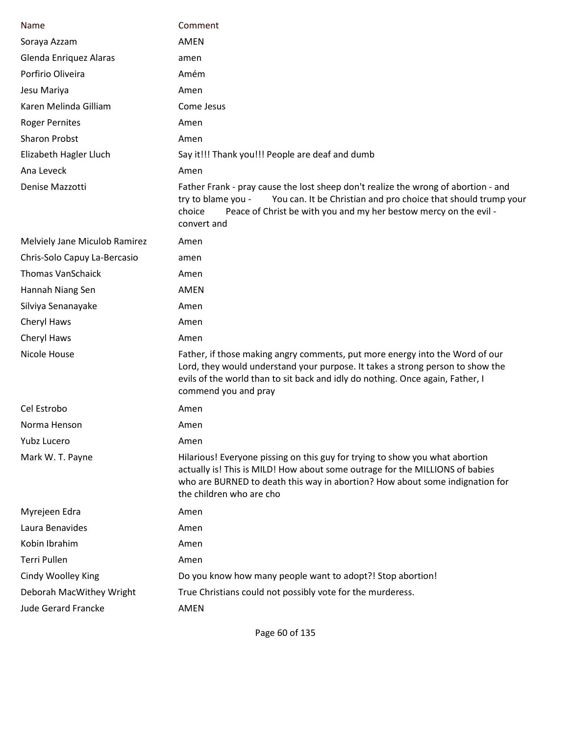| Name                          | Comment                                                                                                                                                                                                                                                                  |
|-------------------------------|--------------------------------------------------------------------------------------------------------------------------------------------------------------------------------------------------------------------------------------------------------------------------|
| Soraya Azzam                  | <b>AMEN</b>                                                                                                                                                                                                                                                              |
| Glenda Enriquez Alaras        | amen                                                                                                                                                                                                                                                                     |
| Porfirio Oliveira             | Amém                                                                                                                                                                                                                                                                     |
| Jesu Mariya                   | Amen                                                                                                                                                                                                                                                                     |
| Karen Melinda Gilliam         | Come Jesus                                                                                                                                                                                                                                                               |
| <b>Roger Pernites</b>         | Amen                                                                                                                                                                                                                                                                     |
| <b>Sharon Probst</b>          | Amen                                                                                                                                                                                                                                                                     |
| Elizabeth Hagler Lluch        | Say it!!! Thank you!!! People are deaf and dumb                                                                                                                                                                                                                          |
| Ana Leveck                    | Amen                                                                                                                                                                                                                                                                     |
| Denise Mazzotti               | Father Frank - pray cause the lost sheep don't realize the wrong of abortion - and<br>You can. It be Christian and pro choice that should trump your<br>try to blame you -<br>choice<br>Peace of Christ be with you and my her bestow mercy on the evil -<br>convert and |
| Melviely Jane Miculob Ramirez | Amen                                                                                                                                                                                                                                                                     |
| Chris-Solo Capuy La-Bercasio  | amen                                                                                                                                                                                                                                                                     |
| <b>Thomas VanSchaick</b>      | Amen                                                                                                                                                                                                                                                                     |
| Hannah Niang Sen              | <b>AMEN</b>                                                                                                                                                                                                                                                              |
| Silviya Senanayake            | Amen                                                                                                                                                                                                                                                                     |
| Cheryl Haws                   | Amen                                                                                                                                                                                                                                                                     |
| Cheryl Haws                   | Amen                                                                                                                                                                                                                                                                     |
| Nicole House                  | Father, if those making angry comments, put more energy into the Word of our<br>Lord, they would understand your purpose. It takes a strong person to show the<br>evils of the world than to sit back and idly do nothing. Once again, Father, I<br>commend you and pray |
| Cel Estrobo                   | Amen                                                                                                                                                                                                                                                                     |
| Norma Henson                  | Amen                                                                                                                                                                                                                                                                     |
| Yubz Lucero                   | Amen                                                                                                                                                                                                                                                                     |
| Mark W. T. Payne              | Hilarious! Everyone pissing on this guy for trying to show you what abortion<br>actually is! This is MILD! How about some outrage for the MILLIONS of babies<br>who are BURNED to death this way in abortion? How about some indignation for<br>the children who are cho |
| Myrejeen Edra                 | Amen                                                                                                                                                                                                                                                                     |
| Laura Benavides               | Amen                                                                                                                                                                                                                                                                     |
| Kobin Ibrahim                 | Amen                                                                                                                                                                                                                                                                     |
| Terri Pullen                  | Amen                                                                                                                                                                                                                                                                     |
| Cindy Woolley King            | Do you know how many people want to adopt?! Stop abortion!                                                                                                                                                                                                               |
| Deborah MacWithey Wright      | True Christians could not possibly vote for the murderess.                                                                                                                                                                                                               |
| <b>Jude Gerard Francke</b>    | <b>AMEN</b>                                                                                                                                                                                                                                                              |

Page 60 of 135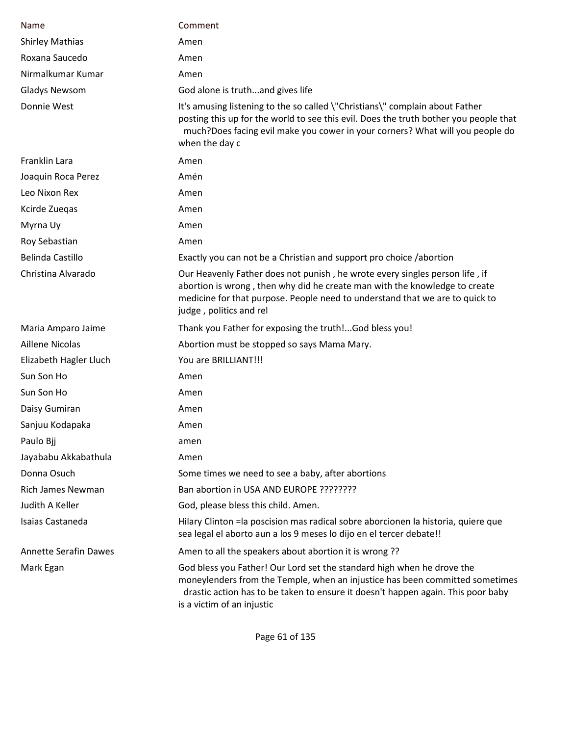| Name                         | Comment                                                                                                                                                                                                                                                                  |
|------------------------------|--------------------------------------------------------------------------------------------------------------------------------------------------------------------------------------------------------------------------------------------------------------------------|
| <b>Shirley Mathias</b>       | Amen                                                                                                                                                                                                                                                                     |
| Roxana Saucedo               | Amen                                                                                                                                                                                                                                                                     |
| Nirmalkumar Kumar            | Amen                                                                                                                                                                                                                                                                     |
| <b>Gladys Newsom</b>         | God alone is truthand gives life                                                                                                                                                                                                                                         |
| Donnie West                  | It's amusing listening to the so called \"Christians\" complain about Father<br>posting this up for the world to see this evil. Does the truth bother you people that<br>much?Does facing evil make you cower in your corners? What will you people do<br>when the day c |
| Franklin Lara                | Amen                                                                                                                                                                                                                                                                     |
| Joaquin Roca Perez           | Amén                                                                                                                                                                                                                                                                     |
| Leo Nixon Rex                | Amen                                                                                                                                                                                                                                                                     |
| Kcirde Zuegas                | Amen                                                                                                                                                                                                                                                                     |
| Myrna Uy                     | Amen                                                                                                                                                                                                                                                                     |
| Roy Sebastian                | Amen                                                                                                                                                                                                                                                                     |
| Belinda Castillo             | Exactly you can not be a Christian and support pro choice /abortion                                                                                                                                                                                                      |
| Christina Alvarado           | Our Heavenly Father does not punish, he wrote every singles person life, if<br>abortion is wrong, then why did he create man with the knowledge to create<br>medicine for that purpose. People need to understand that we are to quick to<br>judge, politics and rel     |
| Maria Amparo Jaime           | Thank you Father for exposing the truth!God bless you!                                                                                                                                                                                                                   |
| <b>Aillene Nicolas</b>       | Abortion must be stopped so says Mama Mary.                                                                                                                                                                                                                              |
| Elizabeth Hagler Lluch       | You are BRILLIANT!!!                                                                                                                                                                                                                                                     |
| Sun Son Ho                   | Amen                                                                                                                                                                                                                                                                     |
| Sun Son Ho                   | Amen                                                                                                                                                                                                                                                                     |
| Daisy Gumiran                | Amen                                                                                                                                                                                                                                                                     |
| Sanjuu Kodapaka              | Amen                                                                                                                                                                                                                                                                     |
| Paulo Bjj                    | amen                                                                                                                                                                                                                                                                     |
| Jayababu Akkabathula         | Amen                                                                                                                                                                                                                                                                     |
| Donna Osuch                  | Some times we need to see a baby, after abortions                                                                                                                                                                                                                        |
| Rich James Newman            | Ban abortion in USA AND EUROPE ????????                                                                                                                                                                                                                                  |
| Judith A Keller              | God, please bless this child. Amen.                                                                                                                                                                                                                                      |
| Isaias Castaneda             | Hilary Clinton = la poscision mas radical sobre aborcionen la historia, quiere que<br>sea legal el aborto aun a los 9 meses lo dijo en el tercer debate!!                                                                                                                |
| <b>Annette Serafin Dawes</b> | Amen to all the speakers about abortion it is wrong ??                                                                                                                                                                                                                   |
| Mark Egan                    | God bless you Father! Our Lord set the standard high when he drove the<br>moneylenders from the Temple, when an injustice has been committed sometimes<br>drastic action has to be taken to ensure it doesn't happen again. This poor baby<br>is a victim of an injustic |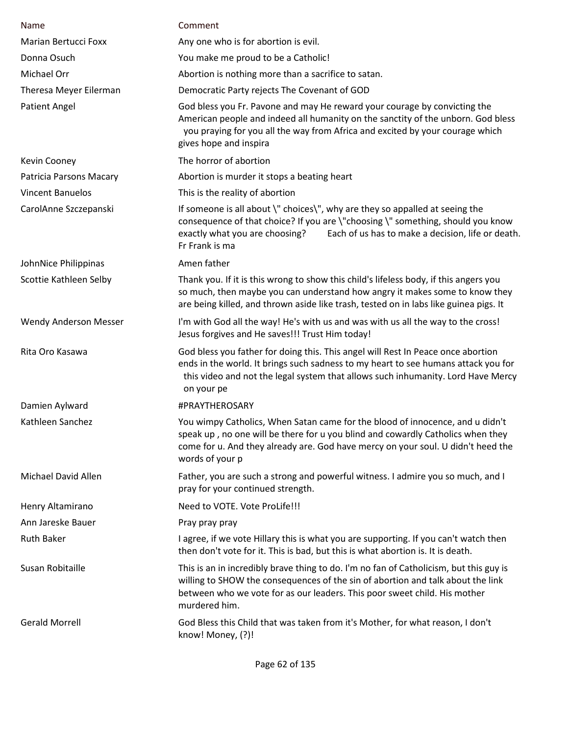| Name                         | Comment                                                                                                                                                                                                                                                                  |
|------------------------------|--------------------------------------------------------------------------------------------------------------------------------------------------------------------------------------------------------------------------------------------------------------------------|
| Marian Bertucci Foxx         | Any one who is for abortion is evil.                                                                                                                                                                                                                                     |
| Donna Osuch                  | You make me proud to be a Catholic!                                                                                                                                                                                                                                      |
| Michael Orr                  | Abortion is nothing more than a sacrifice to satan.                                                                                                                                                                                                                      |
| Theresa Meyer Eilerman       | Democratic Party rejects The Covenant of GOD                                                                                                                                                                                                                             |
| <b>Patient Angel</b>         | God bless you Fr. Pavone and may He reward your courage by convicting the<br>American people and indeed all humanity on the sanctity of the unborn. God bless<br>you praying for you all the way from Africa and excited by your courage which<br>gives hope and inspira |
| Kevin Cooney                 | The horror of abortion                                                                                                                                                                                                                                                   |
| Patricia Parsons Macary      | Abortion is murder it stops a beating heart                                                                                                                                                                                                                              |
| <b>Vincent Banuelos</b>      | This is the reality of abortion                                                                                                                                                                                                                                          |
| CarolAnne Szczepanski        | If someone is all about \" choices\", why are they so appalled at seeing the<br>consequence of that choice? If you are \"choosing \" something, should you know<br>Each of us has to make a decision, life or death.<br>exactly what you are choosing?<br>Fr Frank is ma |
| JohnNice Philippinas         | Amen father                                                                                                                                                                                                                                                              |
| Scottie Kathleen Selby       | Thank you. If it is this wrong to show this child's lifeless body, if this angers you<br>so much, then maybe you can understand how angry it makes some to know they<br>are being killed, and thrown aside like trash, tested on in labs like guinea pigs. It            |
| <b>Wendy Anderson Messer</b> | I'm with God all the way! He's with us and was with us all the way to the cross!<br>Jesus forgives and He saves!!! Trust Him today!                                                                                                                                      |
| Rita Oro Kasawa              | God bless you father for doing this. This angel will Rest In Peace once abortion<br>ends in the world. It brings such sadness to my heart to see humans attack you for<br>this video and not the legal system that allows such inhumanity. Lord Have Mercy<br>on your pe |
| Damien Aylward               | #PRAYTHEROSARY                                                                                                                                                                                                                                                           |
| Kathleen Sanchez             | You wimpy Catholics, When Satan came for the blood of innocence, and u didn't<br>speak up, no one will be there for u you blind and cowardly Catholics when they<br>come for u. And they already are. God have mercy on your soul. U didn't heed the<br>words of your p  |
| Michael David Allen          | Father, you are such a strong and powerful witness. I admire you so much, and I<br>pray for your continued strength.                                                                                                                                                     |
| Henry Altamirano             | Need to VOTE. Vote ProLife!!!                                                                                                                                                                                                                                            |
| Ann Jareske Bauer            | Pray pray pray                                                                                                                                                                                                                                                           |
| <b>Ruth Baker</b>            | I agree, if we vote Hillary this is what you are supporting. If you can't watch then<br>then don't vote for it. This is bad, but this is what abortion is. It is death.                                                                                                  |
| Susan Robitaille             | This is an in incredibly brave thing to do. I'm no fan of Catholicism, but this guy is<br>willing to SHOW the consequences of the sin of abortion and talk about the link<br>between who we vote for as our leaders. This poor sweet child. His mother<br>murdered him.  |
| <b>Gerald Morrell</b>        | God Bless this Child that was taken from it's Mother, for what reason, I don't<br>know! Money, (?)!                                                                                                                                                                      |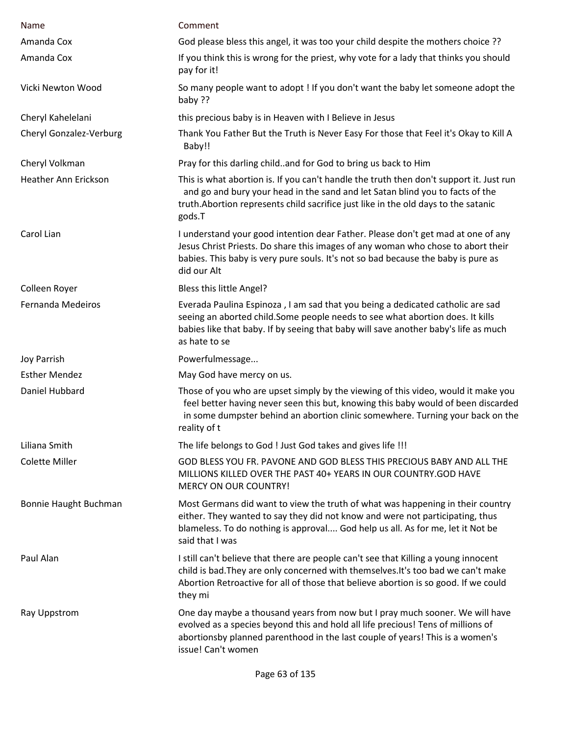| Name                        | Comment                                                                                                                                                                                                                                                                    |
|-----------------------------|----------------------------------------------------------------------------------------------------------------------------------------------------------------------------------------------------------------------------------------------------------------------------|
| Amanda Cox                  | God please bless this angel, it was too your child despite the mothers choice ??                                                                                                                                                                                           |
| Amanda Cox                  | If you think this is wrong for the priest, why vote for a lady that thinks you should<br>pay for it!                                                                                                                                                                       |
| Vicki Newton Wood           | So many people want to adopt ! If you don't want the baby let someone adopt the<br>baby ??                                                                                                                                                                                 |
| Cheryl Kahelelani           | this precious baby is in Heaven with I Believe in Jesus                                                                                                                                                                                                                    |
| Cheryl Gonzalez-Verburg     | Thank You Father But the Truth is Never Easy For those that Feel it's Okay to Kill A<br>Baby!!                                                                                                                                                                             |
| Cheryl Volkman              | Pray for this darling childand for God to bring us back to Him                                                                                                                                                                                                             |
| <b>Heather Ann Erickson</b> | This is what abortion is. If you can't handle the truth then don't support it. Just run<br>and go and bury your head in the sand and let Satan blind you to facts of the<br>truth. Abortion represents child sacrifice just like in the old days to the satanic<br>gods.T  |
| Carol Lian                  | I understand your good intention dear Father. Please don't get mad at one of any<br>Jesus Christ Priests. Do share this images of any woman who chose to abort their<br>babies. This baby is very pure souls. It's not so bad because the baby is pure as<br>did our Alt   |
| Colleen Royer               | Bless this little Angel?                                                                                                                                                                                                                                                   |
| Fernanda Medeiros           | Everada Paulina Espinoza, I am sad that you being a dedicated catholic are sad<br>seeing an aborted child. Some people needs to see what abortion does. It kills<br>babies like that baby. If by seeing that baby will save another baby's life as much<br>as hate to se   |
| Joy Parrish                 | Powerfulmessage                                                                                                                                                                                                                                                            |
| <b>Esther Mendez</b>        | May God have mercy on us.                                                                                                                                                                                                                                                  |
| Daniel Hubbard              | Those of you who are upset simply by the viewing of this video, would it make you<br>feel better having never seen this but, knowing this baby would of been discarded<br>in some dumpster behind an abortion clinic somewhere. Turning your back on the<br>reality of t   |
| Liliana Smith               | The life belongs to God ! Just God takes and gives life !!!                                                                                                                                                                                                                |
| <b>Colette Miller</b>       | GOD BLESS YOU FR. PAVONE AND GOD BLESS THIS PRECIOUS BABY AND ALL THE<br>MILLIONS KILLED OVER THE PAST 40+ YEARS IN OUR COUNTRY.GOD HAVE<br><b>MERCY ON OUR COUNTRY!</b>                                                                                                   |
| Bonnie Haught Buchman       | Most Germans did want to view the truth of what was happening in their country<br>either. They wanted to say they did not know and were not participating, thus<br>blameless. To do nothing is approval God help us all. As for me, let it Not be<br>said that I was       |
| Paul Alan                   | I still can't believe that there are people can't see that Killing a young innocent<br>child is bad. They are only concerned with themselves. It's too bad we can't make<br>Abortion Retroactive for all of those that believe abortion is so good. If we could<br>they mi |
| Ray Uppstrom                | One day maybe a thousand years from now but I pray much sooner. We will have<br>evolved as a species beyond this and hold all life precious! Tens of millions of<br>abortionsby planned parenthood in the last couple of years! This is a women's<br>issue! Can't women    |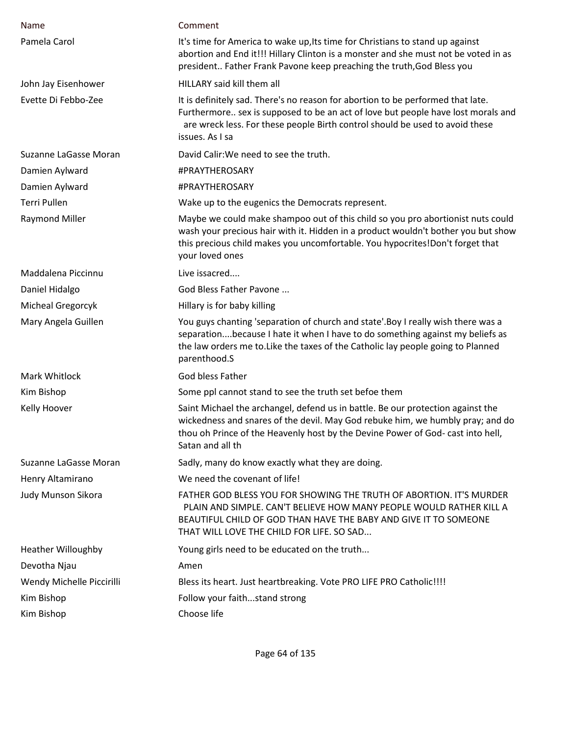| Name                      | Comment                                                                                                                                                                                                                                                                  |
|---------------------------|--------------------------------------------------------------------------------------------------------------------------------------------------------------------------------------------------------------------------------------------------------------------------|
| Pamela Carol              | It's time for America to wake up, Its time for Christians to stand up against<br>abortion and End it!!! Hillary Clinton is a monster and she must not be voted in as<br>president Father Frank Pavone keep preaching the truth, God Bless you                            |
| John Jay Eisenhower       | HILLARY said kill them all                                                                                                                                                                                                                                               |
| Evette Di Febbo-Zee       | It is definitely sad. There's no reason for abortion to be performed that late.<br>Furthermore sex is supposed to be an act of love but people have lost morals and<br>are wreck less. For these people Birth control should be used to avoid these<br>issues. As I sa   |
| Suzanne LaGasse Moran     | David Calir: We need to see the truth.                                                                                                                                                                                                                                   |
| Damien Aylward            | #PRAYTHEROSARY                                                                                                                                                                                                                                                           |
| Damien Aylward            | #PRAYTHEROSARY                                                                                                                                                                                                                                                           |
| <b>Terri Pullen</b>       | Wake up to the eugenics the Democrats represent.                                                                                                                                                                                                                         |
| Raymond Miller            | Maybe we could make shampoo out of this child so you pro abortionist nuts could<br>wash your precious hair with it. Hidden in a product wouldn't bother you but show<br>this precious child makes you uncomfortable. You hypocrites!Don't forget that<br>your loved ones |
| Maddalena Piccinnu        | Live issacred                                                                                                                                                                                                                                                            |
| Daniel Hidalgo            | God Bless Father Pavone                                                                                                                                                                                                                                                  |
| Micheal Gregorcyk         | Hillary is for baby killing                                                                                                                                                                                                                                              |
| Mary Angela Guillen       | You guys chanting 'separation of church and state'. Boy I really wish there was a<br>separationbecause I hate it when I have to do something against my beliefs as<br>the law orders me to. Like the taxes of the Catholic lay people going to Planned<br>parenthood.S   |
| Mark Whitlock             | God bless Father                                                                                                                                                                                                                                                         |
| Kim Bishop                | Some ppl cannot stand to see the truth set befoe them                                                                                                                                                                                                                    |
| Kelly Hoover              | Saint Michael the archangel, defend us in battle. Be our protection against the<br>wickedness and snares of the devil. May God rebuke him, we humbly pray; and do<br>thou oh Prince of the Heavenly host by the Devine Power of God- cast into hell,<br>Satan and all th |
| Suzanne LaGasse Moran     | Sadly, many do know exactly what they are doing.                                                                                                                                                                                                                         |
| Henry Altamirano          | We need the covenant of life!                                                                                                                                                                                                                                            |
| Judy Munson Sikora        | FATHER GOD BLESS YOU FOR SHOWING THE TRUTH OF ABORTION. IT'S MURDER<br>PLAIN AND SIMPLE. CAN'T BELIEVE HOW MANY PEOPLE WOULD RATHER KILL A<br>BEAUTIFUL CHILD OF GOD THAN HAVE THE BABY AND GIVE IT TO SOMEONE<br>THAT WILL LOVE THE CHILD FOR LIFE. SO SAD              |
| <b>Heather Willoughby</b> | Young girls need to be educated on the truth                                                                                                                                                                                                                             |
| Devotha Njau              | Amen                                                                                                                                                                                                                                                                     |
| Wendy Michelle Piccirilli | Bless its heart. Just heartbreaking. Vote PRO LIFE PRO Catholic !!!!                                                                                                                                                                                                     |
| Kim Bishop                | Follow your faithstand strong                                                                                                                                                                                                                                            |
| Kim Bishop                | Choose life                                                                                                                                                                                                                                                              |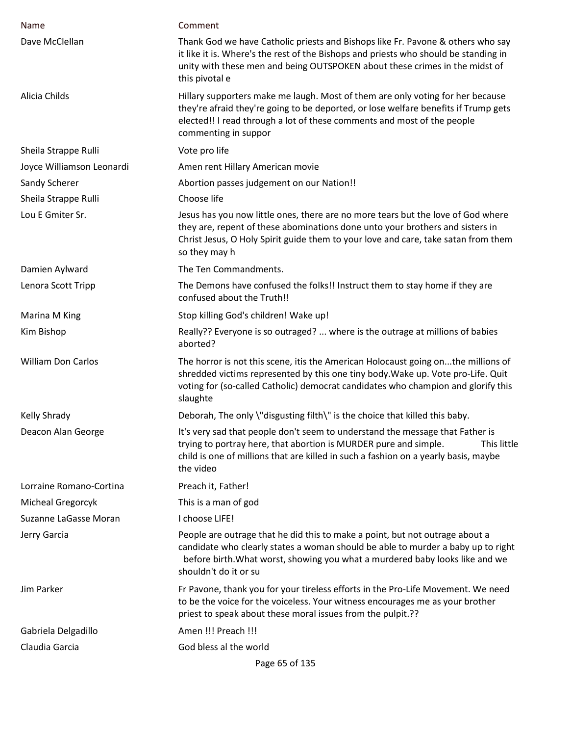| Name                      | Comment                                                                                                                                                                                                                                                                   |
|---------------------------|---------------------------------------------------------------------------------------------------------------------------------------------------------------------------------------------------------------------------------------------------------------------------|
| Dave McClellan            | Thank God we have Catholic priests and Bishops like Fr. Pavone & others who say<br>it like it is. Where's the rest of the Bishops and priests who should be standing in<br>unity with these men and being OUTSPOKEN about these crimes in the midst of<br>this pivotal e  |
| Alicia Childs             | Hillary supporters make me laugh. Most of them are only voting for her because<br>they're afraid they're going to be deported, or lose welfare benefits if Trump gets<br>elected!! I read through a lot of these comments and most of the people<br>commenting in suppor  |
| Sheila Strappe Rulli      | Vote pro life                                                                                                                                                                                                                                                             |
| Joyce Williamson Leonardi | Amen rent Hillary American movie                                                                                                                                                                                                                                          |
| Sandy Scherer             | Abortion passes judgement on our Nation!!                                                                                                                                                                                                                                 |
| Sheila Strappe Rulli      | Choose life                                                                                                                                                                                                                                                               |
| Lou E Gmiter Sr.          | Jesus has you now little ones, there are no more tears but the love of God where<br>they are, repent of these abominations done unto your brothers and sisters in<br>Christ Jesus, O Holy Spirit guide them to your love and care, take satan from them<br>so they may h  |
| Damien Aylward            | The Ten Commandments.                                                                                                                                                                                                                                                     |
| Lenora Scott Tripp        | The Demons have confused the folks!! Instruct them to stay home if they are<br>confused about the Truth!!                                                                                                                                                                 |
| Marina M King             | Stop killing God's children! Wake up!                                                                                                                                                                                                                                     |
| Kim Bishop                | Really?? Everyone is so outraged?  where is the outrage at millions of babies<br>aborted?                                                                                                                                                                                 |
| <b>William Don Carlos</b> | The horror is not this scene, itis the American Holocaust going onthe millions of<br>shredded victims represented by this one tiny body. Wake up. Vote pro-Life. Quit<br>voting for (so-called Catholic) democrat candidates who champion and glorify this<br>slaughte    |
| Kelly Shrady              | Deborah, The only \"disgusting filth\" is the choice that killed this baby.                                                                                                                                                                                               |
| Deacon Alan George        | It's very sad that people don't seem to understand the message that Father is<br>trying to portray here, that abortion is MURDER pure and simple.<br>This little<br>child is one of millions that are killed in such a fashion on a yearly basis, maybe<br>the video      |
| Lorraine Romano-Cortina   | Preach it, Father!                                                                                                                                                                                                                                                        |
| Micheal Gregorcyk         | This is a man of god                                                                                                                                                                                                                                                      |
| Suzanne LaGasse Moran     | I choose LIFE!                                                                                                                                                                                                                                                            |
| Jerry Garcia              | People are outrage that he did this to make a point, but not outrage about a<br>candidate who clearly states a woman should be able to murder a baby up to right<br>before birth. What worst, showing you what a murdered baby looks like and we<br>shouldn't do it or su |
| Jim Parker                | Fr Pavone, thank you for your tireless efforts in the Pro-Life Movement. We need<br>to be the voice for the voiceless. Your witness encourages me as your brother<br>priest to speak about these moral issues from the pulpit.??                                          |
| Gabriela Delgadillo       | Amen !!! Preach !!!                                                                                                                                                                                                                                                       |
| Claudia Garcia            | God bless al the world                                                                                                                                                                                                                                                    |
|                           | Page 65 of 135                                                                                                                                                                                                                                                            |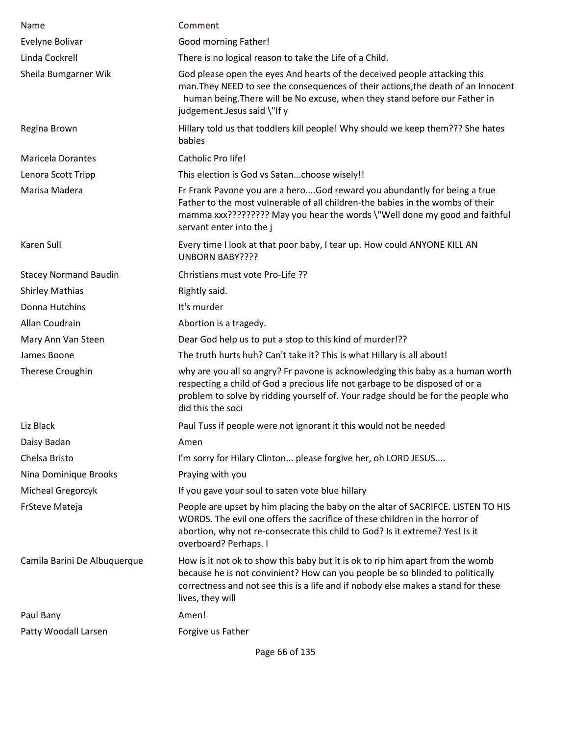| Name                         | Comment                                                                                                                                                                                                                                                                     |
|------------------------------|-----------------------------------------------------------------------------------------------------------------------------------------------------------------------------------------------------------------------------------------------------------------------------|
| Evelyne Bolivar              | Good morning Father!                                                                                                                                                                                                                                                        |
| Linda Cockrell               | There is no logical reason to take the Life of a Child.                                                                                                                                                                                                                     |
| Sheila Bumgarner Wik         | God please open the eyes And hearts of the deceived people attacking this<br>man. They NEED to see the consequences of their actions, the death of an Innocent<br>human being. There will be No excuse, when they stand before our Father in<br>judgement.Jesus said \"If y |
| Regina Brown                 | Hillary told us that toddlers kill people! Why should we keep them??? She hates<br>babies                                                                                                                                                                                   |
| <b>Maricela Dorantes</b>     | Catholic Pro life!                                                                                                                                                                                                                                                          |
| Lenora Scott Tripp           | This election is God vs Satanchoose wisely!!                                                                                                                                                                                                                                |
| Marisa Madera                | Fr Frank Pavone you are a heroGod reward you abundantly for being a true<br>Father to the most vulnerable of all children-the babies in the wombs of their<br>mamma xxx????????? May you hear the words \"Well done my good and faithful<br>servant enter into the j        |
| Karen Sull                   | Every time I look at that poor baby, I tear up. How could ANYONE KILL AN<br><b>UNBORN BABY????</b>                                                                                                                                                                          |
| <b>Stacey Normand Baudin</b> | Christians must vote Pro-Life ??                                                                                                                                                                                                                                            |
| <b>Shirley Mathias</b>       | Rightly said.                                                                                                                                                                                                                                                               |
| Donna Hutchins               | It's murder                                                                                                                                                                                                                                                                 |
| Allan Coudrain               | Abortion is a tragedy.                                                                                                                                                                                                                                                      |
| Mary Ann Van Steen           | Dear God help us to put a stop to this kind of murder!??                                                                                                                                                                                                                    |
| James Boone                  | The truth hurts huh? Can't take it? This is what Hillary is all about!                                                                                                                                                                                                      |
| <b>Therese Croughin</b>      | why are you all so angry? Fr pavone is acknowledging this baby as a human worth<br>respecting a child of God a precious life not garbage to be disposed of or a<br>problem to solve by ridding yourself of. Your radge should be for the people who<br>did this the soci    |
| Liz Black                    | Paul Tuss if people were not ignorant it this would not be needed                                                                                                                                                                                                           |
| Daisy Badan                  | Amen                                                                                                                                                                                                                                                                        |
| Chelsa Bristo                | I'm sorry for Hilary Clinton please forgive her, oh LORD JESUS                                                                                                                                                                                                              |
| Nina Dominique Brooks        | Praying with you                                                                                                                                                                                                                                                            |
| Micheal Gregorcyk            | If you gave your soul to saten vote blue hillary                                                                                                                                                                                                                            |
| FrSteve Mateja               | People are upset by him placing the baby on the altar of SACRIFCE. LISTEN TO HIS<br>WORDS. The evil one offers the sacrifice of these children in the horror of<br>abortion, why not re-consecrate this child to God? Is it extreme? Yes! Is it<br>overboard? Perhaps. I    |
| Camila Barini De Albuquerque | How is it not ok to show this baby but it is ok to rip him apart from the womb<br>because he is not convinient? How can you people be so blinded to politically<br>correctness and not see this is a life and if nobody else makes a stand for these<br>lives, they will    |
| Paul Bany                    | Amen!                                                                                                                                                                                                                                                                       |
| Patty Woodall Larsen         | Forgive us Father                                                                                                                                                                                                                                                           |
|                              |                                                                                                                                                                                                                                                                             |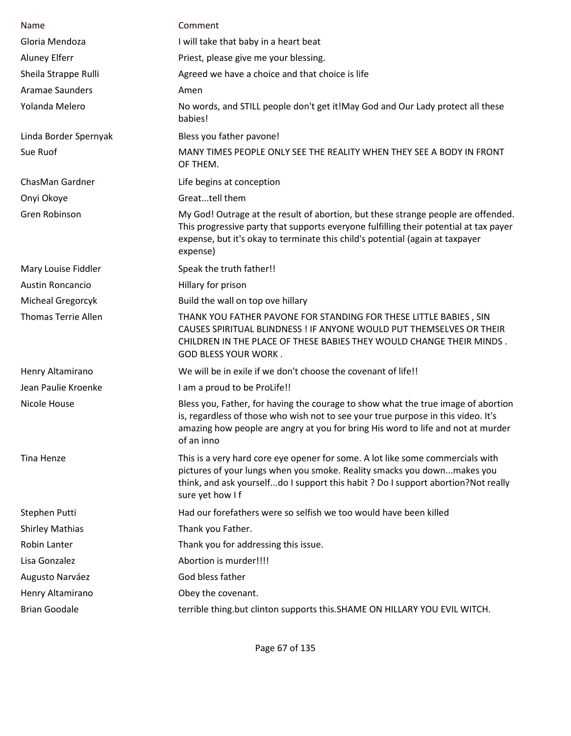| Name                       | Comment                                                                                                                                                                                                                                                                  |
|----------------------------|--------------------------------------------------------------------------------------------------------------------------------------------------------------------------------------------------------------------------------------------------------------------------|
| Gloria Mendoza             | I will take that baby in a heart beat                                                                                                                                                                                                                                    |
| <b>Aluney Elferr</b>       | Priest, please give me your blessing.                                                                                                                                                                                                                                    |
| Sheila Strappe Rulli       | Agreed we have a choice and that choice is life                                                                                                                                                                                                                          |
| <b>Aramae Saunders</b>     | Amen                                                                                                                                                                                                                                                                     |
| Yolanda Melero             | No words, and STILL people don't get it!May God and Our Lady protect all these<br>babies!                                                                                                                                                                                |
| Linda Border Spernyak      | Bless you father pavone!                                                                                                                                                                                                                                                 |
| Sue Ruof                   | MANY TIMES PEOPLE ONLY SEE THE REALITY WHEN THEY SEE A BODY IN FRONT<br>OF THEM.                                                                                                                                                                                         |
| ChasMan Gardner            | Life begins at conception                                                                                                                                                                                                                                                |
| Onyi Okoye                 | Greattell them                                                                                                                                                                                                                                                           |
| Gren Robinson              | My God! Outrage at the result of abortion, but these strange people are offended.<br>This progressive party that supports everyone fulfilling their potential at tax payer<br>expense, but it's okay to terminate this child's potential (again at taxpayer<br>expense)  |
| Mary Louise Fiddler        | Speak the truth father!!                                                                                                                                                                                                                                                 |
| <b>Austin Roncancio</b>    | Hillary for prison                                                                                                                                                                                                                                                       |
| Micheal Gregorcyk          | Build the wall on top ove hillary                                                                                                                                                                                                                                        |
| <b>Thomas Terrie Allen</b> | THANK YOU FATHER PAVONE FOR STANDING FOR THESE LITTLE BABIES, SIN<br>CAUSES SPIRITUAL BLINDNESS ! IF ANYONE WOULD PUT THEMSELVES OR THEIR<br>CHILDREN IN THE PLACE OF THESE BABIES THEY WOULD CHANGE THEIR MINDS.<br><b>GOD BLESS YOUR WORK.</b>                         |
| Henry Altamirano           | We will be in exile if we don't choose the covenant of life!!                                                                                                                                                                                                            |
| Jean Paulie Kroenke        | I am a proud to be ProLife!!                                                                                                                                                                                                                                             |
| Nicole House               | Bless you, Father, for having the courage to show what the true image of abortion<br>is, regardless of those who wish not to see your true purpose in this video. It's<br>amazing how people are angry at you for bring His word to life and not at murder<br>of an inno |
| Tina Henze                 | This is a very hard core eye opener for some. A lot like some commercials with<br>pictures of your lungs when you smoke. Reality smacks you downmakes you<br>think, and ask yourselfdo I support this habit ? Do I support abortion?Not really<br>sure yet how I f       |
| Stephen Putti              | Had our forefathers were so selfish we too would have been killed                                                                                                                                                                                                        |
| <b>Shirley Mathias</b>     | Thank you Father.                                                                                                                                                                                                                                                        |
| Robin Lanter               | Thank you for addressing this issue.                                                                                                                                                                                                                                     |
| Lisa Gonzalez              | Abortion is murder!!!!                                                                                                                                                                                                                                                   |
| Augusto Narváez            | God bless father                                                                                                                                                                                                                                                         |
| Henry Altamirano           | Obey the covenant.                                                                                                                                                                                                                                                       |
| <b>Brian Goodale</b>       | terrible thing.but clinton supports this. SHAME ON HILLARY YOU EVIL WITCH.                                                                                                                                                                                               |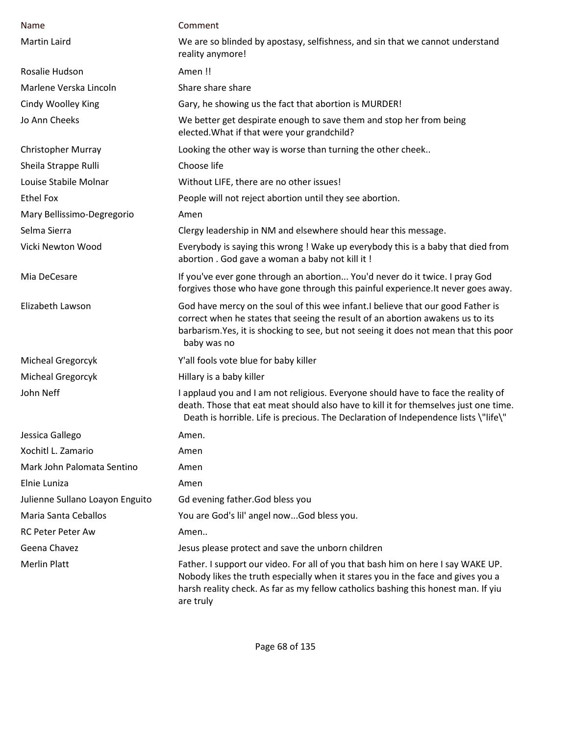| <b>Name</b>                     | Comment                                                                                                                                                                                                                                                                    |
|---------------------------------|----------------------------------------------------------------------------------------------------------------------------------------------------------------------------------------------------------------------------------------------------------------------------|
| <b>Martin Laird</b>             | We are so blinded by apostasy, selfishness, and sin that we cannot understand<br>reality anymore!                                                                                                                                                                          |
| Rosalie Hudson                  | Amen!!                                                                                                                                                                                                                                                                     |
| Marlene Verska Lincoln          | Share share share                                                                                                                                                                                                                                                          |
| Cindy Woolley King              | Gary, he showing us the fact that abortion is MURDER!                                                                                                                                                                                                                      |
| Jo Ann Cheeks                   | We better get despirate enough to save them and stop her from being<br>elected. What if that were your grandchild?                                                                                                                                                         |
| <b>Christopher Murray</b>       | Looking the other way is worse than turning the other cheek                                                                                                                                                                                                                |
| Sheila Strappe Rulli            | Choose life                                                                                                                                                                                                                                                                |
| Louise Stabile Molnar           | Without LIFE, there are no other issues!                                                                                                                                                                                                                                   |
| <b>Ethel Fox</b>                | People will not reject abortion until they see abortion.                                                                                                                                                                                                                   |
| Mary Bellissimo-Degregorio      | Amen                                                                                                                                                                                                                                                                       |
| Selma Sierra                    | Clergy leadership in NM and elsewhere should hear this message.                                                                                                                                                                                                            |
| Vicki Newton Wood               | Everybody is saying this wrong ! Wake up everybody this is a baby that died from<br>abortion . God gave a woman a baby not kill it !                                                                                                                                       |
| Mia DeCesare                    | If you've ever gone through an abortion You'd never do it twice. I pray God<br>forgives those who have gone through this painful experience. It never goes away.                                                                                                           |
| Elizabeth Lawson                | God have mercy on the soul of this wee infant. I believe that our good Father is<br>correct when he states that seeing the result of an abortion awakens us to its<br>barbarism. Yes, it is shocking to see, but not seeing it does not mean that this poor<br>baby was no |
| Micheal Gregorcyk               | Y'all fools vote blue for baby killer                                                                                                                                                                                                                                      |
| Micheal Gregorcyk               | Hillary is a baby killer                                                                                                                                                                                                                                                   |
| John Neff                       | I applaud you and I am not religious. Everyone should have to face the reality of<br>death. Those that eat meat should also have to kill it for themselves just one time.<br>Death is horrible. Life is precious. The Declaration of Independence lists \"life\"           |
| Jessica Gallego                 | Amen.                                                                                                                                                                                                                                                                      |
| Xochitl L. Zamario              | Amen                                                                                                                                                                                                                                                                       |
| Mark John Palomata Sentino      | Amen                                                                                                                                                                                                                                                                       |
| Elnie Luniza                    | Amen                                                                                                                                                                                                                                                                       |
| Julienne Sullano Loayon Enguito | Gd evening father. God bless you                                                                                                                                                                                                                                           |
| Maria Santa Ceballos            | You are God's lil' angel nowGod bless you.                                                                                                                                                                                                                                 |
| <b>RC Peter Peter Aw</b>        | Amen                                                                                                                                                                                                                                                                       |
| Geena Chavez                    | Jesus please protect and save the unborn children                                                                                                                                                                                                                          |
| <b>Merlin Platt</b>             | Father. I support our video. For all of you that bash him on here I say WAKE UP.<br>Nobody likes the truth especially when it stares you in the face and gives you a<br>harsh reality check. As far as my fellow catholics bashing this honest man. If yiu<br>are truly    |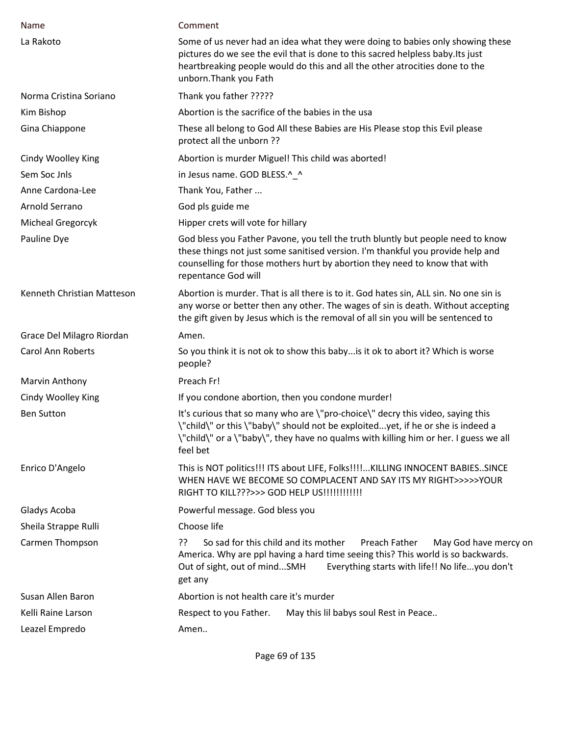| Name                       | Comment                                                                                                                                                                                                                                                                    |
|----------------------------|----------------------------------------------------------------------------------------------------------------------------------------------------------------------------------------------------------------------------------------------------------------------------|
| La Rakoto                  | Some of us never had an idea what they were doing to babies only showing these<br>pictures do we see the evil that is done to this sacred helpless baby. Its just<br>heartbreaking people would do this and all the other atrocities done to the<br>unborn. Thank you Fath |
| Norma Cristina Soriano     | Thank you father ?????                                                                                                                                                                                                                                                     |
| Kim Bishop                 | Abortion is the sacrifice of the babies in the usa                                                                                                                                                                                                                         |
| Gina Chiappone             | These all belong to God All these Babies are His Please stop this Evil please<br>protect all the unborn ??                                                                                                                                                                 |
| Cindy Woolley King         | Abortion is murder Miguel! This child was aborted!                                                                                                                                                                                                                         |
| Sem Soc Jnls               | in Jesus name. GOD BLESS.^ ^                                                                                                                                                                                                                                               |
| Anne Cardona-Lee           | Thank You, Father                                                                                                                                                                                                                                                          |
| Arnold Serrano             | God pls guide me                                                                                                                                                                                                                                                           |
| Micheal Gregorcyk          | Hipper crets will vote for hillary                                                                                                                                                                                                                                         |
| Pauline Dye                | God bless you Father Pavone, you tell the truth bluntly but people need to know<br>these things not just some sanitised version. I'm thankful you provide help and<br>counselling for those mothers hurt by abortion they need to know that with<br>repentance God will    |
| Kenneth Christian Matteson | Abortion is murder. That is all there is to it. God hates sin, ALL sin. No one sin is<br>any worse or better then any other. The wages of sin is death. Without accepting<br>the gift given by Jesus which is the removal of all sin you will be sentenced to              |
| Grace Del Milagro Riordan  | Amen.                                                                                                                                                                                                                                                                      |
| <b>Carol Ann Roberts</b>   | So you think it is not ok to show this baby is it ok to abort it? Which is worse<br>people?                                                                                                                                                                                |
| Marvin Anthony             | Preach Fr!                                                                                                                                                                                                                                                                 |
| Cindy Woolley King         | If you condone abortion, then you condone murder!                                                                                                                                                                                                                          |
| <b>Ben Sutton</b>          | It's curious that so many who are \"pro-choice\" decry this video, saying this<br>\"child\" or this \"baby\" should not be exploitedyet, if he or she is indeed a<br>\"child\" or a \"baby\", they have no qualms with killing him or her. I guess we all<br>feel bet      |
| Enrico D'Angelo            | This is NOT politics!!! ITS about LIFE, Folks!!!!KILLING INNOCENT BABIESSINCE<br>WHEN HAVE WE BECOME SO COMPLACENT AND SAY ITS MY RIGHT>>>>>YOUR<br>RIGHT TO KILL???>>> GOD HELP US!!!!!!!!!!!!!                                                                           |
| Gladys Acoba               | Powerful message. God bless you                                                                                                                                                                                                                                            |
| Sheila Strappe Rulli       | Choose life                                                                                                                                                                                                                                                                |
| Carmen Thompson            | ַרְכִ<br>So sad for this child and its mother<br>Preach Father<br>May God have mercy on<br>America. Why are ppl having a hard time seeing this? This world is so backwards.<br>Everything starts with life!! No lifeyou don't<br>Out of sight, out of mindSMH<br>get any   |
| Susan Allen Baron          | Abortion is not health care it's murder                                                                                                                                                                                                                                    |
| Kelli Raine Larson         | May this lil babys soul Rest in Peace<br>Respect to you Father.                                                                                                                                                                                                            |
| Leazel Empredo             | Amen                                                                                                                                                                                                                                                                       |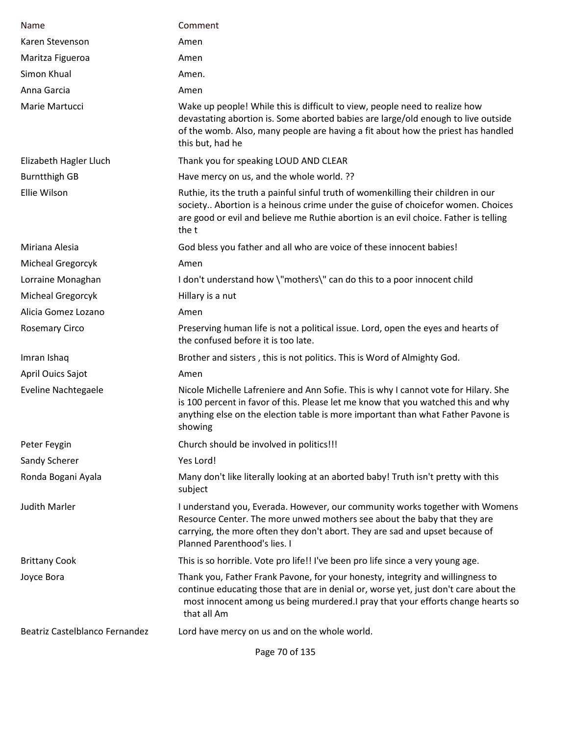| Name                           | Comment                                                                                                                                                                                                                                                                   |
|--------------------------------|---------------------------------------------------------------------------------------------------------------------------------------------------------------------------------------------------------------------------------------------------------------------------|
| Karen Stevenson                | Amen                                                                                                                                                                                                                                                                      |
| Maritza Figueroa               | Amen                                                                                                                                                                                                                                                                      |
| Simon Khual                    | Amen.                                                                                                                                                                                                                                                                     |
| Anna Garcia                    | Amen                                                                                                                                                                                                                                                                      |
| Marie Martucci                 | Wake up people! While this is difficult to view, people need to realize how<br>devastating abortion is. Some aborted babies are large/old enough to live outside<br>of the womb. Also, many people are having a fit about how the priest has handled<br>this but, had he  |
| Elizabeth Hagler Lluch         | Thank you for speaking LOUD AND CLEAR                                                                                                                                                                                                                                     |
| <b>Burntthigh GB</b>           | Have mercy on us, and the whole world. ??                                                                                                                                                                                                                                 |
| Ellie Wilson                   | Ruthie, its the truth a painful sinful truth of womenkilling their children in our<br>society Abortion is a heinous crime under the guise of choicefor women. Choices<br>are good or evil and believe me Ruthie abortion is an evil choice. Father is telling<br>the t    |
| Miriana Alesia                 | God bless you father and all who are voice of these innocent babies!                                                                                                                                                                                                      |
| Micheal Gregorcyk              | Amen                                                                                                                                                                                                                                                                      |
| Lorraine Monaghan              | I don't understand how \"mothers\" can do this to a poor innocent child                                                                                                                                                                                                   |
| Micheal Gregorcyk              | Hillary is a nut                                                                                                                                                                                                                                                          |
| Alicia Gomez Lozano            | Amen                                                                                                                                                                                                                                                                      |
| <b>Rosemary Circo</b>          | Preserving human life is not a political issue. Lord, open the eyes and hearts of<br>the confused before it is too late.                                                                                                                                                  |
| Imran Ishaq                    | Brother and sisters, this is not politics. This is Word of Almighty God.                                                                                                                                                                                                  |
| April Ouics Sajot              | Amen                                                                                                                                                                                                                                                                      |
| <b>Eveline Nachtegaele</b>     | Nicole Michelle Lafreniere and Ann Sofie. This is why I cannot vote for Hilary. She<br>is 100 percent in favor of this. Please let me know that you watched this and why<br>anything else on the election table is more important than what Father Pavone is<br>showing   |
| Peter Feygin                   | Church should be involved in politics!!!                                                                                                                                                                                                                                  |
| Sandy Scherer                  | Yes Lord!                                                                                                                                                                                                                                                                 |
| Ronda Bogani Ayala             | Many don't like literally looking at an aborted baby! Truth isn't pretty with this<br>subject                                                                                                                                                                             |
| <b>Judith Marler</b>           | I understand you, Everada. However, our community works together with Womens<br>Resource Center. The more unwed mothers see about the baby that they are<br>carrying, the more often they don't abort. They are sad and upset because of<br>Planned Parenthood's lies. I  |
| <b>Brittany Cook</b>           | This is so horrible. Vote pro life!! I've been pro life since a very young age.                                                                                                                                                                                           |
| Joyce Bora                     | Thank you, Father Frank Pavone, for your honesty, integrity and willingness to<br>continue educating those that are in denial or, worse yet, just don't care about the<br>most innocent among us being murdered. I pray that your efforts change hearts so<br>that all Am |
| Beatriz Castelblanco Fernandez | Lord have mercy on us and on the whole world.                                                                                                                                                                                                                             |

Page 70 of 135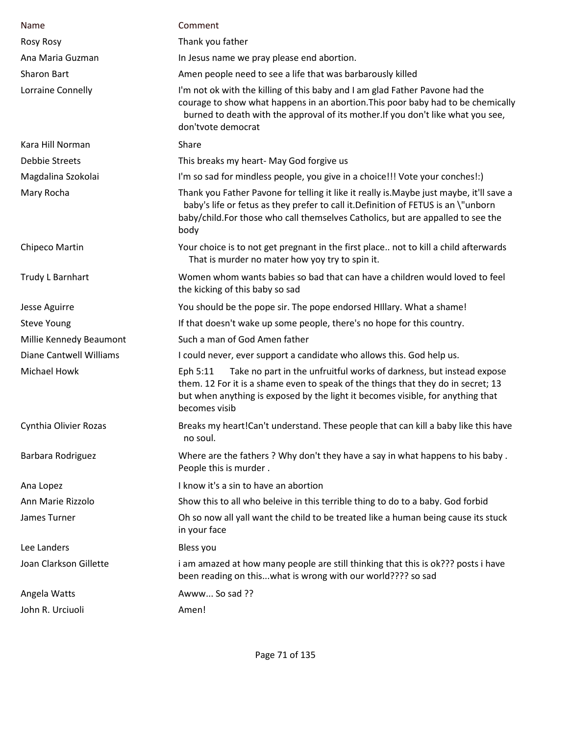| Name                           | Comment                                                                                                                                                                                                                                                                    |
|--------------------------------|----------------------------------------------------------------------------------------------------------------------------------------------------------------------------------------------------------------------------------------------------------------------------|
| <b>Rosy Rosy</b>               | Thank you father                                                                                                                                                                                                                                                           |
| Ana Maria Guzman               | In Jesus name we pray please end abortion.                                                                                                                                                                                                                                 |
| <b>Sharon Bart</b>             | Amen people need to see a life that was barbarously killed                                                                                                                                                                                                                 |
| Lorraine Connelly              | I'm not ok with the killing of this baby and I am glad Father Pavone had the<br>courage to show what happens in an abortion. This poor baby had to be chemically<br>burned to death with the approval of its mother. If you don't like what you see,<br>don'tvote democrat |
| Kara Hill Norman               | Share                                                                                                                                                                                                                                                                      |
| <b>Debbie Streets</b>          | This breaks my heart- May God forgive us                                                                                                                                                                                                                                   |
| Magdalina Szokolai             | I'm so sad for mindless people, you give in a choice!!! Vote your conches!:)                                                                                                                                                                                               |
| Mary Rocha                     | Thank you Father Pavone for telling it like it really is. Maybe just maybe, it'll save a<br>baby's life or fetus as they prefer to call it. Definition of FETUS is an \"unborn<br>baby/child.For those who call themselves Catholics, but are appalled to see the<br>body  |
| Chipeco Martin                 | Your choice is to not get pregnant in the first place not to kill a child afterwards<br>That is murder no mater how yoy try to spin it.                                                                                                                                    |
| Trudy L Barnhart               | Women whom wants babies so bad that can have a children would loved to feel<br>the kicking of this baby so sad                                                                                                                                                             |
| Jesse Aguirre                  | You should be the pope sir. The pope endorsed Hillary. What a shame!                                                                                                                                                                                                       |
| <b>Steve Young</b>             | If that doesn't wake up some people, there's no hope for this country.                                                                                                                                                                                                     |
| Millie Kennedy Beaumont        | Such a man of God Amen father                                                                                                                                                                                                                                              |
| <b>Diane Cantwell Williams</b> | I could never, ever support a candidate who allows this. God help us.                                                                                                                                                                                                      |
| <b>Michael Howk</b>            | Take no part in the unfruitful works of darkness, but instead expose<br>Eph 5:11<br>them. 12 For it is a shame even to speak of the things that they do in secret; 13<br>but when anything is exposed by the light it becomes visible, for anything that<br>becomes visib  |
| Cynthia Olivier Rozas          | Breaks my heart!Can't understand. These people that can kill a baby like this have<br>no soul.                                                                                                                                                                             |
| Barbara Rodriguez              | Where are the fathers? Why don't they have a say in what happens to his baby.<br>People this is murder.                                                                                                                                                                    |
| Ana Lopez                      | I know it's a sin to have an abortion                                                                                                                                                                                                                                      |
| Ann Marie Rizzolo              | Show this to all who beleive in this terrible thing to do to a baby. God forbid                                                                                                                                                                                            |
| James Turner                   | Oh so now all yall want the child to be treated like a human being cause its stuck<br>in your face                                                                                                                                                                         |
| Lee Landers                    | Bless you                                                                                                                                                                                                                                                                  |
| Joan Clarkson Gillette         | i am amazed at how many people are still thinking that this is ok??? posts i have<br>been reading on thiswhat is wrong with our world???? so sad                                                                                                                           |
| Angela Watts                   | Awww So sad ??                                                                                                                                                                                                                                                             |
| John R. Urciuoli               | Amen!                                                                                                                                                                                                                                                                      |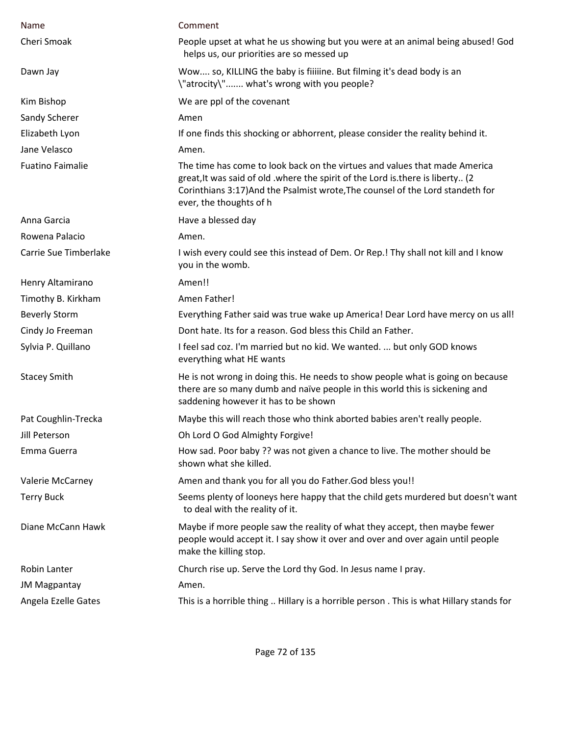| Name                    | Comment                                                                                                                                                                                                                                                                    |
|-------------------------|----------------------------------------------------------------------------------------------------------------------------------------------------------------------------------------------------------------------------------------------------------------------------|
| Cheri Smoak             | People upset at what he us showing but you were at an animal being abused! God<br>helps us, our priorities are so messed up                                                                                                                                                |
| Dawn Jay                | Wow so, KILLING the baby is fiiiine. But filming it's dead body is an<br>\"atrocity\" what's wrong with you people?                                                                                                                                                        |
| Kim Bishop              | We are ppl of the covenant                                                                                                                                                                                                                                                 |
| Sandy Scherer           | Amen                                                                                                                                                                                                                                                                       |
| Elizabeth Lyon          | If one finds this shocking or abhorrent, please consider the reality behind it.                                                                                                                                                                                            |
| Jane Velasco            | Amen.                                                                                                                                                                                                                                                                      |
| <b>Fuatino Faimalie</b> | The time has come to look back on the virtues and values that made America<br>great, It was said of old . where the spirit of the Lord is there is liberty (2<br>Corinthians 3:17) And the Psalmist wrote, The counsel of the Lord standeth for<br>ever, the thoughts of h |
| Anna Garcia             | Have a blessed day                                                                                                                                                                                                                                                         |
| Rowena Palacio          | Amen.                                                                                                                                                                                                                                                                      |
| Carrie Sue Timberlake   | I wish every could see this instead of Dem. Or Rep.! Thy shall not kill and I know<br>you in the womb.                                                                                                                                                                     |
| Henry Altamirano        | Amen!!                                                                                                                                                                                                                                                                     |
| Timothy B. Kirkham      | Amen Father!                                                                                                                                                                                                                                                               |
| <b>Beverly Storm</b>    | Everything Father said was true wake up America! Dear Lord have mercy on us all!                                                                                                                                                                                           |
| Cindy Jo Freeman        | Dont hate. Its for a reason. God bless this Child an Father.                                                                                                                                                                                                               |
| Sylvia P. Quillano      | I feel sad coz. I'm married but no kid. We wanted.  but only GOD knows<br>everything what HE wants                                                                                                                                                                         |
| <b>Stacey Smith</b>     | He is not wrong in doing this. He needs to show people what is going on because<br>there are so many dumb and naïve people in this world this is sickening and<br>saddening however it has to be shown                                                                     |
| Pat Coughlin-Trecka     | Maybe this will reach those who think aborted babies aren't really people.                                                                                                                                                                                                 |
| Jill Peterson           | Oh Lord O God Almighty Forgive!                                                                                                                                                                                                                                            |
| Emma Guerra             | How sad. Poor baby ?? was not given a chance to live. The mother should be<br>shown what she killed.                                                                                                                                                                       |
| Valerie McCarney        | Amen and thank you for all you do Father. God bless you!!                                                                                                                                                                                                                  |
| <b>Terry Buck</b>       | Seems plenty of looneys here happy that the child gets murdered but doesn't want<br>to deal with the reality of it.                                                                                                                                                        |
| Diane McCann Hawk       | Maybe if more people saw the reality of what they accept, then maybe fewer<br>people would accept it. I say show it over and over and over again until people<br>make the killing stop.                                                                                    |
| Robin Lanter            | Church rise up. Serve the Lord thy God. In Jesus name I pray.                                                                                                                                                                                                              |
| <b>JM Magpantay</b>     | Amen.                                                                                                                                                                                                                                                                      |
| Angela Ezelle Gates     | This is a horrible thing  Hillary is a horrible person . This is what Hillary stands for                                                                                                                                                                                   |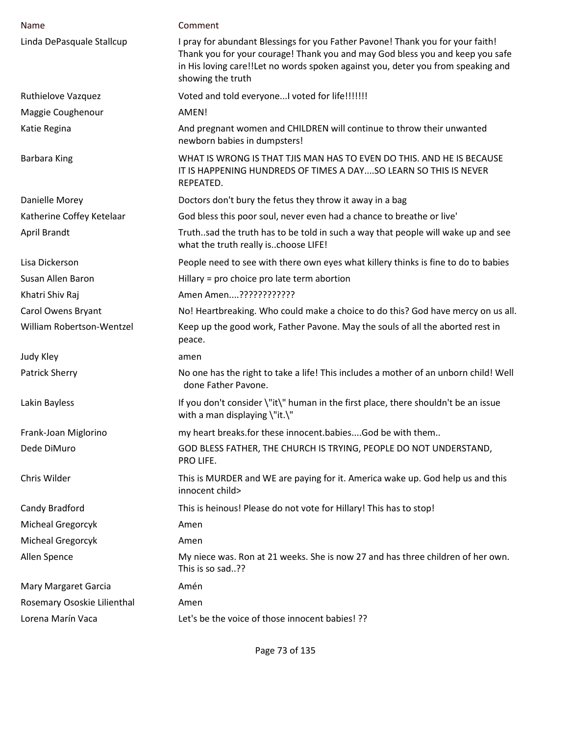| Name                        | Comment                                                                                                                                                                                                                                                                  |
|-----------------------------|--------------------------------------------------------------------------------------------------------------------------------------------------------------------------------------------------------------------------------------------------------------------------|
|                             |                                                                                                                                                                                                                                                                          |
| Linda DePasquale Stallcup   | I pray for abundant Blessings for you Father Pavone! Thank you for your faith!<br>Thank you for your courage! Thank you and may God bless you and keep you safe<br>in His loving care!!Let no words spoken against you, deter you from speaking and<br>showing the truth |
| Ruthielove Vazquez          | Voted and told everyone I voted for life!!!!!!!                                                                                                                                                                                                                          |
| Maggie Coughenour           | AMEN!                                                                                                                                                                                                                                                                    |
| Katie Regina                | And pregnant women and CHILDREN will continue to throw their unwanted<br>newborn babies in dumpsters!                                                                                                                                                                    |
| <b>Barbara King</b>         | WHAT IS WRONG IS THAT TJIS MAN HAS TO EVEN DO THIS. AND HE IS BECAUSE<br>IT IS HAPPENING HUNDREDS OF TIMES A DAYSO LEARN SO THIS IS NEVER<br>REPEATED.                                                                                                                   |
| Danielle Morey              | Doctors don't bury the fetus they throw it away in a bag                                                                                                                                                                                                                 |
| Katherine Coffey Ketelaar   | God bless this poor soul, never even had a chance to breathe or live'                                                                                                                                                                                                    |
| April Brandt                | Truthsad the truth has to be told in such a way that people will wake up and see<br>what the truth really ischoose LIFE!                                                                                                                                                 |
| Lisa Dickerson              | People need to see with there own eyes what killery thinks is fine to do to babies                                                                                                                                                                                       |
| Susan Allen Baron           | Hillary = pro choice pro late term abortion                                                                                                                                                                                                                              |
| Khatri Shiv Raj             | Amen Amen????????????                                                                                                                                                                                                                                                    |
| Carol Owens Bryant          | No! Heartbreaking. Who could make a choice to do this? God have mercy on us all.                                                                                                                                                                                         |
| William Robertson-Wentzel   | Keep up the good work, Father Pavone. May the souls of all the aborted rest in<br>peace.                                                                                                                                                                                 |
| Judy Kley                   | amen                                                                                                                                                                                                                                                                     |
| <b>Patrick Sherry</b>       | No one has the right to take a life! This includes a mother of an unborn child! Well<br>done Father Pavone.                                                                                                                                                              |
| Lakin Bayless               | If you don't consider \"it\" human in the first place, there shouldn't be an issue<br>with a man displaying \"it.\"                                                                                                                                                      |
| Frank-Joan Miglorino        | my heart breaks.for these innocent.babiesGod be with them                                                                                                                                                                                                                |
| Dede DiMuro                 | GOD BLESS FATHER, THE CHURCH IS TRYING, PEOPLE DO NOT UNDERSTAND,<br>PRO LIFE.                                                                                                                                                                                           |
| Chris Wilder                | This is MURDER and WE are paying for it. America wake up. God help us and this<br>innocent child>                                                                                                                                                                        |
| Candy Bradford              | This is heinous! Please do not vote for Hillary! This has to stop!                                                                                                                                                                                                       |
| Micheal Gregorcyk           | Amen                                                                                                                                                                                                                                                                     |
| Micheal Gregorcyk           | Amen                                                                                                                                                                                                                                                                     |
| Allen Spence                | My niece was. Ron at 21 weeks. She is now 27 and has three children of her own.<br>This is so sad??                                                                                                                                                                      |
| Mary Margaret Garcia        | Amén                                                                                                                                                                                                                                                                     |
| Rosemary Ososkie Lilienthal | Amen                                                                                                                                                                                                                                                                     |
| Lorena Marín Vaca           | Let's be the voice of those innocent babies! ??                                                                                                                                                                                                                          |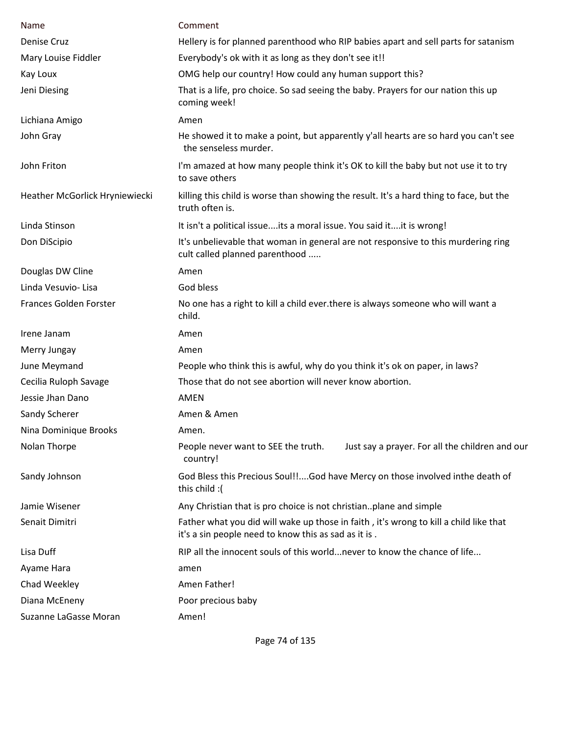| Name                           | Comment                                                                                                                                       |
|--------------------------------|-----------------------------------------------------------------------------------------------------------------------------------------------|
| Denise Cruz                    | Hellery is for planned parenthood who RIP babies apart and sell parts for satanism                                                            |
| Mary Louise Fiddler            | Everybody's ok with it as long as they don't see it!!                                                                                         |
|                                |                                                                                                                                               |
| Kay Loux                       | OMG help our country! How could any human support this?                                                                                       |
| Jeni Diesing                   | That is a life, pro choice. So sad seeing the baby. Prayers for our nation this up<br>coming week!                                            |
| Lichiana Amigo                 | Amen                                                                                                                                          |
| John Gray                      | He showed it to make a point, but apparently y'all hearts are so hard you can't see<br>the senseless murder.                                  |
| John Friton                    | I'm amazed at how many people think it's OK to kill the baby but not use it to try<br>to save others                                          |
| Heather McGorlick Hryniewiecki | killing this child is worse than showing the result. It's a hard thing to face, but the<br>truth often is.                                    |
| Linda Stinson                  | It isn't a political issueits a moral issue. You said itit is wrong!                                                                          |
| Don DiScipio                   | It's unbelievable that woman in general are not responsive to this murdering ring<br>cult called planned parenthood                           |
| Douglas DW Cline               | Amen                                                                                                                                          |
| Linda Vesuvio- Lisa            | God bless                                                                                                                                     |
| Frances Golden Forster         | No one has a right to kill a child ever there is always someone who will want a<br>child.                                                     |
| Irene Janam                    | Amen                                                                                                                                          |
| Merry Jungay                   | Amen                                                                                                                                          |
| June Meymand                   | People who think this is awful, why do you think it's ok on paper, in laws?                                                                   |
| Cecilia Ruloph Savage          | Those that do not see abortion will never know abortion.                                                                                      |
| Jessie Jhan Dano               | AMEN                                                                                                                                          |
| Sandy Scherer                  | Amen & Amen                                                                                                                                   |
| Nina Dominique Brooks          | Amen.                                                                                                                                         |
| Nolan Thorpe                   | People never want to SEE the truth.<br>Just say a prayer. For all the children and our<br>country!                                            |
| Sandy Johnson                  | God Bless this Precious Soul!!God have Mercy on those involved inthe death of<br>this child:(                                                 |
| Jamie Wisener                  | Any Christian that is pro choice is not christianplane and simple                                                                             |
| Senait Dimitri                 | Father what you did will wake up those in faith, it's wrong to kill a child like that<br>it's a sin people need to know this as sad as it is. |
| Lisa Duff                      | RIP all the innocent souls of this world never to know the chance of life                                                                     |
| Ayame Hara                     | amen                                                                                                                                          |
| Chad Weekley                   | Amen Father!                                                                                                                                  |
| Diana McEneny                  | Poor precious baby                                                                                                                            |
| Suzanne LaGasse Moran          | Amen!                                                                                                                                         |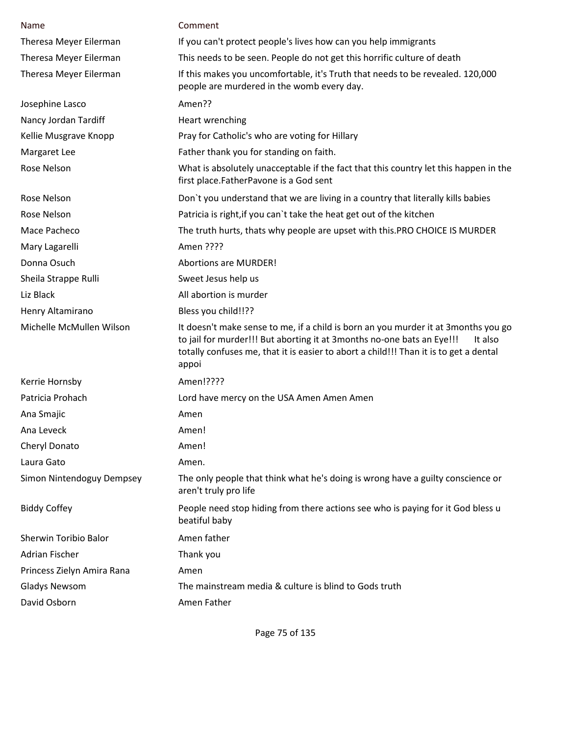| Name                       | Comment                                                                                                                                                                                                                                                                   |
|----------------------------|---------------------------------------------------------------------------------------------------------------------------------------------------------------------------------------------------------------------------------------------------------------------------|
| Theresa Meyer Eilerman     | If you can't protect people's lives how can you help immigrants                                                                                                                                                                                                           |
| Theresa Meyer Eilerman     | This needs to be seen. People do not get this horrific culture of death                                                                                                                                                                                                   |
| Theresa Meyer Eilerman     | If this makes you uncomfortable, it's Truth that needs to be revealed. 120,000<br>people are murdered in the womb every day.                                                                                                                                              |
| Josephine Lasco            | Amen??                                                                                                                                                                                                                                                                    |
| Nancy Jordan Tardiff       | Heart wrenching                                                                                                                                                                                                                                                           |
| Kellie Musgrave Knopp      | Pray for Catholic's who are voting for Hillary                                                                                                                                                                                                                            |
| Margaret Lee               | Father thank you for standing on faith.                                                                                                                                                                                                                                   |
| Rose Nelson                | What is absolutely unacceptable if the fact that this country let this happen in the<br>first place.FatherPavone is a God sent                                                                                                                                            |
| Rose Nelson                | Don't you understand that we are living in a country that literally kills babies                                                                                                                                                                                          |
| Rose Nelson                | Patricia is right, if you can't take the heat get out of the kitchen                                                                                                                                                                                                      |
| Mace Pacheco               | The truth hurts, thats why people are upset with this.PRO CHOICE IS MURDER                                                                                                                                                                                                |
| Mary Lagarelli             | Amen ????                                                                                                                                                                                                                                                                 |
| Donna Osuch                | <b>Abortions are MURDER!</b>                                                                                                                                                                                                                                              |
| Sheila Strappe Rulli       | Sweet Jesus help us                                                                                                                                                                                                                                                       |
| Liz Black                  | All abortion is murder                                                                                                                                                                                                                                                    |
| Henry Altamirano           | Bless you child!!??                                                                                                                                                                                                                                                       |
| Michelle McMullen Wilson   | It doesn't make sense to me, if a child is born an you murder it at 3months you go<br>to jail for murder!!! But aborting it at 3months no-one bats an Eye!!!<br>It also<br>totally confuses me, that it is easier to abort a child!!! Than it is to get a dental<br>appoi |
| Kerrie Hornsby             | Amen!????                                                                                                                                                                                                                                                                 |
| Patricia Prohach           | Lord have mercy on the USA Amen Amen Amen                                                                                                                                                                                                                                 |
| Ana Smajic                 | Amen                                                                                                                                                                                                                                                                      |
| Ana Leveck                 | Amen!                                                                                                                                                                                                                                                                     |
| Cheryl Donato              | Amen!                                                                                                                                                                                                                                                                     |
| Laura Gato                 | Amen.                                                                                                                                                                                                                                                                     |
| Simon Nintendoguy Dempsey  | The only people that think what he's doing is wrong have a guilty conscience or<br>aren't truly pro life                                                                                                                                                                  |
| <b>Biddy Coffey</b>        | People need stop hiding from there actions see who is paying for it God bless u<br>beatiful baby                                                                                                                                                                          |
| Sherwin Toribio Balor      | Amen father                                                                                                                                                                                                                                                               |
| Adrian Fischer             | Thank you                                                                                                                                                                                                                                                                 |
| Princess Zielyn Amira Rana | Amen                                                                                                                                                                                                                                                                      |
| <b>Gladys Newsom</b>       | The mainstream media & culture is blind to Gods truth                                                                                                                                                                                                                     |
| David Osborn               | Amen Father                                                                                                                                                                                                                                                               |

Page 75 of 135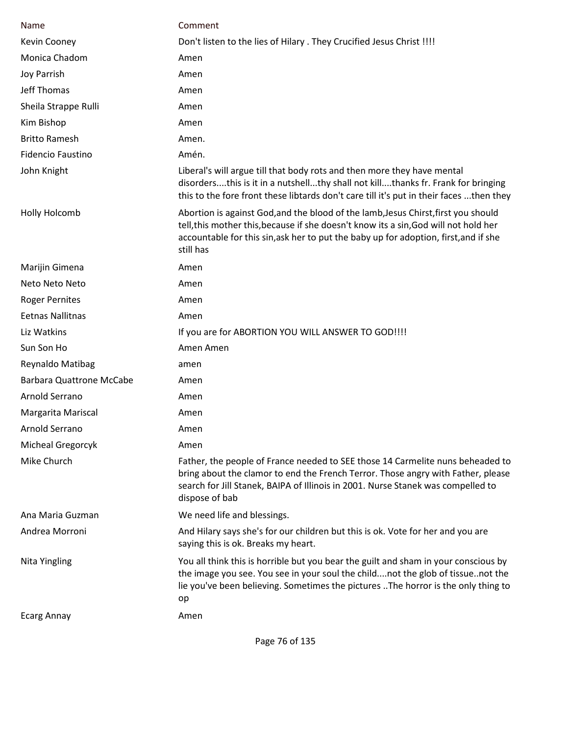| Name                            | Comment                                                                                                                                                                                                                                                                         |
|---------------------------------|---------------------------------------------------------------------------------------------------------------------------------------------------------------------------------------------------------------------------------------------------------------------------------|
| Kevin Cooney                    | Don't listen to the lies of Hilary . They Crucified Jesus Christ !!!!                                                                                                                                                                                                           |
| Monica Chadom                   | Amen                                                                                                                                                                                                                                                                            |
| <b>Joy Parrish</b>              | Amen                                                                                                                                                                                                                                                                            |
| <b>Jeff Thomas</b>              | Amen                                                                                                                                                                                                                                                                            |
| Sheila Strappe Rulli            | Amen                                                                                                                                                                                                                                                                            |
| Kim Bishop                      | Amen                                                                                                                                                                                                                                                                            |
| <b>Britto Ramesh</b>            | Amen.                                                                                                                                                                                                                                                                           |
| Fidencio Faustino               | Amén.                                                                                                                                                                                                                                                                           |
| John Knight                     | Liberal's will argue till that body rots and then more they have mental<br>disordersthis is it in a nutshellthy shall not killthanks fr. Frank for bringing<br>this to the fore front these libtards don't care till it's put in their faces  then they                         |
| <b>Holly Holcomb</b>            | Abortion is against God, and the blood of the lamb, Jesus Chirst, first you should<br>tell, this mother this, because if she doesn't know its a sin, God will not hold her<br>accountable for this sin, ask her to put the baby up for adoption, first, and if she<br>still has |
| Marijin Gimena                  | Amen                                                                                                                                                                                                                                                                            |
| Neto Neto Neto                  | Amen                                                                                                                                                                                                                                                                            |
| <b>Roger Pernites</b>           | Amen                                                                                                                                                                                                                                                                            |
| <b>Eetnas Nallitnas</b>         | Amen                                                                                                                                                                                                                                                                            |
| Liz Watkins                     | If you are for ABORTION YOU WILL ANSWER TO GOD!!!!                                                                                                                                                                                                                              |
| Sun Son Ho                      | Amen Amen                                                                                                                                                                                                                                                                       |
| Reynaldo Matibag                | amen                                                                                                                                                                                                                                                                            |
| <b>Barbara Quattrone McCabe</b> | Amen                                                                                                                                                                                                                                                                            |
| Arnold Serrano                  | Amen                                                                                                                                                                                                                                                                            |
| Margarita Mariscal              | Amen                                                                                                                                                                                                                                                                            |
| Arnold Serrano                  | Amen                                                                                                                                                                                                                                                                            |
| Micheal Gregorcyk               | Amen                                                                                                                                                                                                                                                                            |
| Mike Church                     | Father, the people of France needed to SEE those 14 Carmelite nuns beheaded to<br>bring about the clamor to end the French Terror. Those angry with Father, please<br>search for Jill Stanek, BAIPA of Illinois in 2001. Nurse Stanek was compelled to<br>dispose of bab        |
| Ana Maria Guzman                | We need life and blessings.                                                                                                                                                                                                                                                     |
| Andrea Morroni                  | And Hilary says she's for our children but this is ok. Vote for her and you are<br>saying this is ok. Breaks my heart.                                                                                                                                                          |
| Nita Yingling                   | You all think this is horrible but you bear the guilt and sham in your conscious by<br>the image you see. You see in your soul the childnot the glob of tissuenot the<br>lie you've been believing. Sometimes the pictures The horror is the only thing to<br>op                |
| <b>Ecarg Annay</b>              | Amen                                                                                                                                                                                                                                                                            |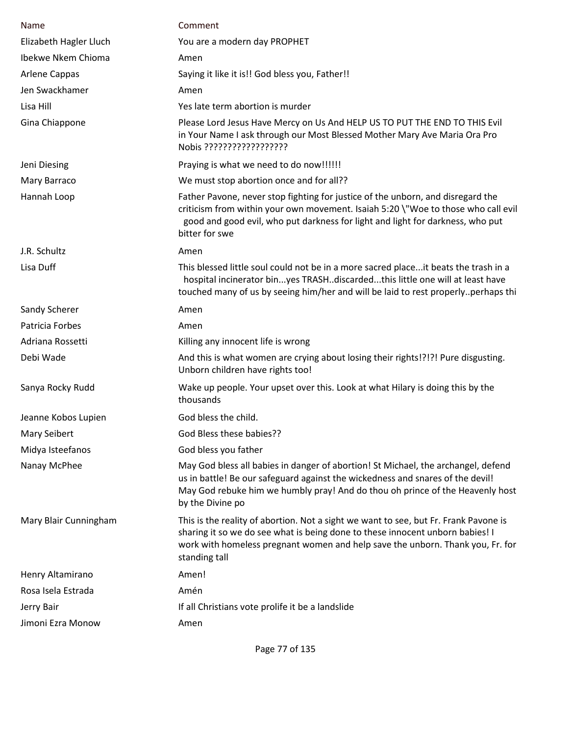| Name                   | Comment                                                                                                                                                                                                                                                                  |
|------------------------|--------------------------------------------------------------------------------------------------------------------------------------------------------------------------------------------------------------------------------------------------------------------------|
| Elizabeth Hagler Lluch | You are a modern day PROPHET                                                                                                                                                                                                                                             |
| Ibekwe Nkem Chioma     | Amen                                                                                                                                                                                                                                                                     |
| Arlene Cappas          | Saying it like it is!! God bless you, Father!!                                                                                                                                                                                                                           |
| Jen Swackhamer         | Amen                                                                                                                                                                                                                                                                     |
| Lisa Hill              | Yes late term abortion is murder                                                                                                                                                                                                                                         |
| Gina Chiappone         | Please Lord Jesus Have Mercy on Us And HELP US TO PUT THE END TO THIS Evil<br>in Your Name I ask through our Most Blessed Mother Mary Ave Maria Ora Pro<br>Nobis ??????????????????                                                                                      |
| Jeni Diesing           | Praying is what we need to do now!!!!!!                                                                                                                                                                                                                                  |
| Mary Barraco           | We must stop abortion once and for all??                                                                                                                                                                                                                                 |
| Hannah Loop            | Father Pavone, never stop fighting for justice of the unborn, and disregard the<br>criticism from within your own movement. Isaiah 5:20 \"Woe to those who call evil<br>good and good evil, who put darkness for light and light for darkness, who put<br>bitter for swe |
| J.R. Schultz           | Amen                                                                                                                                                                                                                                                                     |
| Lisa Duff              | This blessed little soul could not be in a more sacred placeit beats the trash in a<br>hospital incinerator binyes TRASHdiscardedthis little one will at least have<br>touched many of us by seeing him/her and will be laid to rest properlyperhaps thi                 |
| Sandy Scherer          | Amen                                                                                                                                                                                                                                                                     |
| Patricia Forbes        | Amen                                                                                                                                                                                                                                                                     |
| Adriana Rossetti       | Killing any innocent life is wrong                                                                                                                                                                                                                                       |
| Debi Wade              | And this is what women are crying about losing their rights!?!?! Pure disgusting.<br>Unborn children have rights too!                                                                                                                                                    |
| Sanya Rocky Rudd       | Wake up people. Your upset over this. Look at what Hilary is doing this by the<br>thousands                                                                                                                                                                              |
| Jeanne Kobos Lupien    | God bless the child.                                                                                                                                                                                                                                                     |
| <b>Mary Seibert</b>    | God Bless these babies??                                                                                                                                                                                                                                                 |
| Midya Isteefanos       | God bless you father                                                                                                                                                                                                                                                     |
| Nanay McPhee           | May God bless all babies in danger of abortion! St Michael, the archangel, defend<br>us in battle! Be our safeguard against the wickedness and snares of the devil!<br>May God rebuke him we humbly pray! And do thou oh prince of the Heavenly host<br>by the Divine po |
| Mary Blair Cunningham  | This is the reality of abortion. Not a sight we want to see, but Fr. Frank Pavone is<br>sharing it so we do see what is being done to these innocent unborn babies! I<br>work with homeless pregnant women and help save the unborn. Thank you, Fr. for<br>standing tall |
| Henry Altamirano       | Amen!                                                                                                                                                                                                                                                                    |
| Rosa Isela Estrada     | Amén                                                                                                                                                                                                                                                                     |
| Jerry Bair             | If all Christians vote prolife it be a landslide                                                                                                                                                                                                                         |
| Jimoni Ezra Monow      | Amen                                                                                                                                                                                                                                                                     |

Page 77 of 135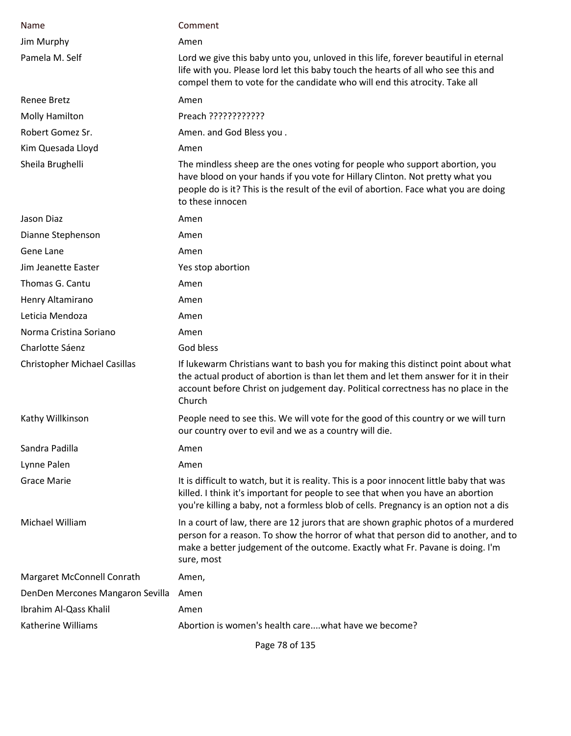| Name                                | Comment                                                                                                                                                                                                                                                                  |
|-------------------------------------|--------------------------------------------------------------------------------------------------------------------------------------------------------------------------------------------------------------------------------------------------------------------------|
| Jim Murphy                          | Amen                                                                                                                                                                                                                                                                     |
| Pamela M. Self                      | Lord we give this baby unto you, unloved in this life, forever beautiful in eternal<br>life with you. Please lord let this baby touch the hearts of all who see this and<br>compel them to vote for the candidate who will end this atrocity. Take all                   |
| Renee Bretz                         | Amen                                                                                                                                                                                                                                                                     |
| Molly Hamilton                      | Preach ????????????                                                                                                                                                                                                                                                      |
| Robert Gomez Sr.                    | Amen. and God Bless you.                                                                                                                                                                                                                                                 |
| Kim Quesada Lloyd                   | Amen                                                                                                                                                                                                                                                                     |
| Sheila Brughelli                    | The mindless sheep are the ones voting for people who support abortion, you<br>have blood on your hands if you vote for Hillary Clinton. Not pretty what you<br>people do is it? This is the result of the evil of abortion. Face what you are doing<br>to these innocen |
| Jason Diaz                          | Amen                                                                                                                                                                                                                                                                     |
| Dianne Stephenson                   | Amen                                                                                                                                                                                                                                                                     |
| Gene Lane                           | Amen                                                                                                                                                                                                                                                                     |
| Jim Jeanette Easter                 | Yes stop abortion                                                                                                                                                                                                                                                        |
| Thomas G. Cantu                     | Amen                                                                                                                                                                                                                                                                     |
| Henry Altamirano                    | Amen                                                                                                                                                                                                                                                                     |
| Leticia Mendoza                     | Amen                                                                                                                                                                                                                                                                     |
| Norma Cristina Soriano              | Amen                                                                                                                                                                                                                                                                     |
| Charlotte Sáenz                     | God bless                                                                                                                                                                                                                                                                |
| <b>Christopher Michael Casillas</b> | If lukewarm Christians want to bash you for making this distinct point about what<br>the actual product of abortion is than let them and let them answer for it in their<br>account before Christ on judgement day. Political correctness has no place in the<br>Church  |
| Kathy Willkinson                    | People need to see this. We will vote for the good of this country or we will turn<br>our country over to evil and we as a country will die.                                                                                                                             |
| Sandra Padilla                      | Amen                                                                                                                                                                                                                                                                     |
| Lynne Palen                         | Amen                                                                                                                                                                                                                                                                     |
| <b>Grace Marie</b>                  | It is difficult to watch, but it is reality. This is a poor innocent little baby that was<br>killed. I think it's important for people to see that when you have an abortion<br>you're killing a baby, not a formless blob of cells. Pregnancy is an option not a dis    |
| Michael William                     | In a court of law, there are 12 jurors that are shown graphic photos of a murdered<br>person for a reason. To show the horror of what that person did to another, and to<br>make a better judgement of the outcome. Exactly what Fr. Pavane is doing. I'm<br>sure, most  |
| Margaret McConnell Conrath          | Amen,                                                                                                                                                                                                                                                                    |
| DenDen Mercones Mangaron Sevilla    | Amen                                                                                                                                                                                                                                                                     |
| Ibrahim Al-Qass Khalil              | Amen                                                                                                                                                                                                                                                                     |
| Katherine Williams                  | Abortion is women's health carewhat have we become?                                                                                                                                                                                                                      |

Page 78 of 135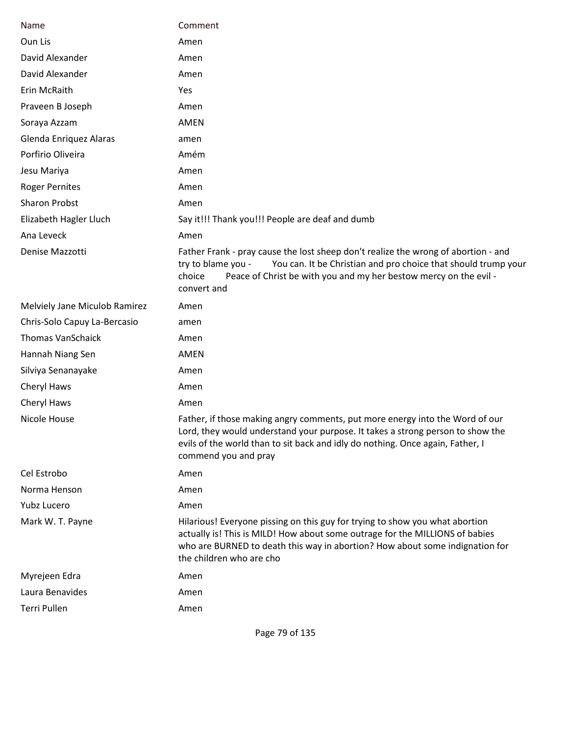| Name                          | Comment                                                                                                                                                                                                                                                                  |
|-------------------------------|--------------------------------------------------------------------------------------------------------------------------------------------------------------------------------------------------------------------------------------------------------------------------|
| Oun Lis                       | Amen                                                                                                                                                                                                                                                                     |
| David Alexander               | Amen                                                                                                                                                                                                                                                                     |
| David Alexander               | Amen                                                                                                                                                                                                                                                                     |
| Erin McRaith                  | Yes                                                                                                                                                                                                                                                                      |
| Praveen B Joseph              | Amen                                                                                                                                                                                                                                                                     |
| Soraya Azzam                  | AMEN                                                                                                                                                                                                                                                                     |
| Glenda Enriquez Alaras        | amen                                                                                                                                                                                                                                                                     |
| Porfirio Oliveira             | Amém                                                                                                                                                                                                                                                                     |
| Jesu Mariya                   | Amen                                                                                                                                                                                                                                                                     |
| <b>Roger Pernites</b>         | Amen                                                                                                                                                                                                                                                                     |
| <b>Sharon Probst</b>          | Amen                                                                                                                                                                                                                                                                     |
| Elizabeth Hagler Lluch        | Say it!!! Thank you!!! People are deaf and dumb                                                                                                                                                                                                                          |
| Ana Leveck                    | Amen                                                                                                                                                                                                                                                                     |
| Denise Mazzotti               | Father Frank - pray cause the lost sheep don't realize the wrong of abortion - and<br>You can. It be Christian and pro choice that should trump your<br>try to blame you -<br>choice<br>Peace of Christ be with you and my her bestow mercy on the evil -<br>convert and |
| Melviely Jane Miculob Ramirez | Amen                                                                                                                                                                                                                                                                     |
| Chris-Solo Capuy La-Bercasio  | amen                                                                                                                                                                                                                                                                     |
| <b>Thomas VanSchaick</b>      | Amen                                                                                                                                                                                                                                                                     |
| Hannah Niang Sen              | AMEN                                                                                                                                                                                                                                                                     |
| Silviya Senanayake            | Amen                                                                                                                                                                                                                                                                     |
| Cheryl Haws                   | Amen                                                                                                                                                                                                                                                                     |
| Cheryl Haws                   | Amen                                                                                                                                                                                                                                                                     |
| Nicole House                  | Father, if those making angry comments, put more energy into the Word of our<br>Lord, they would understand your purpose. It takes a strong person to show the<br>evils of the world than to sit back and idly do nothing. Once again, Father, I<br>commend you and pray |
| Cel Estrobo                   | Amen                                                                                                                                                                                                                                                                     |
| Norma Henson                  | Amen                                                                                                                                                                                                                                                                     |
| Yubz Lucero                   | Amen                                                                                                                                                                                                                                                                     |
| Mark W. T. Payne              | Hilarious! Everyone pissing on this guy for trying to show you what abortion<br>actually is! This is MILD! How about some outrage for the MILLIONS of babies<br>who are BURNED to death this way in abortion? How about some indignation for<br>the children who are cho |
| Myrejeen Edra                 | Amen                                                                                                                                                                                                                                                                     |
| Laura Benavides               | Amen                                                                                                                                                                                                                                                                     |
| Terri Pullen                  | Amen                                                                                                                                                                                                                                                                     |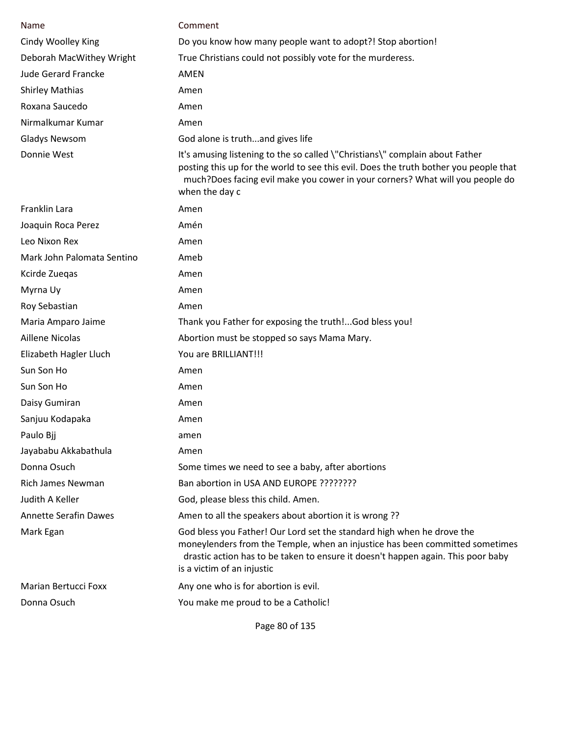| <b>Name</b>                  | Comment                                                                                                                                                                                                                                                                  |
|------------------------------|--------------------------------------------------------------------------------------------------------------------------------------------------------------------------------------------------------------------------------------------------------------------------|
| Cindy Woolley King           | Do you know how many people want to adopt?! Stop abortion!                                                                                                                                                                                                               |
| Deborah MacWithey Wright     | True Christians could not possibly vote for the murderess.                                                                                                                                                                                                               |
| <b>Jude Gerard Francke</b>   | AMEN                                                                                                                                                                                                                                                                     |
| <b>Shirley Mathias</b>       | Amen                                                                                                                                                                                                                                                                     |
| Roxana Saucedo               | Amen                                                                                                                                                                                                                                                                     |
| Nirmalkumar Kumar            | Amen                                                                                                                                                                                                                                                                     |
| Gladys Newsom                | God alone is truthand gives life                                                                                                                                                                                                                                         |
| Donnie West                  | It's amusing listening to the so called \"Christians\" complain about Father<br>posting this up for the world to see this evil. Does the truth bother you people that<br>much?Does facing evil make you cower in your corners? What will you people do<br>when the day c |
| Franklin Lara                | Amen                                                                                                                                                                                                                                                                     |
| Joaquin Roca Perez           | Amén                                                                                                                                                                                                                                                                     |
| Leo Nixon Rex                | Amen                                                                                                                                                                                                                                                                     |
| Mark John Palomata Sentino   | Ameb                                                                                                                                                                                                                                                                     |
| Kcirde Zuegas                | Amen                                                                                                                                                                                                                                                                     |
| Myrna Uy                     | Amen                                                                                                                                                                                                                                                                     |
| Roy Sebastian                | Amen                                                                                                                                                                                                                                                                     |
| Maria Amparo Jaime           | Thank you Father for exposing the truth!God bless you!                                                                                                                                                                                                                   |
| <b>Aillene Nicolas</b>       | Abortion must be stopped so says Mama Mary.                                                                                                                                                                                                                              |
| Elizabeth Hagler Lluch       | You are BRILLIANT!!!                                                                                                                                                                                                                                                     |
| Sun Son Ho                   | Amen                                                                                                                                                                                                                                                                     |
| Sun Son Ho                   | Amen                                                                                                                                                                                                                                                                     |
| Daisy Gumiran                | Amen                                                                                                                                                                                                                                                                     |
| Sanjuu Kodapaka              | Amen                                                                                                                                                                                                                                                                     |
| Paulo Bjj                    | amen                                                                                                                                                                                                                                                                     |
| Jayababu Akkabathula         | Amen                                                                                                                                                                                                                                                                     |
| Donna Osuch                  | Some times we need to see a baby, after abortions                                                                                                                                                                                                                        |
| <b>Rich James Newman</b>     | Ban abortion in USA AND EUROPE ????????                                                                                                                                                                                                                                  |
| Judith A Keller              | God, please bless this child. Amen.                                                                                                                                                                                                                                      |
| <b>Annette Serafin Dawes</b> | Amen to all the speakers about abortion it is wrong ??                                                                                                                                                                                                                   |
| Mark Egan                    | God bless you Father! Our Lord set the standard high when he drove the<br>moneylenders from the Temple, when an injustice has been committed sometimes<br>drastic action has to be taken to ensure it doesn't happen again. This poor baby<br>is a victim of an injustic |
| <b>Marian Bertucci Foxx</b>  | Any one who is for abortion is evil.                                                                                                                                                                                                                                     |
| Donna Osuch                  | You make me proud to be a Catholic!                                                                                                                                                                                                                                      |

Page 80 of 135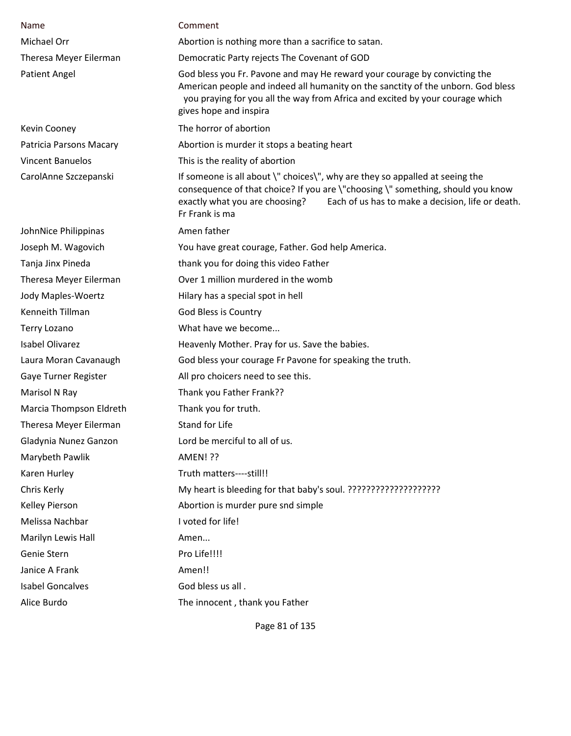| Name                    | Comment                                                                                                                                                                                                                                                                  |
|-------------------------|--------------------------------------------------------------------------------------------------------------------------------------------------------------------------------------------------------------------------------------------------------------------------|
| Michael Orr             | Abortion is nothing more than a sacrifice to satan.                                                                                                                                                                                                                      |
| Theresa Meyer Eilerman  | Democratic Party rejects The Covenant of GOD                                                                                                                                                                                                                             |
| <b>Patient Angel</b>    | God bless you Fr. Pavone and may He reward your courage by convicting the<br>American people and indeed all humanity on the sanctity of the unborn. God bless<br>you praying for you all the way from Africa and excited by your courage which<br>gives hope and inspira |
| Kevin Cooney            | The horror of abortion                                                                                                                                                                                                                                                   |
| Patricia Parsons Macary | Abortion is murder it stops a beating heart                                                                                                                                                                                                                              |
| <b>Vincent Banuelos</b> | This is the reality of abortion                                                                                                                                                                                                                                          |
| CarolAnne Szczepanski   | If someone is all about \" choices\", why are they so appalled at seeing the<br>consequence of that choice? If you are \"choosing \" something, should you know<br>Each of us has to make a decision, life or death.<br>exactly what you are choosing?<br>Fr Frank is ma |
| JohnNice Philippinas    | Amen father                                                                                                                                                                                                                                                              |
| Joseph M. Wagovich      | You have great courage, Father. God help America.                                                                                                                                                                                                                        |
| Tanja Jinx Pineda       | thank you for doing this video Father                                                                                                                                                                                                                                    |
| Theresa Meyer Eilerman  | Over 1 million murdered in the womb                                                                                                                                                                                                                                      |
| Jody Maples-Woertz      | Hilary has a special spot in hell                                                                                                                                                                                                                                        |
| Kenneith Tillman        | God Bless is Country                                                                                                                                                                                                                                                     |
| <b>Terry Lozano</b>     | What have we become                                                                                                                                                                                                                                                      |
| <b>Isabel Olivarez</b>  | Heavenly Mother. Pray for us. Save the babies.                                                                                                                                                                                                                           |
| Laura Moran Cavanaugh   | God bless your courage Fr Pavone for speaking the truth.                                                                                                                                                                                                                 |
| Gaye Turner Register    | All pro choicers need to see this.                                                                                                                                                                                                                                       |
| Marisol N Ray           | Thank you Father Frank??                                                                                                                                                                                                                                                 |
| Marcia Thompson Eldreth | Thank you for truth.                                                                                                                                                                                                                                                     |
| Theresa Meyer Eilerman  | Stand for Life                                                                                                                                                                                                                                                           |
| Gladynia Nunez Ganzon   | Lord be merciful to all of us.                                                                                                                                                                                                                                           |
| Marybeth Pawlik         | <b>AMEN! ??</b>                                                                                                                                                                                                                                                          |
| Karen Hurley            | Truth matters----still!!                                                                                                                                                                                                                                                 |
| Chris Kerly             |                                                                                                                                                                                                                                                                          |
| Kelley Pierson          | Abortion is murder pure snd simple                                                                                                                                                                                                                                       |
| Melissa Nachbar         | I voted for life!                                                                                                                                                                                                                                                        |
| Marilyn Lewis Hall      | Amen                                                                                                                                                                                                                                                                     |
| Genie Stern             | Pro Life!!!!                                                                                                                                                                                                                                                             |
| Janice A Frank          | Amen!!                                                                                                                                                                                                                                                                   |
| <b>Isabel Goncalves</b> | God bless us all.                                                                                                                                                                                                                                                        |
| Alice Burdo             | The innocent, thank you Father                                                                                                                                                                                                                                           |

Page 81 of 135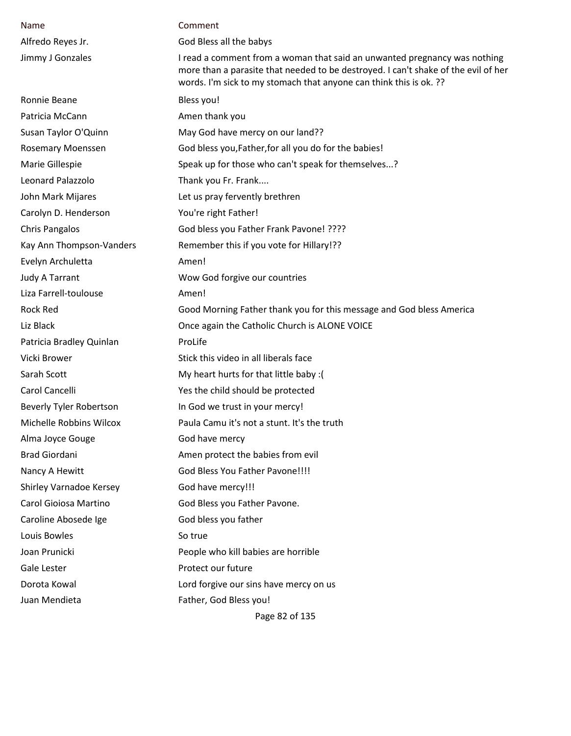| Name                           | Comment                                                                                                                                                                                                                               |
|--------------------------------|---------------------------------------------------------------------------------------------------------------------------------------------------------------------------------------------------------------------------------------|
| Alfredo Reyes Jr.              | God Bless all the babys                                                                                                                                                                                                               |
| Jimmy J Gonzales               | I read a comment from a woman that said an unwanted pregnancy was nothing<br>more than a parasite that needed to be destroyed. I can't shake of the evil of her<br>words. I'm sick to my stomach that anyone can think this is ok. ?? |
| Ronnie Beane                   | Bless you!                                                                                                                                                                                                                            |
| Patricia McCann                | Amen thank you                                                                                                                                                                                                                        |
| Susan Taylor O'Quinn           | May God have mercy on our land??                                                                                                                                                                                                      |
| Rosemary Moenssen              | God bless you, Father, for all you do for the babies!                                                                                                                                                                                 |
| Marie Gillespie                | Speak up for those who can't speak for themselves?                                                                                                                                                                                    |
| Leonard Palazzolo              | Thank you Fr. Frank                                                                                                                                                                                                                   |
| John Mark Mijares              | Let us pray fervently brethren                                                                                                                                                                                                        |
| Carolyn D. Henderson           | You're right Father!                                                                                                                                                                                                                  |
| <b>Chris Pangalos</b>          | God bless you Father Frank Pavone! ????                                                                                                                                                                                               |
| Kay Ann Thompson-Vanders       | Remember this if you vote for Hillary!??                                                                                                                                                                                              |
| Evelyn Archuletta              | Amen!                                                                                                                                                                                                                                 |
| <b>Judy A Tarrant</b>          | Wow God forgive our countries                                                                                                                                                                                                         |
| Liza Farrell-toulouse          | Amen!                                                                                                                                                                                                                                 |
| <b>Rock Red</b>                | Good Morning Father thank you for this message and God bless America                                                                                                                                                                  |
| Liz Black                      | Once again the Catholic Church is ALONE VOICE                                                                                                                                                                                         |
| Patricia Bradley Quinlan       | ProLife                                                                                                                                                                                                                               |
| Vicki Brower                   | Stick this video in all liberals face                                                                                                                                                                                                 |
| Sarah Scott                    | My heart hurts for that little baby : (                                                                                                                                                                                               |
| Carol Cancelli                 | Yes the child should be protected                                                                                                                                                                                                     |
| <b>Beverly Tyler Robertson</b> | In God we trust in your mercy!                                                                                                                                                                                                        |
| Michelle Robbins Wilcox        | Paula Camu it's not a stunt. It's the truth                                                                                                                                                                                           |
| Alma Joyce Gouge               | God have mercy                                                                                                                                                                                                                        |
| <b>Brad Giordani</b>           | Amen protect the babies from evil                                                                                                                                                                                                     |
| Nancy A Hewitt                 | God Bless You Father Pavone!!!!                                                                                                                                                                                                       |
| Shirley Varnadoe Kersey        | God have mercy!!!                                                                                                                                                                                                                     |
| Carol Gioiosa Martino          | God Bless you Father Pavone.                                                                                                                                                                                                          |
| Caroline Abosede Ige           | God bless you father                                                                                                                                                                                                                  |
| Louis Bowles                   | So true                                                                                                                                                                                                                               |
| Joan Prunicki                  | People who kill babies are horrible                                                                                                                                                                                                   |
| Gale Lester                    | Protect our future                                                                                                                                                                                                                    |
| Dorota Kowal                   | Lord forgive our sins have mercy on us                                                                                                                                                                                                |
| Juan Mendieta                  | Father, God Bless you!                                                                                                                                                                                                                |
|                                | Page 82 of 135                                                                                                                                                                                                                        |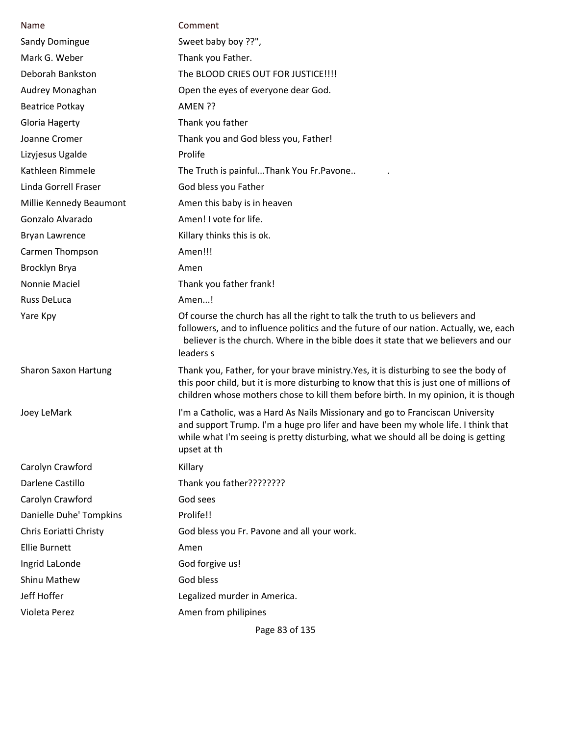| Name                        | Comment                                                                                                                                                                                                                                                                  |
|-----------------------------|--------------------------------------------------------------------------------------------------------------------------------------------------------------------------------------------------------------------------------------------------------------------------|
| Sandy Domingue              | Sweet baby boy ??",                                                                                                                                                                                                                                                      |
| Mark G. Weber               | Thank you Father.                                                                                                                                                                                                                                                        |
| Deborah Bankston            | The BLOOD CRIES OUT FOR JUSTICE !!!!                                                                                                                                                                                                                                     |
| Audrey Monaghan             | Open the eyes of everyone dear God.                                                                                                                                                                                                                                      |
| <b>Beatrice Potkay</b>      | AMEN ??                                                                                                                                                                                                                                                                  |
| Gloria Hagerty              | Thank you father                                                                                                                                                                                                                                                         |
| Joanne Cromer               | Thank you and God bless you, Father!                                                                                                                                                                                                                                     |
| Lizyjesus Ugalde            | Prolife                                                                                                                                                                                                                                                                  |
| Kathleen Rimmele            | The Truth is painfulThank You Fr.Pavone                                                                                                                                                                                                                                  |
| Linda Gorrell Fraser        | God bless you Father                                                                                                                                                                                                                                                     |
| Millie Kennedy Beaumont     | Amen this baby is in heaven                                                                                                                                                                                                                                              |
| Gonzalo Alvarado            | Amen! I vote for life.                                                                                                                                                                                                                                                   |
| <b>Bryan Lawrence</b>       | Killary thinks this is ok.                                                                                                                                                                                                                                               |
| Carmen Thompson             | Amen!!!                                                                                                                                                                                                                                                                  |
| Brocklyn Brya               | Amen                                                                                                                                                                                                                                                                     |
| Nonnie Maciel               | Thank you father frank!                                                                                                                                                                                                                                                  |
| Russ DeLuca                 | Amen!                                                                                                                                                                                                                                                                    |
| Yare Kpy                    | Of course the church has all the right to talk the truth to us believers and<br>followers, and to influence politics and the future of our nation. Actually, we, each<br>believer is the church. Where in the bible does it state that we believers and our<br>leaders s |
| <b>Sharon Saxon Hartung</b> | Thank you, Father, for your brave ministry. Yes, it is disturbing to see the body of<br>this poor child, but it is more disturbing to know that this is just one of millions of<br>children whose mothers chose to kill them before birth. In my opinion, it is though   |
| Joey LeMark                 | I'm a Catholic, was a Hard As Nails Missionary and go to Franciscan University<br>and support Trump. I'm a huge pro lifer and have been my whole life. I think that<br>while what I'm seeing is pretty disturbing, what we should all be doing is getting<br>upset at th |
| Carolyn Crawford            | Killary                                                                                                                                                                                                                                                                  |
| Darlene Castillo            | Thank you father????????                                                                                                                                                                                                                                                 |
| Carolyn Crawford            | God sees                                                                                                                                                                                                                                                                 |
| Danielle Duhe' Tompkins     | Prolife!!                                                                                                                                                                                                                                                                |
| Chris Eoriatti Christy      | God bless you Fr. Pavone and all your work.                                                                                                                                                                                                                              |
| <b>Ellie Burnett</b>        | Amen                                                                                                                                                                                                                                                                     |
| Ingrid LaLonde              | God forgive us!                                                                                                                                                                                                                                                          |
| <b>Shinu Mathew</b>         | God bless                                                                                                                                                                                                                                                                |
| Jeff Hoffer                 | Legalized murder in America.                                                                                                                                                                                                                                             |
| Violeta Perez               | Amen from philipines                                                                                                                                                                                                                                                     |
|                             |                                                                                                                                                                                                                                                                          |

Page 83 of 135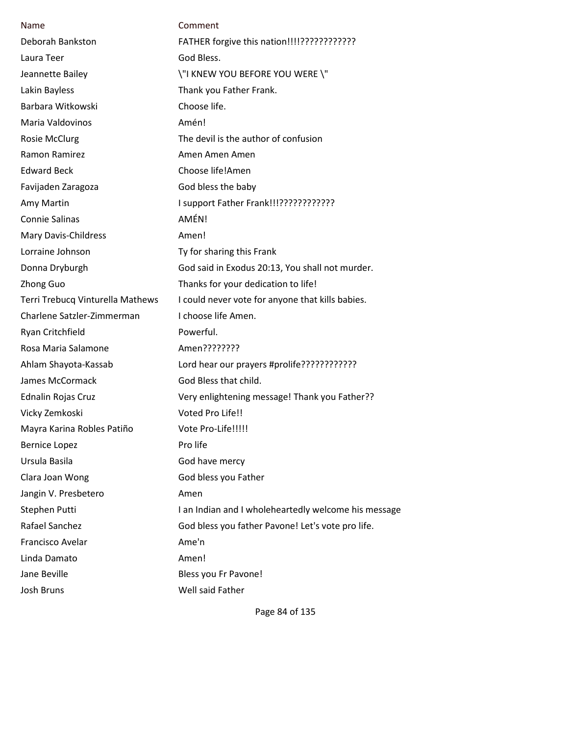| Name                             | Comment                                              |
|----------------------------------|------------------------------------------------------|
| Deborah Bankston                 | FATHER forgive this nation!!!!????????????           |
| Laura Teer                       | God Bless.                                           |
| Jeannette Bailey                 | \"I KNEW YOU BEFORE YOU WERE \"                      |
| Lakin Bayless                    | Thank you Father Frank.                              |
| Barbara Witkowski                | Choose life.                                         |
| Maria Valdovinos                 | Amén!                                                |
| <b>Rosie McClurg</b>             | The devil is the author of confusion                 |
| Ramon Ramirez                    | Amen Amen Amen                                       |
| <b>Edward Beck</b>               | Choose life!Amen                                     |
| Favijaden Zaragoza               | God bless the baby                                   |
| Amy Martin                       | I support Father Frank!!!????????????                |
| Connie Salinas                   | AMÉN!                                                |
| Mary Davis-Childress             | Amen!                                                |
| Lorraine Johnson                 | Ty for sharing this Frank                            |
| Donna Dryburgh                   | God said in Exodus 20:13, You shall not murder.      |
| <b>Zhong Guo</b>                 | Thanks for your dedication to life!                  |
| Terri Trebucq Vinturella Mathews | I could never vote for anyone that kills babies.     |
| Charlene Satzler-Zimmerman       | I choose life Amen.                                  |
| Ryan Critchfield                 | Powerful.                                            |
| Rosa Maria Salamone              | Amen????????                                         |
| Ahlam Shayota-Kassab             | Lord hear our prayers #prolife????????????           |
| <b>James McCormack</b>           | God Bless that child.                                |
| <b>Ednalin Rojas Cruz</b>        | Very enlightening message! Thank you Father??        |
| Vicky Zemkoski                   | Voted Pro Life!!                                     |
| Mayra Karina Robles Patiño       | Vote Pro-Life!!!!!                                   |
| <b>Bernice Lopez</b>             | Pro life                                             |
| Ursula Basila                    | God have mercy                                       |
| Clara Joan Wong                  | God bless you Father                                 |
| Jangin V. Presbetero             | Amen                                                 |
| Stephen Putti                    | I an Indian and I wholeheartedly welcome his message |
| Rafael Sanchez                   | God bless you father Pavone! Let's vote pro life.    |
| Francisco Avelar                 | Ame'n                                                |
| Linda Damato                     | Amen!                                                |
| Jane Beville                     | Bless you Fr Pavone!                                 |
| Josh Bruns                       | Well said Father                                     |

Page 84 of 135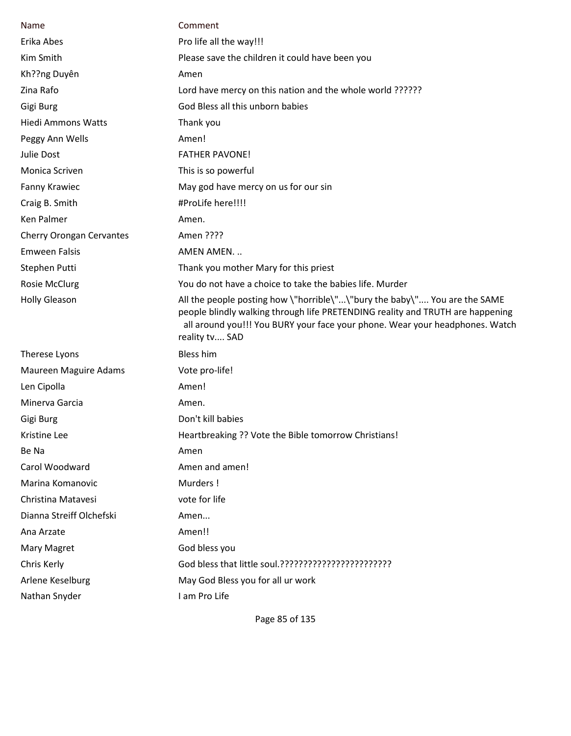|                           | Comment                                                                                                                                                                                                                                                       |
|---------------------------|---------------------------------------------------------------------------------------------------------------------------------------------------------------------------------------------------------------------------------------------------------------|
| Name                      |                                                                                                                                                                                                                                                               |
| Erika Abes                | Pro life all the way!!!                                                                                                                                                                                                                                       |
| Kim Smith                 | Please save the children it could have been you                                                                                                                                                                                                               |
| Kh??ng Duyên              | Amen                                                                                                                                                                                                                                                          |
| Zina Rafo                 | Lord have mercy on this nation and the whole world ??????                                                                                                                                                                                                     |
| Gigi Burg                 | God Bless all this unborn babies                                                                                                                                                                                                                              |
| <b>Hiedi Ammons Watts</b> | Thank you                                                                                                                                                                                                                                                     |
| Peggy Ann Wells           | Amen!                                                                                                                                                                                                                                                         |
| Julie Dost                | <b>FATHER PAVONE!</b>                                                                                                                                                                                                                                         |
| Monica Scriven            | This is so powerful                                                                                                                                                                                                                                           |
| <b>Fanny Krawiec</b>      | May god have mercy on us for our sin                                                                                                                                                                                                                          |
| Craig B. Smith            | #ProLife here!!!!                                                                                                                                                                                                                                             |
| Ken Palmer                | Amen.                                                                                                                                                                                                                                                         |
| Cherry Orongan Cervantes  | Amen ????                                                                                                                                                                                                                                                     |
| <b>Emween Falsis</b>      | AMEN AMEN                                                                                                                                                                                                                                                     |
| Stephen Putti             | Thank you mother Mary for this priest                                                                                                                                                                                                                         |
| <b>Rosie McClurg</b>      | You do not have a choice to take the babies life. Murder                                                                                                                                                                                                      |
| <b>Holly Gleason</b>      | All the people posting how \"horrible\"\"bury the baby\" You are the SAME<br>people blindly walking through life PRETENDING reality and TRUTH are happening<br>all around you!!! You BURY your face your phone. Wear your headphones. Watch<br>reality tv SAD |
| Therese Lyons             | <b>Bless him</b>                                                                                                                                                                                                                                              |
| Maureen Maguire Adams     | Vote pro-life!                                                                                                                                                                                                                                                |
| Len Cipolla               | Amen!                                                                                                                                                                                                                                                         |
| Minerva Garcia            | Amen.                                                                                                                                                                                                                                                         |
| Gigi Burg                 | Don't kill babies                                                                                                                                                                                                                                             |
| Kristine Lee              | Heartbreaking ?? Vote the Bible tomorrow Christians!                                                                                                                                                                                                          |
| Be Na                     | Amen                                                                                                                                                                                                                                                          |
| Carol Woodward            | Amen and amen!                                                                                                                                                                                                                                                |
| Marina Komanovic          | Murders!                                                                                                                                                                                                                                                      |
| Christina Matavesi        | vote for life                                                                                                                                                                                                                                                 |
| Dianna Streiff Olchefski  | Amen                                                                                                                                                                                                                                                          |
| Ana Arzate                | Amen!!                                                                                                                                                                                                                                                        |
| Mary Magret               | God bless you                                                                                                                                                                                                                                                 |
| Chris Kerly               |                                                                                                                                                                                                                                                               |
| Arlene Keselburg          | May God Bless you for all ur work                                                                                                                                                                                                                             |
| Nathan Snyder             | I am Pro Life                                                                                                                                                                                                                                                 |

Page 85 of 135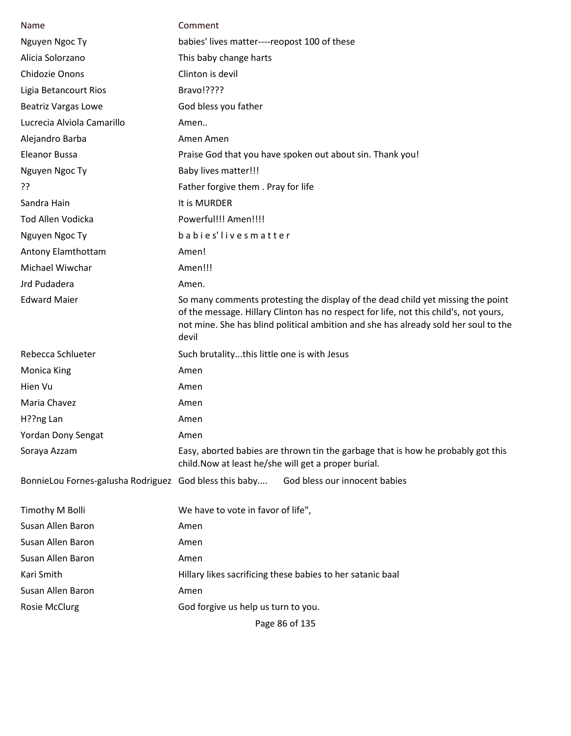| Name                                                   | Comment                                                                                                                                                                                                                                                                  |
|--------------------------------------------------------|--------------------------------------------------------------------------------------------------------------------------------------------------------------------------------------------------------------------------------------------------------------------------|
| Nguyen Ngoc Ty                                         | babies' lives matter----reopost 100 of these                                                                                                                                                                                                                             |
| Alicia Solorzano                                       | This baby change harts                                                                                                                                                                                                                                                   |
| <b>Chidozie Onons</b>                                  | Clinton is devil                                                                                                                                                                                                                                                         |
| Ligia Betancourt Rios                                  | Bravo!????                                                                                                                                                                                                                                                               |
| <b>Beatriz Vargas Lowe</b>                             | God bless you father                                                                                                                                                                                                                                                     |
| Lucrecia Alviola Camarillo                             | Amen                                                                                                                                                                                                                                                                     |
| Alejandro Barba                                        | Amen Amen                                                                                                                                                                                                                                                                |
| <b>Eleanor Bussa</b>                                   | Praise God that you have spoken out about sin. Thank you!                                                                                                                                                                                                                |
| Nguyen Ngoc Ty                                         | <b>Baby lives matter!!!</b>                                                                                                                                                                                                                                              |
| ??                                                     | Father forgive them . Pray for life                                                                                                                                                                                                                                      |
| Sandra Hain                                            | It is MURDER                                                                                                                                                                                                                                                             |
| <b>Tod Allen Vodicka</b>                               | Powerful!!! Amen!!!!                                                                                                                                                                                                                                                     |
| Nguyen Ngoc Ty                                         | babies'lives matter                                                                                                                                                                                                                                                      |
| Antony Elamthottam                                     | Amen!                                                                                                                                                                                                                                                                    |
| Michael Wiwchar                                        | Amen!!!                                                                                                                                                                                                                                                                  |
| Jrd Pudadera                                           | Amen.                                                                                                                                                                                                                                                                    |
| <b>Edward Maier</b>                                    | So many comments protesting the display of the dead child yet missing the point<br>of the message. Hillary Clinton has no respect for life, not this child's, not yours,<br>not mine. She has blind political ambition and she has already sold her soul to the<br>devil |
| Rebecca Schlueter                                      | Such brutalitythis little one is with Jesus                                                                                                                                                                                                                              |
| <b>Monica King</b>                                     | Amen                                                                                                                                                                                                                                                                     |
| Hien Vu                                                | Amen                                                                                                                                                                                                                                                                     |
| Maria Chavez                                           | Amen                                                                                                                                                                                                                                                                     |
| H??ng Lan                                              | Amen                                                                                                                                                                                                                                                                     |
| Yordan Dony Sengat                                     | Amen                                                                                                                                                                                                                                                                     |
| Soraya Azzam                                           | Easy, aborted babies are thrown tin the garbage that is how he probably got this<br>child. Now at least he/she will get a proper burial.                                                                                                                                 |
| BonnieLou Fornes-galusha Rodriguez God bless this baby | God bless our innocent babies                                                                                                                                                                                                                                            |
| Timothy M Bolli                                        | We have to vote in favor of life",                                                                                                                                                                                                                                       |
| Susan Allen Baron                                      | Amen                                                                                                                                                                                                                                                                     |
| Susan Allen Baron                                      | Amen                                                                                                                                                                                                                                                                     |
| Susan Allen Baron                                      | Amen                                                                                                                                                                                                                                                                     |
| Kari Smith                                             | Hillary likes sacrificing these babies to her satanic baal                                                                                                                                                                                                               |
| Susan Allen Baron                                      | Amen                                                                                                                                                                                                                                                                     |
| <b>Rosie McClurg</b>                                   | God forgive us help us turn to you.                                                                                                                                                                                                                                      |

Page 86 of 135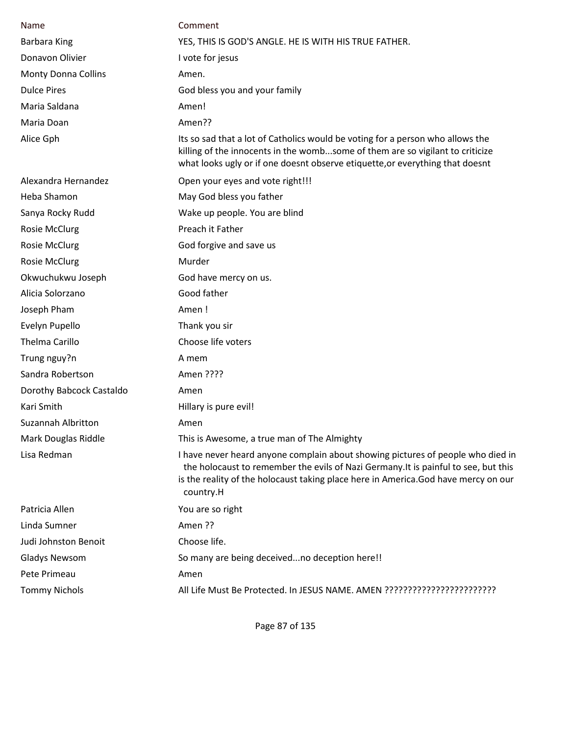| Name                       | Comment                                                                                                                                                                                                                                                                   |
|----------------------------|---------------------------------------------------------------------------------------------------------------------------------------------------------------------------------------------------------------------------------------------------------------------------|
| Barbara King               | YES, THIS IS GOD'S ANGLE. HE IS WITH HIS TRUE FATHER.                                                                                                                                                                                                                     |
| Donavon Olivier            | I vote for jesus                                                                                                                                                                                                                                                          |
| <b>Monty Donna Collins</b> | Amen.                                                                                                                                                                                                                                                                     |
| <b>Dulce Pires</b>         | God bless you and your family                                                                                                                                                                                                                                             |
| Maria Saldana              | Amen!                                                                                                                                                                                                                                                                     |
| Maria Doan                 | Amen??                                                                                                                                                                                                                                                                    |
| Alice Gph                  | Its so sad that a lot of Catholics would be voting for a person who allows the<br>killing of the innocents in the wombsome of them are so vigilant to criticize<br>what looks ugly or if one doesnt observe etiquette, or everything that doesnt                          |
| Alexandra Hernandez        | Open your eyes and vote right!!!                                                                                                                                                                                                                                          |
| Heba Shamon                | May God bless you father                                                                                                                                                                                                                                                  |
| Sanya Rocky Rudd           | Wake up people. You are blind                                                                                                                                                                                                                                             |
| Rosie McClurg              | Preach it Father                                                                                                                                                                                                                                                          |
| <b>Rosie McClurg</b>       | God forgive and save us                                                                                                                                                                                                                                                   |
| <b>Rosie McClurg</b>       | Murder                                                                                                                                                                                                                                                                    |
| Okwuchukwu Joseph          | God have mercy on us.                                                                                                                                                                                                                                                     |
| Alicia Solorzano           | Good father                                                                                                                                                                                                                                                               |
| Joseph Pham                | Amen!                                                                                                                                                                                                                                                                     |
| Evelyn Pupello             | Thank you sir                                                                                                                                                                                                                                                             |
| Thelma Carillo             | Choose life voters                                                                                                                                                                                                                                                        |
| Trung nguy?n               | A mem                                                                                                                                                                                                                                                                     |
| Sandra Robertson           | Amen ????                                                                                                                                                                                                                                                                 |
| Dorothy Babcock Castaldo   | Amen                                                                                                                                                                                                                                                                      |
| Kari Smith                 | Hillary is pure evil!                                                                                                                                                                                                                                                     |
| Suzannah Albritton         | Amen                                                                                                                                                                                                                                                                      |
| Mark Douglas Riddle        | This is Awesome, a true man of The Almighty                                                                                                                                                                                                                               |
| Lisa Redman                | I have never heard anyone complain about showing pictures of people who died in<br>the holocaust to remember the evils of Nazi Germany. It is painful to see, but this<br>is the reality of the holocaust taking place here in America.God have mercy on our<br>country.H |
| Patricia Allen             | You are so right                                                                                                                                                                                                                                                          |
| Linda Sumner               | Amen ??                                                                                                                                                                                                                                                                   |
| Judi Johnston Benoit       | Choose life.                                                                                                                                                                                                                                                              |
| <b>Gladys Newsom</b>       | So many are being deceivedno deception here!!                                                                                                                                                                                                                             |
| Pete Primeau               | Amen                                                                                                                                                                                                                                                                      |
| <b>Tommy Nichols</b>       |                                                                                                                                                                                                                                                                           |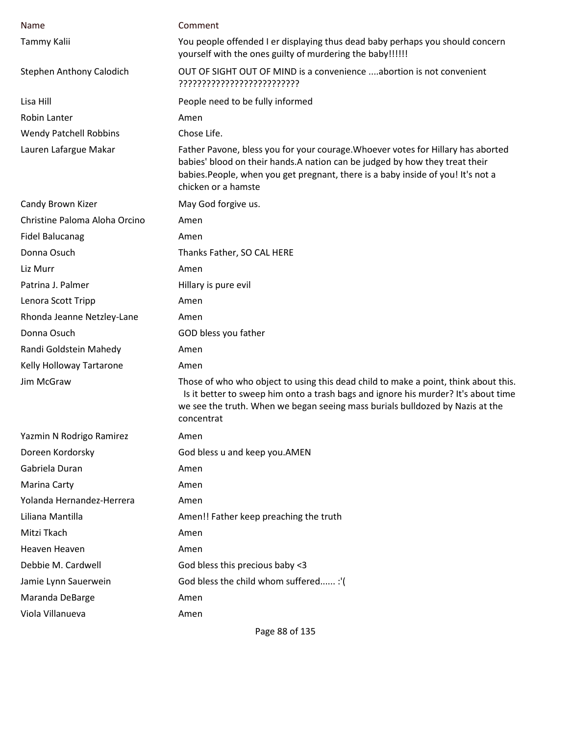| Name                          | Comment                                                                                                                                                                                                                                                                     |
|-------------------------------|-----------------------------------------------------------------------------------------------------------------------------------------------------------------------------------------------------------------------------------------------------------------------------|
| Tammy Kalii                   | You people offended I er displaying thus dead baby perhaps you should concern<br>yourself with the ones guilty of murdering the baby!!!!!!                                                                                                                                  |
| Stephen Anthony Calodich      | OUT OF SIGHT OUT OF MIND is a convenience abortion is not convenient<br>??????????????????????????                                                                                                                                                                          |
| Lisa Hill                     | People need to be fully informed                                                                                                                                                                                                                                            |
| Robin Lanter                  | Amen                                                                                                                                                                                                                                                                        |
| <b>Wendy Patchell Robbins</b> | Chose Life.                                                                                                                                                                                                                                                                 |
| Lauren Lafargue Makar         | Father Pavone, bless you for your courage. Whoever votes for Hillary has aborted<br>babies' blood on their hands. A nation can be judged by how they treat their<br>babies. People, when you get pregnant, there is a baby inside of you! It's not a<br>chicken or a hamste |
| Candy Brown Kizer             | May God forgive us.                                                                                                                                                                                                                                                         |
| Christine Paloma Aloha Orcino | Amen                                                                                                                                                                                                                                                                        |
| <b>Fidel Balucanag</b>        | Amen                                                                                                                                                                                                                                                                        |
| Donna Osuch                   | Thanks Father, SO CAL HERE                                                                                                                                                                                                                                                  |
| Liz Murr                      | Amen                                                                                                                                                                                                                                                                        |
| Patrina J. Palmer             | Hillary is pure evil                                                                                                                                                                                                                                                        |
| Lenora Scott Tripp            | Amen                                                                                                                                                                                                                                                                        |
| Rhonda Jeanne Netzley-Lane    | Amen                                                                                                                                                                                                                                                                        |
| Donna Osuch                   | GOD bless you father                                                                                                                                                                                                                                                        |
| Randi Goldstein Mahedy        | Amen                                                                                                                                                                                                                                                                        |
| Kelly Holloway Tartarone      | Amen                                                                                                                                                                                                                                                                        |
| Jim McGraw                    | Those of who who object to using this dead child to make a point, think about this.<br>Is it better to sweep him onto a trash bags and ignore his murder? It's about time<br>we see the truth. When we began seeing mass burials bulldozed by Nazis at the<br>concentrat    |
| Yazmin N Rodrigo Ramirez      | Amen                                                                                                                                                                                                                                                                        |
| Doreen Kordorsky              | God bless u and keep you.AMEN                                                                                                                                                                                                                                               |
| Gabriela Duran                | Amen                                                                                                                                                                                                                                                                        |
| Marina Carty                  | Amen                                                                                                                                                                                                                                                                        |
| Yolanda Hernandez-Herrera     | Amen                                                                                                                                                                                                                                                                        |
| Liliana Mantilla              | Amen!! Father keep preaching the truth                                                                                                                                                                                                                                      |
| Mitzi Tkach                   | Amen                                                                                                                                                                                                                                                                        |
| Heaven Heaven                 | Amen                                                                                                                                                                                                                                                                        |
| Debbie M. Cardwell            | God bless this precious baby <3                                                                                                                                                                                                                                             |
| Jamie Lynn Sauerwein          | God bless the child whom suffered :'(                                                                                                                                                                                                                                       |
| Maranda DeBarge               | Amen                                                                                                                                                                                                                                                                        |
| Viola Villanueva              | Amen                                                                                                                                                                                                                                                                        |

Page 88 of 135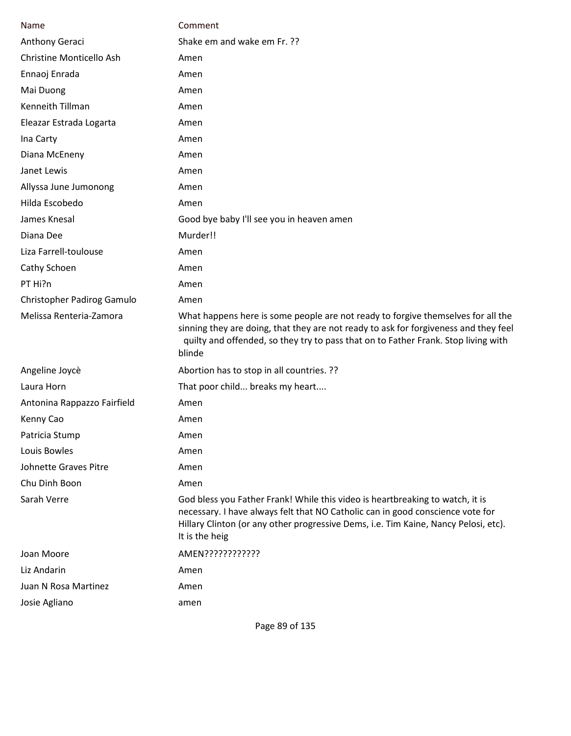| Name                        | Comment                                                                                                                                                                                                                                                                  |
|-----------------------------|--------------------------------------------------------------------------------------------------------------------------------------------------------------------------------------------------------------------------------------------------------------------------|
| Anthony Geraci              | Shake em and wake em Fr. ??                                                                                                                                                                                                                                              |
| Christine Monticello Ash    | Amen                                                                                                                                                                                                                                                                     |
| Ennaoj Enrada               | Amen                                                                                                                                                                                                                                                                     |
| Mai Duong                   | Amen                                                                                                                                                                                                                                                                     |
| Kenneith Tillman            | Amen                                                                                                                                                                                                                                                                     |
| Eleazar Estrada Logarta     | Amen                                                                                                                                                                                                                                                                     |
| Ina Carty                   | Amen                                                                                                                                                                                                                                                                     |
| Diana McEneny               | Amen                                                                                                                                                                                                                                                                     |
| Janet Lewis                 | Amen                                                                                                                                                                                                                                                                     |
| Allyssa June Jumonong       | Amen                                                                                                                                                                                                                                                                     |
| Hilda Escobedo              | Amen                                                                                                                                                                                                                                                                     |
| James Knesal                | Good bye baby I'll see you in heaven amen                                                                                                                                                                                                                                |
| Diana Dee                   | Murder!!                                                                                                                                                                                                                                                                 |
| Liza Farrell-toulouse       | Amen                                                                                                                                                                                                                                                                     |
| Cathy Schoen                | Amen                                                                                                                                                                                                                                                                     |
| PT Hi?n                     | Amen                                                                                                                                                                                                                                                                     |
| Christopher Padirog Gamulo  | Amen                                                                                                                                                                                                                                                                     |
| Melissa Renteria-Zamora     | What happens here is some people are not ready to forgive themselves for all the<br>sinning they are doing, that they are not ready to ask for forgiveness and they feel<br>quilty and offended, so they try to pass that on to Father Frank. Stop living with<br>blinde |
| Angeline Joycè              | Abortion has to stop in all countries. ??                                                                                                                                                                                                                                |
| Laura Horn                  | That poor child breaks my heart                                                                                                                                                                                                                                          |
| Antonina Rappazzo Fairfield | Amen                                                                                                                                                                                                                                                                     |
| Kenny Cao                   | Amen                                                                                                                                                                                                                                                                     |
| Patricia Stump              | Amen                                                                                                                                                                                                                                                                     |
| Louis Bowles                | Amen                                                                                                                                                                                                                                                                     |
| Johnette Graves Pitre       | Amen                                                                                                                                                                                                                                                                     |
| Chu Dinh Boon               | Amen                                                                                                                                                                                                                                                                     |
| Sarah Verre                 | God bless you Father Frank! While this video is heartbreaking to watch, it is<br>necessary. I have always felt that NO Catholic can in good conscience vote for<br>Hillary Clinton (or any other progressive Dems, i.e. Tim Kaine, Nancy Pelosi, etc).<br>It is the heig |
| Joan Moore                  | AMEN????????????                                                                                                                                                                                                                                                         |
| Liz Andarin                 | Amen                                                                                                                                                                                                                                                                     |
| Juan N Rosa Martinez        | Amen                                                                                                                                                                                                                                                                     |
| Josie Agliano               | amen                                                                                                                                                                                                                                                                     |

Page 89 of 135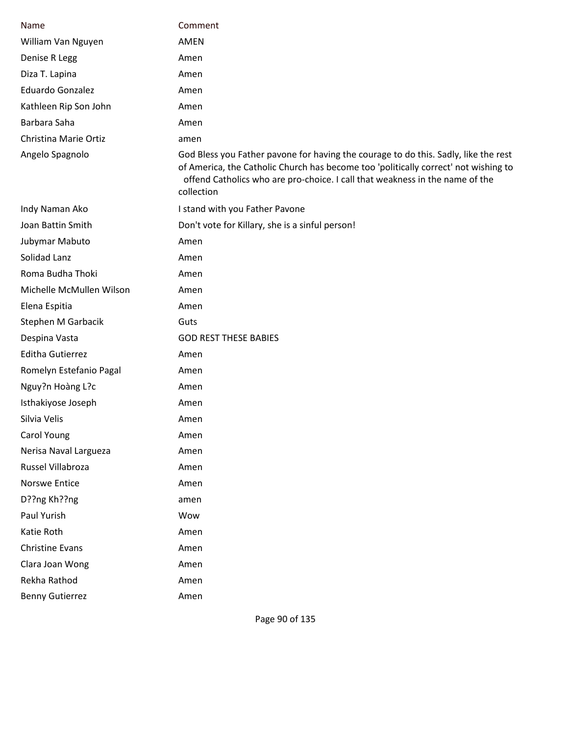| Name                     | Comment                                                                                                                                                                                                                                                                  |
|--------------------------|--------------------------------------------------------------------------------------------------------------------------------------------------------------------------------------------------------------------------------------------------------------------------|
| William Van Nguyen       | <b>AMEN</b>                                                                                                                                                                                                                                                              |
| Denise R Legg            | Amen                                                                                                                                                                                                                                                                     |
| Diza T. Lapina           | Amen                                                                                                                                                                                                                                                                     |
| Eduardo Gonzalez         | Amen                                                                                                                                                                                                                                                                     |
| Kathleen Rip Son John    | Amen                                                                                                                                                                                                                                                                     |
| Barbara Saha             | Amen                                                                                                                                                                                                                                                                     |
| Christina Marie Ortiz    | amen                                                                                                                                                                                                                                                                     |
| Angelo Spagnolo          | God Bless you Father pavone for having the courage to do this. Sadly, like the rest<br>of America, the Catholic Church has become too 'politically correct' not wishing to<br>offend Catholics who are pro-choice. I call that weakness in the name of the<br>collection |
| Indy Naman Ako           | I stand with you Father Pavone                                                                                                                                                                                                                                           |
| Joan Battin Smith        | Don't vote for Killary, she is a sinful person!                                                                                                                                                                                                                          |
| Jubymar Mabuto           | Amen                                                                                                                                                                                                                                                                     |
| Solidad Lanz             | Amen                                                                                                                                                                                                                                                                     |
| Roma Budha Thoki         | Amen                                                                                                                                                                                                                                                                     |
| Michelle McMullen Wilson | Amen                                                                                                                                                                                                                                                                     |
| Elena Espitia            | Amen                                                                                                                                                                                                                                                                     |
| Stephen M Garbacik       | Guts                                                                                                                                                                                                                                                                     |
| Despina Vasta            | <b>GOD REST THESE BABIES</b>                                                                                                                                                                                                                                             |
| <b>Editha Gutierrez</b>  | Amen                                                                                                                                                                                                                                                                     |
| Romelyn Estefanio Pagal  | Amen                                                                                                                                                                                                                                                                     |
| Nguy?n Hoàng L?c         | Amen                                                                                                                                                                                                                                                                     |
| Isthakiyose Joseph       | Amen                                                                                                                                                                                                                                                                     |
| Silvia Velis             | Amen                                                                                                                                                                                                                                                                     |
| Carol Young              | Amen                                                                                                                                                                                                                                                                     |
| Nerisa Naval Largueza    | Amen                                                                                                                                                                                                                                                                     |
| Russel Villabroza        | Amen                                                                                                                                                                                                                                                                     |
| Norswe Entice            | Amen                                                                                                                                                                                                                                                                     |
| D??ng Kh??ng             | amen                                                                                                                                                                                                                                                                     |
| Paul Yurish              | Wow                                                                                                                                                                                                                                                                      |
| Katie Roth               | Amen                                                                                                                                                                                                                                                                     |
| <b>Christine Evans</b>   | Amen                                                                                                                                                                                                                                                                     |
| Clara Joan Wong          | Amen                                                                                                                                                                                                                                                                     |
| Rekha Rathod             | Amen                                                                                                                                                                                                                                                                     |
| <b>Benny Gutierrez</b>   | Amen                                                                                                                                                                                                                                                                     |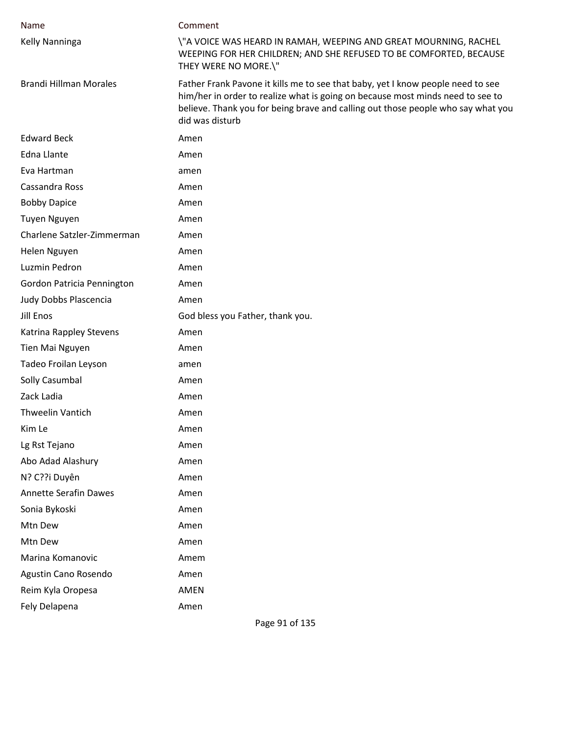| Name                          | Comment                                                                                                                                                                                                                                                                  |
|-------------------------------|--------------------------------------------------------------------------------------------------------------------------------------------------------------------------------------------------------------------------------------------------------------------------|
| Kelly Nanninga                | \"A VOICE WAS HEARD IN RAMAH, WEEPING AND GREAT MOURNING, RACHEL<br>WEEPING FOR HER CHILDREN; AND SHE REFUSED TO BE COMFORTED, BECAUSE<br>THEY WERE NO MORE.\"                                                                                                           |
| <b>Brandi Hillman Morales</b> | Father Frank Pavone it kills me to see that baby, yet I know people need to see<br>him/her in order to realize what is going on because most minds need to see to<br>believe. Thank you for being brave and calling out those people who say what you<br>did was disturb |
| <b>Edward Beck</b>            | Amen                                                                                                                                                                                                                                                                     |
| <b>Edna Llante</b>            | Amen                                                                                                                                                                                                                                                                     |
| Eva Hartman                   | amen                                                                                                                                                                                                                                                                     |
| Cassandra Ross                | Amen                                                                                                                                                                                                                                                                     |
| <b>Bobby Dapice</b>           | Amen                                                                                                                                                                                                                                                                     |
| Tuyen Nguyen                  | Amen                                                                                                                                                                                                                                                                     |
| Charlene Satzler-Zimmerman    | Amen                                                                                                                                                                                                                                                                     |
| Helen Nguyen                  | Amen                                                                                                                                                                                                                                                                     |
| Luzmin Pedron                 | Amen                                                                                                                                                                                                                                                                     |
| Gordon Patricia Pennington    | Amen                                                                                                                                                                                                                                                                     |
| Judy Dobbs Plascencia         | Amen                                                                                                                                                                                                                                                                     |
| Jill Enos                     | God bless you Father, thank you.                                                                                                                                                                                                                                         |
| Katrina Rappley Stevens       | Amen                                                                                                                                                                                                                                                                     |
| Tien Mai Nguyen               | Amen                                                                                                                                                                                                                                                                     |
| Tadeo Froilan Leyson          | amen                                                                                                                                                                                                                                                                     |
| Solly Casumbal                | Amen                                                                                                                                                                                                                                                                     |
| Zack Ladia                    | Amen                                                                                                                                                                                                                                                                     |
| <b>Thweelin Vantich</b>       | Amen                                                                                                                                                                                                                                                                     |
| Kim Le                        | Amen                                                                                                                                                                                                                                                                     |
| Lg Rst Tejano                 | Amen                                                                                                                                                                                                                                                                     |
| Abo Adad Alashury             | Amen                                                                                                                                                                                                                                                                     |
| N? C??i Duyên                 | Amen                                                                                                                                                                                                                                                                     |
| <b>Annette Serafin Dawes</b>  | Amen                                                                                                                                                                                                                                                                     |
| Sonia Bykoski                 | Amen                                                                                                                                                                                                                                                                     |
| Mtn Dew                       | Amen                                                                                                                                                                                                                                                                     |
| Mtn Dew                       | Amen                                                                                                                                                                                                                                                                     |
| Marina Komanovic              | Amem                                                                                                                                                                                                                                                                     |
| Agustin Cano Rosendo          | Amen                                                                                                                                                                                                                                                                     |
| Reim Kyla Oropesa             | AMEN                                                                                                                                                                                                                                                                     |
| Fely Delapena                 | Amen                                                                                                                                                                                                                                                                     |

Page 91 of 135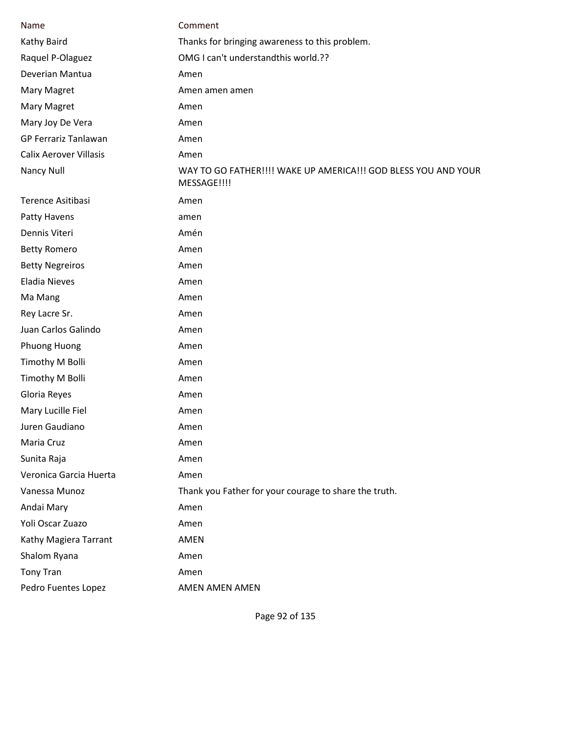| Name                          | Comment                                                                       |
|-------------------------------|-------------------------------------------------------------------------------|
| Kathy Baird                   | Thanks for bringing awareness to this problem.                                |
| Raquel P-Olaguez              | OMG I can't understandthis world.??                                           |
| Deverian Mantua               | Amen                                                                          |
| Mary Magret                   | Amen amen amen                                                                |
| Mary Magret                   | Amen                                                                          |
| Mary Joy De Vera              | Amen                                                                          |
| <b>GP Ferrariz Tanlawan</b>   | Amen                                                                          |
| <b>Calix Aerover Villasis</b> | Amen                                                                          |
| Nancy Null                    | WAY TO GO FATHER!!!! WAKE UP AMERICA!!! GOD BLESS YOU AND YOUR<br>MESSAGE!!!! |
| Terence Asitibasi             | Amen                                                                          |
| Patty Havens                  | amen                                                                          |
| Dennis Viteri                 | Amén                                                                          |
| <b>Betty Romero</b>           | Amen                                                                          |
| <b>Betty Negreiros</b>        | Amen                                                                          |
| <b>Eladia Nieves</b>          | Amen                                                                          |
| Ma Mang                       | Amen                                                                          |
| Rey Lacre Sr.                 | Amen                                                                          |
| Juan Carlos Galindo           | Amen                                                                          |
| Phuong Huong                  | Amen                                                                          |
| Timothy M Bolli               | Amen                                                                          |
| Timothy M Bolli               | Amen                                                                          |
| Gloria Reyes                  | Amen                                                                          |
| Mary Lucille Fiel             | Amen                                                                          |
| Juren Gaudiano                | Amen                                                                          |
| Maria Cruz                    | Amen                                                                          |
| Sunita Raja                   | Amen                                                                          |
| Veronica Garcia Huerta        | Amen                                                                          |
| Vanessa Munoz                 | Thank you Father for your courage to share the truth.                         |
| Andai Mary                    | Amen                                                                          |
| Yoli Oscar Zuazo              | Amen                                                                          |
| Kathy Magiera Tarrant         | <b>AMEN</b>                                                                   |
| Shalom Ryana                  | Amen                                                                          |
| <b>Tony Tran</b>              | Amen                                                                          |
| Pedro Fuentes Lopez           | AMEN AMEN AMEN                                                                |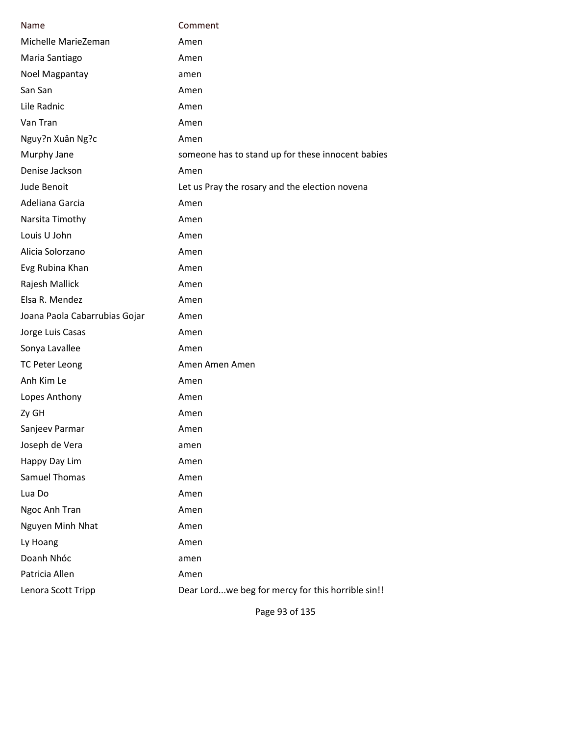| Name                          | Comment                                           |
|-------------------------------|---------------------------------------------------|
| Michelle MarieZeman           | Amen                                              |
| Maria Santiago                | Amen                                              |
| Noel Magpantay                | amen                                              |
| San San                       | Amen                                              |
| Lile Radnic                   | Amen                                              |
| Van Tran                      | Amen                                              |
| Nguy?n Xuân Ng?c              | Amen                                              |
| Murphy Jane                   | someone has to stand up for these innocent babies |
| Denise Jackson                | Amen                                              |
| Jude Benoit                   | Let us Pray the rosary and the election novena    |
| Adeliana Garcia               | Amen                                              |
| Narsita Timothy               | Amen                                              |
| Louis U John                  | Amen                                              |
| Alicia Solorzano              | Amen                                              |
| Evg Rubina Khan               | Amen                                              |
| Rajesh Mallick                | Amen                                              |
| Elsa R. Mendez                | Amen                                              |
| Joana Paola Cabarrubias Gojar | Amen                                              |
| Jorge Luis Casas              | Amen                                              |
| Sonya Lavallee                | Amen                                              |
| <b>TC Peter Leong</b>         | Amen Amen Amen                                    |
| Anh Kim Le                    | Amen                                              |
| Lopes Anthony                 | Amen                                              |
| Zy GH                         | Amen                                              |
| Sanjeev Parmar                | Amen                                              |
| Joseph de Vera                | amen                                              |
| Happy Day Lim                 | Amen                                              |
| <b>Samuel Thomas</b>          | Amen                                              |
| Lua Do                        | Amen                                              |
| Ngoc Anh Tran                 | Amen                                              |
| Nguyen Minh Nhat              | Amen                                              |
| Ly Hoang                      | Amen                                              |
| Doanh Nhóc                    | amen                                              |
| Patricia Allen                | Amen                                              |
| Lenora Scott Tripp            | Dear Lordwe beg for mercy for this horrible sin!! |
|                               |                                                   |

Page 93 of 135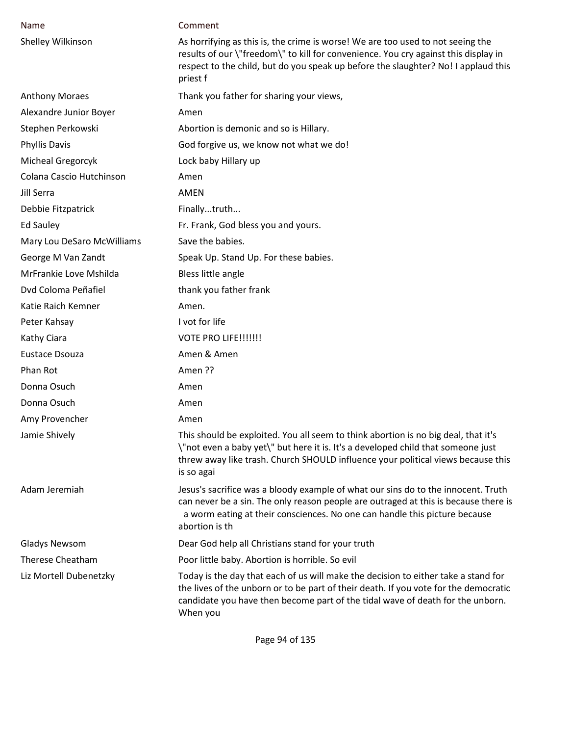| Name                       | Comment                                                                                                                                                                                                                                                                  |
|----------------------------|--------------------------------------------------------------------------------------------------------------------------------------------------------------------------------------------------------------------------------------------------------------------------|
| Shelley Wilkinson          | As horrifying as this is, the crime is worse! We are too used to not seeing the<br>results of our \"freedom\" to kill for convenience. You cry against this display in<br>respect to the child, but do you speak up before the slaughter? No! I applaud this<br>priest f |
| <b>Anthony Moraes</b>      | Thank you father for sharing your views,                                                                                                                                                                                                                                 |
| Alexandre Junior Boyer     | Amen                                                                                                                                                                                                                                                                     |
| Stephen Perkowski          | Abortion is demonic and so is Hillary.                                                                                                                                                                                                                                   |
| <b>Phyllis Davis</b>       | God forgive us, we know not what we do!                                                                                                                                                                                                                                  |
| Micheal Gregorcyk          | Lock baby Hillary up                                                                                                                                                                                                                                                     |
| Colana Cascio Hutchinson   | Amen                                                                                                                                                                                                                                                                     |
| Jill Serra                 | <b>AMEN</b>                                                                                                                                                                                                                                                              |
| Debbie Fitzpatrick         | Finallytruth                                                                                                                                                                                                                                                             |
| <b>Ed Sauley</b>           | Fr. Frank, God bless you and yours.                                                                                                                                                                                                                                      |
| Mary Lou DeSaro McWilliams | Save the babies.                                                                                                                                                                                                                                                         |
| George M Van Zandt         | Speak Up. Stand Up. For these babies.                                                                                                                                                                                                                                    |
| MrFrankie Love Mshilda     | Bless little angle                                                                                                                                                                                                                                                       |
| Dvd Coloma Peñafiel        | thank you father frank                                                                                                                                                                                                                                                   |
| Katie Raich Kemner         | Amen.                                                                                                                                                                                                                                                                    |
| Peter Kahsay               | I vot for life                                                                                                                                                                                                                                                           |
| Kathy Ciara                | VOTE PRO LIFE!!!!!!!                                                                                                                                                                                                                                                     |
| Eustace Dsouza             | Amen & Amen                                                                                                                                                                                                                                                              |
| Phan Rot                   | Amen ??                                                                                                                                                                                                                                                                  |
| Donna Osuch                | Amen                                                                                                                                                                                                                                                                     |
| Donna Osuch                | Amen                                                                                                                                                                                                                                                                     |
| Amy Provencher             | Amen                                                                                                                                                                                                                                                                     |
| Jamie Shively              | This should be exploited. You all seem to think abortion is no big deal, that it's<br>\"not even a baby yet\" but here it is. It's a developed child that someone just<br>threw away like trash. Church SHOULD influence your political views because this<br>is so agai |
| Adam Jeremiah              | Jesus's sacrifice was a bloody example of what our sins do to the innocent. Truth<br>can never be a sin. The only reason people are outraged at this is because there is<br>a worm eating at their consciences. No one can handle this picture because<br>abortion is th |
| <b>Gladys Newsom</b>       | Dear God help all Christians stand for your truth                                                                                                                                                                                                                        |
| <b>Therese Cheatham</b>    | Poor little baby. Abortion is horrible. So evil                                                                                                                                                                                                                          |
| Liz Mortell Dubenetzky     | Today is the day that each of us will make the decision to either take a stand for<br>the lives of the unborn or to be part of their death. If you vote for the democratic<br>candidate you have then become part of the tidal wave of death for the unborn.<br>When you |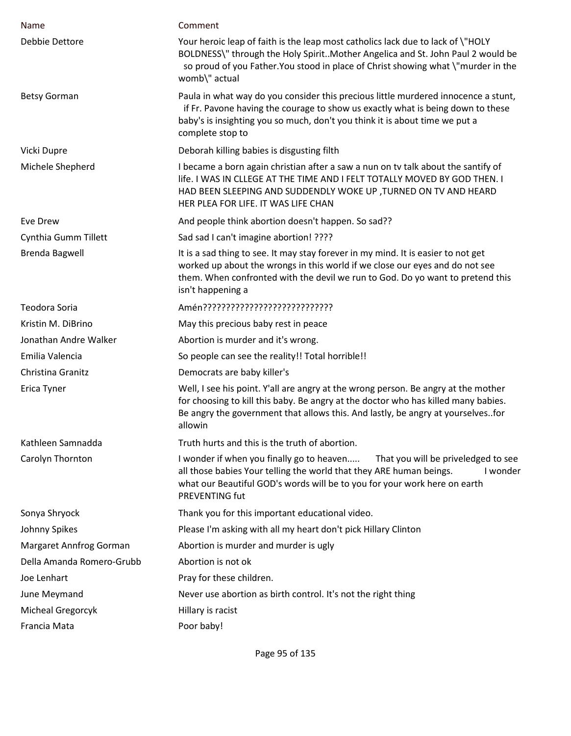| Name                      | Comment                                                                                                                                                                                                                                                                   |
|---------------------------|---------------------------------------------------------------------------------------------------------------------------------------------------------------------------------------------------------------------------------------------------------------------------|
| Debbie Dettore            | Your heroic leap of faith is the leap most catholics lack due to lack of \"HOLY<br>BOLDNESS\" through the Holy SpiritMother Angelica and St. John Paul 2 would be<br>so proud of you Father. You stood in place of Christ showing what \"murder in the<br>womb\" actual   |
| <b>Betsy Gorman</b>       | Paula in what way do you consider this precious little murdered innocence a stunt,<br>if Fr. Pavone having the courage to show us exactly what is being down to these<br>baby's is insighting you so much, don't you think it is about time we put a<br>complete stop to  |
| Vicki Dupre               | Deborah killing babies is disgusting filth                                                                                                                                                                                                                                |
| Michele Shepherd          | I became a born again christian after a saw a nun on tv talk about the santify of<br>life. I WAS IN CLLEGE AT THE TIME AND I FELT TOTALLY MOVED BY GOD THEN. I<br>HAD BEEN SLEEPING AND SUDDENDLY WOKE UP , TURNED ON TV AND HEARD<br>HER PLEA FOR LIFE. IT WAS LIFE CHAN |
| Eve Drew                  | And people think abortion doesn't happen. So sad??                                                                                                                                                                                                                        |
| Cynthia Gumm Tillett      | Sad sad I can't imagine abortion! ????                                                                                                                                                                                                                                    |
| <b>Brenda Bagwell</b>     | It is a sad thing to see. It may stay forever in my mind. It is easier to not get<br>worked up about the wrongs in this world if we close our eyes and do not see<br>them. When confronted with the devil we run to God. Do yo want to pretend this<br>isn't happening a  |
| Teodora Soria             |                                                                                                                                                                                                                                                                           |
| Kristin M. DiBrino        | May this precious baby rest in peace                                                                                                                                                                                                                                      |
| Jonathan Andre Walker     | Abortion is murder and it's wrong.                                                                                                                                                                                                                                        |
| Emilia Valencia           | So people can see the reality!! Total horrible!!                                                                                                                                                                                                                          |
| Christina Granitz         | Democrats are baby killer's                                                                                                                                                                                                                                               |
| Erica Tyner               | Well, I see his point. Y'all are angry at the wrong person. Be angry at the mother<br>for choosing to kill this baby. Be angry at the doctor who has killed many babies.<br>Be angry the government that allows this. And lastly, be angry at yourselvesfor<br>allowin    |
| Kathleen Samnadda         | Truth hurts and this is the truth of abortion.                                                                                                                                                                                                                            |
| Carolyn Thornton          | I wonder if when you finally go to heaven<br>That you will be priveledged to see<br>all those babies Your telling the world that they ARE human beings.<br>I wonder<br>what our Beautiful GOD's words will be to you for your work here on earth<br><b>PREVENTING fut</b> |
| Sonya Shryock             | Thank you for this important educational video.                                                                                                                                                                                                                           |
| Johnny Spikes             | Please I'm asking with all my heart don't pick Hillary Clinton                                                                                                                                                                                                            |
| Margaret Annfrog Gorman   | Abortion is murder and murder is ugly                                                                                                                                                                                                                                     |
| Della Amanda Romero-Grubb | Abortion is not ok                                                                                                                                                                                                                                                        |
| Joe Lenhart               | Pray for these children.                                                                                                                                                                                                                                                  |
| June Meymand              | Never use abortion as birth control. It's not the right thing                                                                                                                                                                                                             |
| Micheal Gregorcyk         | Hillary is racist                                                                                                                                                                                                                                                         |
| Francia Mata              | Poor baby!                                                                                                                                                                                                                                                                |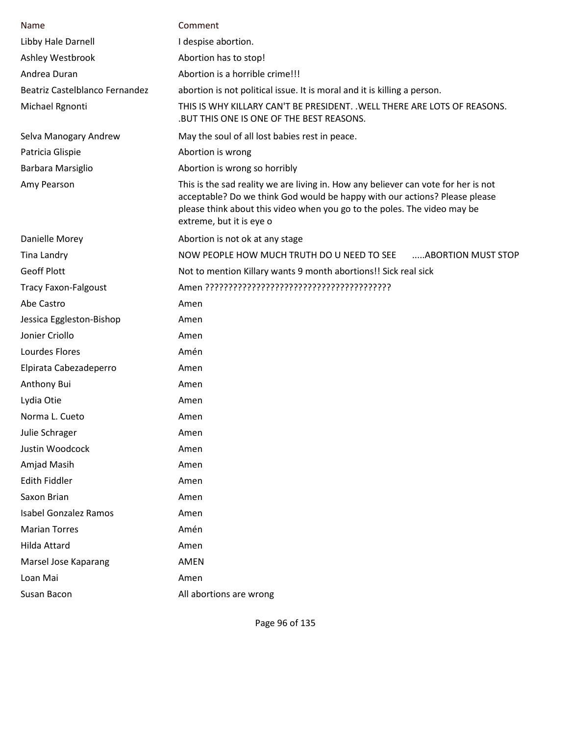| Name                           | Comment                                                                                                                                                                                                                                                                  |
|--------------------------------|--------------------------------------------------------------------------------------------------------------------------------------------------------------------------------------------------------------------------------------------------------------------------|
| Libby Hale Darnell             | I despise abortion.                                                                                                                                                                                                                                                      |
| Ashley Westbrook               | Abortion has to stop!                                                                                                                                                                                                                                                    |
| Andrea Duran                   | Abortion is a horrible crime!!!                                                                                                                                                                                                                                          |
| Beatriz Castelblanco Fernandez | abortion is not political issue. It is moral and it is killing a person.                                                                                                                                                                                                 |
| Michael Rgnonti                | THIS IS WHY KILLARY CAN'T BE PRESIDENT. .WELL THERE ARE LOTS OF REASONS.<br>.BUT THIS ONE IS ONE OF THE BEST REASONS.                                                                                                                                                    |
| Selva Manogary Andrew          | May the soul of all lost babies rest in peace.                                                                                                                                                                                                                           |
| Patricia Glispie               | Abortion is wrong                                                                                                                                                                                                                                                        |
| Barbara Marsiglio              | Abortion is wrong so horribly                                                                                                                                                                                                                                            |
| Amy Pearson                    | This is the sad reality we are living in. How any believer can vote for her is not<br>acceptable? Do we think God would be happy with our actions? Please please<br>please think about this video when you go to the poles. The video may be<br>extreme, but it is eye o |
| Danielle Morey                 | Abortion is not ok at any stage                                                                                                                                                                                                                                          |
| Tina Landry                    | NOW PEOPLE HOW MUCH TRUTH DO U NEED TO SEE<br>ABORTION MUST STOP                                                                                                                                                                                                         |
| <b>Geoff Plott</b>             | Not to mention Killary wants 9 month abortions!! Sick real sick                                                                                                                                                                                                          |
| <b>Tracy Faxon-Falgoust</b>    |                                                                                                                                                                                                                                                                          |
| Abe Castro                     | Amen                                                                                                                                                                                                                                                                     |
| Jessica Eggleston-Bishop       | Amen                                                                                                                                                                                                                                                                     |
| Jonier Criollo                 | Amen                                                                                                                                                                                                                                                                     |
| Lourdes Flores                 | Amén                                                                                                                                                                                                                                                                     |
| Elpirata Cabezadeperro         | Amen                                                                                                                                                                                                                                                                     |
| Anthony Bui                    | Amen                                                                                                                                                                                                                                                                     |
| Lydia Otie                     | Amen                                                                                                                                                                                                                                                                     |
| Norma L. Cueto                 | Amen                                                                                                                                                                                                                                                                     |
| Julie Schrager                 | Amen                                                                                                                                                                                                                                                                     |
| Justin Woodcock                | Amen                                                                                                                                                                                                                                                                     |
| Amjad Masih                    | Amen                                                                                                                                                                                                                                                                     |
| <b>Edith Fiddler</b>           | Amen                                                                                                                                                                                                                                                                     |
| Saxon Brian                    | Amen                                                                                                                                                                                                                                                                     |
| <b>Isabel Gonzalez Ramos</b>   | Amen                                                                                                                                                                                                                                                                     |
| <b>Marian Torres</b>           | Amén                                                                                                                                                                                                                                                                     |
| Hilda Attard                   | Amen                                                                                                                                                                                                                                                                     |
| Marsel Jose Kaparang           | <b>AMEN</b>                                                                                                                                                                                                                                                              |
| Loan Mai                       | Amen                                                                                                                                                                                                                                                                     |
| Susan Bacon                    | All abortions are wrong                                                                                                                                                                                                                                                  |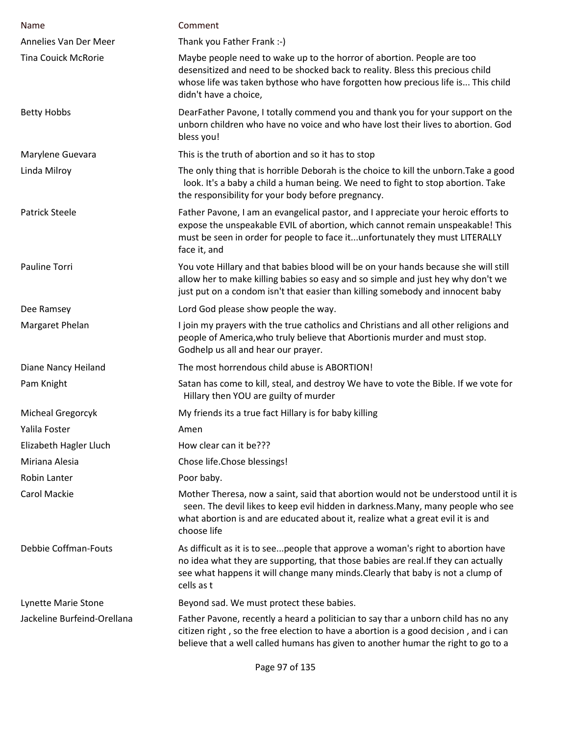| <b>Name</b>                 | Comment                                                                                                                                                                                                                                                                   |
|-----------------------------|---------------------------------------------------------------------------------------------------------------------------------------------------------------------------------------------------------------------------------------------------------------------------|
| Annelies Van Der Meer       | Thank you Father Frank :-)                                                                                                                                                                                                                                                |
| <b>Tina Couick McRorie</b>  | Maybe people need to wake up to the horror of abortion. People are too<br>desensitized and need to be shocked back to reality. Bless this precious child<br>whose life was taken bythose who have forgotten how precious life is This child<br>didn't have a choice,      |
| <b>Betty Hobbs</b>          | DearFather Pavone, I totally commend you and thank you for your support on the<br>unborn children who have no voice and who have lost their lives to abortion. God<br>bless you!                                                                                          |
| Marylene Guevara            | This is the truth of abortion and so it has to stop                                                                                                                                                                                                                       |
| Linda Milroy                | The only thing that is horrible Deborah is the choice to kill the unborn. Take a good<br>look. It's a baby a child a human being. We need to fight to stop abortion. Take<br>the responsibility for your body before pregnancy.                                           |
| <b>Patrick Steele</b>       | Father Pavone, I am an evangelical pastor, and I appreciate your heroic efforts to<br>expose the unspeakable EVIL of abortion, which cannot remain unspeakable! This<br>must be seen in order for people to face itunfortunately they must LITERALLY<br>face it, and      |
| Pauline Torri               | You vote Hillary and that babies blood will be on your hands because she will still<br>allow her to make killing babies so easy and so simple and just hey why don't we<br>just put on a condom isn't that easier than killing somebody and innocent baby                 |
| Dee Ramsey                  | Lord God please show people the way.                                                                                                                                                                                                                                      |
| Margaret Phelan             | I join my prayers with the true catholics and Christians and all other religions and<br>people of America, who truly believe that Abortionis murder and must stop.<br>Godhelp us all and hear our prayer.                                                                 |
| Diane Nancy Heiland         | The most horrendous child abuse is ABORTION!                                                                                                                                                                                                                              |
| Pam Knight                  | Satan has come to kill, steal, and destroy We have to vote the Bible. If we vote for<br>Hillary then YOU are guilty of murder                                                                                                                                             |
| Micheal Gregorcyk           | My friends its a true fact Hillary is for baby killing                                                                                                                                                                                                                    |
| Yalila Foster               | Amen                                                                                                                                                                                                                                                                      |
| Elizabeth Hagler Lluch      | How clear can it be???                                                                                                                                                                                                                                                    |
| Miriana Alesia              | Chose life.Chose blessings!                                                                                                                                                                                                                                               |
| Robin Lanter                | Poor baby.                                                                                                                                                                                                                                                                |
| <b>Carol Mackie</b>         | Mother Theresa, now a saint, said that abortion would not be understood until it is<br>seen. The devil likes to keep evil hidden in darkness. Many, many people who see<br>what abortion is and are educated about it, realize what a great evil it is and<br>choose life |
| <b>Debbie Coffman-Fouts</b> | As difficult as it is to seepeople that approve a woman's right to abortion have<br>no idea what they are supporting, that those babies are real. If they can actually<br>see what happens it will change many minds. Clearly that baby is not a clump of<br>cells as t   |
| Lynette Marie Stone         | Beyond sad. We must protect these babies.                                                                                                                                                                                                                                 |
| Jackeline Burfeind-Orellana | Father Pavone, recently a heard a politician to say thar a unborn child has no any<br>citizen right, so the free election to have a abortion is a good decision, and i can<br>believe that a well called humans has given to another humar the right to go to a           |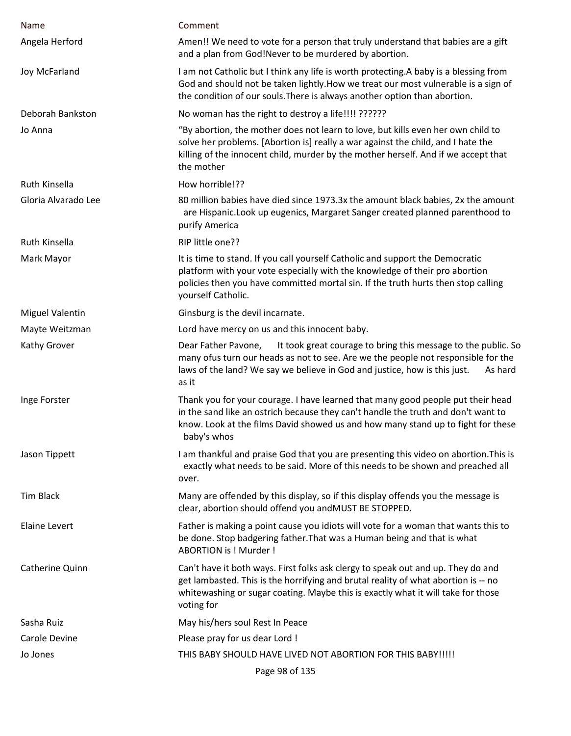| Name                   | Comment                                                                                                                                                                                                                                                                    |
|------------------------|----------------------------------------------------------------------------------------------------------------------------------------------------------------------------------------------------------------------------------------------------------------------------|
| Angela Herford         | Amen!! We need to vote for a person that truly understand that babies are a gift<br>and a plan from God!Never to be murdered by abortion.                                                                                                                                  |
| Joy McFarland          | I am not Catholic but I think any life is worth protecting. A baby is a blessing from<br>God and should not be taken lightly. How we treat our most vulnerable is a sign of<br>the condition of our souls. There is always another option than abortion.                   |
| Deborah Bankston       | No woman has the right to destroy a life!!!! ??????                                                                                                                                                                                                                        |
| Jo Anna                | "By abortion, the mother does not learn to love, but kills even her own child to<br>solve her problems. [Abortion is] really a war against the child, and I hate the<br>killing of the innocent child, murder by the mother herself. And if we accept that<br>the mother   |
| Ruth Kinsella          | How horrible!??                                                                                                                                                                                                                                                            |
| Gloria Alvarado Lee    | 80 million babies have died since 1973.3x the amount black babies, 2x the amount<br>are Hispanic. Look up eugenics, Margaret Sanger created planned parenthood to<br>purify America                                                                                        |
| Ruth Kinsella          | RIP little one??                                                                                                                                                                                                                                                           |
| Mark Mayor             | It is time to stand. If you call yourself Catholic and support the Democratic<br>platform with your vote especially with the knowledge of their pro abortion<br>policies then you have committed mortal sin. If the truth hurts then stop calling<br>yourself Catholic.    |
| <b>Miguel Valentin</b> | Ginsburg is the devil incarnate.                                                                                                                                                                                                                                           |
| Mayte Weitzman         | Lord have mercy on us and this innocent baby.                                                                                                                                                                                                                              |
| Kathy Grover           | It took great courage to bring this message to the public. So<br>Dear Father Pavone,<br>many ofus turn our heads as not to see. Are we the people not responsible for the<br>laws of the land? We say we believe in God and justice, how is this just.<br>As hard<br>as it |
| Inge Forster           | Thank you for your courage. I have learned that many good people put their head<br>in the sand like an ostrich because they can't handle the truth and don't want to<br>know. Look at the films David showed us and how many stand up to fight for these<br>baby's whos    |
| Jason Tippett          | I am thankful and praise God that you are presenting this video on abortion. This is<br>exactly what needs to be said. More of this needs to be shown and preached all<br>over.                                                                                            |
| <b>Tim Black</b>       | Many are offended by this display, so if this display offends you the message is<br>clear, abortion should offend you andMUST BE STOPPED.                                                                                                                                  |
| <b>Elaine Levert</b>   | Father is making a point cause you idiots will vote for a woman that wants this to<br>be done. Stop badgering father. That was a Human being and that is what<br>ABORTION is ! Murder !                                                                                    |
| Catherine Quinn        | Can't have it both ways. First folks ask clergy to speak out and up. They do and<br>get lambasted. This is the horrifying and brutal reality of what abortion is -- no<br>whitewashing or sugar coating. Maybe this is exactly what it will take for those<br>voting for   |
| Sasha Ruiz             | May his/hers soul Rest In Peace                                                                                                                                                                                                                                            |
| Carole Devine          | Please pray for us dear Lord !                                                                                                                                                                                                                                             |
| Jo Jones               | THIS BABY SHOULD HAVE LIVED NOT ABORTION FOR THIS BABY !!!!!                                                                                                                                                                                                               |
|                        | Page 98 of 135                                                                                                                                                                                                                                                             |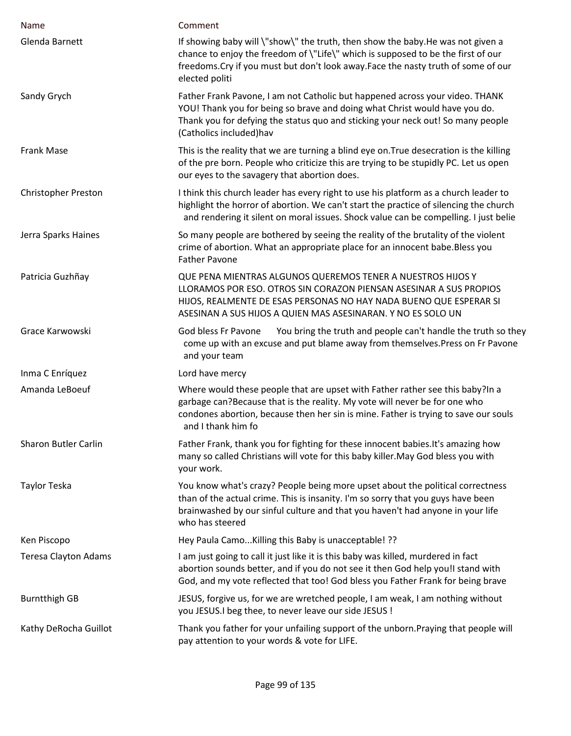| Name                        | Comment                                                                                                                                                                                                                                                                    |
|-----------------------------|----------------------------------------------------------------------------------------------------------------------------------------------------------------------------------------------------------------------------------------------------------------------------|
| Glenda Barnett              | If showing baby will \"show\" the truth, then show the baby.He was not given a<br>chance to enjoy the freedom of \"Life\" which is supposed to be the first of our<br>freedoms. Cry if you must but don't look away. Face the nasty truth of some of our<br>elected politi |
| Sandy Grych                 | Father Frank Pavone, I am not Catholic but happened across your video. THANK<br>YOU! Thank you for being so brave and doing what Christ would have you do.<br>Thank you for defying the status quo and sticking your neck out! So many people<br>(Catholics included)hav   |
| Frank Mase                  | This is the reality that we are turning a blind eye on. True desecration is the killing<br>of the pre born. People who criticize this are trying to be stupidly PC. Let us open<br>our eyes to the savagery that abortion does.                                            |
| <b>Christopher Preston</b>  | I think this church leader has every right to use his platform as a church leader to<br>highlight the horror of abortion. We can't start the practice of silencing the church<br>and rendering it silent on moral issues. Shock value can be compelling. I just belie      |
| Jerra Sparks Haines         | So many people are bothered by seeing the reality of the brutality of the violent<br>crime of abortion. What an appropriate place for an innocent babe. Bless you<br><b>Father Pavone</b>                                                                                  |
| Patricia Guzhñay            | QUE PENA MIENTRAS ALGUNOS QUEREMOS TENER A NUESTROS HIJOS Y<br>LLORAMOS POR ESO. OTROS SIN CORAZON PIENSAN ASESINAR A SUS PROPIOS<br>HIJOS, REALMENTE DE ESAS PERSONAS NO HAY NADA BUENO QUE ESPERAR SI<br>ASESINAN A SUS HIJOS A QUIEN MAS ASESINARAN. Y NO ES SOLO UN    |
| Grace Karwowski             | You bring the truth and people can't handle the truth so they<br>God bless Fr Pavone<br>come up with an excuse and put blame away from themselves. Press on Fr Pavone<br>and your team                                                                                     |
| Inma C Enríquez             | Lord have mercy                                                                                                                                                                                                                                                            |
| Amanda LeBoeuf              | Where would these people that are upset with Father rather see this baby? In a<br>garbage can?Because that is the reality. My vote will never be for one who<br>condones abortion, because then her sin is mine. Father is trying to save our souls<br>and I thank him fo  |
| <b>Sharon Butler Carlin</b> | Father Frank, thank you for fighting for these innocent babies. It's amazing how<br>many so called Christians will vote for this baby killer. May God bless you with<br>your work.                                                                                         |
| Taylor Teska                | You know what's crazy? People being more upset about the political correctness<br>than of the actual crime. This is insanity. I'm so sorry that you guys have been<br>brainwashed by our sinful culture and that you haven't had anyone in your life<br>who has steered    |
| Ken Piscopo                 | Hey Paula Camo Killing this Baby is unacceptable! ??                                                                                                                                                                                                                       |
| <b>Teresa Clayton Adams</b> | I am just going to call it just like it is this baby was killed, murdered in fact<br>abortion sounds better, and if you do not see it then God help you!I stand with<br>God, and my vote reflected that too! God bless you Father Frank for being brave                    |
| <b>Burntthigh GB</b>        | JESUS, forgive us, for we are wretched people, I am weak, I am nothing without<br>you JESUS.I beg thee, to never leave our side JESUS !                                                                                                                                    |
| Kathy DeRocha Guillot       | Thank you father for your unfailing support of the unborn. Praying that people will<br>pay attention to your words & vote for LIFE.                                                                                                                                        |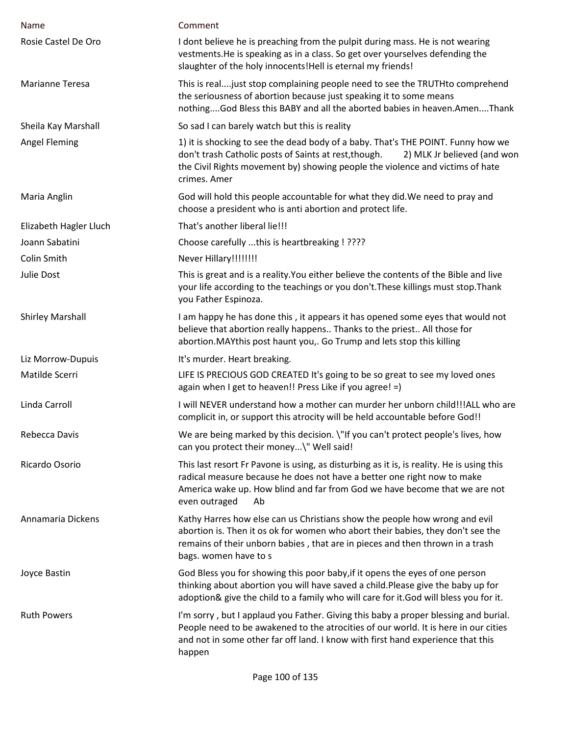| Name                    | Comment                                                                                                                                                                                                                                                                   |
|-------------------------|---------------------------------------------------------------------------------------------------------------------------------------------------------------------------------------------------------------------------------------------------------------------------|
| Rosie Castel De Oro     | I dont believe he is preaching from the pulpit during mass. He is not wearing<br>vestments. He is speaking as in a class. So get over yourselves defending the<br>slaughter of the holy innocents!Hell is eternal my friends!                                             |
| Marianne Teresa         | This is real just stop complaining people need to see the TRUTHto comprehend<br>the seriousness of abortion because just speaking it to some means<br>nothingGod Bless this BABY and all the aborted babies in heaven.AmenThank                                           |
| Sheila Kay Marshall     | So sad I can barely watch but this is reality                                                                                                                                                                                                                             |
| <b>Angel Fleming</b>    | 1) it is shocking to see the dead body of a baby. That's THE POINT. Funny how we<br>don't trash Catholic posts of Saints at rest, though.<br>2) MLK Jr believed (and won<br>the Civil Rights movement by) showing people the violence and victims of hate<br>crimes. Amer |
| Maria Anglin            | God will hold this people accountable for what they did. We need to pray and<br>choose a president who is anti abortion and protect life.                                                                                                                                 |
| Elizabeth Hagler Lluch  | That's another liberal lie!!!                                                                                                                                                                                                                                             |
| Joann Sabatini          | Choose carefully this is heartbreaking ! ????                                                                                                                                                                                                                             |
| Colin Smith             | Never Hillary!!!!!!!!                                                                                                                                                                                                                                                     |
| Julie Dost              | This is great and is a reality. You either believe the contents of the Bible and live<br>your life according to the teachings or you don't. These killings must stop. Thank<br>you Father Espinoza.                                                                       |
| <b>Shirley Marshall</b> | I am happy he has done this, it appears it has opened some eyes that would not<br>believe that abortion really happens Thanks to the priest All those for<br>abortion. MAY this post haunt you,. Go Trump and lets stop this killing                                      |
| Liz Morrow-Dupuis       | It's murder. Heart breaking.                                                                                                                                                                                                                                              |
| Matilde Scerri          | LIFE IS PRECIOUS GOD CREATED It's going to be so great to see my loved ones<br>again when I get to heaven!! Press Like if you agree! =)                                                                                                                                   |
| Linda Carroll           | I will NEVER understand how a mother can murder her unborn child!!!ALL who are<br>complicit in, or support this atrocity will be held accountable before God!!                                                                                                            |
| Rebecca Davis           | We are being marked by this decision. \"If you can't protect people's lives, how<br>can you protect their money\" Well said!                                                                                                                                              |
| Ricardo Osorio          | This last resort Fr Pavone is using, as disturbing as it is, is reality. He is using this<br>radical measure because he does not have a better one right now to make<br>America wake up. How blind and far from God we have become that we are not<br>even outraged<br>Ab |
| Annamaria Dickens       | Kathy Harres how else can us Christians show the people how wrong and evil<br>abortion is. Then it os ok for women who abort their babies, they don't see the<br>remains of their unborn babies, that are in pieces and then thrown in a trash<br>bags. women have to s   |
| Joyce Bastin            | God Bless you for showing this poor baby, if it opens the eyes of one person<br>thinking about abortion you will have saved a child. Please give the baby up for<br>adoption& give the child to a family who will care for it.God will bless you for it.                  |
| <b>Ruth Powers</b>      | I'm sorry, but I applaud you Father. Giving this baby a proper blessing and burial.<br>People need to be awakened to the atrocities of our world. It is here in our cities<br>and not in some other far off land. I know with first hand experience that this<br>happen   |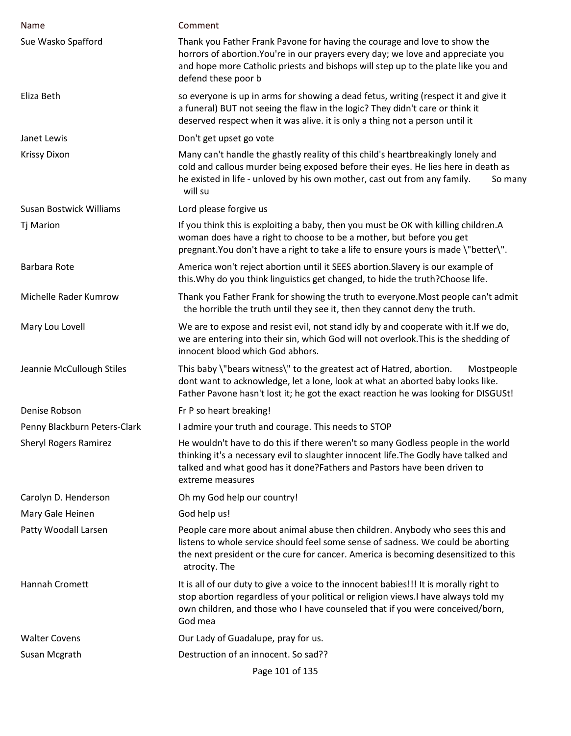| Name                           | Comment                                                                                                                                                                                                                                                                   |
|--------------------------------|---------------------------------------------------------------------------------------------------------------------------------------------------------------------------------------------------------------------------------------------------------------------------|
| Sue Wasko Spafford             | Thank you Father Frank Pavone for having the courage and love to show the<br>horrors of abortion. You're in our prayers every day; we love and appreciate you<br>and hope more Catholic priests and bishops will step up to the plate like you and<br>defend these poor b |
| Eliza Beth                     | so everyone is up in arms for showing a dead fetus, writing (respect it and give it<br>a funeral) BUT not seeing the flaw in the logic? They didn't care or think it<br>deserved respect when it was alive. it is only a thing not a person until it                      |
| Janet Lewis                    | Don't get upset go vote                                                                                                                                                                                                                                                   |
| <b>Krissy Dixon</b>            | Many can't handle the ghastly reality of this child's heartbreakingly lonely and<br>cold and callous murder being exposed before their eyes. He lies here in death as<br>he existed in life - unloved by his own mother, cast out from any family.<br>So many<br>will su  |
| <b>Susan Bostwick Williams</b> | Lord please forgive us                                                                                                                                                                                                                                                    |
| <b>Tj Marion</b>               | If you think this is exploiting a baby, then you must be OK with killing children.A<br>woman does have a right to choose to be a mother, but before you get<br>pregnant. You don't have a right to take a life to ensure yours is made \"better\".                        |
| Barbara Rote                   | America won't reject abortion until it SEES abortion. Slavery is our example of<br>this. Why do you think linguistics get changed, to hide the truth? Choose life.                                                                                                        |
| Michelle Rader Kumrow          | Thank you Father Frank for showing the truth to everyone. Most people can't admit<br>the horrible the truth until they see it, then they cannot deny the truth.                                                                                                           |
| Mary Lou Lovell                | We are to expose and resist evil, not stand idly by and cooperate with it. If we do,<br>we are entering into their sin, which God will not overlook. This is the shedding of<br>innocent blood which God abhors.                                                          |
| Jeannie McCullough Stiles      | This baby \"bears witness\" to the greatest act of Hatred, abortion.<br>Mostpeople<br>dont want to acknowledge, let a lone, look at what an aborted baby looks like.<br>Father Pavone hasn't lost it; he got the exact reaction he was looking for DISGUSt!               |
| Denise Robson                  | Fr P so heart breaking!                                                                                                                                                                                                                                                   |
| Penny Blackburn Peters-Clark   | I admire your truth and courage. This needs to STOP                                                                                                                                                                                                                       |
| <b>Sheryl Rogers Ramirez</b>   | He wouldn't have to do this if there weren't so many Godless people in the world<br>thinking it's a necessary evil to slaughter innocent life. The Godly have talked and<br>talked and what good has it done?Fathers and Pastors have been driven to<br>extreme measures  |
| Carolyn D. Henderson           | Oh my God help our country!                                                                                                                                                                                                                                               |
| Mary Gale Heinen               | God help us!                                                                                                                                                                                                                                                              |
| Patty Woodall Larsen           | People care more about animal abuse then children. Anybody who sees this and<br>listens to whole service should feel some sense of sadness. We could be aborting<br>the next president or the cure for cancer. America is becoming desensitized to this<br>atrocity. The  |
| Hannah Cromett                 | It is all of our duty to give a voice to the innocent babies!!! It is morally right to<br>stop abortion regardless of your political or religion views. I have always told my<br>own children, and those who I have counseled that if you were conceived/born,<br>God mea |
| <b>Walter Covens</b>           | Our Lady of Guadalupe, pray for us.                                                                                                                                                                                                                                       |
| Susan Mcgrath                  | Destruction of an innocent. So sad??                                                                                                                                                                                                                                      |
|                                | Page 101 of 135                                                                                                                                                                                                                                                           |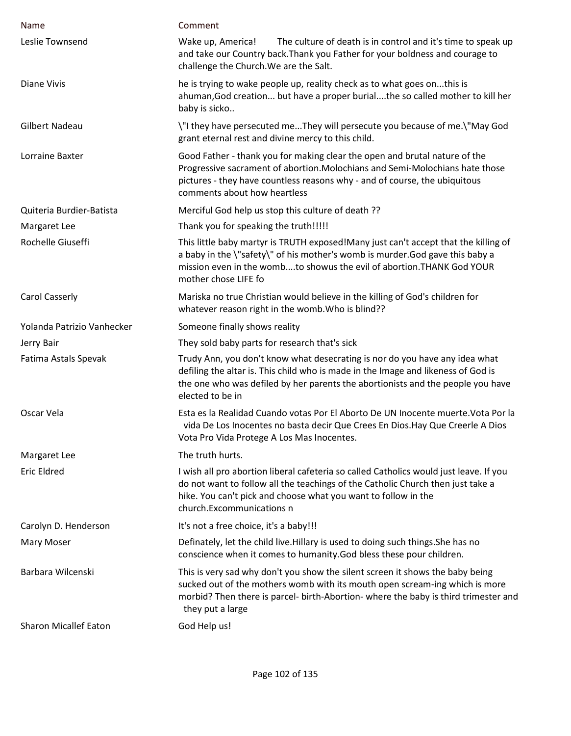| Name                         | Comment                                                                                                                                                                                                                                                                  |
|------------------------------|--------------------------------------------------------------------------------------------------------------------------------------------------------------------------------------------------------------------------------------------------------------------------|
| Leslie Townsend              | Wake up, America!<br>The culture of death is in control and it's time to speak up<br>and take our Country back. Thank you Father for your boldness and courage to<br>challenge the Church. We are the Salt.                                                              |
| <b>Diane Vivis</b>           | he is trying to wake people up, reality check as to what goes onthis is<br>ahuman, God creation but have a proper burialthe so called mother to kill her<br>baby is sicko                                                                                                |
| <b>Gilbert Nadeau</b>        | \"I they have persecuted meThey will persecute you because of me.\"May God<br>grant eternal rest and divine mercy to this child.                                                                                                                                         |
| Lorraine Baxter              | Good Father - thank you for making clear the open and brutal nature of the<br>Progressive sacrament of abortion. Molochians and Semi-Molochians hate those<br>pictures - they have countless reasons why - and of course, the ubiquitous<br>comments about how heartless |
| Quiteria Burdier-Batista     | Merciful God help us stop this culture of death ??                                                                                                                                                                                                                       |
| Margaret Lee                 | Thank you for speaking the truth!!!!!                                                                                                                                                                                                                                    |
| Rochelle Giuseffi            | This little baby martyr is TRUTH exposed!Many just can't accept that the killing of<br>a baby in the \"safety\" of his mother's womb is murder. God gave this baby a<br>mission even in the wombto showus the evil of abortion. THANK God YOUR<br>mother chose LIFE fo   |
| Carol Casserly               | Mariska no true Christian would believe in the killing of God's children for<br>whatever reason right in the womb. Who is blind??                                                                                                                                        |
| Yolanda Patrizio Vanhecker   | Someone finally shows reality                                                                                                                                                                                                                                            |
| Jerry Bair                   | They sold baby parts for research that's sick                                                                                                                                                                                                                            |
| Fatima Astals Spevak         | Trudy Ann, you don't know what desecrating is nor do you have any idea what<br>defiling the altar is. This child who is made in the Image and likeness of God is<br>the one who was defiled by her parents the abortionists and the people you have<br>elected to be in  |
| Oscar Vela                   | Esta es la Realidad Cuando votas Por El Aborto De UN Inocente muerte. Vota Por la<br>vida De Los Inocentes no basta decir Que Crees En Dios. Hay Que Creerle A Dios<br>Vota Pro Vida Protege A Los Mas Inocentes.                                                        |
| Margaret Lee                 | The truth hurts.                                                                                                                                                                                                                                                         |
| Eric Eldred                  | I wish all pro abortion liberal cafeteria so called Catholics would just leave. If you<br>do not want to follow all the teachings of the Catholic Church then just take a<br>hike. You can't pick and choose what you want to follow in the<br>church.Excommunications n |
| Carolyn D. Henderson         | It's not a free choice, it's a baby!!!                                                                                                                                                                                                                                   |
| Mary Moser                   | Definately, let the child live. Hillary is used to doing such things. She has no<br>conscience when it comes to humanity. God bless these pour children.                                                                                                                 |
| Barbara Wilcenski            | This is very sad why don't you show the silent screen it shows the baby being<br>sucked out of the mothers womb with its mouth open scream-ing which is more<br>morbid? Then there is parcel- birth-Abortion- where the baby is third trimester and<br>they put a large  |
| <b>Sharon Micallef Eaton</b> | God Help us!                                                                                                                                                                                                                                                             |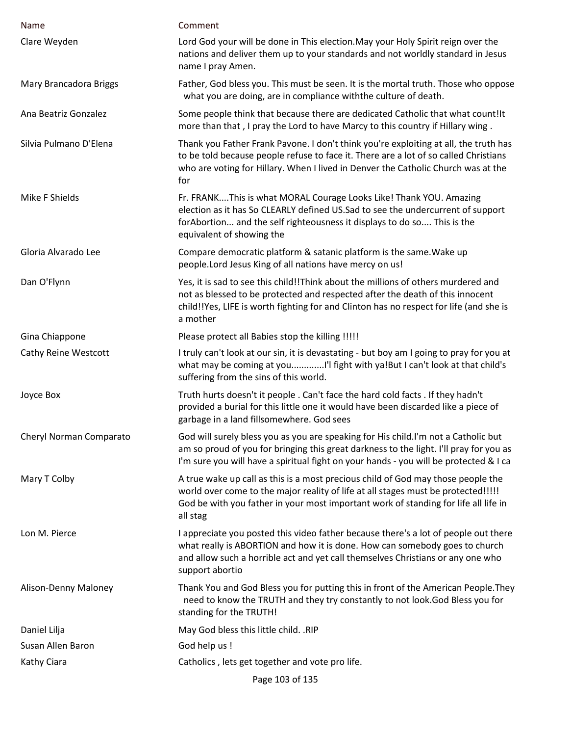| Name                    | Comment                                                                                                                                                                                                                                                                  |
|-------------------------|--------------------------------------------------------------------------------------------------------------------------------------------------------------------------------------------------------------------------------------------------------------------------|
| Clare Weyden            | Lord God your will be done in This election. May your Holy Spirit reign over the<br>nations and deliver them up to your standards and not worldly standard in Jesus<br>name I pray Amen.                                                                                 |
| Mary Brancadora Briggs  | Father, God bless you. This must be seen. It is the mortal truth. Those who oppose<br>what you are doing, are in compliance with the culture of death.                                                                                                                   |
| Ana Beatriz Gonzalez    | Some people think that because there are dedicated Catholic that what count!It<br>more than that, I pray the Lord to have Marcy to this country if Hillary wing.                                                                                                         |
| Silvia Pulmano D'Elena  | Thank you Father Frank Pavone. I don't think you're exploiting at all, the truth has<br>to be told because people refuse to face it. There are a lot of so called Christians<br>who are voting for Hillary. When I lived in Denver the Catholic Church was at the<br>for |
| Mike F Shields          | Fr. FRANKThis is what MORAL Courage Looks Like! Thank YOU. Amazing<br>election as it has So CLEARLY defined US.Sad to see the undercurrent of support<br>for Abortion and the self righteousness it displays to do so This is the<br>equivalent of showing the           |
| Gloria Alvarado Lee     | Compare democratic platform & satanic platform is the same. Wake up<br>people. Lord Jesus King of all nations have mercy on us!                                                                                                                                          |
| Dan O'Flynn             | Yes, it is sad to see this child!!Think about the millions of others murdered and<br>not as blessed to be protected and respected after the death of this innocent<br>child!!Yes, LIFE is worth fighting for and Clinton has no respect for life (and she is<br>a mother |
| Gina Chiappone          | Please protect all Babies stop the killing !!!!!                                                                                                                                                                                                                         |
| Cathy Reine Westcott    | I truly can't look at our sin, it is devastating - but boy am I going to pray for you at<br>suffering from the sins of this world.                                                                                                                                       |
| Joyce Box               | Truth hurts doesn't it people . Can't face the hard cold facts . If they hadn't<br>provided a burial for this little one it would have been discarded like a piece of<br>garbage in a land fillsomewhere. God sees                                                       |
| Cheryl Norman Comparato | God will surely bless you as you are speaking for His child.I'm not a Catholic but<br>am so proud of you for bringing this great darkness to the light. I'll pray for you as<br>I'm sure you will have a spiritual fight on your hands - you will be protected & I ca    |
| Mary T Colby            | A true wake up call as this is a most precious child of God may those people the<br>world over come to the major reality of life at all stages must be protected!!!!!<br>God be with you father in your most important work of standing for life all life in<br>all stag |
| Lon M. Pierce           | I appreciate you posted this video father because there's a lot of people out there<br>what really is ABORTION and how it is done. How can somebody goes to church<br>and allow such a horrible act and yet call themselves Christians or any one who<br>support abortio |
| Alison-Denny Maloney    | Thank You and God Bless you for putting this in front of the American People. They<br>need to know the TRUTH and they try constantly to not look. God Bless you for<br>standing for the TRUTH!                                                                           |
| Daniel Lilja            | May God bless this little child. .RIP                                                                                                                                                                                                                                    |
| Susan Allen Baron       | God help us !                                                                                                                                                                                                                                                            |
| Kathy Ciara             | Catholics, lets get together and vote pro life.                                                                                                                                                                                                                          |
|                         | Page 103 of 135                                                                                                                                                                                                                                                          |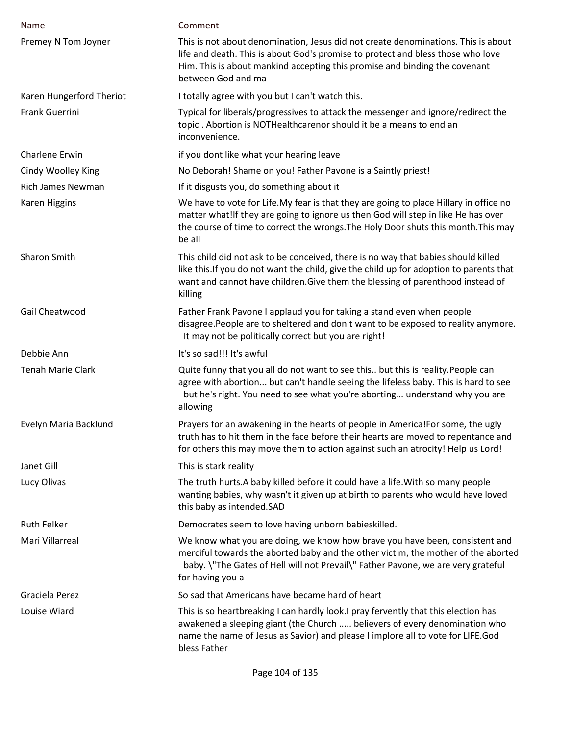| Name                     | Comment                                                                                                                                                                                                                                                                     |
|--------------------------|-----------------------------------------------------------------------------------------------------------------------------------------------------------------------------------------------------------------------------------------------------------------------------|
| Premey N Tom Joyner      | This is not about denomination, Jesus did not create denominations. This is about<br>life and death. This is about God's promise to protect and bless those who love<br>Him. This is about mankind accepting this promise and binding the covenant<br>between God and ma    |
| Karen Hungerford Theriot | I totally agree with you but I can't watch this.                                                                                                                                                                                                                            |
| <b>Frank Guerrini</b>    | Typical for liberals/progressives to attack the messenger and ignore/redirect the<br>topic. Abortion is NOTHealthcarenor should it be a means to end an<br>inconvenience.                                                                                                   |
| Charlene Erwin           | if you dont like what your hearing leave                                                                                                                                                                                                                                    |
| Cindy Woolley King       | No Deborah! Shame on you! Father Pavone is a Saintly priest!                                                                                                                                                                                                                |
| <b>Rich James Newman</b> | If it disgusts you, do something about it                                                                                                                                                                                                                                   |
| <b>Karen Higgins</b>     | We have to vote for Life. My fear is that they are going to place Hillary in office no<br>matter what!If they are going to ignore us then God will step in like He has over<br>the course of time to correct the wrongs. The Holy Door shuts this month. This may<br>be all |
| Sharon Smith             | This child did not ask to be conceived, there is no way that babies should killed<br>like this. If you do not want the child, give the child up for adoption to parents that<br>want and cannot have children. Give them the blessing of parenthood instead of<br>killing   |
| Gail Cheatwood           | Father Frank Pavone I applaud you for taking a stand even when people<br>disagree. People are to sheltered and don't want to be exposed to reality anymore.<br>It may not be politically correct but you are right!                                                         |
| Debbie Ann               | It's so sad!!! It's awful                                                                                                                                                                                                                                                   |
| Tenah Marie Clark        | Quite funny that you all do not want to see this but this is reality. People can<br>agree with abortion but can't handle seeing the lifeless baby. This is hard to see<br>but he's right. You need to see what you're aborting understand why you are<br>allowing           |
| Evelyn Maria Backlund    | Prayers for an awakening in the hearts of people in America! For some, the ugly<br>truth has to hit them in the face before their hearts are moved to repentance and<br>for others this may move them to action against such an atrocity! Help us Lord!                     |
| Janet Gill               | This is stark reality                                                                                                                                                                                                                                                       |
| Lucy Olivas              | The truth hurts. A baby killed before it could have a life. With so many people<br>wanting babies, why wasn't it given up at birth to parents who would have loved<br>this baby as intended.SAD                                                                             |
| <b>Ruth Felker</b>       | Democrates seem to love having unborn babieskilled.                                                                                                                                                                                                                         |
| Mari Villarreal          | We know what you are doing, we know how brave you have been, consistent and<br>merciful towards the aborted baby and the other victim, the mother of the aborted<br>baby. \"The Gates of Hell will not Prevail\" Father Pavone, we are very grateful<br>for having you a    |
| Graciela Perez           | So sad that Americans have became hard of heart                                                                                                                                                                                                                             |
| Louise Wiard             | This is so heartbreaking I can hardly look.I pray fervently that this election has<br>awakened a sleeping giant (the Church  believers of every denomination who<br>name the name of Jesus as Savior) and please I implore all to vote for LIFE.God<br>bless Father         |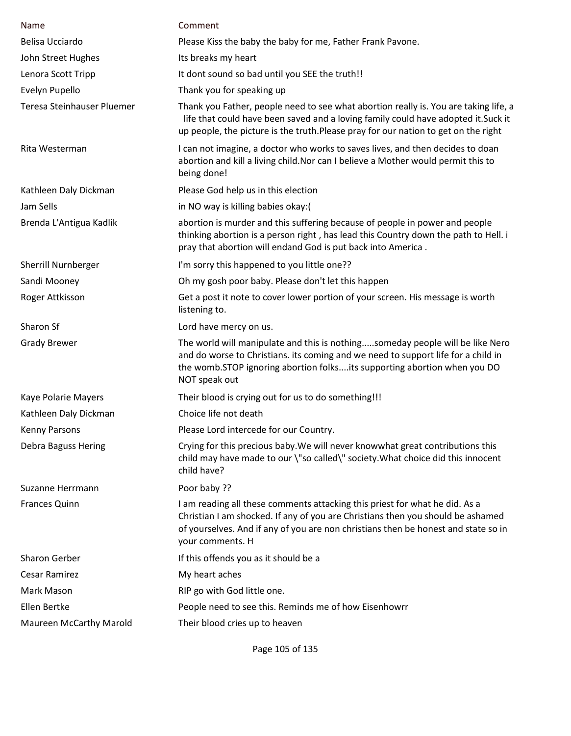| Name                           | Comment                                                                                                                                                                                                                                                                  |
|--------------------------------|--------------------------------------------------------------------------------------------------------------------------------------------------------------------------------------------------------------------------------------------------------------------------|
| Belisa Ucciardo                | Please Kiss the baby the baby for me, Father Frank Pavone.                                                                                                                                                                                                               |
| John Street Hughes             | Its breaks my heart                                                                                                                                                                                                                                                      |
| Lenora Scott Tripp             | It dont sound so bad until you SEE the truth!!                                                                                                                                                                                                                           |
| Evelyn Pupello                 | Thank you for speaking up                                                                                                                                                                                                                                                |
| Teresa Steinhauser Pluemer     | Thank you Father, people need to see what abortion really is. You are taking life, a<br>life that could have been saved and a loving family could have adopted it. Suck it<br>up people, the picture is the truth.Please pray for our nation to get on the right         |
| Rita Westerman                 | I can not imagine, a doctor who works to saves lives, and then decides to doan<br>abortion and kill a living child. Nor can I believe a Mother would permit this to<br>being done!                                                                                       |
| Kathleen Daly Dickman          | Please God help us in this election                                                                                                                                                                                                                                      |
| Jam Sells                      | in NO way is killing babies okay:(                                                                                                                                                                                                                                       |
| Brenda L'Antigua Kadlik        | abortion is murder and this suffering because of people in power and people<br>thinking abortion is a person right, has lead this Country down the path to Hell. i<br>pray that abortion will endand God is put back into America.                                       |
| Sherrill Nurnberger            | I'm sorry this happened to you little one??                                                                                                                                                                                                                              |
| Sandi Mooney                   | Oh my gosh poor baby. Please don't let this happen                                                                                                                                                                                                                       |
| Roger Attkisson                | Get a post it note to cover lower portion of your screen. His message is worth<br>listening to.                                                                                                                                                                          |
| Sharon Sf                      | Lord have mercy on us.                                                                                                                                                                                                                                                   |
| <b>Grady Brewer</b>            | The world will manipulate and this is nothingsomeday people will be like Nero<br>and do worse to Christians. its coming and we need to support life for a child in<br>the womb.STOP ignoring abortion folksits supporting abortion when you DO<br>NOT speak out          |
| Kaye Polarie Mayers            | Their blood is crying out for us to do something!!!                                                                                                                                                                                                                      |
| Kathleen Daly Dickman          | Choice life not death                                                                                                                                                                                                                                                    |
| Kenny Parsons                  | Please Lord intercede for our Country.                                                                                                                                                                                                                                   |
| Debra Baguss Hering            | Crying for this precious baby. We will never knowwhat great contributions this<br>child may have made to our \"so called\" society. What choice did this innocent<br>child have?                                                                                         |
| Suzanne Herrmann               | Poor baby ??                                                                                                                                                                                                                                                             |
| <b>Frances Quinn</b>           | I am reading all these comments attacking this priest for what he did. As a<br>Christian I am shocked. If any of you are Christians then you should be ashamed<br>of yourselves. And if any of you are non christians then be honest and state so in<br>your comments. H |
| <b>Sharon Gerber</b>           | If this offends you as it should be a                                                                                                                                                                                                                                    |
| <b>Cesar Ramirez</b>           | My heart aches                                                                                                                                                                                                                                                           |
| Mark Mason                     | RIP go with God little one.                                                                                                                                                                                                                                              |
| Ellen Bertke                   | People need to see this. Reminds me of how Eisenhowrr                                                                                                                                                                                                                    |
| <b>Maureen McCarthy Marold</b> | Their blood cries up to heaven                                                                                                                                                                                                                                           |

Page 105 of 135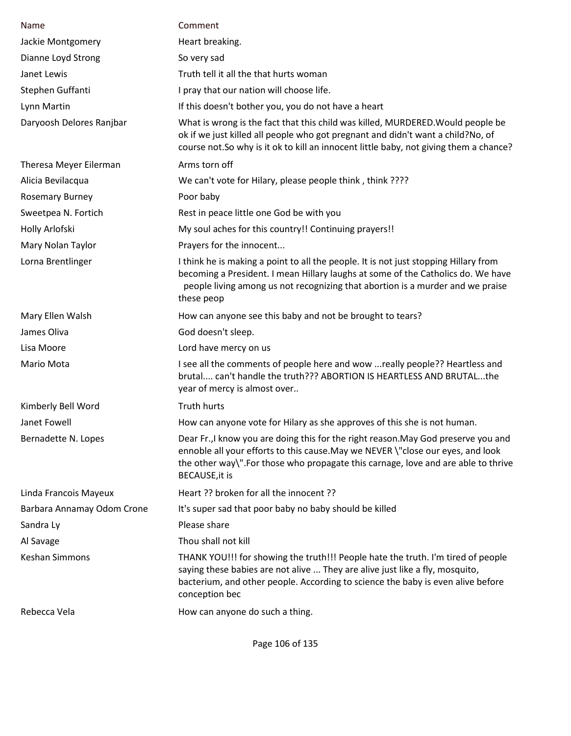| Name                       | Comment                                                                                                                                                                                                                                                                             |
|----------------------------|-------------------------------------------------------------------------------------------------------------------------------------------------------------------------------------------------------------------------------------------------------------------------------------|
| Jackie Montgomery          | Heart breaking.                                                                                                                                                                                                                                                                     |
| Dianne Loyd Strong         | So very sad                                                                                                                                                                                                                                                                         |
| Janet Lewis                | Truth tell it all the that hurts woman                                                                                                                                                                                                                                              |
| Stephen Guffanti           | I pray that our nation will choose life.                                                                                                                                                                                                                                            |
| Lynn Martin                | If this doesn't bother you, you do not have a heart                                                                                                                                                                                                                                 |
| Daryoosh Delores Ranjbar   | What is wrong is the fact that this child was killed, MURDERED. Would people be<br>ok if we just killed all people who got pregnant and didn't want a child?No, of<br>course not. So why is it ok to kill an innocent little baby, not giving them a chance?                        |
| Theresa Meyer Eilerman     | Arms torn off                                                                                                                                                                                                                                                                       |
| Alicia Bevilacqua          | We can't vote for Hilary, please people think, think ????                                                                                                                                                                                                                           |
| <b>Rosemary Burney</b>     | Poor baby                                                                                                                                                                                                                                                                           |
| Sweetpea N. Fortich        | Rest in peace little one God be with you                                                                                                                                                                                                                                            |
| Holly Arlofski             | My soul aches for this country!! Continuing prayers!!                                                                                                                                                                                                                               |
| Mary Nolan Taylor          | Prayers for the innocent                                                                                                                                                                                                                                                            |
| Lorna Brentlinger          | I think he is making a point to all the people. It is not just stopping Hillary from<br>becoming a President. I mean Hillary laughs at some of the Catholics do. We have<br>people living among us not recognizing that abortion is a murder and we praise<br>these peop            |
| Mary Ellen Walsh           | How can anyone see this baby and not be brought to tears?                                                                                                                                                                                                                           |
| James Oliva                | God doesn't sleep.                                                                                                                                                                                                                                                                  |
| Lisa Moore                 | Lord have mercy on us                                                                                                                                                                                                                                                               |
| Mario Mota                 | I see all the comments of people here and wow  really people?? Heartless and<br>brutal can't handle the truth??? ABORTION IS HEARTLESS AND BRUTALthe<br>year of mercy is almost over                                                                                                |
| Kimberly Bell Word         | Truth hurts                                                                                                                                                                                                                                                                         |
| Janet Fowell               | How can anyone vote for Hilary as she approves of this she is not human.                                                                                                                                                                                                            |
| Bernadette N. Lopes        | Dear Fr., I know you are doing this for the right reason. May God preserve you and<br>ennoble all your efforts to this cause. May we NEVER \"close our eyes, and look<br>the other way\".For those who propagate this carnage, love and are able to thrive<br><b>BECAUSE, it is</b> |
| Linda Francois Mayeux      | Heart ?? broken for all the innocent ??                                                                                                                                                                                                                                             |
| Barbara Annamay Odom Crone | It's super sad that poor baby no baby should be killed                                                                                                                                                                                                                              |
| Sandra Ly                  | Please share                                                                                                                                                                                                                                                                        |
| Al Savage                  | Thou shall not kill                                                                                                                                                                                                                                                                 |
| <b>Keshan Simmons</b>      | THANK YOU!!! for showing the truth!!! People hate the truth. I'm tired of people<br>saying these babies are not alive  They are alive just like a fly, mosquito,<br>bacterium, and other people. According to science the baby is even alive before<br>conception bec               |
| Rebecca Vela               | How can anyone do such a thing.                                                                                                                                                                                                                                                     |
|                            |                                                                                                                                                                                                                                                                                     |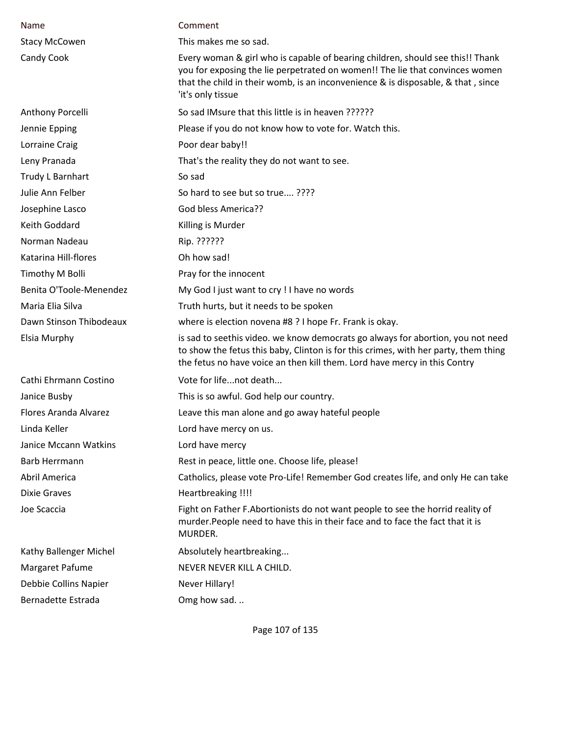| Name                    | Comment                                                                                                                                                                                                                                                                 |
|-------------------------|-------------------------------------------------------------------------------------------------------------------------------------------------------------------------------------------------------------------------------------------------------------------------|
| <b>Stacy McCowen</b>    | This makes me so sad.                                                                                                                                                                                                                                                   |
| Candy Cook              | Every woman & girl who is capable of bearing children, should see this!! Thank<br>you for exposing the lie perpetrated on women!! The lie that convinces women<br>that the child in their womb, is an inconvenience & is disposable, & that, since<br>'it's only tissue |
| Anthony Porcelli        | So sad IMsure that this little is in heaven ??????                                                                                                                                                                                                                      |
| Jennie Epping           | Please if you do not know how to vote for. Watch this.                                                                                                                                                                                                                  |
| Lorraine Craig          | Poor dear baby!!                                                                                                                                                                                                                                                        |
| Leny Pranada            | That's the reality they do not want to see.                                                                                                                                                                                                                             |
| Trudy L Barnhart        | So sad                                                                                                                                                                                                                                                                  |
| Julie Ann Felber        | So hard to see but so true????                                                                                                                                                                                                                                          |
| Josephine Lasco         | God bless America??                                                                                                                                                                                                                                                     |
| Keith Goddard           | Killing is Murder                                                                                                                                                                                                                                                       |
| Norman Nadeau           | Rip. ??????                                                                                                                                                                                                                                                             |
| Katarina Hill-flores    | Oh how sad!                                                                                                                                                                                                                                                             |
| Timothy M Bolli         | Pray for the innocent                                                                                                                                                                                                                                                   |
| Benita O'Toole-Menendez | My God I just want to cry ! I have no words                                                                                                                                                                                                                             |
| Maria Elia Silva        | Truth hurts, but it needs to be spoken                                                                                                                                                                                                                                  |
| Dawn Stinson Thibodeaux | where is election novena #8 ? I hope Fr. Frank is okay.                                                                                                                                                                                                                 |
| Elsia Murphy            | is sad to seethis video. we know democrats go always for abortion, you not need<br>to show the fetus this baby, Clinton is for this crimes, with her party, them thing<br>the fetus no have voice an then kill them. Lord have mercy in this Contry                     |
| Cathi Ehrmann Costino   | Vote for lifenot death                                                                                                                                                                                                                                                  |
| Janice Busby            | This is so awful. God help our country.                                                                                                                                                                                                                                 |
| Flores Aranda Alvarez   | Leave this man alone and go away hateful people                                                                                                                                                                                                                         |
| Linda Keller            | Lord have mercy on us.                                                                                                                                                                                                                                                  |
| Janice Mccann Watkins   | Lord have mercy                                                                                                                                                                                                                                                         |
| Barb Herrmann           | Rest in peace, little one. Choose life, please!                                                                                                                                                                                                                         |
| Abril America           | Catholics, please vote Pro-Life! Remember God creates life, and only He can take                                                                                                                                                                                        |
| <b>Dixie Graves</b>     | Heartbreaking !!!!                                                                                                                                                                                                                                                      |
| Joe Scaccia             | Fight on Father F. Abortionists do not want people to see the horrid reality of<br>murder. People need to have this in their face and to face the fact that it is<br>MURDER.                                                                                            |
| Kathy Ballenger Michel  | Absolutely heartbreaking                                                                                                                                                                                                                                                |
| Margaret Pafume         | NEVER NEVER KILL A CHILD.                                                                                                                                                                                                                                               |
| Debbie Collins Napier   | Never Hillary!                                                                                                                                                                                                                                                          |
| Bernadette Estrada      | Omg how sad.                                                                                                                                                                                                                                                            |

Page 107 of 135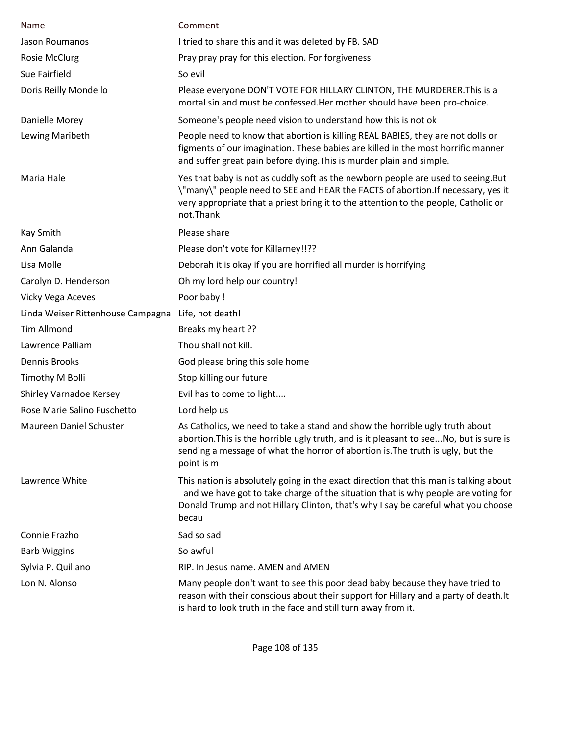| Name                              | Comment                                                                                                                                                                                                                                                                  |
|-----------------------------------|--------------------------------------------------------------------------------------------------------------------------------------------------------------------------------------------------------------------------------------------------------------------------|
| Jason Roumanos                    | I tried to share this and it was deleted by FB. SAD                                                                                                                                                                                                                      |
| <b>Rosie McClurg</b>              | Pray pray pray for this election. For forgiveness                                                                                                                                                                                                                        |
| Sue Fairfield                     | So evil                                                                                                                                                                                                                                                                  |
| Doris Reilly Mondello             | Please everyone DON'T VOTE FOR HILLARY CLINTON, THE MURDERER. This is a<br>mortal sin and must be confessed. Her mother should have been pro-choice.                                                                                                                     |
| Danielle Morey                    | Someone's people need vision to understand how this is not ok                                                                                                                                                                                                            |
| Lewing Maribeth                   | People need to know that abortion is killing REAL BABIES, they are not dolls or<br>figments of our imagination. These babies are killed in the most horrific manner<br>and suffer great pain before dying. This is murder plain and simple.                              |
| Maria Hale                        | Yes that baby is not as cuddly soft as the newborn people are used to seeing. But<br>\"many\" people need to SEE and HEAR the FACTS of abortion.If necessary, yes it<br>very appropriate that a priest bring it to the attention to the people, Catholic or<br>not.Thank |
| Kay Smith                         | Please share                                                                                                                                                                                                                                                             |
| Ann Galanda                       | Please don't vote for Killarney!!??                                                                                                                                                                                                                                      |
| Lisa Molle                        | Deborah it is okay if you are horrified all murder is horrifying                                                                                                                                                                                                         |
| Carolyn D. Henderson              | Oh my lord help our country!                                                                                                                                                                                                                                             |
| Vicky Vega Aceves                 | Poor baby !                                                                                                                                                                                                                                                              |
| Linda Weiser Rittenhouse Campagna | Life, not death!                                                                                                                                                                                                                                                         |
| <b>Tim Allmond</b>                | Breaks my heart ??                                                                                                                                                                                                                                                       |
| Lawrence Palliam                  | Thou shall not kill.                                                                                                                                                                                                                                                     |
| Dennis Brooks                     | God please bring this sole home                                                                                                                                                                                                                                          |
| Timothy M Bolli                   | Stop killing our future                                                                                                                                                                                                                                                  |
| Shirley Varnadoe Kersey           | Evil has to come to light                                                                                                                                                                                                                                                |
| Rose Marie Salino Fuschetto       | Lord help us                                                                                                                                                                                                                                                             |
| Maureen Daniel Schuster           | As Catholics, we need to take a stand and show the horrible ugly truth about<br>abortion. This is the horrible ugly truth, and is it pleasant to see No, but is sure is<br>sending a message of what the horror of abortion is. The truth is ugly, but the<br>point is m |
| Lawrence White                    | This nation is absolutely going in the exact direction that this man is talking about<br>and we have got to take charge of the situation that is why people are voting for<br>Donald Trump and not Hillary Clinton, that's why I say be careful what you choose<br>becau |
| Connie Frazho                     | Sad so sad                                                                                                                                                                                                                                                               |
| <b>Barb Wiggins</b>               | So awful                                                                                                                                                                                                                                                                 |
| Sylvia P. Quillano                | RIP. In Jesus name. AMEN and AMEN                                                                                                                                                                                                                                        |
| Lon N. Alonso                     | Many people don't want to see this poor dead baby because they have tried to<br>reason with their conscious about their support for Hillary and a party of death. It<br>is hard to look truth in the face and still turn away from it.                                   |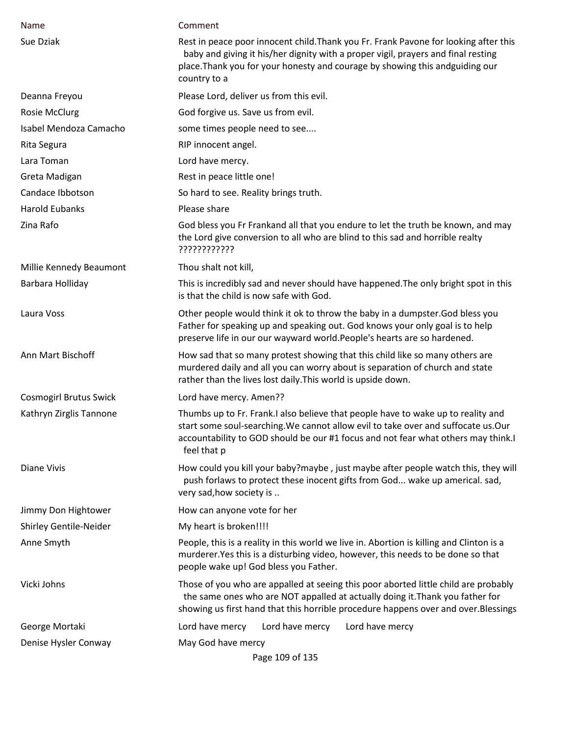| Name                          | Comment                                                                                                                                                                                                                                                                   |
|-------------------------------|---------------------------------------------------------------------------------------------------------------------------------------------------------------------------------------------------------------------------------------------------------------------------|
| Sue Dziak                     | Rest in peace poor innocent child. Thank you Fr. Frank Pavone for looking after this<br>baby and giving it his/her dignity with a proper vigil, prayers and final resting<br>place. Thank you for your honesty and courage by showing this andguiding our<br>country to a |
| Deanna Freyou                 | Please Lord, deliver us from this evil.                                                                                                                                                                                                                                   |
| Rosie McClurg                 | God forgive us. Save us from evil.                                                                                                                                                                                                                                        |
| Isabel Mendoza Camacho        | some times people need to see                                                                                                                                                                                                                                             |
| Rita Segura                   | RIP innocent angel.                                                                                                                                                                                                                                                       |
| Lara Toman                    | Lord have mercy.                                                                                                                                                                                                                                                          |
| Greta Madigan                 | Rest in peace little one!                                                                                                                                                                                                                                                 |
| Candace Ibbotson              | So hard to see. Reality brings truth.                                                                                                                                                                                                                                     |
| <b>Harold Eubanks</b>         | Please share                                                                                                                                                                                                                                                              |
| Zina Rafo                     | God bless you Fr Frankand all that you endure to let the truth be known, and may<br>the Lord give conversion to all who are blind to this sad and horrible realty<br>????????????                                                                                         |
| Millie Kennedy Beaumont       | Thou shalt not kill,                                                                                                                                                                                                                                                      |
| Barbara Holliday              | This is incredibly sad and never should have happened. The only bright spot in this<br>is that the child is now safe with God.                                                                                                                                            |
| Laura Voss                    | Other people would think it ok to throw the baby in a dumpster. God bless you<br>Father for speaking up and speaking out. God knows your only goal is to help<br>preserve life in our our wayward world. People's hearts are so hardened.                                 |
| Ann Mart Bischoff             | How sad that so many protest showing that this child like so many others are<br>murdered daily and all you can worry about is separation of church and state<br>rather than the lives lost daily. This world is upside down.                                              |
| <b>Cosmogirl Brutus Swick</b> | Lord have mercy. Amen??                                                                                                                                                                                                                                                   |
| Kathryn Zirglis Tannone       | Thumbs up to Fr. Frank.I also believe that people have to wake up to reality and<br>start some soul-searching. We cannot allow evil to take over and suffocate us. Our<br>accountability to GOD should be our #1 focus and not fear what others may think.<br>feel that p |
| <b>Diane Vivis</b>            | How could you kill your baby?maybe, just maybe after people watch this, they will<br>push forlaws to protect these inocent gifts from God wake up americal. sad,<br>very sad, how society is                                                                              |
| Jimmy Don Hightower           | How can anyone vote for her                                                                                                                                                                                                                                               |
| <b>Shirley Gentile-Neider</b> | My heart is broken!!!!                                                                                                                                                                                                                                                    |
| Anne Smyth                    | People, this is a reality in this world we live in. Abortion is killing and Clinton is a<br>murderer. Yes this is a disturbing video, however, this needs to be done so that<br>people wake up! God bless you Father.                                                     |
| Vicki Johns                   | Those of you who are appalled at seeing this poor aborted little child are probably<br>the same ones who are NOT appalled at actually doing it. Thank you father for<br>showing us first hand that this horrible procedure happens over and over. Blessings               |
| George Mortaki                | Lord have mercy<br>Lord have mercy<br>Lord have mercy                                                                                                                                                                                                                     |
| Denise Hysler Conway          | May God have mercy<br>Page 109 of 135                                                                                                                                                                                                                                     |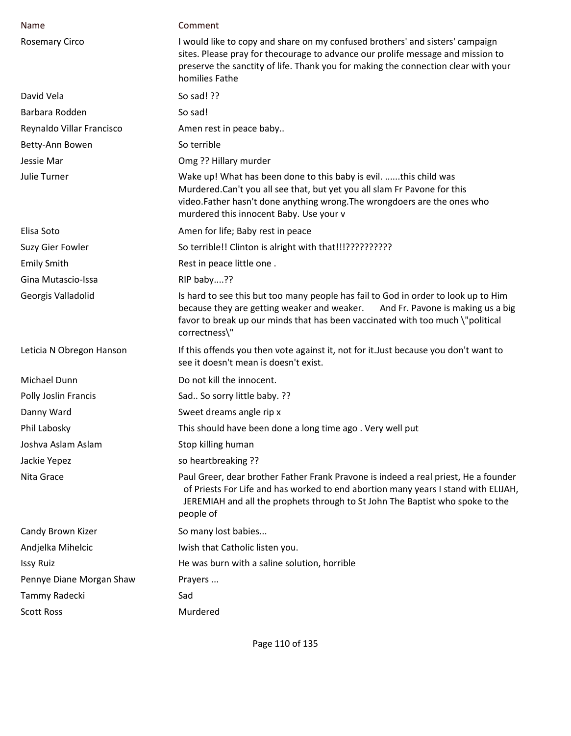| Name                      | Comment                                                                                                                                                                                                                                                                   |
|---------------------------|---------------------------------------------------------------------------------------------------------------------------------------------------------------------------------------------------------------------------------------------------------------------------|
| <b>Rosemary Circo</b>     | I would like to copy and share on my confused brothers' and sisters' campaign<br>sites. Please pray for thecourage to advance our prolife message and mission to<br>preserve the sanctity of life. Thank you for making the connection clear with your<br>homilies Fathe  |
| David Vela                | So sad! ??                                                                                                                                                                                                                                                                |
| Barbara Rodden            | So sad!                                                                                                                                                                                                                                                                   |
| Reynaldo Villar Francisco | Amen rest in peace baby                                                                                                                                                                                                                                                   |
| Betty-Ann Bowen           | So terrible                                                                                                                                                                                                                                                               |
| Jessie Mar                | Omg ?? Hillary murder                                                                                                                                                                                                                                                     |
| <b>Julie Turner</b>       | Wake up! What has been done to this baby is evil. this child was<br>Murdered.Can't you all see that, but yet you all slam Fr Pavone for this<br>video.Father hasn't done anything wrong.The wrongdoers are the ones who<br>murdered this innocent Baby. Use your v        |
| Elisa Soto                | Amen for life; Baby rest in peace                                                                                                                                                                                                                                         |
| Suzy Gier Fowler          | So terrible!! Clinton is alright with that!!!???????????                                                                                                                                                                                                                  |
| <b>Emily Smith</b>        | Rest in peace little one.                                                                                                                                                                                                                                                 |
| Gina Mutascio-Issa        | RIP baby??                                                                                                                                                                                                                                                                |
| Georgis Valladolid        | Is hard to see this but too many people has fail to God in order to look up to Him<br>because they are getting weaker and weaker.<br>And Fr. Pavone is making us a big<br>favor to break up our minds that has been vaccinated with too much \"political<br>correctness\" |
| Leticia N Obregon Hanson  | If this offends you then vote against it, not for it. Just because you don't want to<br>see it doesn't mean is doesn't exist.                                                                                                                                             |
| <b>Michael Dunn</b>       | Do not kill the innocent.                                                                                                                                                                                                                                                 |
| Polly Joslin Francis      | Sad So sorry little baby. ??                                                                                                                                                                                                                                              |
| Danny Ward                | Sweet dreams angle rip x                                                                                                                                                                                                                                                  |
| Phil Labosky              | This should have been done a long time ago. Very well put                                                                                                                                                                                                                 |
| Joshva Aslam Aslam        | Stop killing human                                                                                                                                                                                                                                                        |
| Jackie Yepez              | so heartbreaking ??                                                                                                                                                                                                                                                       |
| Nita Grace                | Paul Greer, dear brother Father Frank Pravone is indeed a real priest, He a founder<br>of Priests For Life and has worked to end abortion many years I stand with ELIJAH,<br>JEREMIAH and all the prophets through to St John The Baptist who spoke to the<br>people of   |
| Candy Brown Kizer         | So many lost babies                                                                                                                                                                                                                                                       |
| Andjelka Mihelcic         | Iwish that Catholic listen you.                                                                                                                                                                                                                                           |
| <b>Issy Ruiz</b>          | He was burn with a saline solution, horrible                                                                                                                                                                                                                              |
| Pennye Diane Morgan Shaw  | Prayers                                                                                                                                                                                                                                                                   |
| Tammy Radecki             | Sad                                                                                                                                                                                                                                                                       |
| <b>Scott Ross</b>         | Murdered                                                                                                                                                                                                                                                                  |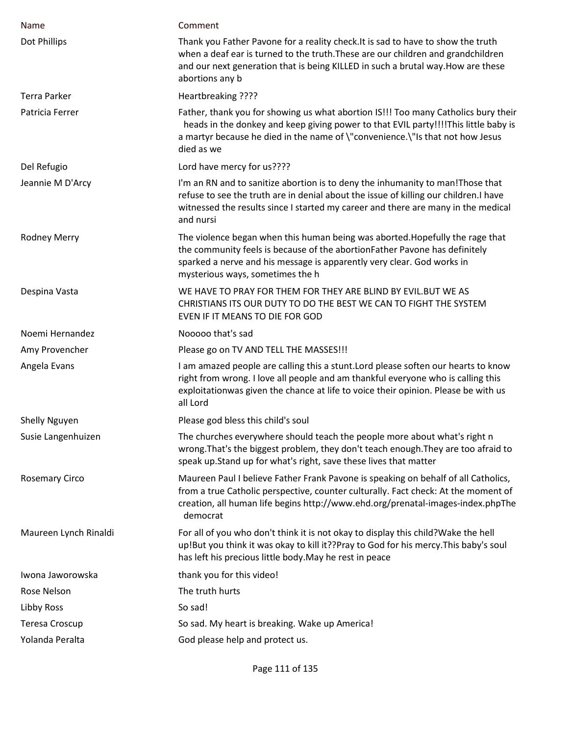| Name                  | Comment                                                                                                                                                                                                                                                                     |
|-----------------------|-----------------------------------------------------------------------------------------------------------------------------------------------------------------------------------------------------------------------------------------------------------------------------|
| Dot Phillips          | Thank you Father Pavone for a reality check. It is sad to have to show the truth<br>when a deaf ear is turned to the truth. These are our children and grandchildren<br>and our next generation that is being KILLED in such a brutal way. How are these<br>abortions any b |
| Terra Parker          | Heartbreaking ????                                                                                                                                                                                                                                                          |
| Patricia Ferrer       | Father, thank you for showing us what abortion IS!!! Too many Catholics bury their<br>heads in the donkey and keep giving power to that EVIL party!!!!This little baby is<br>a martyr because he died in the name of \"convenience.\"Is that not how Jesus<br>died as we    |
| Del Refugio           | Lord have mercy for us????                                                                                                                                                                                                                                                  |
| Jeannie M D'Arcy      | I'm an RN and to sanitize abortion is to deny the inhumanity to man! Those that<br>refuse to see the truth are in denial about the issue of killing our children.I have<br>witnessed the results since I started my career and there are many in the medical<br>and nursi   |
| Rodney Merry          | The violence began when this human being was aborted. Hopefully the rage that<br>the community feels is because of the abortionFather Pavone has definitely<br>sparked a nerve and his message is apparently very clear. God works in<br>mysterious ways, sometimes the h   |
| Despina Vasta         | WE HAVE TO PRAY FOR THEM FOR THEY ARE BLIND BY EVIL. BUT WE AS<br>CHRISTIANS ITS OUR DUTY TO DO THE BEST WE CAN TO FIGHT THE SYSTEM<br>EVEN IF IT MEANS TO DIE FOR GOD                                                                                                      |
| Noemi Hernandez       | Nooooo that's sad                                                                                                                                                                                                                                                           |
| Amy Provencher        | Please go on TV AND TELL THE MASSES !!!                                                                                                                                                                                                                                     |
| Angela Evans          | I am amazed people are calling this a stunt. Lord please soften our hearts to know<br>right from wrong. I love all people and am thankful everyone who is calling this<br>exploitationwas given the chance at life to voice their opinion. Please be with us<br>all Lord    |
| <b>Shelly Nguyen</b>  | Please god bless this child's soul                                                                                                                                                                                                                                          |
| Susie Langenhuizen    | The churches everywhere should teach the people more about what's right n<br>wrong. That's the biggest problem, they don't teach enough. They are too afraid to<br>speak up. Stand up for what's right, save these lives that matter                                        |
| <b>Rosemary Circo</b> | Maureen Paul I believe Father Frank Pavone is speaking on behalf of all Catholics,<br>from a true Catholic perspective, counter culturally. Fact check: At the moment of<br>creation, all human life begins http://www.ehd.org/prenatal-images-index.phpThe<br>democrat     |
| Maureen Lynch Rinaldi | For all of you who don't think it is not okay to display this child? Wake the hell<br>up!But you think it was okay to kill it??Pray to God for his mercy. This baby's soul<br>has left his precious little body. May he rest in peace                                       |
| Iwona Jaworowska      | thank you for this video!                                                                                                                                                                                                                                                   |
| Rose Nelson           | The truth hurts                                                                                                                                                                                                                                                             |
| Libby Ross            | So sad!                                                                                                                                                                                                                                                                     |
| Teresa Croscup        | So sad. My heart is breaking. Wake up America!                                                                                                                                                                                                                              |
| Yolanda Peralta       | God please help and protect us.                                                                                                                                                                                                                                             |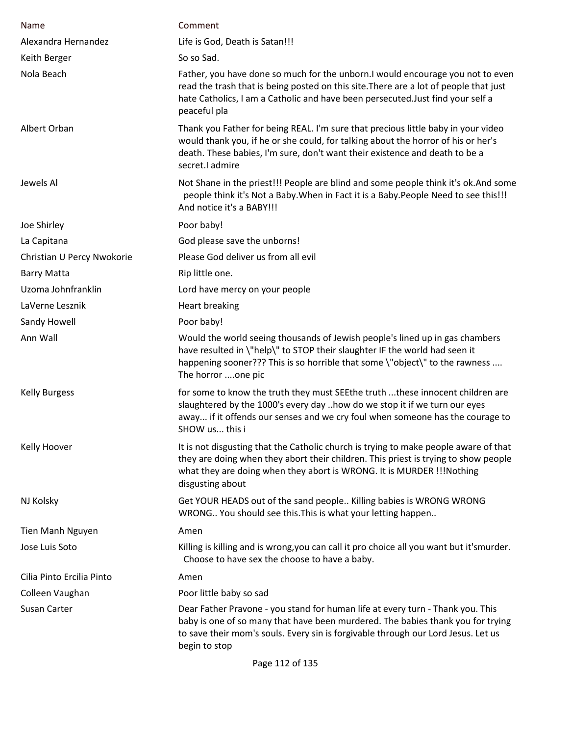| Name                       | Comment                                                                                                                                                                                                                                                                     |
|----------------------------|-----------------------------------------------------------------------------------------------------------------------------------------------------------------------------------------------------------------------------------------------------------------------------|
| Alexandra Hernandez        | Life is God, Death is Satan!!!                                                                                                                                                                                                                                              |
| Keith Berger               | So so Sad.                                                                                                                                                                                                                                                                  |
| Nola Beach                 | Father, you have done so much for the unborn. I would encourage you not to even<br>read the trash that is being posted on this site. There are a lot of people that just<br>hate Catholics, I am a Catholic and have been persecuted. Just find your self a<br>peaceful pla |
| Albert Orban               | Thank you Father for being REAL. I'm sure that precious little baby in your video<br>would thank you, if he or she could, for talking about the horror of his or her's<br>death. These babies, I'm sure, don't want their existence and death to be a<br>secret.I admire    |
| Jewels Al                  | Not Shane in the priest!!! People are blind and some people think it's ok. And some<br>people think it's Not a Baby. When in Fact it is a Baby. People Need to see this!!!<br>And notice it's a BABY!!!                                                                     |
| Joe Shirley                | Poor baby!                                                                                                                                                                                                                                                                  |
| La Capitana                | God please save the unborns!                                                                                                                                                                                                                                                |
| Christian U Percy Nwokorie | Please God deliver us from all evil                                                                                                                                                                                                                                         |
| <b>Barry Matta</b>         | Rip little one.                                                                                                                                                                                                                                                             |
| Uzoma Johnfranklin         | Lord have mercy on your people                                                                                                                                                                                                                                              |
| LaVerne Lesznik            | <b>Heart breaking</b>                                                                                                                                                                                                                                                       |
| Sandy Howell               | Poor baby!                                                                                                                                                                                                                                                                  |
| Ann Wall                   | Would the world seeing thousands of Jewish people's lined up in gas chambers<br>have resulted in \"help\" to STOP their slaughter IF the world had seen it<br>happening sooner??? This is so horrible that some \"object\" to the rawness<br>The horror one pic             |
| <b>Kelly Burgess</b>       | for some to know the truth they must SEEthe truth these innocent children are<br>slaughtered by the 1000's every day how do we stop it if we turn our eyes<br>away if it offends our senses and we cry foul when someone has the courage to<br>SHOW us this i               |
| Kelly Hoover               | It is not disgusting that the Catholic church is trying to make people aware of that<br>they are doing when they abort their children. This priest is trying to show people<br>what they are doing when they abort is WRONG. It is MURDER !!! Nothing<br>disgusting about   |
| NJ Kolsky                  | Get YOUR HEADS out of the sand people Killing babies is WRONG WRONG<br>WRONG You should see this. This is what your letting happen                                                                                                                                          |
| <b>Tien Manh Nguyen</b>    | Amen                                                                                                                                                                                                                                                                        |
| Jose Luis Soto             | Killing is killing and is wrong, you can call it pro choice all you want but it'smurder.<br>Choose to have sex the choose to have a baby.                                                                                                                                   |
| Cilia Pinto Ercilia Pinto  | Amen                                                                                                                                                                                                                                                                        |
| Colleen Vaughan            | Poor little baby so sad                                                                                                                                                                                                                                                     |
| Susan Carter               | Dear Father Pravone - you stand for human life at every turn - Thank you. This<br>baby is one of so many that have been murdered. The babies thank you for trying<br>to save their mom's souls. Every sin is forgivable through our Lord Jesus. Let us<br>begin to stop     |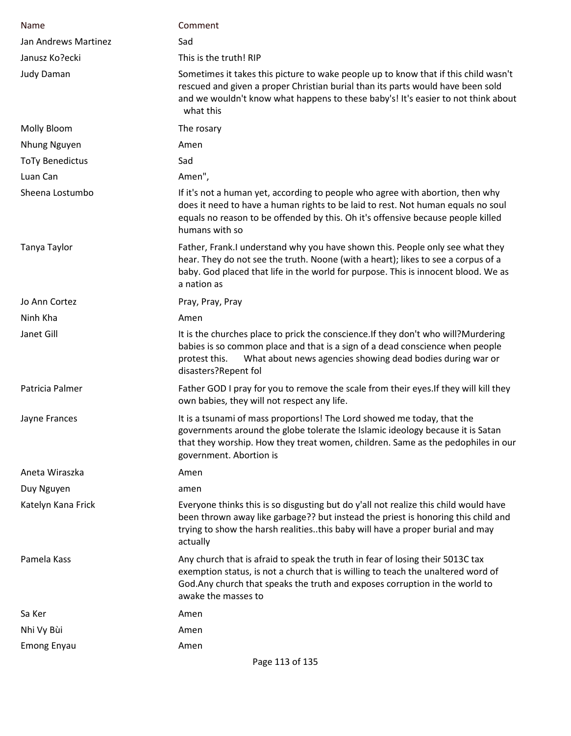| Name                   | Comment                                                                                                                                                                                                                                                                    |
|------------------------|----------------------------------------------------------------------------------------------------------------------------------------------------------------------------------------------------------------------------------------------------------------------------|
| Jan Andrews Martinez   | Sad                                                                                                                                                                                                                                                                        |
| Janusz Ko?ecki         | This is the truth! RIP                                                                                                                                                                                                                                                     |
| <b>Judy Daman</b>      | Sometimes it takes this picture to wake people up to know that if this child wasn't<br>rescued and given a proper Christian burial than its parts would have been sold<br>and we wouldn't know what happens to these baby's! It's easier to not think about<br>what this   |
| Molly Bloom            | The rosary                                                                                                                                                                                                                                                                 |
| Nhung Nguyen           | Amen                                                                                                                                                                                                                                                                       |
| <b>ToTy Benedictus</b> | Sad                                                                                                                                                                                                                                                                        |
| Luan Can               | Amen",                                                                                                                                                                                                                                                                     |
| Sheena Lostumbo        | If it's not a human yet, according to people who agree with abortion, then why<br>does it need to have a human rights to be laid to rest. Not human equals no soul<br>equals no reason to be offended by this. Oh it's offensive because people killed<br>humans with so   |
| Tanya Taylor           | Father, Frank.I understand why you have shown this. People only see what they<br>hear. They do not see the truth. Noone (with a heart); likes to see a corpus of a<br>baby. God placed that life in the world for purpose. This is innocent blood. We as<br>a nation as    |
| Jo Ann Cortez          | Pray, Pray, Pray                                                                                                                                                                                                                                                           |
| Ninh Kha               | Amen                                                                                                                                                                                                                                                                       |
| Janet Gill             | It is the churches place to prick the conscience. If they don't who will?Murdering<br>babies is so common place and that is a sign of a dead conscience when people<br>What about news agencies showing dead bodies during war or<br>protest this.<br>disasters?Repent fol |
| Patricia Palmer        | Father GOD I pray for you to remove the scale from their eyes. If they will kill they<br>own babies, they will not respect any life.                                                                                                                                       |
| Jayne Frances          | It is a tsunami of mass proportions! The Lord showed me today, that the<br>governments around the globe tolerate the Islamic ideology because it is Satan<br>that they worship. How they treat women, children. Same as the pedophiles in our<br>government. Abortion is   |
| Aneta Wiraszka         | Amen                                                                                                                                                                                                                                                                       |
| Duy Nguyen             | amen                                                                                                                                                                                                                                                                       |
| Katelyn Kana Frick     | Everyone thinks this is so disgusting but do y'all not realize this child would have<br>been thrown away like garbage?? but instead the priest is honoring this child and<br>trying to show the harsh realitiesthis baby will have a proper burial and may<br>actually     |
| Pamela Kass            | Any church that is afraid to speak the truth in fear of losing their 5013C tax<br>exemption status, is not a church that is willing to teach the unaltered word of<br>God. Any church that speaks the truth and exposes corruption in the world to<br>awake the masses to  |
| Sa Ker                 | Amen                                                                                                                                                                                                                                                                       |
| Nhi Vy Bùi             | Amen                                                                                                                                                                                                                                                                       |
| <b>Emong Enyau</b>     | Amen                                                                                                                                                                                                                                                                       |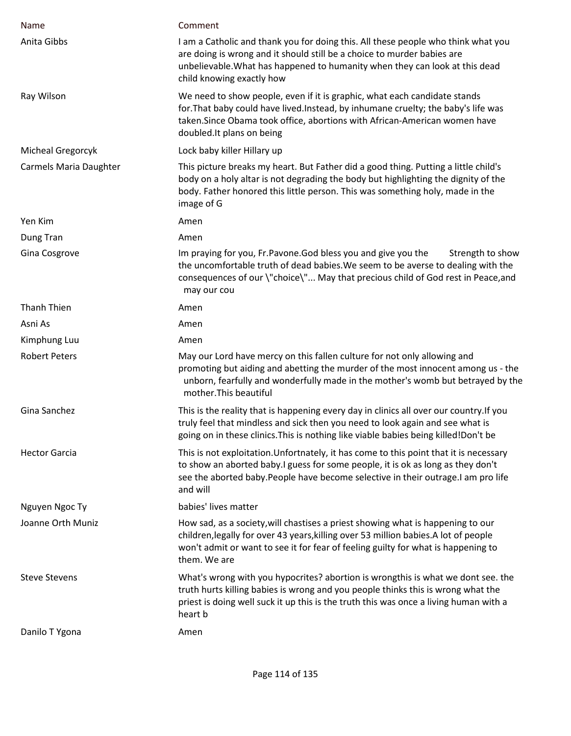| Name                   | Comment                                                                                                                                                                                                                                                                      |
|------------------------|------------------------------------------------------------------------------------------------------------------------------------------------------------------------------------------------------------------------------------------------------------------------------|
| Anita Gibbs            | I am a Catholic and thank you for doing this. All these people who think what you<br>are doing is wrong and it should still be a choice to murder babies are<br>unbelievable. What has happened to humanity when they can look at this dead<br>child knowing exactly how     |
| Ray Wilson             | We need to show people, even if it is graphic, what each candidate stands<br>for. That baby could have lived. Instead, by inhumane cruelty; the baby's life was<br>taken. Since Obama took office, abortions with African-American women have<br>doubled. It plans on being  |
| Micheal Gregorcyk      | Lock baby killer Hillary up                                                                                                                                                                                                                                                  |
| Carmels Maria Daughter | This picture breaks my heart. But Father did a good thing. Putting a little child's<br>body on a holy altar is not degrading the body but highlighting the dignity of the<br>body. Father honored this little person. This was something holy, made in the<br>image of G     |
| Yen Kim                | Amen                                                                                                                                                                                                                                                                         |
| Dung Tran              | Amen                                                                                                                                                                                                                                                                         |
| Gina Cosgrove          | Im praying for you, Fr. Pavone. God bless you and give you the<br>Strength to show<br>the uncomfortable truth of dead babies. We seem to be averse to dealing with the<br>consequences of our \"choice\" May that precious child of God rest in Peace, and<br>may our cou    |
| Thanh Thien            | Amen                                                                                                                                                                                                                                                                         |
| Asni As                | Amen                                                                                                                                                                                                                                                                         |
| Kimphung Luu           | Amen                                                                                                                                                                                                                                                                         |
| <b>Robert Peters</b>   | May our Lord have mercy on this fallen culture for not only allowing and<br>promoting but aiding and abetting the murder of the most innocent among us - the<br>unborn, fearfully and wonderfully made in the mother's womb but betrayed by the<br>mother. This beautiful    |
| Gina Sanchez           | This is the reality that is happening every day in clinics all over our country. If you<br>truly feel that mindless and sick then you need to look again and see what is<br>going on in these clinics. This is nothing like viable babies being killed! Don't be             |
| <b>Hector Garcia</b>   | This is not exploitation. Unfortnately, it has come to this point that it is necessary<br>to show an aborted baby.I guess for some people, it is ok as long as they don't<br>see the aborted baby. People have become selective in their outrage. I am pro life<br>and will  |
| Nguyen Ngoc Ty         | babies' lives matter                                                                                                                                                                                                                                                         |
| Joanne Orth Muniz      | How sad, as a society, will chastises a priest showing what is happening to our<br>children, legally for over 43 years, killing over 53 million babies. A lot of people<br>won't admit or want to see it for fear of feeling guilty for what is happening to<br>them. We are |
| <b>Steve Stevens</b>   | What's wrong with you hypocrites? abortion is wrongthis is what we dont see. the<br>truth hurts killing babies is wrong and you people thinks this is wrong what the<br>priest is doing well suck it up this is the truth this was once a living human with a<br>heart b     |
| Danilo T Ygona         | Amen                                                                                                                                                                                                                                                                         |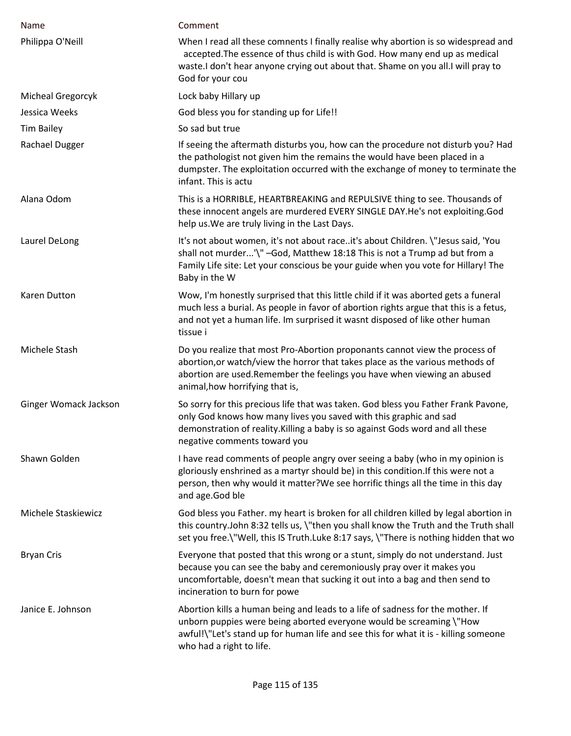| Name                  | Comment                                                                                                                                                                                                                                                                     |
|-----------------------|-----------------------------------------------------------------------------------------------------------------------------------------------------------------------------------------------------------------------------------------------------------------------------|
| Philippa O'Neill      | When I read all these comnents I finally realise why abortion is so widespread and<br>accepted. The essence of thus child is with God. How many end up as medical<br>waste.I don't hear anyone crying out about that. Shame on you all.I will pray to<br>God for your cou   |
| Micheal Gregorcyk     | Lock baby Hillary up                                                                                                                                                                                                                                                        |
| Jessica Weeks         | God bless you for standing up for Life!!                                                                                                                                                                                                                                    |
| <b>Tim Bailey</b>     | So sad but true                                                                                                                                                                                                                                                             |
| Rachael Dugger        | If seeing the aftermath disturbs you, how can the procedure not disturb you? Had<br>the pathologist not given him the remains the would have been placed in a<br>dumpster. The exploitation occurred with the exchange of money to terminate the<br>infant. This is actu    |
| Alana Odom            | This is a HORRIBLE, HEARTBREAKING and REPULSIVE thing to see. Thousands of<br>these innocent angels are murdered EVERY SINGLE DAY.He's not exploiting.God<br>help us. We are truly living in the Last Days.                                                                 |
| Laurel DeLong         | It's not about women, it's not about raceit's about Children. \"Jesus said, 'You<br>shall not murder'\" -God, Matthew 18:18 This is not a Trump ad but from a<br>Family Life site: Let your conscious be your guide when you vote for Hillary! The<br>Baby in the W         |
| Karen Dutton          | Wow, I'm honestly surprised that this little child if it was aborted gets a funeral<br>much less a burial. As people in favor of abortion rights argue that this is a fetus,<br>and not yet a human life. Im surprised it wasnt disposed of like other human<br>tissue i    |
| Michele Stash         | Do you realize that most Pro-Abortion proponants cannot view the process of<br>abortion, or watch/view the horror that takes place as the various methods of<br>abortion are used. Remember the feelings you have when viewing an abused<br>animal, how horrifying that is, |
| Ginger Womack Jackson | So sorry for this precious life that was taken. God bless you Father Frank Pavone,<br>only God knows how many lives you saved with this graphic and sad<br>demonstration of reality. Killing a baby is so against Gods word and all these<br>negative comments toward you   |
| Shawn Golden          | I have read comments of people angry over seeing a baby (who in my opinion is<br>gloriously enshrined as a martyr should be) in this condition. If this were not a<br>person, then why would it matter? We see horrific things all the time in this day<br>and age.God ble  |
| Michele Staskiewicz   | God bless you Father. my heart is broken for all children killed by legal abortion in<br>this country.John 8:32 tells us, \"then you shall know the Truth and the Truth shall<br>set you free. \"Well, this IS Truth. Luke 8:17 says, \"There is nothing hidden that wo     |
| <b>Bryan Cris</b>     | Everyone that posted that this wrong or a stunt, simply do not understand. Just<br>because you can see the baby and ceremoniously pray over it makes you<br>uncomfortable, doesn't mean that sucking it out into a bag and then send to<br>incineration to burn for powe    |
| Janice E. Johnson     | Abortion kills a human being and leads to a life of sadness for the mother. If<br>unborn puppies were being aborted everyone would be screaming \"How<br>awful!\"Let's stand up for human life and see this for what it is - killing someone<br>who had a right to life.    |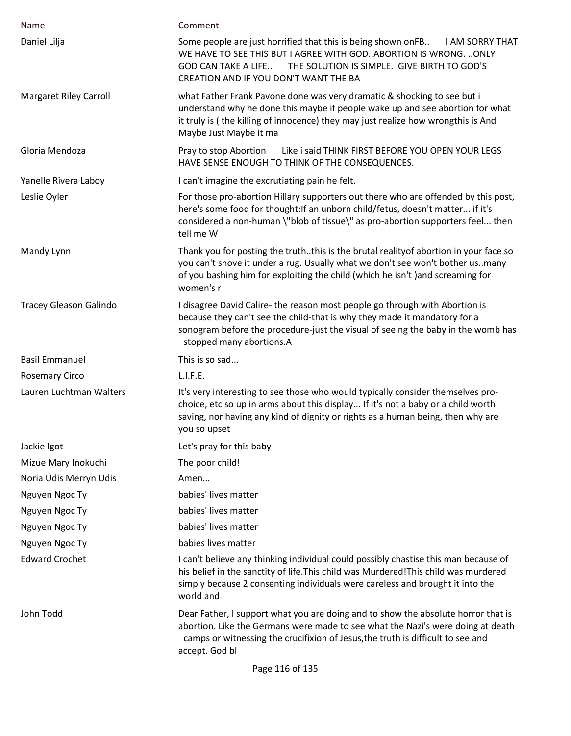| Name                          | Comment                                                                                                                                                                                                                                                                              |
|-------------------------------|--------------------------------------------------------------------------------------------------------------------------------------------------------------------------------------------------------------------------------------------------------------------------------------|
| Daniel Lilja                  | Some people are just horrified that this is being shown onFB<br><b>I AM SORRY THAT</b><br>WE HAVE TO SEE THIS BUT I AGREE WITH GOD. ABORTION IS WRONG.  ONLY<br>THE SOLUTION IS SIMPLE. . GIVE BIRTH TO GOD'S<br><b>GOD CAN TAKE A LIFE</b><br>CREATION AND IF YOU DON'T WANT THE BA |
| <b>Margaret Riley Carroll</b> | what Father Frank Pavone done was very dramatic & shocking to see but i<br>understand why he done this maybe if people wake up and see abortion for what<br>it truly is (the killing of innocence) they may just realize how wrongthis is And<br>Maybe Just Maybe it ma              |
| Gloria Mendoza                | Like i said THINK FIRST BEFORE YOU OPEN YOUR LEGS<br>Pray to stop Abortion<br>HAVE SENSE ENOUGH TO THINK OF THE CONSEQUENCES.                                                                                                                                                        |
| Yanelle Rivera Laboy          | I can't imagine the excrutiating pain he felt.                                                                                                                                                                                                                                       |
| Leslie Oyler                  | For those pro-abortion Hillary supporters out there who are offended by this post,<br>here's some food for thought: If an unborn child/fetus, doesn't matter if it's<br>considered a non-human \"blob of tissue\" as pro-abortion supporters feel then<br>tell me W                  |
| Mandy Lynn                    | Thank you for posting the truththis is the brutal reality of abortion in your face so<br>you can't shove it under a rug. Usually what we don't see won't bother us. many<br>of you bashing him for exploiting the child (which he isn't) and screaming for<br>women's r              |
| <b>Tracey Gleason Galindo</b> | I disagree David Calire- the reason most people go through with Abortion is<br>because they can't see the child-that is why they made it mandatory for a<br>sonogram before the procedure-just the visual of seeing the baby in the womb has<br>stopped many abortions.A             |
| <b>Basil Emmanuel</b>         | This is so sad                                                                                                                                                                                                                                                                       |
| <b>Rosemary Circo</b>         | L.I.F.E.                                                                                                                                                                                                                                                                             |
| Lauren Luchtman Walters       | It's very interesting to see those who would typically consider themselves pro-<br>choice, etc so up in arms about this display If it's not a baby or a child worth<br>saving, nor having any kind of dignity or rights as a human being, then why are<br>you so upset               |
| Jackie Igot                   | Let's pray for this baby                                                                                                                                                                                                                                                             |
| Mizue Mary Inokuchi           | The poor child!                                                                                                                                                                                                                                                                      |
| Noria Udis Merryn Udis        | Amen                                                                                                                                                                                                                                                                                 |
| Nguyen Ngoc Ty                | babies' lives matter                                                                                                                                                                                                                                                                 |
| Nguyen Ngoc Ty                | babies' lives matter                                                                                                                                                                                                                                                                 |
| Nguyen Ngoc Ty                | babies' lives matter                                                                                                                                                                                                                                                                 |
| Nguyen Ngoc Ty                | babies lives matter                                                                                                                                                                                                                                                                  |
| <b>Edward Crochet</b>         | I can't believe any thinking individual could possibly chastise this man because of<br>his belief in the sanctity of life. This child was Murdered! This child was murdered<br>simply because 2 consenting individuals were careless and brought it into the<br>world and            |
| John Todd                     | Dear Father, I support what you are doing and to show the absolute horror that is<br>abortion. Like the Germans were made to see what the Nazi's were doing at death<br>camps or witnessing the crucifixion of Jesus, the truth is difficult to see and<br>accept. God bl            |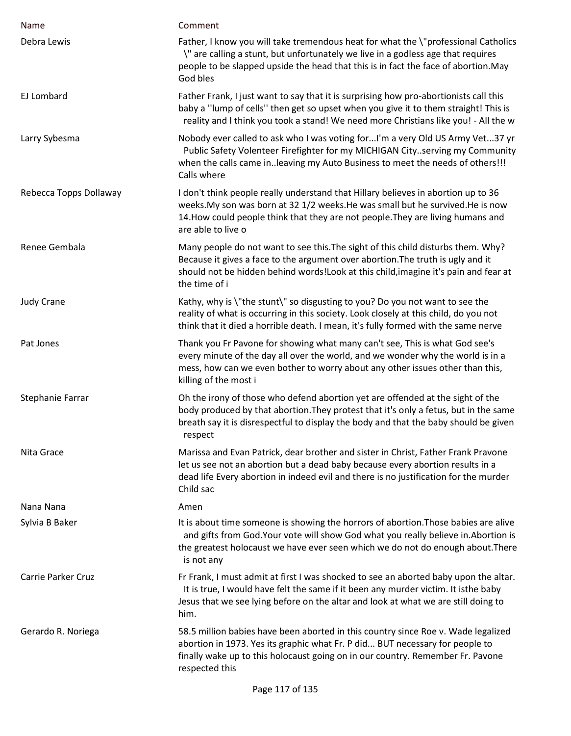| Name                      | Comment                                                                                                                                                                                                                                                                       |
|---------------------------|-------------------------------------------------------------------------------------------------------------------------------------------------------------------------------------------------------------------------------------------------------------------------------|
| Debra Lewis               | Father, I know you will take tremendous heat for what the \"professional Catholics<br>\" are calling a stunt, but unfortunately we live in a godless age that requires<br>people to be slapped upside the head that this is in fact the face of abortion. May<br>God bles     |
| EJ Lombard                | Father Frank, I just want to say that it is surprising how pro-abortionists call this<br>baby a "lump of cells" then get so upset when you give it to them straight! This is<br>reality and I think you took a stand! We need more Christians like you! - All the w           |
| Larry Sybesma             | Nobody ever called to ask who I was voting forI'm a very Old US Army Vet37 yr<br>Public Safety Volenteer Firefighter for my MICHIGAN Cityserving my Community<br>when the calls came inleaving my Auto Business to meet the needs of others!!!<br>Calls where                 |
| Rebecca Topps Dollaway    | I don't think people really understand that Hillary believes in abortion up to 36<br>weeks. My son was born at 32 1/2 weeks. He was small but he survived. He is now<br>14. How could people think that they are not people. They are living humans and<br>are able to live o |
| Renee Gembala             | Many people do not want to see this. The sight of this child disturbs them. Why?<br>Because it gives a face to the argument over abortion. The truth is ugly and it<br>should not be hidden behind words!Look at this child, imagine it's pain and fear at<br>the time of i   |
| <b>Judy Crane</b>         | Kathy, why is \"the stunt\" so disgusting to you? Do you not want to see the<br>reality of what is occurring in this society. Look closely at this child, do you not<br>think that it died a horrible death. I mean, it's fully formed with the same nerve                    |
| Pat Jones                 | Thank you Fr Pavone for showing what many can't see, This is what God see's<br>every minute of the day all over the world, and we wonder why the world is in a<br>mess, how can we even bother to worry about any other issues other than this,<br>killing of the most i      |
| Stephanie Farrar          | Oh the irony of those who defend abortion yet are offended at the sight of the<br>body produced by that abortion. They protest that it's only a fetus, but in the same<br>breath say it is disrespectful to display the body and that the baby should be given<br>respect     |
| Nita Grace                | Marissa and Evan Patrick, dear brother and sister in Christ, Father Frank Pravone<br>let us see not an abortion but a dead baby because every abortion results in a<br>dead life Every abortion in indeed evil and there is no justification for the murder<br>Child sac      |
| Nana Nana                 | Amen                                                                                                                                                                                                                                                                          |
| Sylvia B Baker            | It is about time someone is showing the horrors of abortion. Those babies are alive<br>and gifts from God. Your vote will show God what you really believe in. Abortion is<br>the greatest holocaust we have ever seen which we do not do enough about. There<br>is not any   |
| <b>Carrie Parker Cruz</b> | Fr Frank, I must admit at first I was shocked to see an aborted baby upon the altar.<br>It is true, I would have felt the same if it been any murder victim. It isthe baby<br>Jesus that we see lying before on the altar and look at what we are still doing to<br>him.      |
| Gerardo R. Noriega        | 58.5 million babies have been aborted in this country since Roe v. Wade legalized<br>abortion in 1973. Yes its graphic what Fr. P did BUT necessary for people to<br>finally wake up to this holocaust going on in our country. Remember Fr. Pavone<br>respected this         |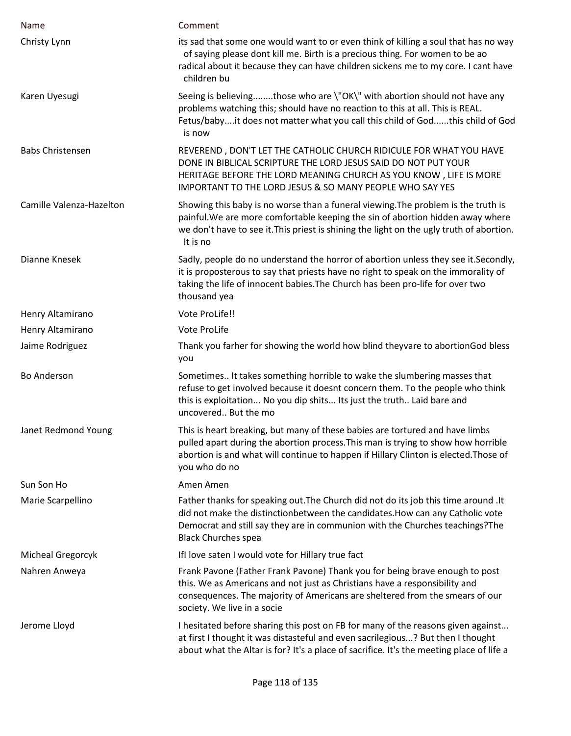| Name                     | Comment                                                                                                                                                                                                                                                                             |
|--------------------------|-------------------------------------------------------------------------------------------------------------------------------------------------------------------------------------------------------------------------------------------------------------------------------------|
| Christy Lynn             | its sad that some one would want to or even think of killing a soul that has no way<br>of saying please dont kill me. Birth is a precious thing. For women to be ao<br>radical about it because they can have children sickens me to my core. I cant have<br>children bu            |
| Karen Uyesugi            | Seeing is believingthose who are \"OK\" with abortion should not have any<br>problems watching this; should have no reaction to this at all. This is REAL.<br>Fetus/babyit does not matter what you call this child of Godthis child of God<br>is now                               |
| <b>Babs Christensen</b>  | REVEREND, DON'T LET THE CATHOLIC CHURCH RIDICULE FOR WHAT YOU HAVE<br>DONE IN BIBLICAL SCRIPTURE THE LORD JESUS SAID DO NOT PUT YOUR<br>HERITAGE BEFORE THE LORD MEANING CHURCH AS YOU KNOW, LIFE IS MORE<br>IMPORTANT TO THE LORD JESUS & SO MANY PEOPLE WHO SAY YES               |
| Camille Valenza-Hazelton | Showing this baby is no worse than a funeral viewing. The problem is the truth is<br>painful. We are more comfortable keeping the sin of abortion hidden away where<br>we don't have to see it. This priest is shining the light on the ugly truth of abortion.<br>It is no         |
| Dianne Knesek            | Sadly, people do no understand the horror of abortion unless they see it. Secondly,<br>it is proposterous to say that priests have no right to speak on the immorality of<br>taking the life of innocent babies. The Church has been pro-life for over two<br>thousand yea          |
| Henry Altamirano         | Vote ProLife!!                                                                                                                                                                                                                                                                      |
| Henry Altamirano         | Vote ProLife                                                                                                                                                                                                                                                                        |
| Jaime Rodriguez          | Thank you farher for showing the world how blind theyvare to abortionGod bless<br>you                                                                                                                                                                                               |
| <b>Bo Anderson</b>       | Sometimes It takes something horrible to wake the slumbering masses that<br>refuse to get involved because it doesnt concern them. To the people who think<br>this is exploitation No you dip shits Its just the truth Laid bare and<br>uncovered But the mo                        |
| Janet Redmond Young      | This is heart breaking, but many of these babies are tortured and have limbs<br>pulled apart during the abortion process. This man is trying to show how horrible<br>abortion is and what will continue to happen if Hillary Clinton is elected. Those of<br>you who do no          |
| Sun Son Ho               | Amen Amen                                                                                                                                                                                                                                                                           |
| Marie Scarpellino        | Father thanks for speaking out. The Church did not do its job this time around . It<br>did not make the distinctionbetween the candidates. How can any Catholic vote<br>Democrat and still say they are in communion with the Churches teachings? The<br><b>Black Churches spea</b> |
| Micheal Gregorcyk        | IfI love saten I would vote for Hillary true fact                                                                                                                                                                                                                                   |
| Nahren Anweya            | Frank Pavone (Father Frank Pavone) Thank you for being brave enough to post<br>this. We as Americans and not just as Christians have a responsibility and<br>consequences. The majority of Americans are sheltered from the smears of our<br>society. We live in a socie            |
| Jerome Lloyd             | I hesitated before sharing this post on FB for many of the reasons given against<br>at first I thought it was distasteful and even sacrilegious? But then I thought<br>about what the Altar is for? It's a place of sacrifice. It's the meeting place of life a                     |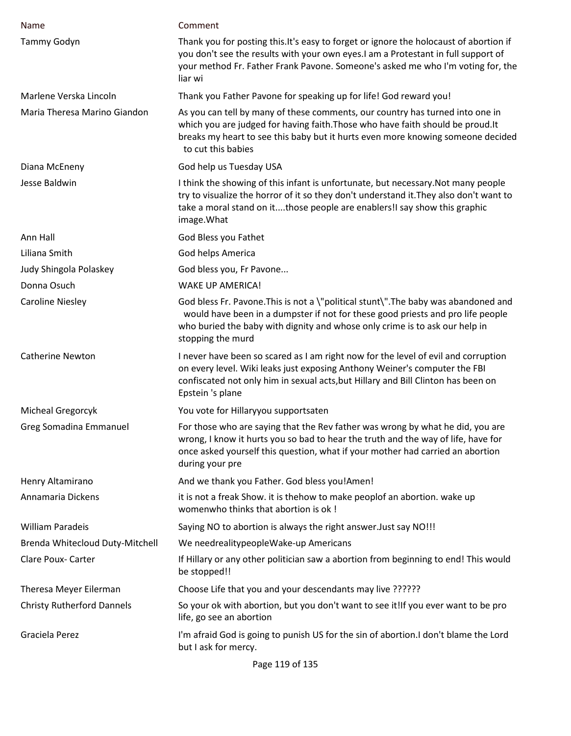| Name                              | Comment                                                                                                                                                                                                                                                                    |
|-----------------------------------|----------------------------------------------------------------------------------------------------------------------------------------------------------------------------------------------------------------------------------------------------------------------------|
| Tammy Godyn                       | Thank you for posting this. It's easy to forget or ignore the holocaust of abortion if<br>you don't see the results with your own eyes.I am a Protestant in full support of<br>your method Fr. Father Frank Pavone. Someone's asked me who I'm voting for, the<br>liar wi  |
| Marlene Verska Lincoln            | Thank you Father Pavone for speaking up for life! God reward you!                                                                                                                                                                                                          |
| Maria Theresa Marino Giandon      | As you can tell by many of these comments, our country has turned into one in<br>which you are judged for having faith. Those who have faith should be proud. It<br>breaks my heart to see this baby but it hurts even more knowing someone decided<br>to cut this babies  |
| Diana McEneny                     | God help us Tuesday USA                                                                                                                                                                                                                                                    |
| Jesse Baldwin                     | I think the showing of this infant is unfortunate, but necessary. Not many people<br>try to visualize the horror of it so they don't understand it. They also don't want to<br>take a moral stand on itthose people are enablers!I say show this graphic<br>image. What    |
| Ann Hall                          | God Bless you Fathet                                                                                                                                                                                                                                                       |
| Liliana Smith                     | God helps America                                                                                                                                                                                                                                                          |
| Judy Shingola Polaskey            | God bless you, Fr Pavone                                                                                                                                                                                                                                                   |
| Donna Osuch                       | <b>WAKE UP AMERICA!</b>                                                                                                                                                                                                                                                    |
| <b>Caroline Niesley</b>           | God bless Fr. Pavone. This is not a \"political stunt\". The baby was abandoned and<br>would have been in a dumpster if not for these good priests and pro life people<br>who buried the baby with dignity and whose only crime is to ask our help in<br>stopping the murd |
| <b>Catherine Newton</b>           | I never have been so scared as I am right now for the level of evil and corruption<br>on every level. Wiki leaks just exposing Anthony Weiner's computer the FBI<br>confiscated not only him in sexual acts, but Hillary and Bill Clinton has been on<br>Epstein 's plane  |
| Micheal Gregorcyk                 | You vote for Hillaryyou supportsaten                                                                                                                                                                                                                                       |
| <b>Greg Somadina Emmanuel</b>     | For those who are saying that the Rev father was wrong by what he did, you are<br>wrong, I know it hurts you so bad to hear the truth and the way of life, have for<br>once asked yourself this question, what if your mother had carried an abortion<br>during your pre   |
| Henry Altamirano                  | And we thank you Father. God bless you!Amen!                                                                                                                                                                                                                               |
| Annamaria Dickens                 | it is not a freak Show. it is thehow to make peoplof an abortion. wake up<br>womenwho thinks that abortion is ok!                                                                                                                                                          |
| <b>William Paradeis</b>           | Saying NO to abortion is always the right answer. Just say NO!!!                                                                                                                                                                                                           |
| Brenda Whitecloud Duty-Mitchell   | We needrealitypeopleWake-up Americans                                                                                                                                                                                                                                      |
| Clare Poux- Carter                | If Hillary or any other politician saw a abortion from beginning to end! This would<br>be stopped!!                                                                                                                                                                        |
| Theresa Meyer Eilerman            | Choose Life that you and your descendants may live ??????                                                                                                                                                                                                                  |
| <b>Christy Rutherford Dannels</b> | So your ok with abortion, but you don't want to see it! If you ever want to be pro<br>life, go see an abortion                                                                                                                                                             |
| Graciela Perez                    | I'm afraid God is going to punish US for the sin of abortion.I don't blame the Lord<br>but I ask for mercy.                                                                                                                                                                |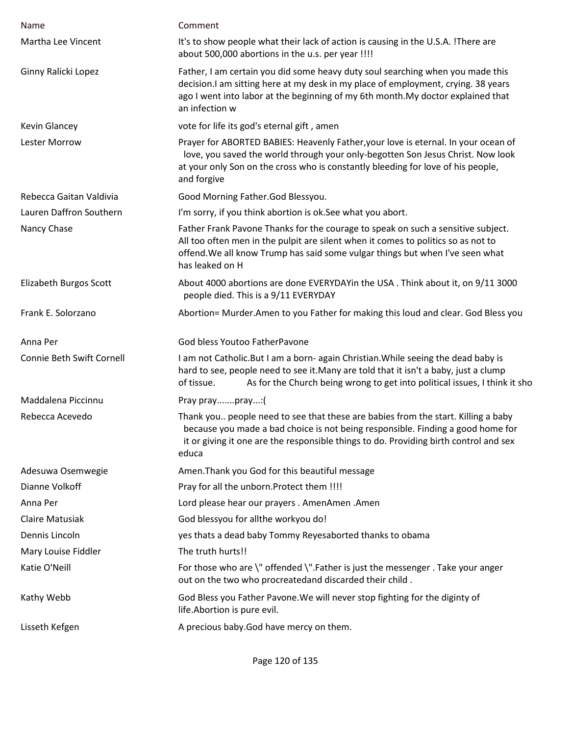| Name                             | Comment                                                                                                                                                                                                                                                                    |
|----------------------------------|----------------------------------------------------------------------------------------------------------------------------------------------------------------------------------------------------------------------------------------------------------------------------|
| Martha Lee Vincent               | It's to show people what their lack of action is causing in the U.S.A. !There are<br>about 500,000 abortions in the u.s. per year !!!!                                                                                                                                     |
| Ginny Ralicki Lopez              | Father, I am certain you did some heavy duty soul searching when you made this<br>decision. I am sitting here at my desk in my place of employment, crying. 38 years<br>ago I went into labor at the beginning of my 6th month. My doctor explained that<br>an infection w |
| <b>Kevin Glancey</b>             | vote for life its god's eternal gift, amen                                                                                                                                                                                                                                 |
| <b>Lester Morrow</b>             | Prayer for ABORTED BABIES: Heavenly Father, your love is eternal. In your ocean of<br>love, you saved the world through your only-begotten Son Jesus Christ. Now look<br>at your only Son on the cross who is constantly bleeding for love of his people,<br>and forgive   |
| Rebecca Gaitan Valdivia          | Good Morning Father.God Blessyou.                                                                                                                                                                                                                                          |
| Lauren Daffron Southern          | I'm sorry, if you think abortion is ok. See what you abort.                                                                                                                                                                                                                |
| Nancy Chase                      | Father Frank Pavone Thanks for the courage to speak on such a sensitive subject.<br>All too often men in the pulpit are silent when it comes to politics so as not to<br>offend. We all know Trump has said some vulgar things but when I've seen what<br>has leaked on H  |
| Elizabeth Burgos Scott           | About 4000 abortions are done EVERYDAYin the USA . Think about it, on 9/11 3000<br>people died. This is a 9/11 EVERYDAY                                                                                                                                                    |
| Frank E. Solorzano               | Abortion= Murder.Amen to you Father for making this loud and clear. God Bless you                                                                                                                                                                                          |
| Anna Per                         | God bless Youtoo FatherPavone                                                                                                                                                                                                                                              |
| <b>Connie Beth Swift Cornell</b> | I am not Catholic. But I am a born- again Christian. While seeing the dead baby is<br>hard to see, people need to see it. Many are told that it isn't a baby, just a clump<br>As for the Church being wrong to get into political issues, I think it sho<br>of tissue.     |
| Maddalena Piccinnu               | Pray praypray:(                                                                                                                                                                                                                                                            |
| Rebecca Acevedo                  | Thank you people need to see that these are babies from the start. Killing a baby<br>because you made a bad choice is not being responsible. Finding a good home for<br>it or giving it one are the responsible things to do. Providing birth control and sex<br>educa     |
| Adesuwa Osemwegie                | Amen. Thank you God for this beautiful message                                                                                                                                                                                                                             |
| Dianne Volkoff                   | Pray for all the unborn. Protect them !!!!                                                                                                                                                                                                                                 |
| Anna Per                         | Lord please hear our prayers . AmenAmen . Amen                                                                                                                                                                                                                             |
| <b>Claire Matusiak</b>           | God blessyou for allthe workyou do!                                                                                                                                                                                                                                        |
| Dennis Lincoln                   | yes thats a dead baby Tommy Reyesaborted thanks to obama                                                                                                                                                                                                                   |
| Mary Louise Fiddler              | The truth hurts!!                                                                                                                                                                                                                                                          |
| Katie O'Neill                    | For those who are \" offended \".Father is just the messenger . Take your anger<br>out on the two who procreatedand discarded their child.                                                                                                                                 |
| Kathy Webb                       | God Bless you Father Pavone. We will never stop fighting for the diginty of<br>life.Abortion is pure evil.                                                                                                                                                                 |
| Lisseth Kefgen                   | A precious baby. God have mercy on them.                                                                                                                                                                                                                                   |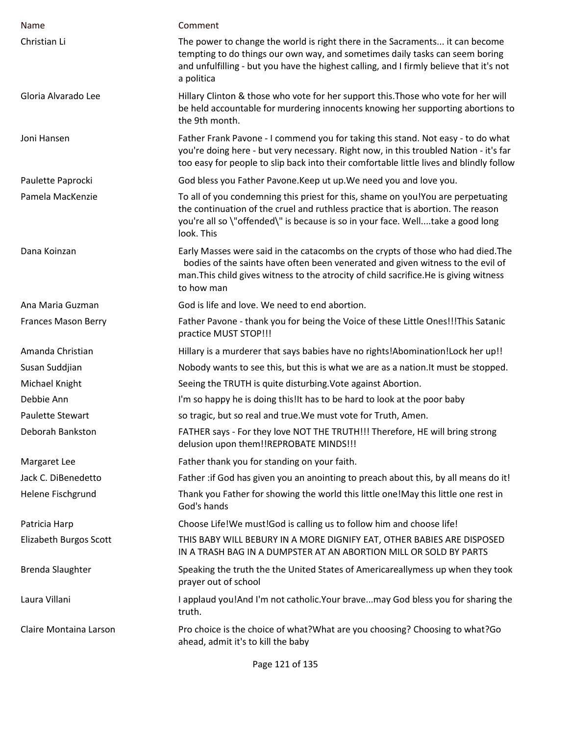| Name                       | Comment                                                                                                                                                                                                                                                                     |
|----------------------------|-----------------------------------------------------------------------------------------------------------------------------------------------------------------------------------------------------------------------------------------------------------------------------|
| Christian Li               | The power to change the world is right there in the Sacraments it can become<br>tempting to do things our own way, and sometimes daily tasks can seem boring<br>and unfulfilling - but you have the highest calling, and I firmly believe that it's not<br>a politica       |
| Gloria Alvarado Lee        | Hillary Clinton & those who vote for her support this. Those who vote for her will<br>be held accountable for murdering innocents knowing her supporting abortions to<br>the 9th month.                                                                                     |
| Joni Hansen                | Father Frank Pavone - I commend you for taking this stand. Not easy - to do what<br>you're doing here - but very necessary. Right now, in this troubled Nation - it's far<br>too easy for people to slip back into their comfortable little lives and blindly follow        |
| Paulette Paprocki          | God bless you Father Pavone. Keep ut up. We need you and love you.                                                                                                                                                                                                          |
| Pamela MacKenzie           | To all of you condemning this priest for this, shame on you!You are perpetuating<br>the continuation of the cruel and ruthless practice that is abortion. The reason<br>you're all so \"offended\" is because is so in your face. Welltake a good long<br>look. This        |
| Dana Koinzan               | Early Masses were said in the catacombs on the crypts of those who had died. The<br>bodies of the saints have often been venerated and given witness to the evil of<br>man. This child gives witness to the atrocity of child sacrifice. He is giving witness<br>to how man |
| Ana Maria Guzman           | God is life and love. We need to end abortion.                                                                                                                                                                                                                              |
| <b>Frances Mason Berry</b> | Father Pavone - thank you for being the Voice of these Little Ones!!!This Satanic<br>practice MUST STOP!!!                                                                                                                                                                  |
| Amanda Christian           | Hillary is a murderer that says babies have no rights!Abomination!Lock her up!!                                                                                                                                                                                             |
| Susan Suddjian             | Nobody wants to see this, but this is what we are as a nation. It must be stopped.                                                                                                                                                                                          |
| Michael Knight             | Seeing the TRUTH is quite disturbing. Vote against Abortion.                                                                                                                                                                                                                |
| Debbie Ann                 | I'm so happy he is doing this! It has to be hard to look at the poor baby                                                                                                                                                                                                   |
| <b>Paulette Stewart</b>    | so tragic, but so real and true. We must vote for Truth, Amen.                                                                                                                                                                                                              |
| Deborah Bankston           | FATHER says - For they love NOT THE TRUTH!!! Therefore, HE will bring strong<br>delusion upon them!!REPROBATE MINDS!!!                                                                                                                                                      |
| Margaret Lee               | Father thank you for standing on your faith.                                                                                                                                                                                                                                |
| Jack C. DiBenedetto        | Father : if God has given you an anointing to preach about this, by all means do it!                                                                                                                                                                                        |
| Helene Fischgrund          | Thank you Father for showing the world this little one!May this little one rest in<br>God's hands                                                                                                                                                                           |
| Patricia Harp              | Choose Life!We must!God is calling us to follow him and choose life!                                                                                                                                                                                                        |
| Elizabeth Burgos Scott     | THIS BABY WILL BEBURY IN A MORE DIGNIFY EAT, OTHER BABIES ARE DISPOSED<br>IN A TRASH BAG IN A DUMPSTER AT AN ABORTION MILL OR SOLD BY PARTS                                                                                                                                 |
| <b>Brenda Slaughter</b>    | Speaking the truth the the United States of Americareallymess up when they took<br>prayer out of school                                                                                                                                                                     |
| Laura Villani              | I applaud you!And I'm not catholic.Your bravemay God bless you for sharing the<br>truth.                                                                                                                                                                                    |
| Claire Montaina Larson     | Pro choice is the choice of what? What are you choosing? Choosing to what? Go<br>ahead, admit it's to kill the baby                                                                                                                                                         |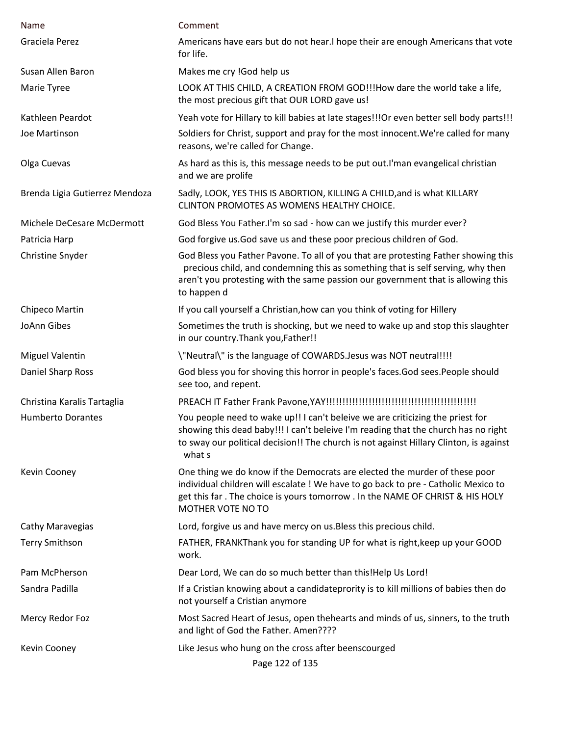| Name                           | Comment                                                                                                                                                                                                                                                                  |
|--------------------------------|--------------------------------------------------------------------------------------------------------------------------------------------------------------------------------------------------------------------------------------------------------------------------|
| Graciela Perez                 | Americans have ears but do not hear. I hope their are enough Americans that vote<br>for life.                                                                                                                                                                            |
| Susan Allen Baron              | Makes me cry ! God help us                                                                                                                                                                                                                                               |
| Marie Tyree                    | LOOK AT THIS CHILD, A CREATION FROM GOD!!!How dare the world take a life,<br>the most precious gift that OUR LORD gave us!                                                                                                                                               |
| Kathleen Peardot               | Yeah vote for Hillary to kill babies at late stages!!! Or even better sell body parts!!!                                                                                                                                                                                 |
| Joe Martinson                  | Soldiers for Christ, support and pray for the most innocent. We're called for many<br>reasons, we're called for Change.                                                                                                                                                  |
| Olga Cuevas                    | As hard as this is, this message needs to be put out. I'man evangelical christian<br>and we are prolife                                                                                                                                                                  |
| Brenda Ligia Gutierrez Mendoza | Sadly, LOOK, YES THIS IS ABORTION, KILLING A CHILD, and is what KILLARY<br>CLINTON PROMOTES AS WOMENS HEALTHY CHOICE.                                                                                                                                                    |
| Michele DeCesare McDermott     | God Bless You Father.I'm so sad - how can we justify this murder ever?                                                                                                                                                                                                   |
| Patricia Harp                  | God forgive us. God save us and these poor precious children of God.                                                                                                                                                                                                     |
| Christine Snyder               | God Bless you Father Pavone. To all of you that are protesting Father showing this<br>precious child, and condemning this as something that is self serving, why then<br>aren't you protesting with the same passion our government that is allowing this<br>to happen d |
| Chipeco Martin                 | If you call yourself a Christian, how can you think of voting for Hillery                                                                                                                                                                                                |
| JoAnn Gibes                    | Sometimes the truth is shocking, but we need to wake up and stop this slaughter<br>in our country. Thank you, Father!!                                                                                                                                                   |
| <b>Miguel Valentin</b>         | \"Neutral\" is the language of COWARDS.Jesus was NOT neutral!!!!                                                                                                                                                                                                         |
| Daniel Sharp Ross              | God bless you for shoving this horror in people's faces.God sees.People should<br>see too, and repent.                                                                                                                                                                   |
| Christina Karalis Tartaglia    |                                                                                                                                                                                                                                                                          |
| <b>Humberto Dorantes</b>       | You people need to wake up!! I can't beleive we are criticizing the priest for<br>showing this dead baby!!! I can't beleive I'm reading that the church has no right<br>to sway our political decision!! The church is not against Hillary Clinton, is against<br>what s |
| Kevin Cooney                   | One thing we do know if the Democrats are elected the murder of these poor<br>individual children will escalate ! We have to go back to pre - Catholic Mexico to<br>get this far . The choice is yours tomorrow . In the NAME OF CHRIST & HIS HOLY<br>MOTHER VOTE NO TO  |
| Cathy Maravegias               | Lord, forgive us and have mercy on us. Bless this precious child.                                                                                                                                                                                                        |
| <b>Terry Smithson</b>          | FATHER, FRANKThank you for standing UP for what is right, keep up your GOOD<br>work.                                                                                                                                                                                     |
| Pam McPherson                  | Dear Lord, We can do so much better than this!Help Us Lord!                                                                                                                                                                                                              |
| Sandra Padilla                 | If a Cristian knowing about a candidateprority is to kill millions of babies then do<br>not yourself a Cristian anymore                                                                                                                                                  |
| Mercy Redor Foz                | Most Sacred Heart of Jesus, open thehearts and minds of us, sinners, to the truth<br>and light of God the Father. Amen????                                                                                                                                               |
| Kevin Cooney                   | Like Jesus who hung on the cross after beenscourged<br>Page 122 of 135                                                                                                                                                                                                   |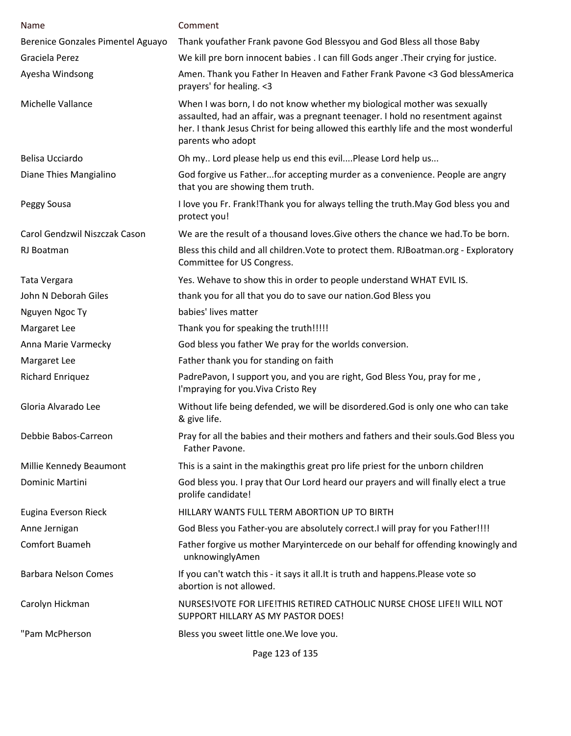| Name                              | Comment                                                                                                                                                                                                                                                                  |
|-----------------------------------|--------------------------------------------------------------------------------------------------------------------------------------------------------------------------------------------------------------------------------------------------------------------------|
| Berenice Gonzales Pimentel Aguayo | Thank youfather Frank pavone God Blessyou and God Bless all those Baby                                                                                                                                                                                                   |
| Graciela Perez                    | We kill pre born innocent babies . I can fill Gods anger . Their crying for justice.                                                                                                                                                                                     |
| Ayesha Windsong                   | Amen. Thank you Father In Heaven and Father Frank Pavone <3 God blessAmerica<br>prayers' for healing. <3                                                                                                                                                                 |
| Michelle Vallance                 | When I was born, I do not know whether my biological mother was sexually<br>assaulted, had an affair, was a pregnant teenager. I hold no resentment against<br>her. I thank Jesus Christ for being allowed this earthly life and the most wonderful<br>parents who adopt |
| Belisa Ucciardo                   | Oh my Lord please help us end this evilPlease Lord help us                                                                                                                                                                                                               |
| Diane Thies Mangialino            | God forgive us Fatherfor accepting murder as a convenience. People are angry<br>that you are showing them truth.                                                                                                                                                         |
| Peggy Sousa                       | I love you Fr. Frank! Thank you for always telling the truth. May God bless you and<br>protect you!                                                                                                                                                                      |
| Carol Gendzwil Niszczak Cason     | We are the result of a thousand loves. Give others the chance we had. To be born.                                                                                                                                                                                        |
| RJ Boatman                        | Bless this child and all children. Vote to protect them. RJBoatman.org - Exploratory<br>Committee for US Congress.                                                                                                                                                       |
| Tata Vergara                      | Yes. Wehave to show this in order to people understand WHAT EVIL IS.                                                                                                                                                                                                     |
| John N Deborah Giles              | thank you for all that you do to save our nation. God Bless you                                                                                                                                                                                                          |
| Nguyen Ngoc Ty                    | babies' lives matter                                                                                                                                                                                                                                                     |
| Margaret Lee                      | Thank you for speaking the truth!!!!!                                                                                                                                                                                                                                    |
| Anna Marie Varmecky               | God bless you father We pray for the worlds conversion.                                                                                                                                                                                                                  |
| Margaret Lee                      | Father thank you for standing on faith                                                                                                                                                                                                                                   |
| <b>Richard Enriquez</b>           | PadrePavon, I support you, and you are right, God Bless You, pray for me,<br>I'mpraying for you. Viva Cristo Rey                                                                                                                                                         |
| Gloria Alvarado Lee               | Without life being defended, we will be disordered. God is only one who can take<br>& give life.                                                                                                                                                                         |
| Debbie Babos-Carreon              | Pray for all the babies and their mothers and fathers and their souls. God Bless you<br>Father Pavone.                                                                                                                                                                   |
| Millie Kennedy Beaumont           | This is a saint in the makingthis great pro life priest for the unborn children                                                                                                                                                                                          |
| Dominic Martini                   | God bless you. I pray that Our Lord heard our prayers and will finally elect a true<br>prolife candidate!                                                                                                                                                                |
| Eugina Everson Rieck              | HILLARY WANTS FULL TERM ABORTION UP TO BIRTH                                                                                                                                                                                                                             |
| Anne Jernigan                     | God Bless you Father-you are absolutely correct. I will pray for you Father!!!!                                                                                                                                                                                          |
| Comfort Buameh                    | Father forgive us mother Maryintercede on our behalf for offending knowingly and<br>unknowinglyAmen                                                                                                                                                                      |
| <b>Barbara Nelson Comes</b>       | If you can't watch this - it says it all. It is truth and happens. Please vote so<br>abortion is not allowed.                                                                                                                                                            |
| Carolyn Hickman                   | NURSES!VOTE FOR LIFE!THIS RETIRED CATHOLIC NURSE CHOSE LIFE!I WILL NOT<br>SUPPORT HILLARY AS MY PASTOR DOES!                                                                                                                                                             |
| "Pam McPherson                    | Bless you sweet little one. We love you.                                                                                                                                                                                                                                 |
|                                   | Page 123 of 135                                                                                                                                                                                                                                                          |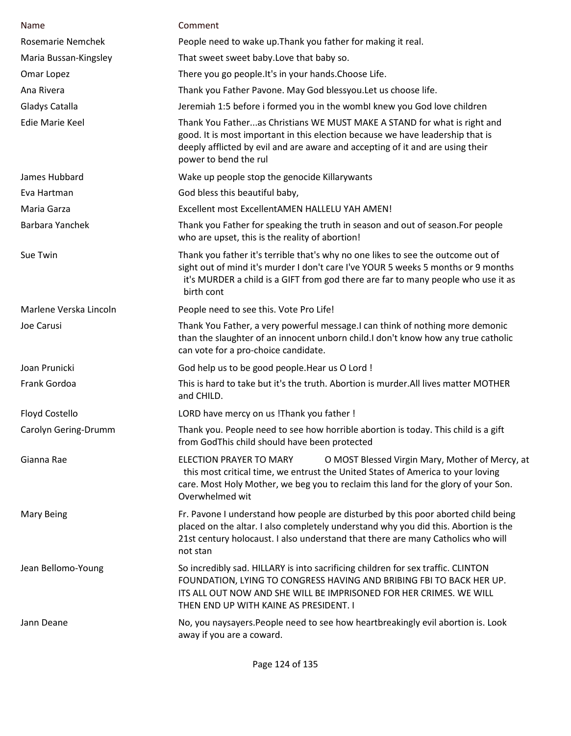| Name                   | Comment                                                                                                                                                                                                                                                                  |
|------------------------|--------------------------------------------------------------------------------------------------------------------------------------------------------------------------------------------------------------------------------------------------------------------------|
| Rosemarie Nemchek      | People need to wake up. Thank you father for making it real.                                                                                                                                                                                                             |
| Maria Bussan-Kingsley  | That sweet sweet baby. Love that baby so.                                                                                                                                                                                                                                |
| Omar Lopez             | There you go people. It's in your hands. Choose Life.                                                                                                                                                                                                                    |
| Ana Rivera             | Thank you Father Pavone. May God blessyou. Let us choose life.                                                                                                                                                                                                           |
| Gladys Catalla         | Jeremiah 1:5 before i formed you in the wombl knew you God love children                                                                                                                                                                                                 |
| Edie Marie Keel        | Thank You Fatheras Christians WE MUST MAKE A STAND for what is right and<br>good. It is most important in this election because we have leadership that is<br>deeply afflicted by evil and are aware and accepting of it and are using their<br>power to bend the rul    |
| James Hubbard          | Wake up people stop the genocide Killarywants                                                                                                                                                                                                                            |
| Eva Hartman            | God bless this beautiful baby,                                                                                                                                                                                                                                           |
| Maria Garza            | Excellent most ExcellentAMEN HALLELU YAH AMEN!                                                                                                                                                                                                                           |
| Barbara Yanchek        | Thank you Father for speaking the truth in season and out of season. For people<br>who are upset, this is the reality of abortion!                                                                                                                                       |
| Sue Twin               | Thank you father it's terrible that's why no one likes to see the outcome out of<br>sight out of mind it's murder I don't care I've YOUR 5 weeks 5 months or 9 months<br>it's MURDER a child is a GIFT from god there are far to many people who use it as<br>birth cont |
| Marlene Verska Lincoln | People need to see this. Vote Pro Life!                                                                                                                                                                                                                                  |
| Joe Carusi             | Thank You Father, a very powerful message. I can think of nothing more demonic<br>than the slaughter of an innocent unborn child. I don't know how any true catholic<br>can vote for a pro-choice candidate.                                                             |
| Joan Prunicki          | God help us to be good people. Hear us O Lord !                                                                                                                                                                                                                          |
| Frank Gordoa           | This is hard to take but it's the truth. Abortion is murder. All lives matter MOTHER<br>and CHILD.                                                                                                                                                                       |
| Floyd Costello         | LORD have mercy on us ! Thank you father !                                                                                                                                                                                                                               |
| Carolyn Gering-Drumm   | Thank you. People need to see how horrible abortion is today. This child is a gift<br>from GodThis child should have been protected                                                                                                                                      |
| Gianna Rae             | ELECTION PRAYER TO MARY<br>O MOST Blessed Virgin Mary, Mother of Mercy, at<br>this most critical time, we entrust the United States of America to your loving<br>care. Most Holy Mother, we beg you to reclaim this land for the glory of your Son.<br>Overwhelmed wit   |
| <b>Mary Being</b>      | Fr. Pavone I understand how people are disturbed by this poor aborted child being<br>placed on the altar. I also completely understand why you did this. Abortion is the<br>21st century holocaust. I also understand that there are many Catholics who will<br>not stan |
| Jean Bellomo-Young     | So incredibly sad. HILLARY is into sacrificing children for sex traffic. CLINTON<br>FOUNDATION, LYING TO CONGRESS HAVING AND BRIBING FBI TO BACK HER UP.<br>ITS ALL OUT NOW AND SHE WILL BE IMPRISONED FOR HER CRIMES. WE WILL<br>THEN END UP WITH KAINE AS PRESIDENT. I |
| Jann Deane             | No, you naysayers. People need to see how heartbreakingly evil abortion is. Look<br>away if you are a coward.                                                                                                                                                            |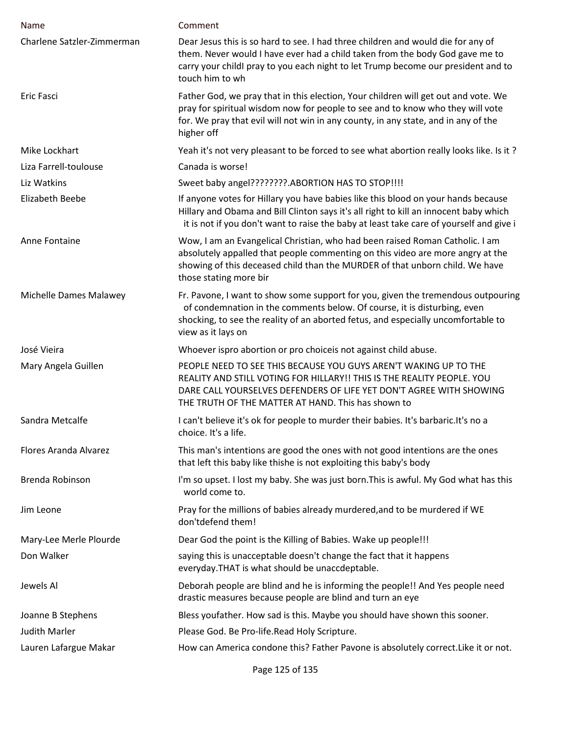| Name                         | Comment                                                                                                                                                                                                                                                                  |
|------------------------------|--------------------------------------------------------------------------------------------------------------------------------------------------------------------------------------------------------------------------------------------------------------------------|
| Charlene Satzler-Zimmerman   | Dear Jesus this is so hard to see. I had three children and would die for any of<br>them. Never would I have ever had a child taken from the body God gave me to<br>carry your childl pray to you each night to let Trump become our president and to<br>touch him to wh |
| Eric Fasci                   | Father God, we pray that in this election, Your children will get out and vote. We<br>pray for spiritual wisdom now for people to see and to know who they will vote<br>for. We pray that evil will not win in any county, in any state, and in any of the<br>higher off |
| Mike Lockhart                | Yeah it's not very pleasant to be forced to see what abortion really looks like. Is it?                                                                                                                                                                                  |
| Liza Farrell-toulouse        | Canada is worse!                                                                                                                                                                                                                                                         |
| Liz Watkins                  | Sweet baby angel????????. ABORTION HAS TO STOP!!!!                                                                                                                                                                                                                       |
| <b>Elizabeth Beebe</b>       | If anyone votes for Hillary you have babies like this blood on your hands because<br>Hillary and Obama and Bill Clinton says it's all right to kill an innocent baby which<br>it is not if you don't want to raise the baby at least take care of yourself and give i    |
| Anne Fontaine                | Wow, I am an Evangelical Christian, who had been raised Roman Catholic. I am<br>absolutely appalled that people commenting on this video are more angry at the<br>showing of this deceased child than the MURDER of that unborn child. We have<br>those stating more bir |
| Michelle Dames Malawey       | Fr. Pavone, I want to show some support for you, given the tremendous outpouring<br>of condemnation in the comments below. Of course, it is disturbing, even<br>shocking, to see the reality of an aborted fetus, and especially uncomfortable to<br>view as it lays on  |
| José Vieira                  | Whoever ispro abortion or pro choiceis not against child abuse.                                                                                                                                                                                                          |
| Mary Angela Guillen          | PEOPLE NEED TO SEE THIS BECAUSE YOU GUYS AREN'T WAKING UP TO THE<br>REALITY AND STILL VOTING FOR HILLARY!! THIS IS THE REALITY PEOPLE. YOU<br>DARE CALL YOURSELVES DEFENDERS OF LIFE YET DON'T AGREE WITH SHOWING<br>THE TRUTH OF THE MATTER AT HAND. This has shown to  |
| Sandra Metcalfe              | I can't believe it's ok for people to murder their babies. It's barbaric. It's no a<br>choice. It's a life.                                                                                                                                                              |
| <b>Flores Aranda Alvarez</b> | This man's intentions are good the ones with not good intentions are the ones<br>that left this baby like thishe is not exploiting this baby's body                                                                                                                      |
| Brenda Robinson              | I'm so upset. I lost my baby. She was just born. This is awful. My God what has this<br>world come to.                                                                                                                                                                   |
| Jim Leone                    | Pray for the millions of babies already murdered, and to be murdered if WE<br>don'tdefend them!                                                                                                                                                                          |
| Mary-Lee Merle Plourde       | Dear God the point is the Killing of Babies. Wake up people!!!                                                                                                                                                                                                           |
| Don Walker                   | saying this is unacceptable doesn't change the fact that it happens<br>everyday.THAT is what should be unaccdeptable.                                                                                                                                                    |
| Jewels Al                    | Deborah people are blind and he is informing the people!! And Yes people need<br>drastic measures because people are blind and turn an eye                                                                                                                               |
| Joanne B Stephens            | Bless youfather. How sad is this. Maybe you should have shown this sooner.                                                                                                                                                                                               |
| <b>Judith Marler</b>         | Please God. Be Pro-life. Read Holy Scripture.                                                                                                                                                                                                                            |
| Lauren Lafargue Makar        | How can America condone this? Father Pavone is absolutely correct. Like it or not.                                                                                                                                                                                       |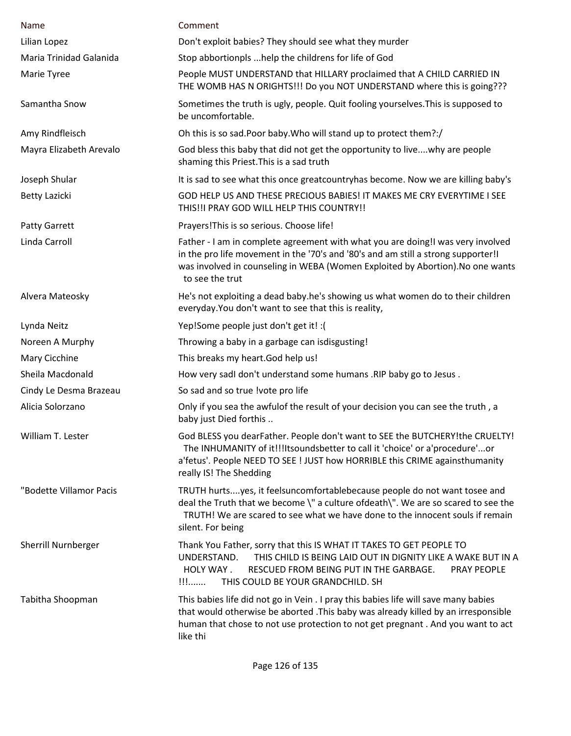| Name                    | Comment                                                                                                                                                                                                                                                                   |
|-------------------------|---------------------------------------------------------------------------------------------------------------------------------------------------------------------------------------------------------------------------------------------------------------------------|
| Lilian Lopez            | Don't exploit babies? They should see what they murder                                                                                                                                                                                                                    |
| Maria Trinidad Galanida | Stop abbortionpls  help the childrens for life of God                                                                                                                                                                                                                     |
| Marie Tyree             | People MUST UNDERSTAND that HILLARY proclaimed that A CHILD CARRIED IN<br>THE WOMB HAS N ORIGHTS!!! Do you NOT UNDERSTAND where this is going???                                                                                                                          |
| Samantha Snow           | Sometimes the truth is ugly, people. Quit fooling yourselves. This is supposed to<br>be uncomfortable.                                                                                                                                                                    |
| Amy Rindfleisch         | Oh this is so sad. Poor baby. Who will stand up to protect them?:/                                                                                                                                                                                                        |
| Mayra Elizabeth Arevalo | God bless this baby that did not get the opportunity to livewhy are people<br>shaming this Priest. This is a sad truth                                                                                                                                                    |
| Joseph Shular           | It is sad to see what this once greatcountryhas become. Now we are killing baby's                                                                                                                                                                                         |
| <b>Betty Lazicki</b>    | GOD HELP US AND THESE PRECIOUS BABIES! IT MAKES ME CRY EVERYTIME I SEE<br>THIS!!I PRAY GOD WILL HELP THIS COUNTRY!!                                                                                                                                                       |
| Patty Garrett           | Prayers! This is so serious. Choose life!                                                                                                                                                                                                                                 |
| Linda Carroll           | Father - I am in complete agreement with what you are doing!I was very involved<br>in the pro life movement in the '70's and '80's and am still a strong supporter!!<br>was involved in counseling in WEBA (Women Exploited by Abortion). No one wants<br>to see the trut |
| Alvera Mateosky         | He's not exploiting a dead baby.he's showing us what women do to their children<br>everyday. You don't want to see that this is reality,                                                                                                                                  |
| Lynda Neitz             | Yep!Some people just don't get it! : (                                                                                                                                                                                                                                    |
| Noreen A Murphy         | Throwing a baby in a garbage can isdisgusting!                                                                                                                                                                                                                            |
| Mary Cicchine           | This breaks my heart. God help us!                                                                                                                                                                                                                                        |
| Sheila Macdonald        | How very sadl don't understand some humans .RIP baby go to Jesus.                                                                                                                                                                                                         |
| Cindy Le Desma Brazeau  | So sad and so true !vote pro life                                                                                                                                                                                                                                         |
| Alicia Solorzano        | Only if you sea the awfulof the result of your decision you can see the truth, a<br>baby just Died forthis                                                                                                                                                                |
| William T. Lester       | God BLESS you dearFather. People don't want to SEE the BUTCHERY!the CRUELTY!<br>The INHUMANITY of it!!!Itsoundsbetter to call it 'choice' or a'procedure'or<br>a'fetus'. People NEED TO SEE ! JUST how HORRIBLE this CRIME againsthumanity<br>really IS! The Shedding     |
| "Bodette Villamor Pacis | TRUTH hurtsyes, it feelsuncomfortablebecause people do not want tosee and<br>deal the Truth that we become \" a culture ofdeath\". We are so scared to see the<br>TRUTH! We are scared to see what we have done to the innocent souls if remain<br>silent. For being      |
| Sherrill Nurnberger     | Thank You Father, sorry that this IS WHAT IT TAKES TO GET PEOPLE TO<br>THIS CHILD IS BEING LAID OUT IN DIGNITY LIKE A WAKE BUT IN A<br>UNDERSTAND.<br>HOLY WAY.<br>RESCUED FROM BEING PUT IN THE GARBAGE.<br>PRAY PEOPLE<br>$\prod$<br>THIS COULD BE YOUR GRANDCHILD. SH  |
| Tabitha Shoopman        | This babies life did not go in Vein . I pray this babies life will save many babies<br>that would otherwise be aborted . This baby was already killed by an irresponsible<br>human that chose to not use protection to not get pregnant. And you want to act<br>like thi  |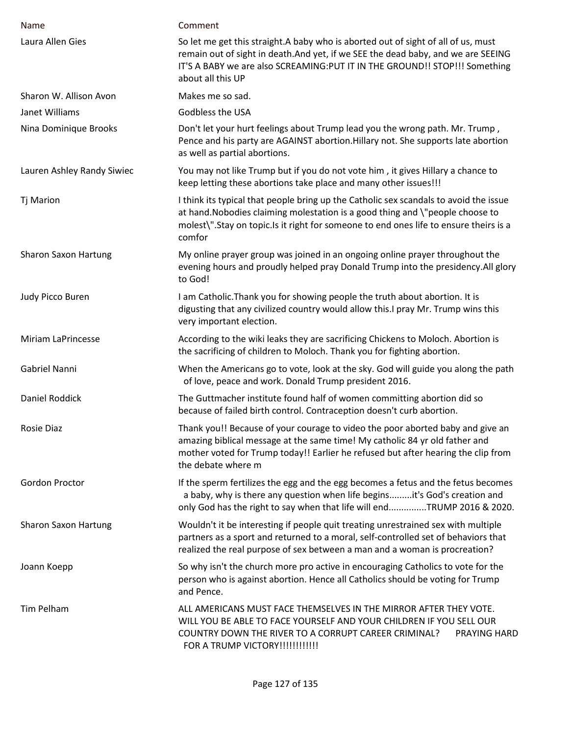| Name                        | Comment                                                                                                                                                                                                                                                                    |
|-----------------------------|----------------------------------------------------------------------------------------------------------------------------------------------------------------------------------------------------------------------------------------------------------------------------|
| Laura Allen Gies            | So let me get this straight. A baby who is aborted out of sight of all of us, must<br>remain out of sight in death.And yet, if we SEE the dead baby, and we are SEEING<br>IT'S A BABY we are also SCREAMING: PUT IT IN THE GROUND!! STOP!!! Something<br>about all this UP |
| Sharon W. Allison Avon      | Makes me so sad.                                                                                                                                                                                                                                                           |
| Janet Williams              | Godbless the USA                                                                                                                                                                                                                                                           |
| Nina Dominique Brooks       | Don't let your hurt feelings about Trump lead you the wrong path. Mr. Trump,<br>Pence and his party are AGAINST abortion. Hillary not. She supports late abortion<br>as well as partial abortions.                                                                         |
| Lauren Ashley Randy Siwiec  | You may not like Trump but if you do not vote him, it gives Hillary a chance to<br>keep letting these abortions take place and many other issues!!!                                                                                                                        |
| <b>Tj Marion</b>            | I think its typical that people bring up the Catholic sex scandals to avoid the issue<br>at hand. Nobodies claiming molestation is a good thing and \"people choose to<br>molest\".Stay on topic.Is it right for someone to end ones life to ensure theirs is a<br>comfor  |
| <b>Sharon Saxon Hartung</b> | My online prayer group was joined in an ongoing online prayer throughout the<br>evening hours and proudly helped pray Donald Trump into the presidency. All glory<br>to God!                                                                                               |
| Judy Picco Buren            | I am Catholic. Thank you for showing people the truth about abortion. It is<br>digusting that any civilized country would allow this.I pray Mr. Trump wins this<br>very important election.                                                                                |
| <b>Miriam LaPrincesse</b>   | According to the wiki leaks they are sacrificing Chickens to Moloch. Abortion is<br>the sacrificing of children to Moloch. Thank you for fighting abortion.                                                                                                                |
| Gabriel Nanni               | When the Americans go to vote, look at the sky. God will guide you along the path<br>of love, peace and work. Donald Trump president 2016.                                                                                                                                 |
| Daniel Roddick              | The Guttmacher institute found half of women committing abortion did so<br>because of failed birth control. Contraception doesn't curb abortion.                                                                                                                           |
| Rosie Diaz                  | Thank you!! Because of your courage to video the poor aborted baby and give an<br>amazing biblical message at the same time! My catholic 84 yr old father and<br>mother voted for Trump today!! Earlier he refused but after hearing the clip from<br>the debate where m   |
| <b>Gordon Proctor</b>       | If the sperm fertilizes the egg and the egg becomes a fetus and the fetus becomes<br>a baby, why is there any question when life beginsit's God's creation and<br>only God has the right to say when that life will endTRUMP 2016 & 2020.                                  |
| <b>Sharon Saxon Hartung</b> | Wouldn't it be interesting if people quit treating unrestrained sex with multiple<br>partners as a sport and returned to a moral, self-controlled set of behaviors that<br>realized the real purpose of sex between a man and a woman is procreation?                      |
| Joann Koepp                 | So why isn't the church more pro active in encouraging Catholics to vote for the<br>person who is against abortion. Hence all Catholics should be voting for Trump<br>and Pence.                                                                                           |
| Tim Pelham                  | ALL AMERICANS MUST FACE THEMSELVES IN THE MIRROR AFTER THEY VOTE.<br>WILL YOU BE ABLE TO FACE YOURSELF AND YOUR CHILDREN IF YOU SELL OUR<br>COUNTRY DOWN THE RIVER TO A CORRUPT CAREER CRIMINAL?<br>PRAYING HARD<br>FOR A TRUMP VICTORY !!!!!!!!!!!!!                      |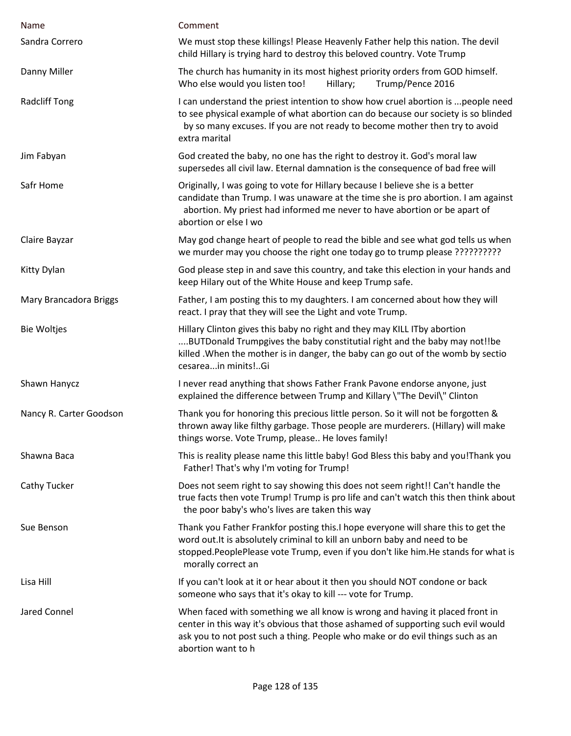| Name                    | Comment                                                                                                                                                                                                                                                                    |
|-------------------------|----------------------------------------------------------------------------------------------------------------------------------------------------------------------------------------------------------------------------------------------------------------------------|
| Sandra Correro          | We must stop these killings! Please Heavenly Father help this nation. The devil<br>child Hillary is trying hard to destroy this beloved country. Vote Trump                                                                                                                |
| Danny Miller            | The church has humanity in its most highest priority orders from GOD himself.<br>Who else would you listen too!<br>Trump/Pence 2016<br>Hillary;                                                                                                                            |
| <b>Radcliff Tong</b>    | I can understand the priest intention to show how cruel abortion is  people need<br>to see physical example of what abortion can do because our society is so blinded<br>by so many excuses. If you are not ready to become mother then try to avoid<br>extra marital      |
| Jim Fabyan              | God created the baby, no one has the right to destroy it. God's moral law<br>supersedes all civil law. Eternal damnation is the consequence of bad free will                                                                                                               |
| Safr Home               | Originally, I was going to vote for Hillary because I believe she is a better<br>candidate than Trump. I was unaware at the time she is pro abortion. I am against<br>abortion. My priest had informed me never to have abortion or be apart of<br>abortion or else I wo   |
| Claire Bayzar           | May god change heart of people to read the bible and see what god tells us when<br>we murder may you choose the right one today go to trump please ???????????                                                                                                             |
| Kitty Dylan             | God please step in and save this country, and take this election in your hands and<br>keep Hilary out of the White House and keep Trump safe.                                                                                                                              |
| Mary Brancadora Briggs  | Father, I am posting this to my daughters. I am concerned about how they will<br>react. I pray that they will see the Light and vote Trump.                                                                                                                                |
| <b>Bie Woltjes</b>      | Hillary Clinton gives this baby no right and they may KILL ITby abortion<br>BUTDonald Trumpgives the baby constitutial right and the baby may not!!be<br>killed. When the mother is in danger, the baby can go out of the womb by sectio<br>cesareain minits!Gi            |
| Shawn Hanycz            | I never read anything that shows Father Frank Pavone endorse anyone, just<br>explained the difference between Trump and Killary \"The Devil\" Clinton                                                                                                                      |
| Nancy R. Carter Goodson | Thank you for honoring this precious little person. So it will not be forgotten &<br>thrown away like filthy garbage. Those people are murderers. (Hillary) will make<br>things worse. Vote Trump, please He loves family!                                                 |
| Shawna Baca             | This is reality please name this little baby! God Bless this baby and you! Thank you<br>Father! That's why I'm voting for Trump!                                                                                                                                           |
| Cathy Tucker            | Does not seem right to say showing this does not seem right!! Can't handle the<br>true facts then vote Trump! Trump is pro life and can't watch this then think about<br>the poor baby's who's lives are taken this way                                                    |
| Sue Benson              | Thank you Father Frankfor posting this. I hope everyone will share this to get the<br>word out. It is absolutely criminal to kill an unborn baby and need to be<br>stopped.PeoplePlease vote Trump, even if you don't like him.He stands for what is<br>morally correct an |
| Lisa Hill               | If you can't look at it or hear about it then you should NOT condone or back<br>someone who says that it's okay to kill --- vote for Trump.                                                                                                                                |
| Jared Connel            | When faced with something we all know is wrong and having it placed front in<br>center in this way it's obvious that those ashamed of supporting such evil would<br>ask you to not post such a thing. People who make or do evil things such as an<br>abortion want to h   |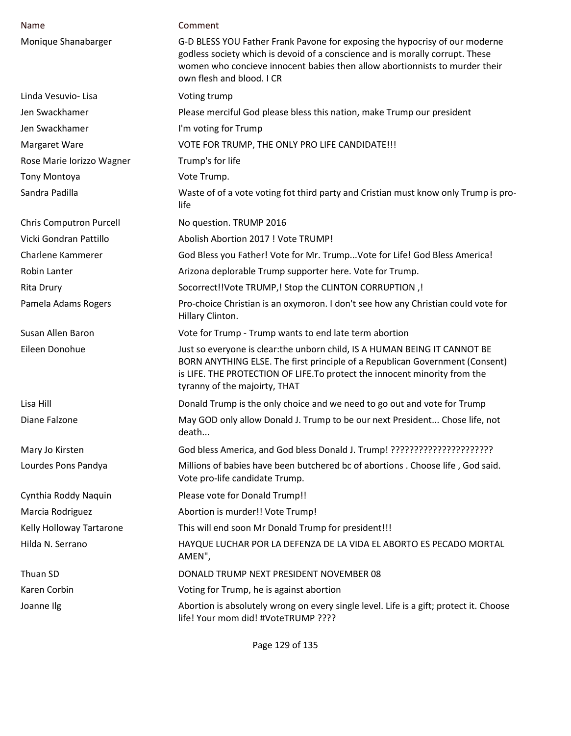| Name                           | Comment                                                                                                                                                                                                                                                                   |
|--------------------------------|---------------------------------------------------------------------------------------------------------------------------------------------------------------------------------------------------------------------------------------------------------------------------|
| Monique Shanabarger            | G-D BLESS YOU Father Frank Pavone for exposing the hypocrisy of our moderne<br>godless society which is devoid of a conscience and is morally corrupt. These<br>women who concieve innocent babies then allow abortionnists to murder their<br>own flesh and blood. I CR  |
| Linda Vesuvio- Lisa            | Voting trump                                                                                                                                                                                                                                                              |
| Jen Swackhamer                 | Please merciful God please bless this nation, make Trump our president                                                                                                                                                                                                    |
| Jen Swackhamer                 | I'm voting for Trump                                                                                                                                                                                                                                                      |
| Margaret Ware                  | VOTE FOR TRUMP, THE ONLY PRO LIFE CANDIDATE !!!                                                                                                                                                                                                                           |
| Rose Marie Iorizzo Wagner      | Trump's for life                                                                                                                                                                                                                                                          |
| Tony Montoya                   | Vote Trump.                                                                                                                                                                                                                                                               |
| Sandra Padilla                 | Waste of of a vote voting fot third party and Cristian must know only Trump is pro-<br>life                                                                                                                                                                               |
| <b>Chris Computron Purcell</b> | No question. TRUMP 2016                                                                                                                                                                                                                                                   |
| Vicki Gondran Pattillo         | Abolish Abortion 2017 ! Vote TRUMP!                                                                                                                                                                                                                                       |
| Charlene Kammerer              | God Bless you Father! Vote for Mr. Trump Vote for Life! God Bless America!                                                                                                                                                                                                |
| Robin Lanter                   | Arizona deplorable Trump supporter here. Vote for Trump.                                                                                                                                                                                                                  |
| <b>Rita Drury</b>              | Socorrect!!Vote TRUMP,! Stop the CLINTON CORRUPTION,!                                                                                                                                                                                                                     |
| Pamela Adams Rogers            | Pro-choice Christian is an oxymoron. I don't see how any Christian could vote for<br>Hillary Clinton.                                                                                                                                                                     |
| Susan Allen Baron              | Vote for Trump - Trump wants to end late term abortion                                                                                                                                                                                                                    |
| Eileen Donohue                 | Just so everyone is clear: the unborn child, IS A HUMAN BEING IT CANNOT BE<br>BORN ANYTHING ELSE. The first principle of a Republican Government (Consent)<br>is LIFE. THE PROTECTION OF LIFE. To protect the innocent minority from the<br>tyranny of the majoirty, THAT |
| Lisa Hill                      | Donald Trump is the only choice and we need to go out and vote for Trump                                                                                                                                                                                                  |
| Diane Falzone                  | May GOD only allow Donald J. Trump to be our next President Chose life, not<br>death                                                                                                                                                                                      |
| Mary Jo Kirsten                |                                                                                                                                                                                                                                                                           |
| Lourdes Pons Pandya            | Millions of babies have been butchered bc of abortions . Choose life, God said.<br>Vote pro-life candidate Trump.                                                                                                                                                         |
| Cynthia Roddy Naquin           | Please vote for Donald Trump!!                                                                                                                                                                                                                                            |
| Marcia Rodriguez               | Abortion is murder!! Vote Trump!                                                                                                                                                                                                                                          |
| Kelly Holloway Tartarone       | This will end soon Mr Donald Trump for president!!!                                                                                                                                                                                                                       |
| Hilda N. Serrano               | HAYQUE LUCHAR POR LA DEFENZA DE LA VIDA EL ABORTO ES PECADO MORTAL<br>AMEN",                                                                                                                                                                                              |
| Thuan SD                       | DONALD TRUMP NEXT PRESIDENT NOVEMBER 08                                                                                                                                                                                                                                   |
| Karen Corbin                   | Voting for Trump, he is against abortion                                                                                                                                                                                                                                  |
| Joanne Ilg                     | Abortion is absolutely wrong on every single level. Life is a gift; protect it. Choose<br>life! Your mom did! #VoteTRUMP ????                                                                                                                                             |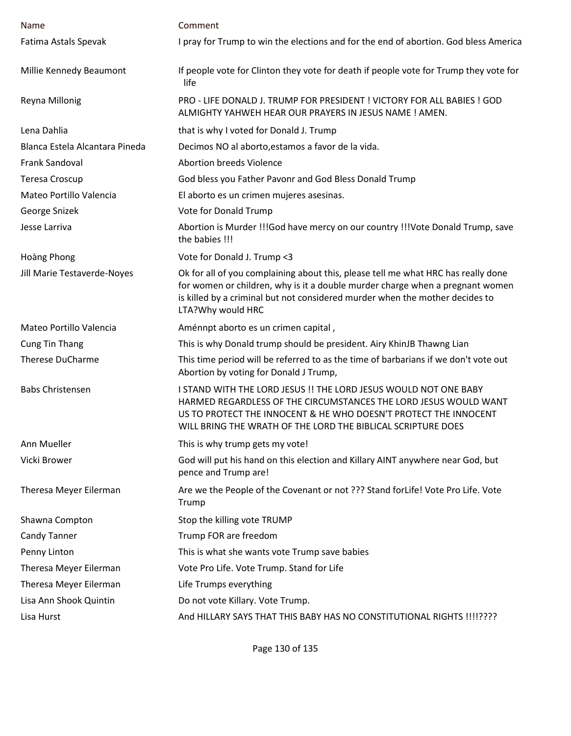| Name                           | Comment                                                                                                                                                                                                                                                                  |
|--------------------------------|--------------------------------------------------------------------------------------------------------------------------------------------------------------------------------------------------------------------------------------------------------------------------|
| Fatima Astals Spevak           | I pray for Trump to win the elections and for the end of abortion. God bless America                                                                                                                                                                                     |
| Millie Kennedy Beaumont        | If people vote for Clinton they vote for death if people vote for Trump they vote for<br>life                                                                                                                                                                            |
| Reyna Millonig                 | PRO - LIFE DONALD J. TRUMP FOR PRESIDENT ! VICTORY FOR ALL BABIES ! GOD<br>ALMIGHTY YAHWEH HEAR OUR PRAYERS IN JESUS NAME ! AMEN.                                                                                                                                        |
| Lena Dahlia                    | that is why I voted for Donald J. Trump                                                                                                                                                                                                                                  |
| Blanca Estela Alcantara Pineda | Decimos NO al aborto, estamos a favor de la vida.                                                                                                                                                                                                                        |
| <b>Frank Sandoval</b>          | <b>Abortion breeds Violence</b>                                                                                                                                                                                                                                          |
| Teresa Croscup                 | God bless you Father Pavonr and God Bless Donald Trump                                                                                                                                                                                                                   |
| Mateo Portillo Valencia        | El aborto es un crimen mujeres asesinas.                                                                                                                                                                                                                                 |
| George Snizek                  | Vote for Donald Trump                                                                                                                                                                                                                                                    |
| Jesse Larriva                  | Abortion is Murder !!!God have mercy on our country !!!Vote Donald Trump, save<br>the babies !!!                                                                                                                                                                         |
| Hoàng Phong                    | Vote for Donald J. Trump <3                                                                                                                                                                                                                                              |
| Jill Marie Testaverde-Noyes    | Ok for all of you complaining about this, please tell me what HRC has really done<br>for women or children, why is it a double murder charge when a pregnant women<br>is killed by a criminal but not considered murder when the mother decides to<br>LTA?Why would HRC  |
| Mateo Portillo Valencia        | Aménnpt aborto es un crimen capital,                                                                                                                                                                                                                                     |
| <b>Cung Tin Thang</b>          | This is why Donald trump should be president. Airy KhinJB Thawng Lian                                                                                                                                                                                                    |
| <b>Therese DuCharme</b>        | This time period will be referred to as the time of barbarians if we don't vote out<br>Abortion by voting for Donald J Trump,                                                                                                                                            |
| <b>Babs Christensen</b>        | I STAND WITH THE LORD JESUS !! THE LORD JESUS WOULD NOT ONE BABY<br>HARMED REGARDLESS OF THE CIRCUMSTANCES THE LORD JESUS WOULD WANT<br>US TO PROTECT THE INNOCENT & HE WHO DOESN'T PROTECT THE INNOCENT<br>WILL BRING THE WRATH OF THE LORD THE BIBLICAL SCRIPTURE DOES |
| Ann Mueller                    | This is why trump gets my vote!                                                                                                                                                                                                                                          |
| Vicki Brower                   | God will put his hand on this election and Killary AINT anywhere near God, but<br>pence and Trump are!                                                                                                                                                                   |
| Theresa Meyer Eilerman         | Are we the People of the Covenant or not ??? Stand for Life! Vote Pro Life. Vote<br>Trump                                                                                                                                                                                |
| Shawna Compton                 | Stop the killing vote TRUMP                                                                                                                                                                                                                                              |
| <b>Candy Tanner</b>            | Trump FOR are freedom                                                                                                                                                                                                                                                    |
| Penny Linton                   | This is what she wants vote Trump save babies                                                                                                                                                                                                                            |
| Theresa Meyer Eilerman         | Vote Pro Life. Vote Trump. Stand for Life                                                                                                                                                                                                                                |
| Theresa Meyer Eilerman         | Life Trumps everything                                                                                                                                                                                                                                                   |
| Lisa Ann Shook Quintin         | Do not vote Killary. Vote Trump.                                                                                                                                                                                                                                         |
| Lisa Hurst                     | And HILLARY SAYS THAT THIS BABY HAS NO CONSTITUTIONAL RIGHTS !!!!????                                                                                                                                                                                                    |
|                                |                                                                                                                                                                                                                                                                          |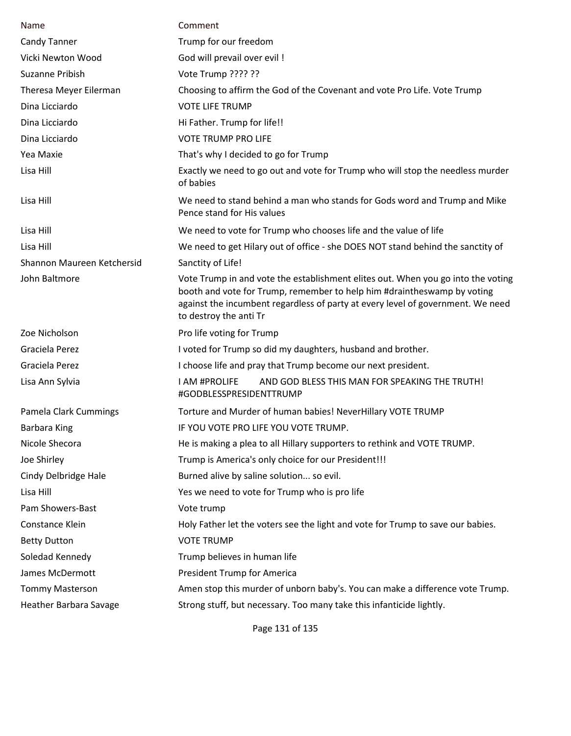| Name                       | Comment                                                                                                                                                                                                                                                                  |
|----------------------------|--------------------------------------------------------------------------------------------------------------------------------------------------------------------------------------------------------------------------------------------------------------------------|
| <b>Candy Tanner</b>        | Trump for our freedom                                                                                                                                                                                                                                                    |
| Vicki Newton Wood          | God will prevail over evil !                                                                                                                                                                                                                                             |
| Suzanne Pribish            | Vote Trump ???? ??                                                                                                                                                                                                                                                       |
| Theresa Meyer Eilerman     | Choosing to affirm the God of the Covenant and vote Pro Life. Vote Trump                                                                                                                                                                                                 |
| Dina Licciardo             | <b>VOTE LIFE TRUMP</b>                                                                                                                                                                                                                                                   |
| Dina Licciardo             | Hi Father. Trump for life!!                                                                                                                                                                                                                                              |
| Dina Licciardo             | <b>VOTE TRUMP PRO LIFE</b>                                                                                                                                                                                                                                               |
| Yea Maxie                  | That's why I decided to go for Trump                                                                                                                                                                                                                                     |
| Lisa Hill                  | Exactly we need to go out and vote for Trump who will stop the needless murder<br>of babies                                                                                                                                                                              |
| Lisa Hill                  | We need to stand behind a man who stands for Gods word and Trump and Mike<br>Pence stand for His values                                                                                                                                                                  |
| Lisa Hill                  | We need to vote for Trump who chooses life and the value of life                                                                                                                                                                                                         |
| Lisa Hill                  | We need to get Hilary out of office - she DOES NOT stand behind the sanctity of                                                                                                                                                                                          |
| Shannon Maureen Ketchersid | Sanctity of Life!                                                                                                                                                                                                                                                        |
| John Baltmore              | Vote Trump in and vote the establishment elites out. When you go into the voting<br>booth and vote for Trump, remember to help him #draintheswamp by voting<br>against the incumbent regardless of party at every level of government. We need<br>to destroy the anti Tr |
| Zoe Nicholson              | Pro life voting for Trump                                                                                                                                                                                                                                                |
| Graciela Perez             | I voted for Trump so did my daughters, husband and brother.                                                                                                                                                                                                              |
| Graciela Perez             | I choose life and pray that Trump become our next president.                                                                                                                                                                                                             |
| Lisa Ann Sylvia            | AND GOD BLESS THIS MAN FOR SPEAKING THE TRUTH!<br>I AM #PROLIFE<br>#GODBLESSPRESIDENTTRUMP                                                                                                                                                                               |
| Pamela Clark Cummings      | Torture and Murder of human babies! NeverHillary VOTE TRUMP                                                                                                                                                                                                              |
| <b>Barbara King</b>        | IF YOU VOTE PRO LIFE YOU VOTE TRUMP.                                                                                                                                                                                                                                     |
| Nicole Shecora             | He is making a plea to all Hillary supporters to rethink and VOTE TRUMP.                                                                                                                                                                                                 |
| Joe Shirley                | Trump is America's only choice for our President!!!                                                                                                                                                                                                                      |
| Cindy Delbridge Hale       | Burned alive by saline solution so evil.                                                                                                                                                                                                                                 |
| Lisa Hill                  | Yes we need to vote for Trump who is pro life                                                                                                                                                                                                                            |
| Pam Showers-Bast           | Vote trump                                                                                                                                                                                                                                                               |
| Constance Klein            | Holy Father let the voters see the light and vote for Trump to save our babies.                                                                                                                                                                                          |
| <b>Betty Dutton</b>        | <b>VOTE TRUMP</b>                                                                                                                                                                                                                                                        |
| Soledad Kennedy            | Trump believes in human life                                                                                                                                                                                                                                             |
| James McDermott            | President Trump for America                                                                                                                                                                                                                                              |
| <b>Tommy Masterson</b>     | Amen stop this murder of unborn baby's. You can make a difference vote Trump.                                                                                                                                                                                            |
| Heather Barbara Savage     | Strong stuff, but necessary. Too many take this infanticide lightly.                                                                                                                                                                                                     |

Page 131 of 135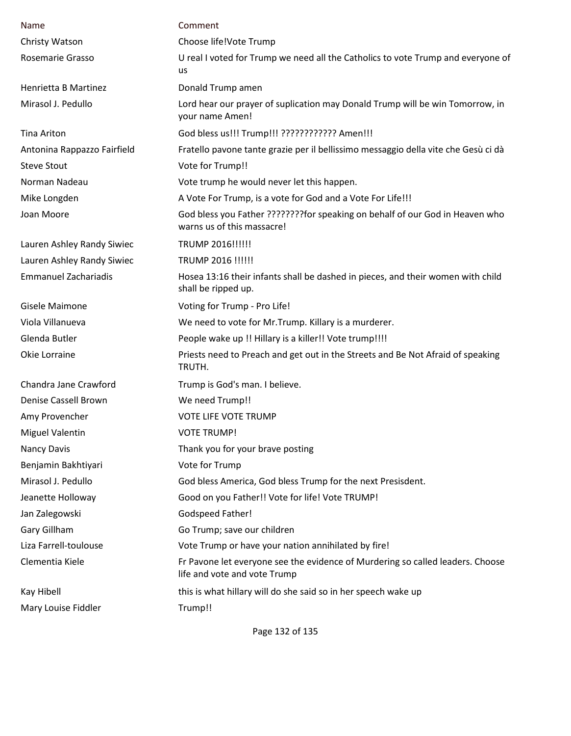| Name                        | Comment                                                                                                        |
|-----------------------------|----------------------------------------------------------------------------------------------------------------|
| Christy Watson              | Choose life!Vote Trump                                                                                         |
| Rosemarie Grasso            | U real I voted for Trump we need all the Catholics to vote Trump and everyone of<br><b>us</b>                  |
| Henrietta B Martinez        | Donald Trump amen                                                                                              |
| Mirasol J. Pedullo          | Lord hear our prayer of suplication may Donald Trump will be win Tomorrow, in<br>your name Amen!               |
| <b>Tina Ariton</b>          | God bless us!!! Trump!!! ???????????? Amen!!!                                                                  |
| Antonina Rappazzo Fairfield | Fratello pavone tante grazie per il bellissimo messaggio della vite che Gesù ci dà                             |
| <b>Steve Stout</b>          | Vote for Trump!!                                                                                               |
| Norman Nadeau               | Vote trump he would never let this happen.                                                                     |
| Mike Longden                | A Vote For Trump, is a vote for God and a Vote For Life!!!                                                     |
| Joan Moore                  | God bless you Father ????????for speaking on behalf of our God in Heaven who<br>warns us of this massacre!     |
| Lauren Ashley Randy Siwiec  | TRUMP 2016!!!!!!                                                                                               |
| Lauren Ashley Randy Siwiec  | TRUMP 2016 !!!!!!                                                                                              |
| <b>Emmanuel Zachariadis</b> | Hosea 13:16 their infants shall be dashed in pieces, and their women with child<br>shall be ripped up.         |
| Gisele Maimone              | Voting for Trump - Pro Life!                                                                                   |
| Viola Villanueva            | We need to vote for Mr. Trump. Killary is a murderer.                                                          |
| Glenda Butler               | People wake up !! Hillary is a killer!! Vote trump!!!!                                                         |
| Okie Lorraine               | Priests need to Preach and get out in the Streets and Be Not Afraid of speaking<br>TRUTH.                      |
| Chandra Jane Crawford       | Trump is God's man. I believe.                                                                                 |
| Denise Cassell Brown        | We need Trump!!                                                                                                |
| Amy Provencher              | <b>VOTE LIFE VOTE TRUMP</b>                                                                                    |
| <b>Miguel Valentin</b>      | <b>VOTE TRUMP!</b>                                                                                             |
| <b>Nancy Davis</b>          | Thank you for your brave posting                                                                               |
| Benjamin Bakhtiyari         | Vote for Trump                                                                                                 |
| Mirasol J. Pedullo          | God bless America, God bless Trump for the next Presisdent.                                                    |
| Jeanette Holloway           | Good on you Father!! Vote for life! Vote TRUMP!                                                                |
| Jan Zalegowski              | Godspeed Father!                                                                                               |
| Gary Gillham                | Go Trump; save our children                                                                                    |
| Liza Farrell-toulouse       | Vote Trump or have your nation annihilated by fire!                                                            |
| Clementia Kiele             | Fr Pavone let everyone see the evidence of Murdering so called leaders. Choose<br>life and vote and vote Trump |
| Kay Hibell                  | this is what hillary will do she said so in her speech wake up                                                 |
| Mary Louise Fiddler         | Trump!!                                                                                                        |

Page 132 of 135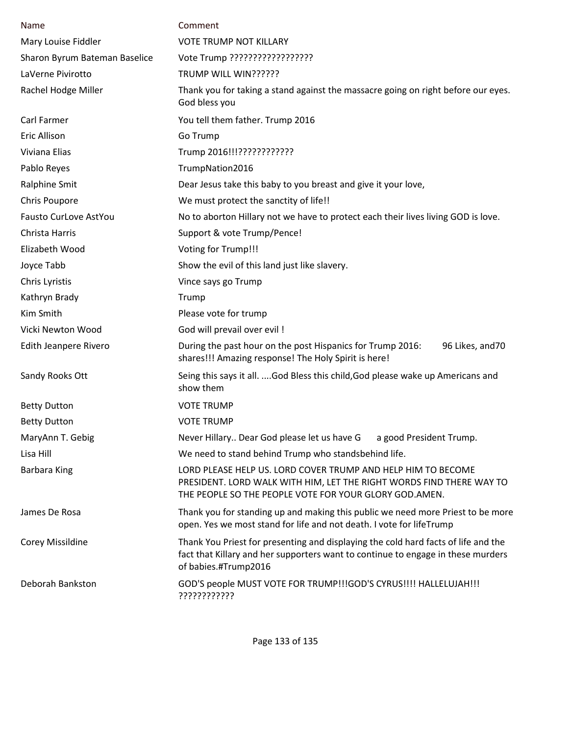| Name                          | Comment                                                                                                                                                                                         |
|-------------------------------|-------------------------------------------------------------------------------------------------------------------------------------------------------------------------------------------------|
| Mary Louise Fiddler           | <b>VOTE TRUMP NOT KILLARY</b>                                                                                                                                                                   |
| Sharon Byrum Bateman Baselice | Vote Trump ??????????????????                                                                                                                                                                   |
| LaVerne Pivirotto             | TRUMP WILL WIN??????                                                                                                                                                                            |
| Rachel Hodge Miller           | Thank you for taking a stand against the massacre going on right before our eyes.<br>God bless you                                                                                              |
| Carl Farmer                   | You tell them father. Trump 2016                                                                                                                                                                |
| <b>Eric Allison</b>           | Go Trump                                                                                                                                                                                        |
| Viviana Elias                 | Trump 2016!!!????????????                                                                                                                                                                       |
| Pablo Reyes                   | TrumpNation2016                                                                                                                                                                                 |
| Ralphine Smit                 | Dear Jesus take this baby to you breast and give it your love,                                                                                                                                  |
| Chris Poupore                 | We must protect the sanctity of life!!                                                                                                                                                          |
| Fausto CurLove AstYou         | No to aborton Hillary not we have to protect each their lives living GOD is love.                                                                                                               |
| Christa Harris                | Support & vote Trump/Pence!                                                                                                                                                                     |
| Elizabeth Wood                | Voting for Trump!!!                                                                                                                                                                             |
| Joyce Tabb                    | Show the evil of this land just like slavery.                                                                                                                                                   |
| Chris Lyristis                | Vince says go Trump                                                                                                                                                                             |
| Kathryn Brady                 | Trump                                                                                                                                                                                           |
| Kim Smith                     | Please vote for trump                                                                                                                                                                           |
| Vicki Newton Wood             | God will prevail over evil !                                                                                                                                                                    |
| Edith Jeanpere Rivero         | During the past hour on the post Hispanics for Trump 2016:<br>96 Likes, and 70<br>shares!!! Amazing response! The Holy Spirit is here!                                                          |
| Sandy Rooks Ott               | Seing this says it all. God Bless this child, God please wake up Americans and<br>show them                                                                                                     |
| <b>Betty Dutton</b>           | <b>VOTE TRUMP</b>                                                                                                                                                                               |
| <b>Betty Dutton</b>           | <b>VOTE TRUMP</b>                                                                                                                                                                               |
| MaryAnn T. Gebig              | Never Hillary Dear God please let us have G<br>a good President Trump.                                                                                                                          |
| Lisa Hill                     | We need to stand behind Trump who standsbehind life.                                                                                                                                            |
| <b>Barbara King</b>           | LORD PLEASE HELP US. LORD COVER TRUMP AND HELP HIM TO BECOME<br>PRESIDENT. LORD WALK WITH HIM, LET THE RIGHT WORDS FIND THERE WAY TO<br>THE PEOPLE SO THE PEOPLE VOTE FOR YOUR GLORY GOD. AMEN. |
| James De Rosa                 | Thank you for standing up and making this public we need more Priest to be more<br>open. Yes we most stand for life and not death. I vote for lifeTrump                                         |
| Corey Missildine              | Thank You Priest for presenting and displaying the cold hard facts of life and the<br>fact that Killary and her supporters want to continue to engage in these murders<br>of babies.#Trump2016  |
| Deborah Bankston              | GOD'S people MUST VOTE FOR TRUMP!!!GOD'S CYRUS!!!! HALLELUJAH!!!<br>????????????                                                                                                                |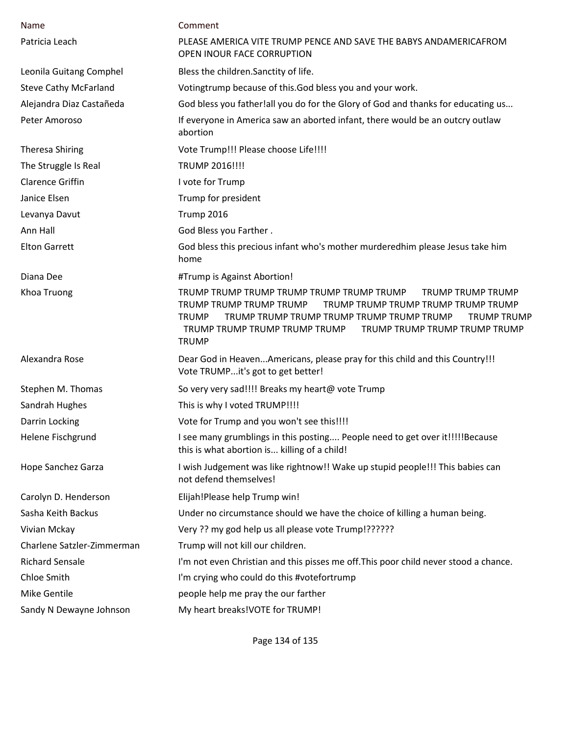| Name                         | Comment                                                                                                                                                                                                                                                                                                      |
|------------------------------|--------------------------------------------------------------------------------------------------------------------------------------------------------------------------------------------------------------------------------------------------------------------------------------------------------------|
| Patricia Leach               | PLEASE AMERICA VITE TRUMP PENCE AND SAVE THE BABYS ANDAMERICAFROM<br>OPEN INOUR FACE CORRUPTION                                                                                                                                                                                                              |
| Leonila Guitang Comphel      | Bless the children. Sanctity of life.                                                                                                                                                                                                                                                                        |
| <b>Steve Cathy McFarland</b> | Votingtrump because of this.God bless you and your work.                                                                                                                                                                                                                                                     |
| Alejandra Diaz Castañeda     | God bless you father!all you do for the Glory of God and thanks for educating us                                                                                                                                                                                                                             |
| Peter Amoroso                | If everyone in America saw an aborted infant, there would be an outcry outlaw<br>abortion                                                                                                                                                                                                                    |
| <b>Theresa Shiring</b>       | Vote Trump!!! Please choose Life!!!!                                                                                                                                                                                                                                                                         |
| The Struggle Is Real         | TRUMP 2016!!!!                                                                                                                                                                                                                                                                                               |
| <b>Clarence Griffin</b>      | I vote for Trump                                                                                                                                                                                                                                                                                             |
| Janice Elsen                 | Trump for president                                                                                                                                                                                                                                                                                          |
| Levanya Davut                | Trump 2016                                                                                                                                                                                                                                                                                                   |
| Ann Hall                     | God Bless you Farther.                                                                                                                                                                                                                                                                                       |
| <b>Elton Garrett</b>         | God bless this precious infant who's mother murderedhim please Jesus take him<br>home                                                                                                                                                                                                                        |
| Diana Dee                    | #Trump is Against Abortion!                                                                                                                                                                                                                                                                                  |
| Khoa Truong                  | TRUMP TRUMP TRUMP TRUMP TRUMP TRUMP TRUMP<br><b>TRUMP TRUMP TRUMP</b><br>TRUMP TRUMP TRUMP TRUMP<br>TRUMP TRUMP TRUMP TRUMP TRUMP TRUMP<br><b>TRUMP</b><br>TRUMP TRUMP TRUMP TRUMP TRUMP TRUMP TRUMP<br><b>TRUMP TRUMP</b><br>TRUMP TRUMP TRUMP TRUMP TRUMP<br>TRUMP TRUMP TRUMP TRUMP TRUMP<br><b>TRUMP</b> |
| Alexandra Rose               | Dear God in HeavenAmericans, please pray for this child and this Country!!!<br>Vote TRUMPit's got to get better!                                                                                                                                                                                             |
| Stephen M. Thomas            | So very very sad!!!! Breaks my heart@ vote Trump                                                                                                                                                                                                                                                             |
| Sandrah Hughes               | This is why I voted TRUMP!!!!                                                                                                                                                                                                                                                                                |
| Darrin Locking               | Vote for Trump and you won't see this!!!!                                                                                                                                                                                                                                                                    |
| Helene Fischgrund            | I see many grumblings in this posting People need to get over it!!!!!Because<br>this is what abortion is killing of a child!                                                                                                                                                                                 |
| Hope Sanchez Garza           | I wish Judgement was like rightnow!! Wake up stupid people!!! This babies can<br>not defend themselves!                                                                                                                                                                                                      |
| Carolyn D. Henderson         | Elijah!Please help Trump win!                                                                                                                                                                                                                                                                                |
| Sasha Keith Backus           | Under no circumstance should we have the choice of killing a human being.                                                                                                                                                                                                                                    |
| Vivian Mckay                 | Very ?? my god help us all please vote Trump!??????                                                                                                                                                                                                                                                          |
| Charlene Satzler-Zimmerman   | Trump will not kill our children.                                                                                                                                                                                                                                                                            |
| <b>Richard Sensale</b>       | I'm not even Christian and this pisses me off. This poor child never stood a chance.                                                                                                                                                                                                                         |
| Chloe Smith                  | I'm crying who could do this #votefortrump                                                                                                                                                                                                                                                                   |
| Mike Gentile                 | people help me pray the our farther                                                                                                                                                                                                                                                                          |
| Sandy N Dewayne Johnson      | My heart breaks! VOTE for TRUMP!                                                                                                                                                                                                                                                                             |